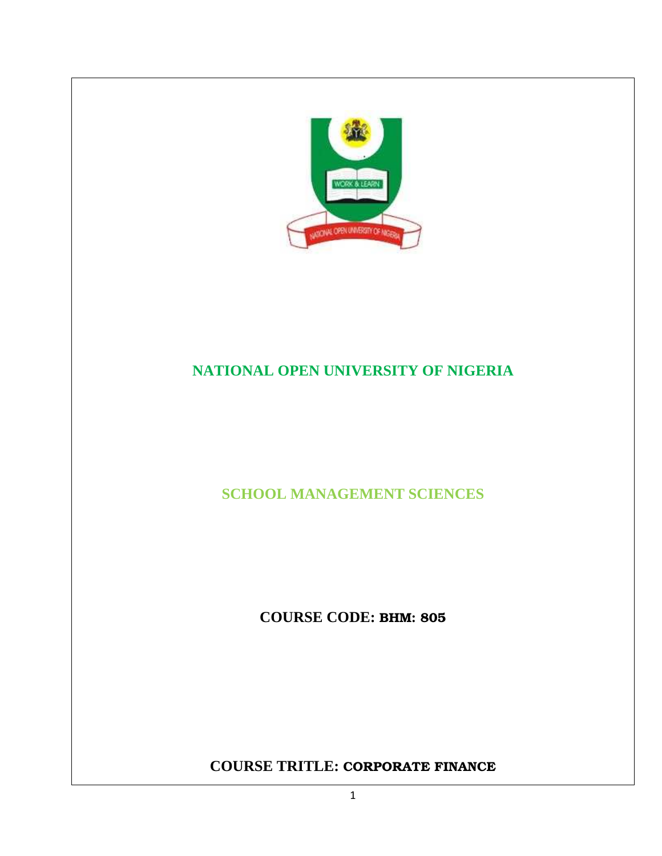

# **NATIONAL OPEN UNIVERSITY OF NIGERIA**

**SCHOOL MANAGEMENT SCIENCES** 

**COURSE CODE:** BHM: 805

**COURSE TRITLE:** CORPORATE FINANCE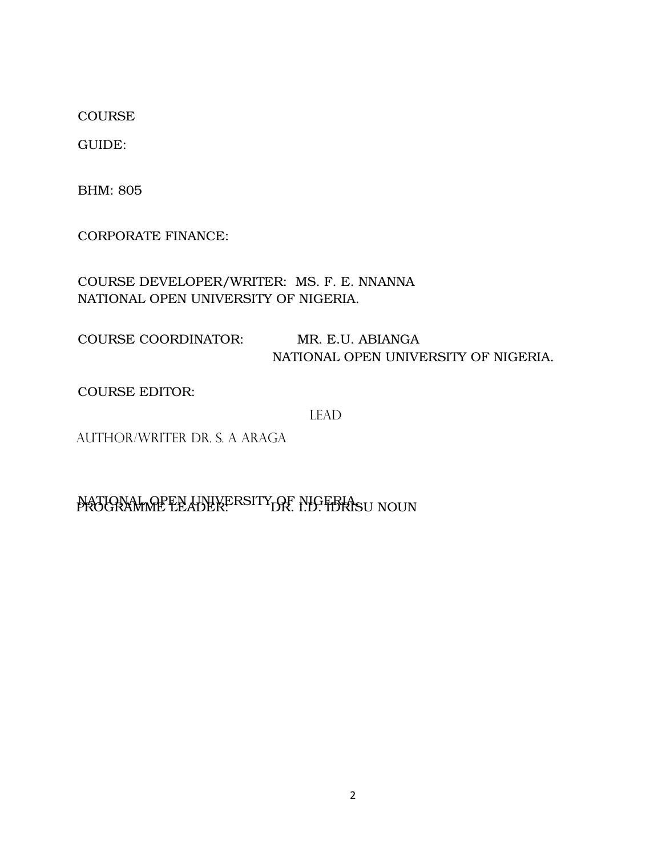**COURSE** 

GUIDE:

BHM: 805

CORPORATE FINANCE:

COURSE DEVELOPER/WRITER: MS. F. E. NNANNA NATIONAL OPEN UNIVERSITY OF NIGERIA.

COURSE COORDINATOR: MR. E.U. ABIANGA NATIONAL OPEN UNIVERSITY OF NIGERIA.

COURSE EDITOR:

**LEAD** 

Author/Writer Dr. S. A Araga

PROGRAMME LEADER: RSITY OF NIGERIASU NOUN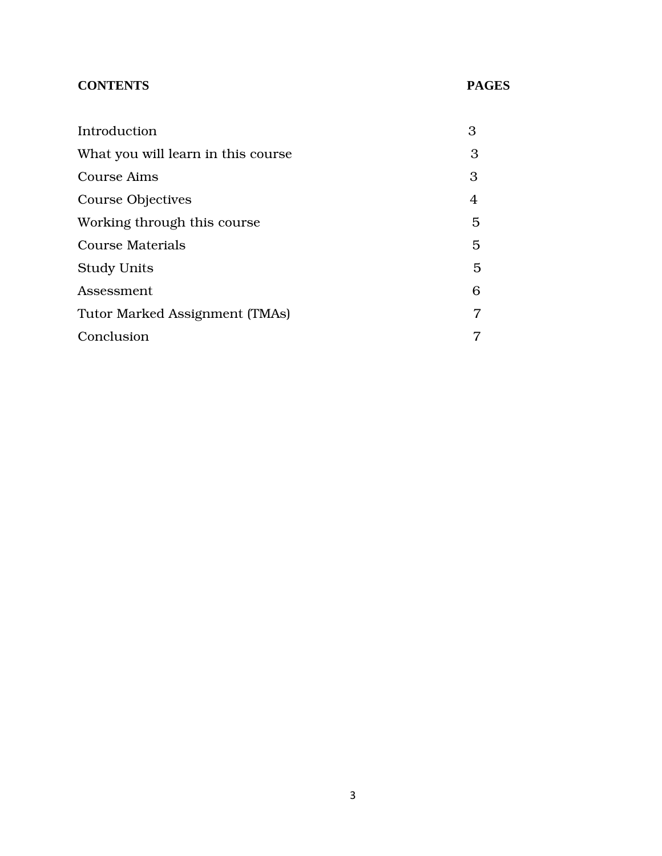# **CONTENTS PAGES**

| Introduction                          | 3 |
|---------------------------------------|---|
| What you will learn in this course    | 3 |
| <b>Course Aims</b>                    | 3 |
| <b>Course Objectives</b>              | 4 |
| Working through this course           | 5 |
| <b>Course Materials</b>               | 5 |
| <b>Study Units</b>                    | 5 |
| Assessment                            | 6 |
| <b>Tutor Marked Assignment (TMAs)</b> | 7 |
| Conclusion                            |   |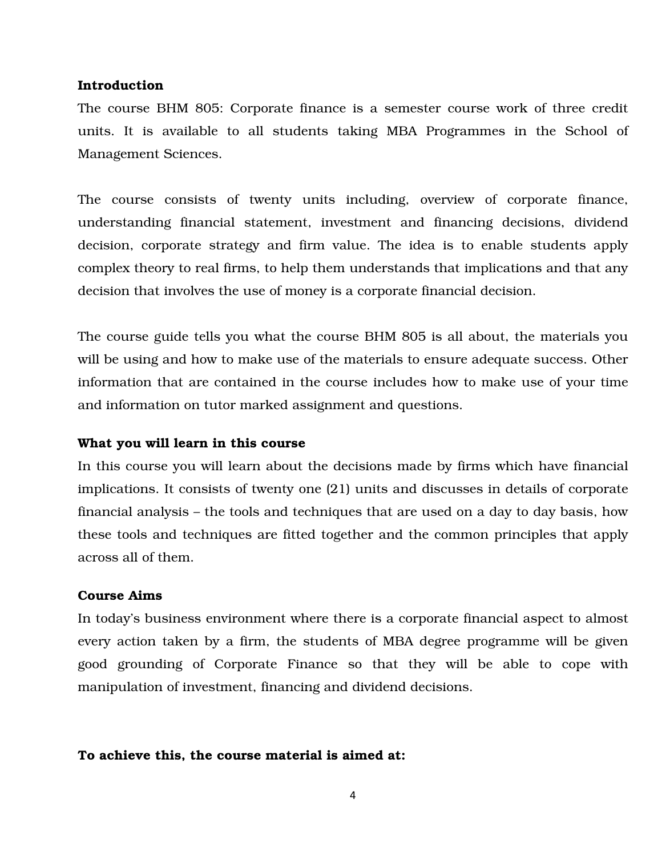#### **Introduction**

The course BHM 805: Corporate finance is a semester course work of three credit units. It is available to all students taking MBA Programmes in the School of Management Sciences.

The course consists of twenty units including, overview of corporate finance, understanding financial statement, investment and financing decisions, dividend decision, corporate strategy and firm value. The idea is to enable students apply complex theory to real firms, to help them understands that implications and that any decision that involves the use of money is a corporate financial decision.

The course guide tells you what the course BHM 805 is all about, the materials you will be using and how to make use of the materials to ensure adequate success. Other information that are contained in the course includes how to make use of your time and information on tutor marked assignment and questions.

#### What you will learn in this course

In this course you will learn about the decisions made by firms which have financial implications. It consists of twenty one (21) units and discusses in details of corporate financial analysis – the tools and techniques that are used on a day to day basis, how these tools and techniques are fitted together and the common principles that apply across all of them.

#### Course Aims

In today's business environment where there is a corporate financial aspect to almost every action taken by a firm, the students of MBA degree programme will be given good grounding of Corporate Finance so that they will be able to cope with manipulation of investment, financing and dividend decisions.

#### To achieve this, the course material is aimed at: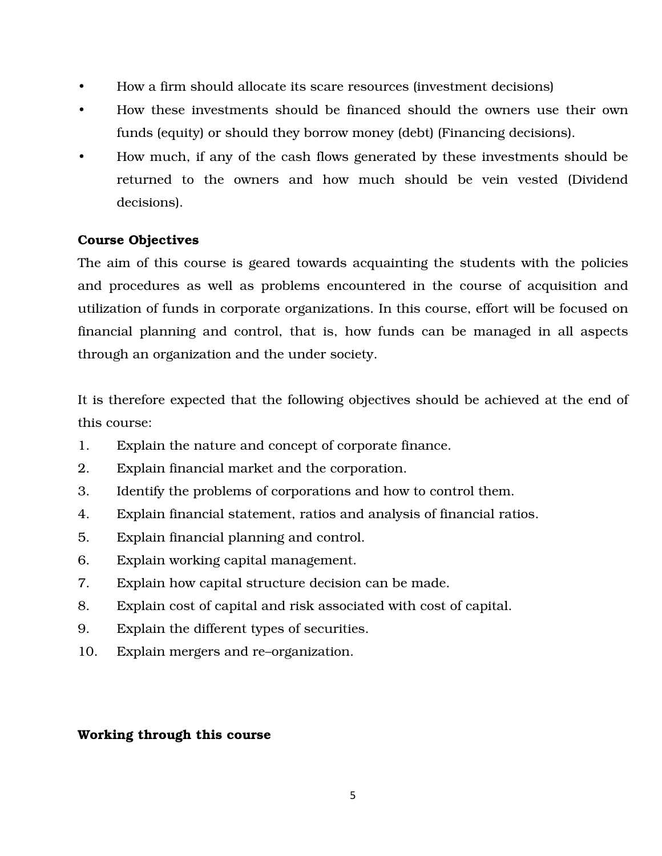- How a firm should allocate its scare resources (investment decisions)
- How these investments should be financed should the owners use their own funds (equity) or should they borrow money (debt) (Financing decisions).
- How much, if any of the cash flows generated by these investments should be returned to the owners and how much should be vein vested (Dividend decisions).

# Course Objectives

The aim of this course is geared towards acquainting the students with the policies and procedures as well as problems encountered in the course of acquisition and utilization of funds in corporate organizations. In this course, effort will be focused on financial planning and control, that is, how funds can be managed in all aspects through an organization and the under society.

It is therefore expected that the following objectives should be achieved at the end of this course:

- 1. Explain the nature and concept of corporate finance.
- 2. Explain financial market and the corporation.
- 3. Identify the problems of corporations and how to control them.
- 4. Explain financial statement, ratios and analysis of financial ratios.
- 5. Explain financial planning and control.
- 6. Explain working capital management.
- 7. Explain how capital structure decision can be made.
- 8. Explain cost of capital and risk associated with cost of capital.
- 9. Explain the different types of securities.
- 10. Explain mergers and re–organization.

## Working through this course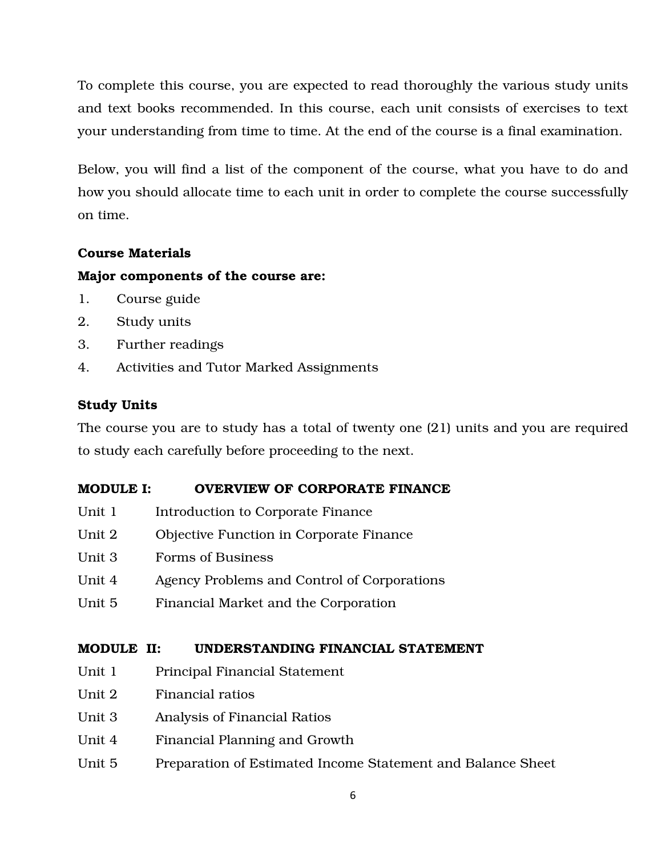To complete this course, you are expected to read thoroughly the various study units and text books recommended. In this course, each unit consists of exercises to text your understanding from time to time. At the end of the course is a final examination.

Below, you will find a list of the component of the course, what you have to do and how you should allocate time to each unit in order to complete the course successfully on time.

# Course Materials

## Major components of the course are:

- 1. Course guide
- 2. Study units
- 3. Further readings
- 4. Activities and Tutor Marked Assignments

# Study Units

The course you are to study has a total of twenty one (21) units and you are required to study each carefully before proceeding to the next.

## MODULE I: OVERVIEW OF CORPORATE FINANCE

| Unit 1<br>Introduction to Corporate Finance |  |
|---------------------------------------------|--|
|---------------------------------------------|--|

- Unit 2 Objective Function in Corporate Finance
- Unit 3 Forms of Business
- Unit 4 Agency Problems and Control of Corporations
- Unit 5 Financial Market and the Corporation

## MODULE II: UNDERSTANDING FINANCIAL STATEMENT

- Unit 1 Principal Financial Statement
- Unit 2 Financial ratios
- Unit 3 Analysis of Financial Ratios
- Unit 4 Financial Planning and Growth
- Unit 5 Preparation of Estimated Income Statement and Balance Sheet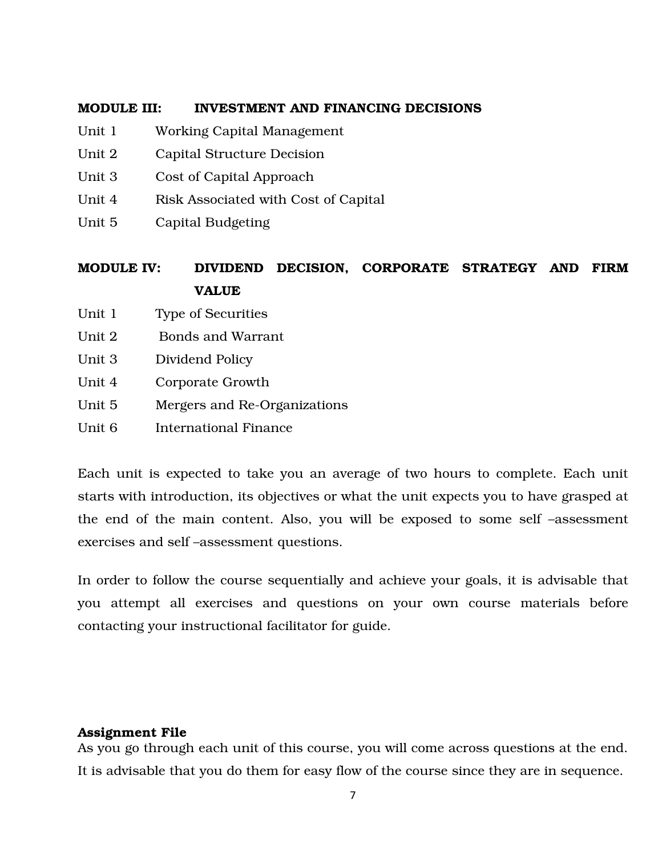### MODULE III: INVESTMENT AND FINANCING DECISIONS

- Unit 1 Working Capital Management
- Unit 2 Capital Structure Decision
- Unit 3 Cost of Capital Approach
- Unit 4 Risk Associated with Cost of Capital
- Unit 5 Capital Budgeting

# MODULE IV: DIVIDEND DECISION, CORPORATE STRATEGY AND FIRM VALUE

- Unit 1 Type of Securities
- Unit 2 Bonds and Warrant
- Unit 3 Dividend Policy
- Unit 4 Corporate Growth
- Unit 5 Mergers and Re-Organizations
- Unit 6 International Finance

Each unit is expected to take you an average of two hours to complete. Each unit starts with introduction, its objectives or what the unit expects you to have grasped at the end of the main content. Also, you will be exposed to some self –assessment exercises and self –assessment questions.

In order to follow the course sequentially and achieve your goals, it is advisable that you attempt all exercises and questions on your own course materials before contacting your instructional facilitator for guide.

## Assignment File

As you go through each unit of this course, you will come across questions at the end. It is advisable that you do them for easy flow of the course since they are in sequence.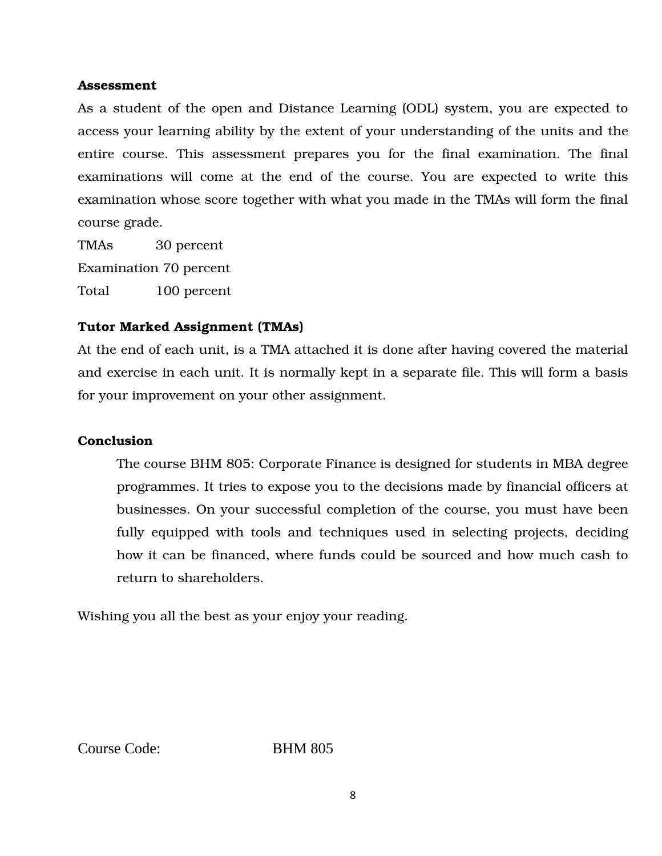## Assessment

As a student of the open and Distance Learning (ODL) system, you are expected to access your learning ability by the extent of your understanding of the units and the entire course. This assessment prepares you for the final examination. The final examinations will come at the end of the course. You are expected to write this examination whose score together with what you made in the TMAs will form the final course grade.

TMAs 30 percent Examination 70 percent Total 100 percent

# Tutor Marked Assignment (TMAs)

At the end of each unit, is a TMA attached it is done after having covered the material and exercise in each unit. It is normally kept in a separate file. This will form a basis for your improvement on your other assignment.

## Conclusion

The course BHM 805: Corporate Finance is designed for students in MBA degree programmes. It tries to expose you to the decisions made by financial officers at businesses. On your successful completion of the course, you must have been fully equipped with tools and techniques used in selecting projects, deciding how it can be financed, where funds could be sourced and how much cash to return to shareholders.

Wishing you all the best as your enjoy your reading.

Course Code: BHM 805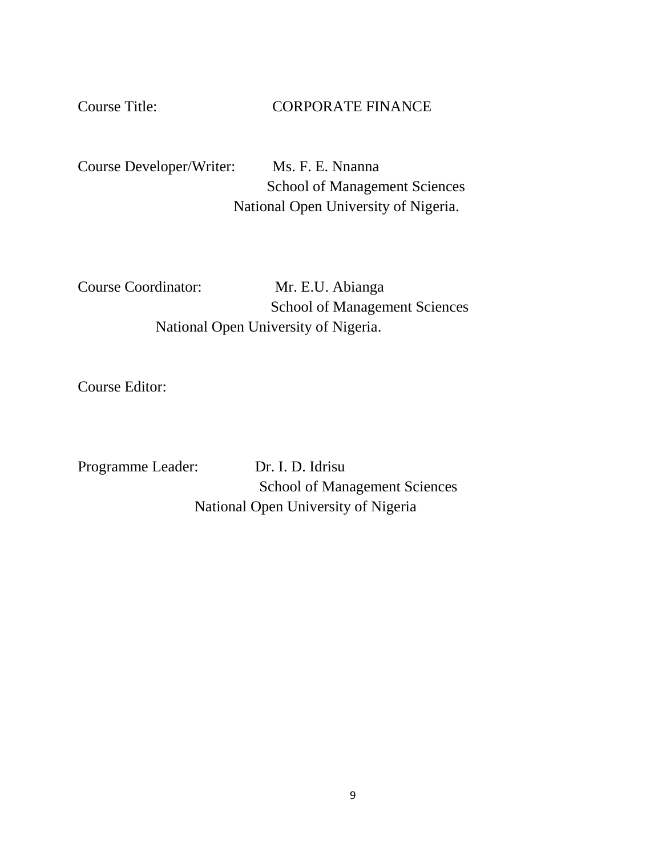# Course Title: CORPORATE FINANCE

Course Developer/Writer: Ms. F. E. Nnanna

 School of Management Sciences National Open University of Nigeria.

Course Coordinator: Mr. E.U. Abianga School of Management Sciences National Open University of Nigeria.

Course Editor:

Programme Leader: Dr. I. D. Idrisu School of Management Sciences National Open University of Nigeria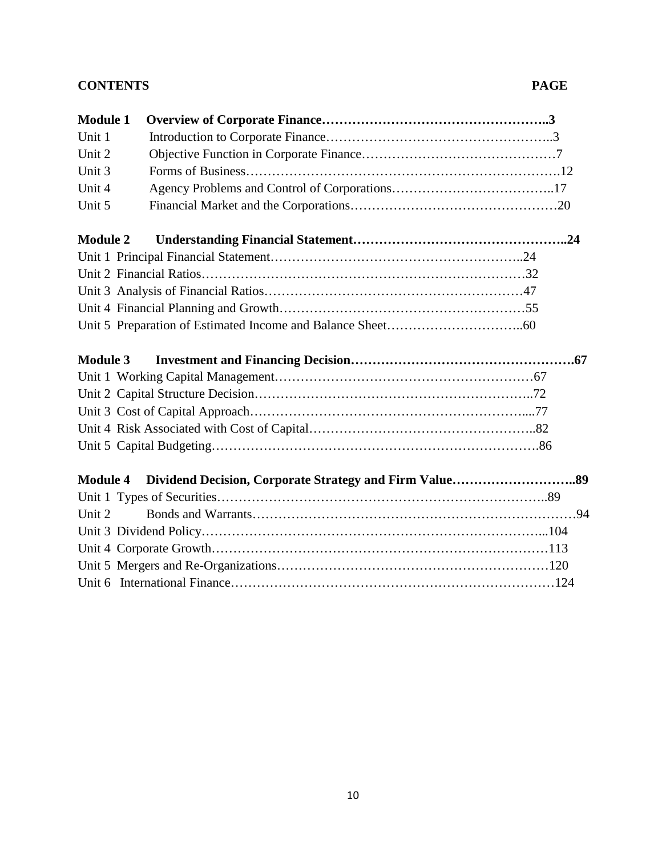# **CONTENTS PAGE**

| <b>Module 1</b> |  |
|-----------------|--|
| Unit 1          |  |
| Unit 2          |  |
| Unit 3          |  |
| Unit 4          |  |
| Unit 5          |  |
| <b>Module 2</b> |  |
|                 |  |
|                 |  |
|                 |  |
|                 |  |
|                 |  |
| <b>Module 3</b> |  |
|                 |  |
|                 |  |
|                 |  |
|                 |  |
|                 |  |
| <b>Module 4</b> |  |
|                 |  |
| Unit 2          |  |
|                 |  |
|                 |  |
|                 |  |
|                 |  |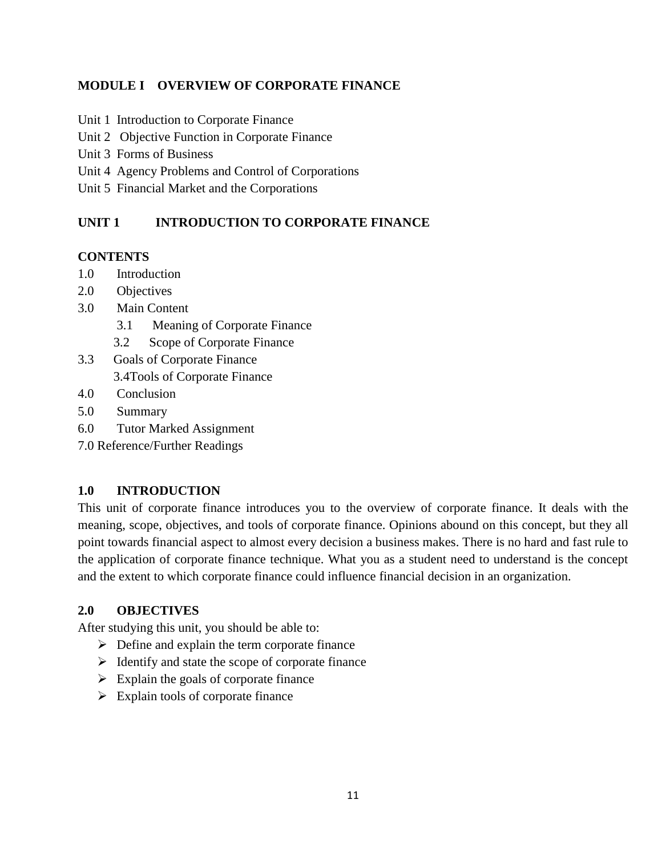# **MODULE I OVERVIEW OF CORPORATE FINANCE**

- Unit 1 Introduction to Corporate Finance
- Unit 2 Objective Function in Corporate Finance
- Unit 3 Forms of Business
- Unit 4 Agency Problems and Control of Corporations
- Unit 5 Financial Market and the Corporations

# **UNIT 1 INTRODUCTION TO CORPORATE FINANCE**

## **CONTENTS**

- 1.0 Introduction
- 2.0 Objectives
- 3.0 Main Content
	- 3.1 Meaning of Corporate Finance
	- 3.2 Scope of Corporate Finance
- 3.3 Goals of Corporate Finance 3.4Tools of Corporate Finance
- 4.0 Conclusion
- 5.0 Summary
- 6.0 Tutor Marked Assignment
- 7.0 Reference/Further Readings

# **1.0 INTRODUCTION**

This unit of corporate finance introduces you to the overview of corporate finance. It deals with the meaning, scope, objectives, and tools of corporate finance. Opinions abound on this concept, but they all point towards financial aspect to almost every decision a business makes. There is no hard and fast rule to the application of corporate finance technique. What you as a student need to understand is the concept and the extent to which corporate finance could influence financial decision in an organization.

# **2.0 OBJECTIVES**

After studying this unit, you should be able to:

- $\triangleright$  Define and explain the term corporate finance
- $\triangleright$  Identify and state the scope of corporate finance
- $\triangleright$  Explain the goals of corporate finance
- $\triangleright$  Explain tools of corporate finance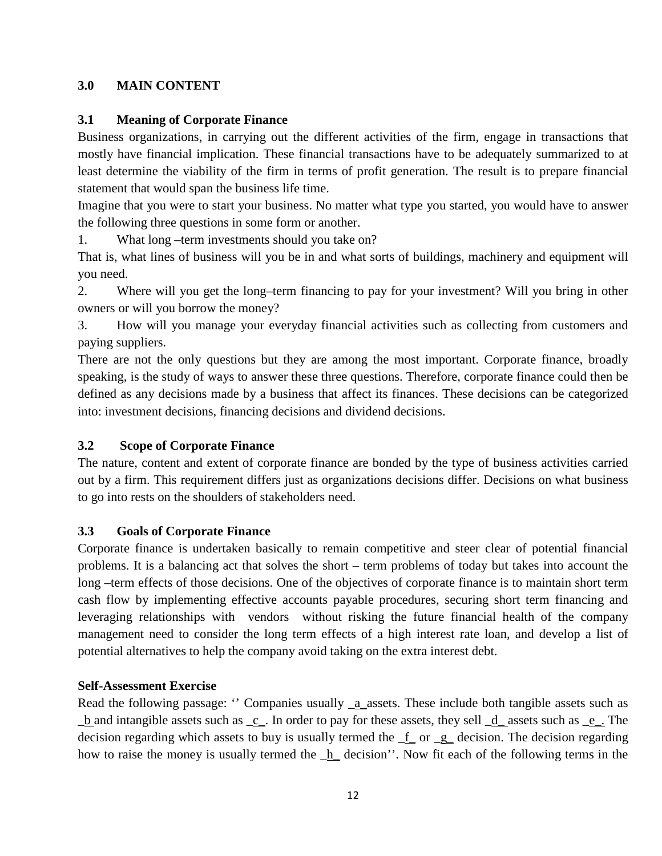## **3.0 MAIN CONTENT**

## **3.1 Meaning of Corporate Finance**

Business organizations, in carrying out the different activities of the firm, engage in transactions that mostly have financial implication. These financial transactions have to be adequately summarized to at least determine the viability of the firm in terms of profit generation. The result is to prepare financial statement that would span the business life time.

Imagine that you were to start your business. No matter what type you started, you would have to answer the following three questions in some form or another.

1. What long –term investments should you take on?

That is, what lines of business will you be in and what sorts of buildings, machinery and equipment will you need.

2. Where will you get the long–term financing to pay for your investment? Will you bring in other owners or will you borrow the money?

3. How will you manage your everyday financial activities such as collecting from customers and paying suppliers.

There are not the only questions but they are among the most important. Corporate finance, broadly speaking, is the study of ways to answer these three questions. Therefore, corporate finance could then be defined as any decisions made by a business that affect its finances. These decisions can be categorized into: investment decisions, financing decisions and dividend decisions.

## **3.2 Scope of Corporate Finance**

The nature, content and extent of corporate finance are bonded by the type of business activities carried out by a firm. This requirement differs just as organizations decisions differ. Decisions on what business to go into rests on the shoulders of stakeholders need.

## **3.3 Goals of Corporate Finance**

Corporate finance is undertaken basically to remain competitive and steer clear of potential financial problems. It is a balancing act that solves the short – term problems of today but takes into account the long –term effects of those decisions. One of the objectives of corporate finance is to maintain short term cash flow by implementing effective accounts payable procedures, securing short term financing and leveraging relationships with vendors without risking the future financial health of the company management need to consider the long term effects of a high interest rate loan, and develop a list of potential alternatives to help the company avoid taking on the extra interest debt.

## **Self-Assessment Exercise**

Read the following passage: '' Companies usually \_a\_assets. These include both tangible assets such as \_b and intangible assets such as \_c\_. In order to pay for these assets, they sell \_d\_ assets such as \_e\_. The decision regarding which assets to buy is usually termed the \_f\_ or \_g\_ decision. The decision regarding how to raise the money is usually termed the  $_h$  decision". Now fit each of the following terms in the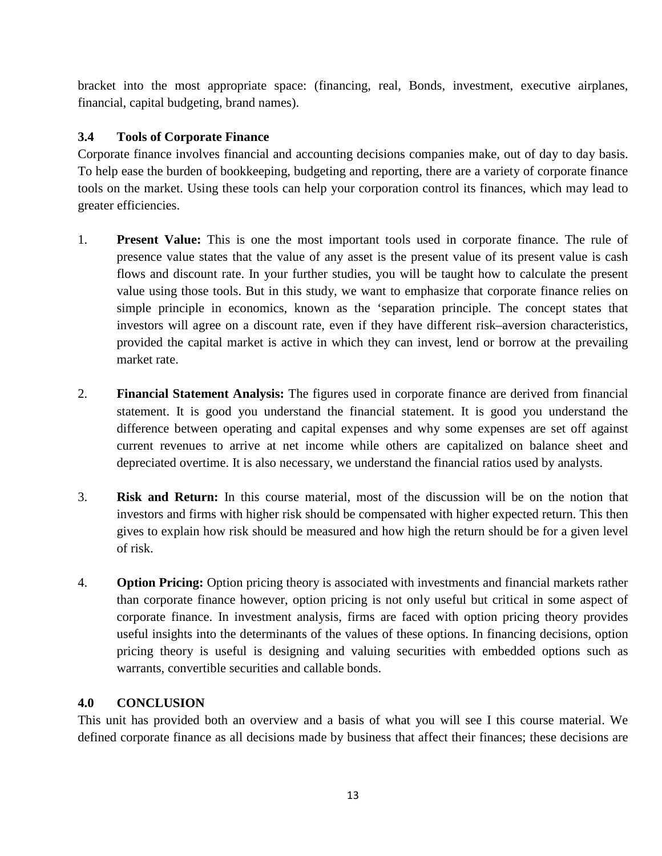bracket into the most appropriate space: (financing, real, Bonds, investment, executive airplanes, financial, capital budgeting, brand names).

## **3.4 Tools of Corporate Finance**

Corporate finance involves financial and accounting decisions companies make, out of day to day basis. To help ease the burden of bookkeeping, budgeting and reporting, there are a variety of corporate finance tools on the market. Using these tools can help your corporation control its finances, which may lead to greater efficiencies.

- 1. **Present Value:** This is one the most important tools used in corporate finance. The rule of presence value states that the value of any asset is the present value of its present value is cash flows and discount rate. In your further studies, you will be taught how to calculate the present value using those tools. But in this study, we want to emphasize that corporate finance relies on simple principle in economics, known as the 'separation principle. The concept states that investors will agree on a discount rate, even if they have different risk–aversion characteristics, provided the capital market is active in which they can invest, lend or borrow at the prevailing market rate.
- 2. **Financial Statement Analysis:** The figures used in corporate finance are derived from financial statement. It is good you understand the financial statement. It is good you understand the difference between operating and capital expenses and why some expenses are set off against current revenues to arrive at net income while others are capitalized on balance sheet and depreciated overtime. It is also necessary, we understand the financial ratios used by analysts.
- 3. **Risk and Return:** In this course material, most of the discussion will be on the notion that investors and firms with higher risk should be compensated with higher expected return. This then gives to explain how risk should be measured and how high the return should be for a given level of risk.
- 4. **Option Pricing:** Option pricing theory is associated with investments and financial markets rather than corporate finance however, option pricing is not only useful but critical in some aspect of corporate finance. In investment analysis, firms are faced with option pricing theory provides useful insights into the determinants of the values of these options. In financing decisions, option pricing theory is useful is designing and valuing securities with embedded options such as warrants, convertible securities and callable bonds.

## **4.0 CONCLUSION**

This unit has provided both an overview and a basis of what you will see I this course material. We defined corporate finance as all decisions made by business that affect their finances; these decisions are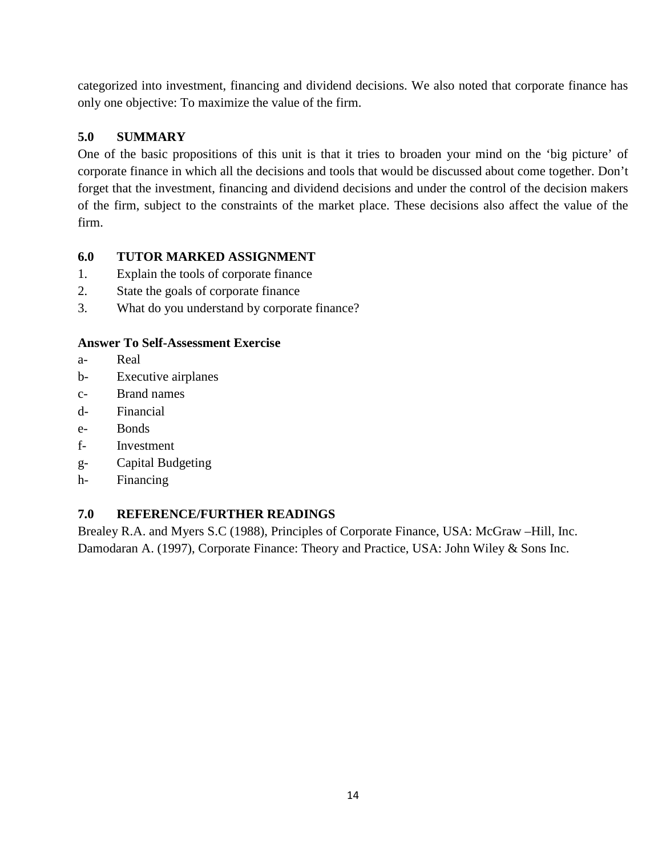categorized into investment, financing and dividend decisions. We also noted that corporate finance has only one objective: To maximize the value of the firm.

# **5.0 SUMMARY**

One of the basic propositions of this unit is that it tries to broaden your mind on the 'big picture' of corporate finance in which all the decisions and tools that would be discussed about come together. Don't forget that the investment, financing and dividend decisions and under the control of the decision makers of the firm, subject to the constraints of the market place. These decisions also affect the value of the firm.

# **6.0 TUTOR MARKED ASSIGNMENT**

- 1. Explain the tools of corporate finance
- 2. State the goals of corporate finance
- 3. What do you understand by corporate finance?

# **Answer To Self-Assessment Exercise**

- a- Real
- b- Executive airplanes
- c- Brand names
- d- Financial
- e- Bonds
- f- Investment
- g- Capital Budgeting
- h- Financing

# **7.0 REFERENCE/FURTHER READINGS**

Brealey R.A. and Myers S.C (1988), Principles of Corporate Finance, USA: McGraw –Hill, Inc. Damodaran A. (1997), Corporate Finance: Theory and Practice, USA: John Wiley & Sons Inc.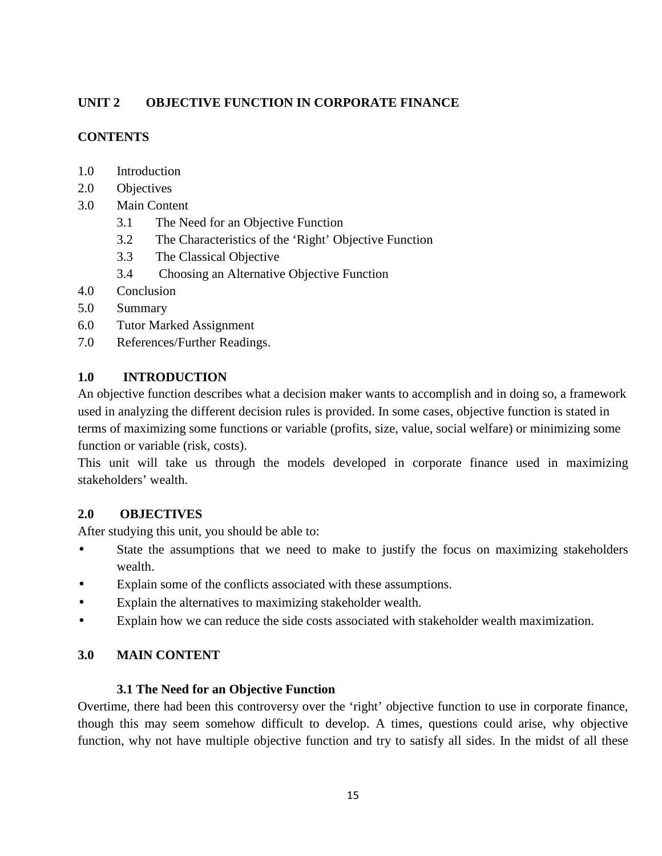# **UNIT 2 OBJECTIVE FUNCTION IN CORPORATE FINANCE**

## **CONTENTS**

- 1.0 Introduction
- 2.0 Objectives
- 3.0 Main Content
	- 3.1 The Need for an Objective Function
	- 3.2 The Characteristics of the 'Right' Objective Function
	- 3.3 The Classical Objective
	- 3.4 Choosing an Alternative Objective Function
- 4.0 Conclusion
- 5.0 Summary
- 6.0 Tutor Marked Assignment
- 7.0 References/Further Readings.

## **1.0 INTRODUCTION**

An objective function describes what a decision maker wants to accomplish and in doing so, a framework used in analyzing the different decision rules is provided. In some cases, objective function is stated in terms of maximizing some functions or variable (profits, size, value, social welfare) or minimizing some function or variable (risk, costs).

This unit will take us through the models developed in corporate finance used in maximizing stakeholders' wealth.

## **2.0 OBJECTIVES**

After studying this unit, you should be able to:

- State the assumptions that we need to make to justify the focus on maximizing stakeholders wealth.
- Explain some of the conflicts associated with these assumptions.
- Explain the alternatives to maximizing stakeholder wealth.
- Explain how we can reduce the side costs associated with stakeholder wealth maximization.

## **3.0 MAIN CONTENT**

## **3.1 The Need for an Objective Function**

Overtime, there had been this controversy over the 'right' objective function to use in corporate finance, though this may seem somehow difficult to develop. A times, questions could arise, why objective function, why not have multiple objective function and try to satisfy all sides. In the midst of all these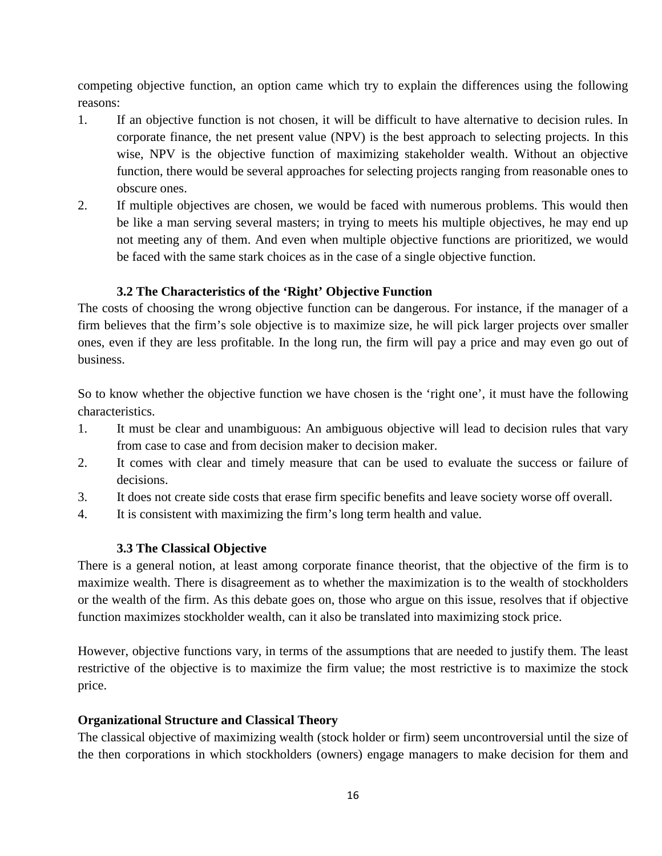competing objective function, an option came which try to explain the differences using the following reasons:

- 1. If an objective function is not chosen, it will be difficult to have alternative to decision rules. In corporate finance, the net present value (NPV) is the best approach to selecting projects. In this wise, NPV is the objective function of maximizing stakeholder wealth. Without an objective function, there would be several approaches for selecting projects ranging from reasonable ones to obscure ones.
- 2. If multiple objectives are chosen, we would be faced with numerous problems. This would then be like a man serving several masters; in trying to meets his multiple objectives, he may end up not meeting any of them. And even when multiple objective functions are prioritized, we would be faced with the same stark choices as in the case of a single objective function.

## **3.2 The Characteristics of the 'Right' Objective Function**

The costs of choosing the wrong objective function can be dangerous. For instance, if the manager of a firm believes that the firm's sole objective is to maximize size, he will pick larger projects over smaller ones, even if they are less profitable. In the long run, the firm will pay a price and may even go out of business.

So to know whether the objective function we have chosen is the 'right one', it must have the following characteristics.

- 1. It must be clear and unambiguous: An ambiguous objective will lead to decision rules that vary from case to case and from decision maker to decision maker.
- 2. It comes with clear and timely measure that can be used to evaluate the success or failure of decisions.
- 3. It does not create side costs that erase firm specific benefits and leave society worse off overall.
- 4. It is consistent with maximizing the firm's long term health and value.

## **3.3 The Classical Objective**

There is a general notion, at least among corporate finance theorist, that the objective of the firm is to maximize wealth. There is disagreement as to whether the maximization is to the wealth of stockholders or the wealth of the firm. As this debate goes on, those who argue on this issue, resolves that if objective function maximizes stockholder wealth, can it also be translated into maximizing stock price.

However, objective functions vary, in terms of the assumptions that are needed to justify them. The least restrictive of the objective is to maximize the firm value; the most restrictive is to maximize the stock price.

## **Organizational Structure and Classical Theory**

The classical objective of maximizing wealth (stock holder or firm) seem uncontroversial until the size of the then corporations in which stockholders (owners) engage managers to make decision for them and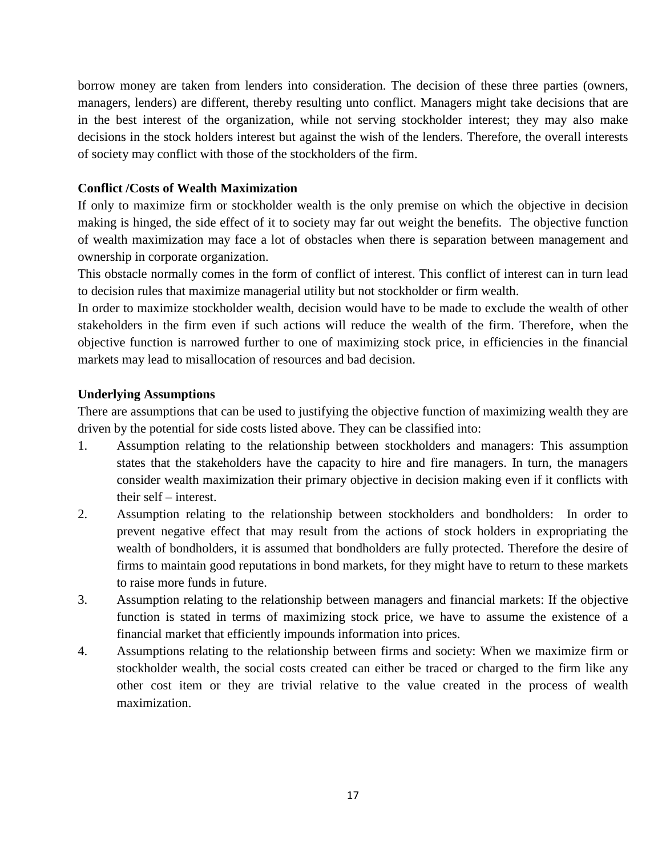borrow money are taken from lenders into consideration. The decision of these three parties (owners, managers, lenders) are different, thereby resulting unto conflict. Managers might take decisions that are in the best interest of the organization, while not serving stockholder interest; they may also make decisions in the stock holders interest but against the wish of the lenders. Therefore, the overall interests of society may conflict with those of the stockholders of the firm.

#### **Conflict /Costs of Wealth Maximization**

If only to maximize firm or stockholder wealth is the only premise on which the objective in decision making is hinged, the side effect of it to society may far out weight the benefits. The objective function of wealth maximization may face a lot of obstacles when there is separation between management and ownership in corporate organization.

This obstacle normally comes in the form of conflict of interest. This conflict of interest can in turn lead to decision rules that maximize managerial utility but not stockholder or firm wealth.

In order to maximize stockholder wealth, decision would have to be made to exclude the wealth of other stakeholders in the firm even if such actions will reduce the wealth of the firm. Therefore, when the objective function is narrowed further to one of maximizing stock price, in efficiencies in the financial markets may lead to misallocation of resources and bad decision.

#### **Underlying Assumptions**

There are assumptions that can be used to justifying the objective function of maximizing wealth they are driven by the potential for side costs listed above. They can be classified into:

- 1. Assumption relating to the relationship between stockholders and managers: This assumption states that the stakeholders have the capacity to hire and fire managers. In turn, the managers consider wealth maximization their primary objective in decision making even if it conflicts with their self – interest.
- 2. Assumption relating to the relationship between stockholders and bondholders: In order to prevent negative effect that may result from the actions of stock holders in expropriating the wealth of bondholders, it is assumed that bondholders are fully protected. Therefore the desire of firms to maintain good reputations in bond markets, for they might have to return to these markets to raise more funds in future.
- 3. Assumption relating to the relationship between managers and financial markets: If the objective function is stated in terms of maximizing stock price, we have to assume the existence of a financial market that efficiently impounds information into prices.
- 4. Assumptions relating to the relationship between firms and society: When we maximize firm or stockholder wealth, the social costs created can either be traced or charged to the firm like any other cost item or they are trivial relative to the value created in the process of wealth maximization.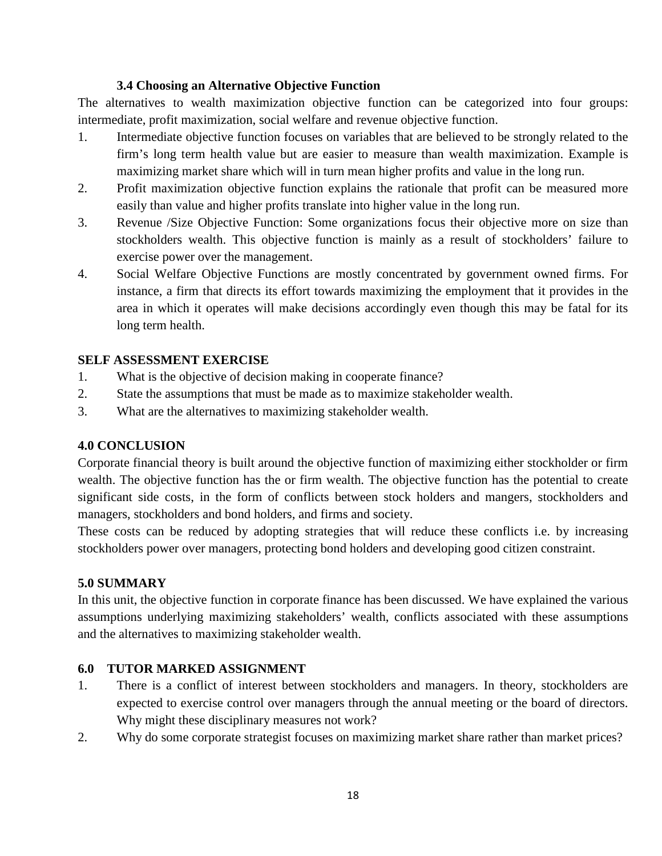## **3.4 Choosing an Alternative Objective Function**

The alternatives to wealth maximization objective function can be categorized into four groups: intermediate, profit maximization, social welfare and revenue objective function.

- 1. Intermediate objective function focuses on variables that are believed to be strongly related to the firm's long term health value but are easier to measure than wealth maximization. Example is maximizing market share which will in turn mean higher profits and value in the long run.
- 2. Profit maximization objective function explains the rationale that profit can be measured more easily than value and higher profits translate into higher value in the long run.
- 3. Revenue /Size Objective Function: Some organizations focus their objective more on size than stockholders wealth. This objective function is mainly as a result of stockholders' failure to exercise power over the management.
- 4. Social Welfare Objective Functions are mostly concentrated by government owned firms. For instance, a firm that directs its effort towards maximizing the employment that it provides in the area in which it operates will make decisions accordingly even though this may be fatal for its long term health.

## **SELF ASSESSMENT EXERCISE**

- 1. What is the objective of decision making in cooperate finance?
- 2. State the assumptions that must be made as to maximize stakeholder wealth.
- 3. What are the alternatives to maximizing stakeholder wealth.

## **4.0 CONCLUSION**

Corporate financial theory is built around the objective function of maximizing either stockholder or firm wealth. The objective function has the or firm wealth. The objective function has the potential to create significant side costs, in the form of conflicts between stock holders and mangers, stockholders and managers, stockholders and bond holders, and firms and society.

These costs can be reduced by adopting strategies that will reduce these conflicts i.e. by increasing stockholders power over managers, protecting bond holders and developing good citizen constraint.

## **5.0 SUMMARY**

In this unit, the objective function in corporate finance has been discussed. We have explained the various assumptions underlying maximizing stakeholders' wealth, conflicts associated with these assumptions and the alternatives to maximizing stakeholder wealth.

## **6.0 TUTOR MARKED ASSIGNMENT**

- 1. There is a conflict of interest between stockholders and managers. In theory, stockholders are expected to exercise control over managers through the annual meeting or the board of directors. Why might these disciplinary measures not work?
- 2. Why do some corporate strategist focuses on maximizing market share rather than market prices?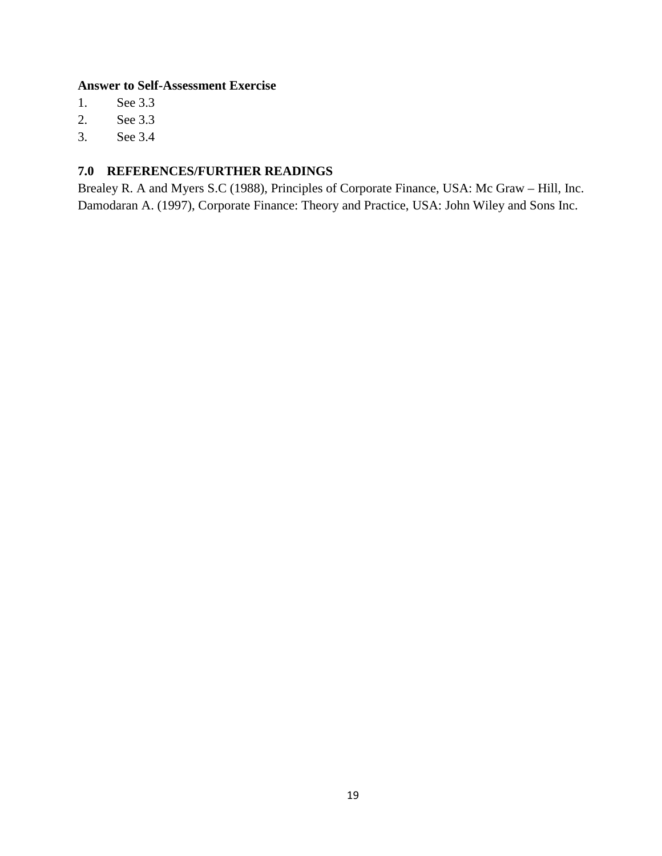# **Answer to Self-Assessment Exercise**

- 1. See 3.3
- 2. See 3.3
- 3. See 3.4

# **7.0 REFERENCES/FURTHER READINGS**

Brealey R. A and Myers S.C (1988), Principles of Corporate Finance, USA: Mc Graw – Hill, Inc. Damodaran A. (1997), Corporate Finance: Theory and Practice, USA: John Wiley and Sons Inc.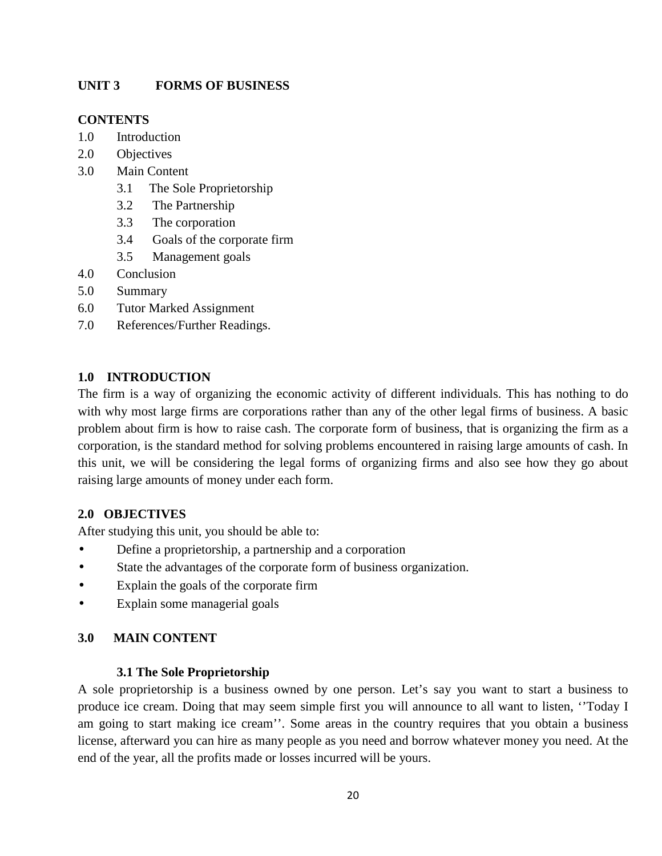# **UNIT 3 FORMS OF BUSINESS**

## **CONTENTS**

- 1.0 Introduction
- 2.0 Objectives
- 3.0 Main Content
	- 3.1 The Sole Proprietorship
	- 3.2 The Partnership
	- 3.3 The corporation
	- 3.4 Goals of the corporate firm
	- 3.5 Management goals
- 4.0 Conclusion
- 5.0 Summary
- 6.0 Tutor Marked Assignment
- 7.0 References/Further Readings.

## **1.0 INTRODUCTION**

The firm is a way of organizing the economic activity of different individuals. This has nothing to do with why most large firms are corporations rather than any of the other legal firms of business. A basic problem about firm is how to raise cash. The corporate form of business, that is organizing the firm as a corporation, is the standard method for solving problems encountered in raising large amounts of cash. In this unit, we will be considering the legal forms of organizing firms and also see how they go about raising large amounts of money under each form.

## **2.0 OBJECTIVES**

After studying this unit, you should be able to:

- Define a proprietorship, a partnership and a corporation
- State the advantages of the corporate form of business organization.
- Explain the goals of the corporate firm
- Explain some managerial goals

## **3.0 MAIN CONTENT**

## **3.1 The Sole Proprietorship**

A sole proprietorship is a business owned by one person. Let's say you want to start a business to produce ice cream. Doing that may seem simple first you will announce to all want to listen, ''Today I am going to start making ice cream''. Some areas in the country requires that you obtain a business license, afterward you can hire as many people as you need and borrow whatever money you need. At the end of the year, all the profits made or losses incurred will be yours.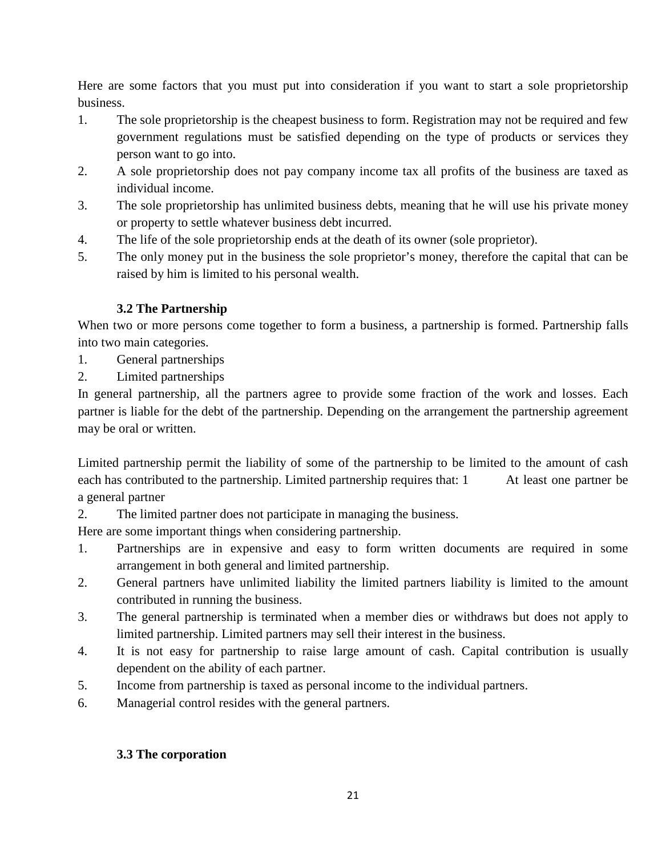Here are some factors that you must put into consideration if you want to start a sole proprietorship business.

- 1. The sole proprietorship is the cheapest business to form. Registration may not be required and few government regulations must be satisfied depending on the type of products or services they person want to go into.
- 2. A sole proprietorship does not pay company income tax all profits of the business are taxed as individual income.
- 3. The sole proprietorship has unlimited business debts, meaning that he will use his private money or property to settle whatever business debt incurred.
- 4. The life of the sole proprietorship ends at the death of its owner (sole proprietor).
- 5. The only money put in the business the sole proprietor's money, therefore the capital that can be raised by him is limited to his personal wealth.

# **3.2 The Partnership**

When two or more persons come together to form a business, a partnership is formed. Partnership falls into two main categories.

- 1. General partnerships
- 2. Limited partnerships

In general partnership, all the partners agree to provide some fraction of the work and losses. Each partner is liable for the debt of the partnership. Depending on the arrangement the partnership agreement may be oral or written.

Limited partnership permit the liability of some of the partnership to be limited to the amount of cash each has contributed to the partnership. Limited partnership requires that: 1 At least one partner be a general partner

2. The limited partner does not participate in managing the business.

Here are some important things when considering partnership.

- 1. Partnerships are in expensive and easy to form written documents are required in some arrangement in both general and limited partnership.
- 2. General partners have unlimited liability the limited partners liability is limited to the amount contributed in running the business.
- 3. The general partnership is terminated when a member dies or withdraws but does not apply to limited partnership. Limited partners may sell their interest in the business.
- 4. It is not easy for partnership to raise large amount of cash. Capital contribution is usually dependent on the ability of each partner.
- 5. Income from partnership is taxed as personal income to the individual partners.
- 6. Managerial control resides with the general partners.

# **3.3 The corporation**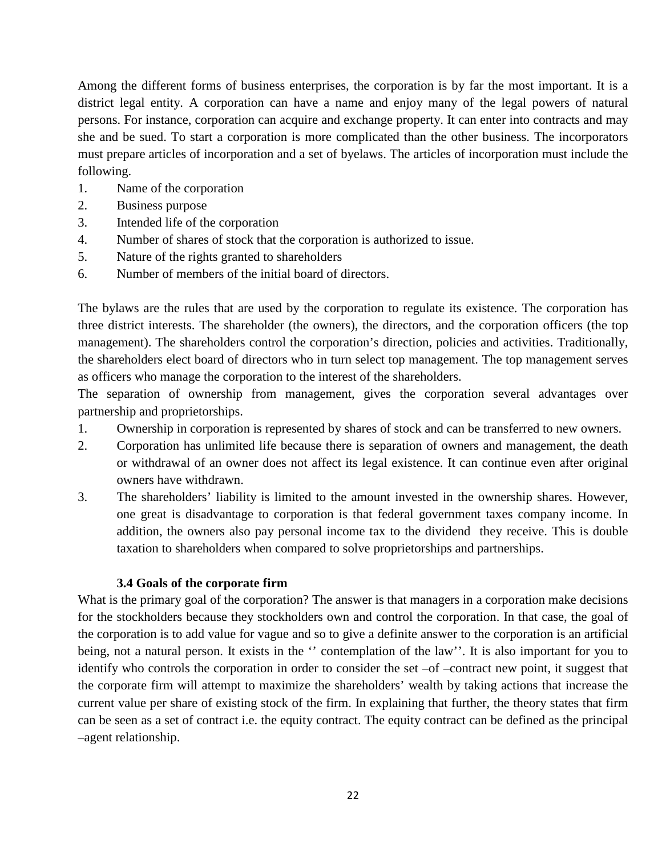Among the different forms of business enterprises, the corporation is by far the most important. It is a district legal entity. A corporation can have a name and enjoy many of the legal powers of natural persons. For instance, corporation can acquire and exchange property. It can enter into contracts and may she and be sued. To start a corporation is more complicated than the other business. The incorporators must prepare articles of incorporation and a set of byelaws. The articles of incorporation must include the following.

- 1. Name of the corporation
- 2. Business purpose
- 3. Intended life of the corporation
- 4. Number of shares of stock that the corporation is authorized to issue.
- 5. Nature of the rights granted to shareholders
- 6. Number of members of the initial board of directors.

The bylaws are the rules that are used by the corporation to regulate its existence. The corporation has three district interests. The shareholder (the owners), the directors, and the corporation officers (the top management). The shareholders control the corporation's direction, policies and activities. Traditionally, the shareholders elect board of directors who in turn select top management. The top management serves as officers who manage the corporation to the interest of the shareholders.

The separation of ownership from management, gives the corporation several advantages over partnership and proprietorships.

- 1. Ownership in corporation is represented by shares of stock and can be transferred to new owners.
- 2. Corporation has unlimited life because there is separation of owners and management, the death or withdrawal of an owner does not affect its legal existence. It can continue even after original owners have withdrawn.
- 3. The shareholders' liability is limited to the amount invested in the ownership shares. However, one great is disadvantage to corporation is that federal government taxes company income. In addition, the owners also pay personal income tax to the dividend they receive. This is double taxation to shareholders when compared to solve proprietorships and partnerships.

#### **3.4 Goals of the corporate firm**

What is the primary goal of the corporation? The answer is that managers in a corporation make decisions for the stockholders because they stockholders own and control the corporation. In that case, the goal of the corporation is to add value for vague and so to give a definite answer to the corporation is an artificial being, not a natural person. It exists in the " contemplation of the law". It is also important for you to identify who controls the corporation in order to consider the set –of –contract new point, it suggest that the corporate firm will attempt to maximize the shareholders' wealth by taking actions that increase the current value per share of existing stock of the firm. In explaining that further, the theory states that firm can be seen as a set of contract i.e. the equity contract. The equity contract can be defined as the principal –agent relationship.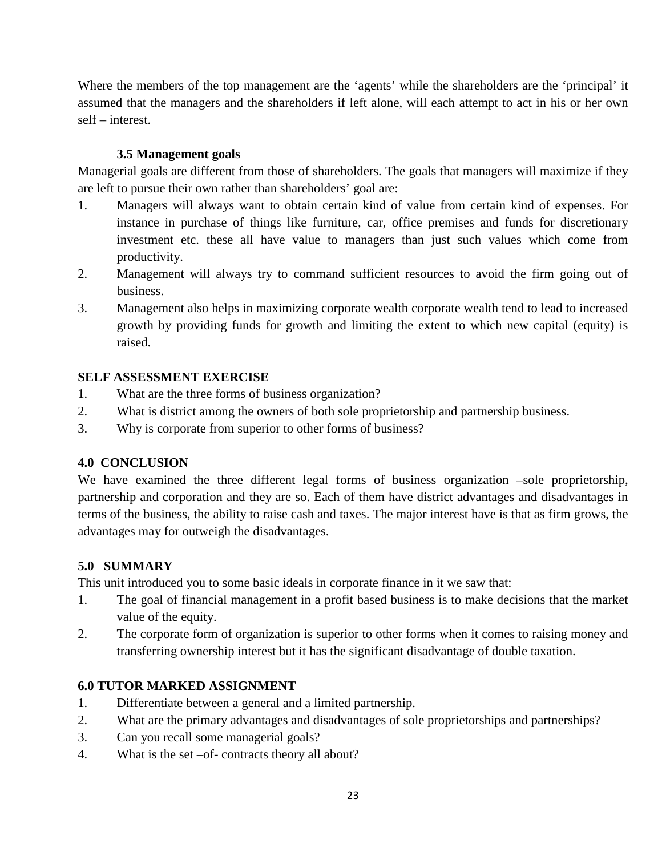Where the members of the top management are the 'agents' while the shareholders are the 'principal' it assumed that the managers and the shareholders if left alone, will each attempt to act in his or her own self – interest.

## **3.5 Management goals**

Managerial goals are different from those of shareholders. The goals that managers will maximize if they are left to pursue their own rather than shareholders' goal are:

- 1. Managers will always want to obtain certain kind of value from certain kind of expenses. For instance in purchase of things like furniture, car, office premises and funds for discretionary investment etc. these all have value to managers than just such values which come from productivity.
- 2. Management will always try to command sufficient resources to avoid the firm going out of business.
- 3. Management also helps in maximizing corporate wealth corporate wealth tend to lead to increased growth by providing funds for growth and limiting the extent to which new capital (equity) is raised.

# **SELF ASSESSMENT EXERCISE**

- 1. What are the three forms of business organization?
- 2. What is district among the owners of both sole proprietorship and partnership business.
- 3. Why is corporate from superior to other forms of business?

# **4.0 CONCLUSION**

We have examined the three different legal forms of business organization –sole proprietorship, partnership and corporation and they are so. Each of them have district advantages and disadvantages in terms of the business, the ability to raise cash and taxes. The major interest have is that as firm grows, the advantages may for outweigh the disadvantages.

# **5.0 SUMMARY**

This unit introduced you to some basic ideals in corporate finance in it we saw that:

- 1. The goal of financial management in a profit based business is to make decisions that the market value of the equity.
- 2. The corporate form of organization is superior to other forms when it comes to raising money and transferring ownership interest but it has the significant disadvantage of double taxation.

# **6.0 TUTOR MARKED ASSIGNMENT**

- 1. Differentiate between a general and a limited partnership.
- 2. What are the primary advantages and disadvantages of sole proprietorships and partnerships?
- 3. Can you recall some managerial goals?
- 4. What is the set –of- contracts theory all about?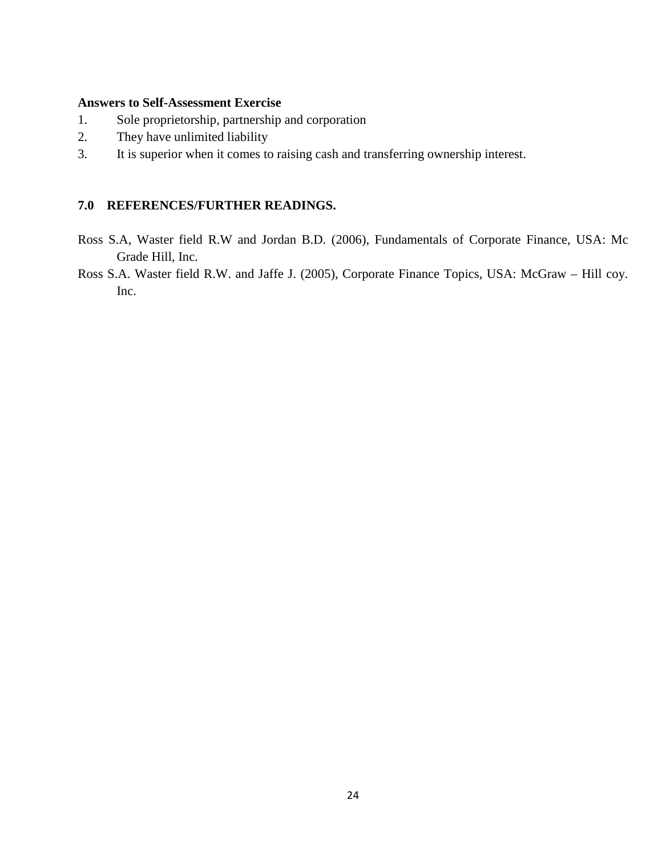## **Answers to Self-Assessment Exercise**

- 1. Sole proprietorship, partnership and corporation
- 2. They have unlimited liability
- 3. It is superior when it comes to raising cash and transferring ownership interest.

## **7.0 REFERENCES/FURTHER READINGS.**

- Ross S.A, Waster field R.W and Jordan B.D. (2006), Fundamentals of Corporate Finance, USA: Mc Grade Hill, Inc.
- Ross S.A. Waster field R.W. and Jaffe J. (2005), Corporate Finance Topics, USA: McGraw Hill coy. Inc.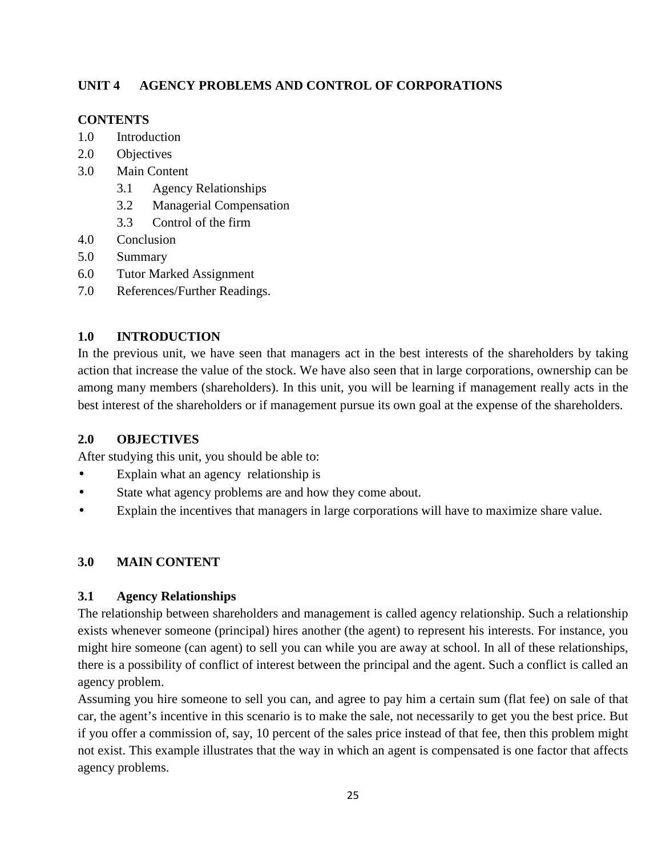# **UNIT 4 AGENCY PROBLEMS AND CONTROL OF CORPORATIONS**

## **CONTENTS**

- 1.0 Introduction
- 2.0 Objectives
- 3.0 Main Content
	- 3.1 Agency Relationships
	- 3.2 Managerial Compensation
	- 3.3 Control of the firm
- 4.0 Conclusion
- 5.0 Summary
- 6.0 Tutor Marked Assignment
- 7.0 References/Further Readings.

# **1.0 INTRODUCTION**

In the previous unit, we have seen that managers act in the best interests of the shareholders by taking action that increase the value of the stock. We have also seen that in large corporations, ownership can be among many members (shareholders). In this unit, you will be learning if management really acts in the best interest of the shareholders or if management pursue its own goal at the expense of the shareholders.

## **2.0 OBJECTIVES**

After studying this unit, you should be able to:

- Explain what an agency relationship is
- State what agency problems are and how they come about.
- Explain the incentives that managers in large corporations will have to maximize share value.

# **3.0 MAIN CONTENT**

## **3.1 Agency Relationships**

The relationship between shareholders and management is called agency relationship. Such a relationship exists whenever someone (principal) hires another (the agent) to represent his interests. For instance, you might hire someone (can agent) to sell you can while you are away at school. In all of these relationships, there is a possibility of conflict of interest between the principal and the agent. Such a conflict is called an agency problem.

Assuming you hire someone to sell you can, and agree to pay him a certain sum (flat fee) on sale of that car, the agent's incentive in this scenario is to make the sale, not necessarily to get you the best price. But if you offer a commission of, say, 10 percent of the sales price instead of that fee, then this problem might not exist. This example illustrates that the way in which an agent is compensated is one factor that affects agency problems.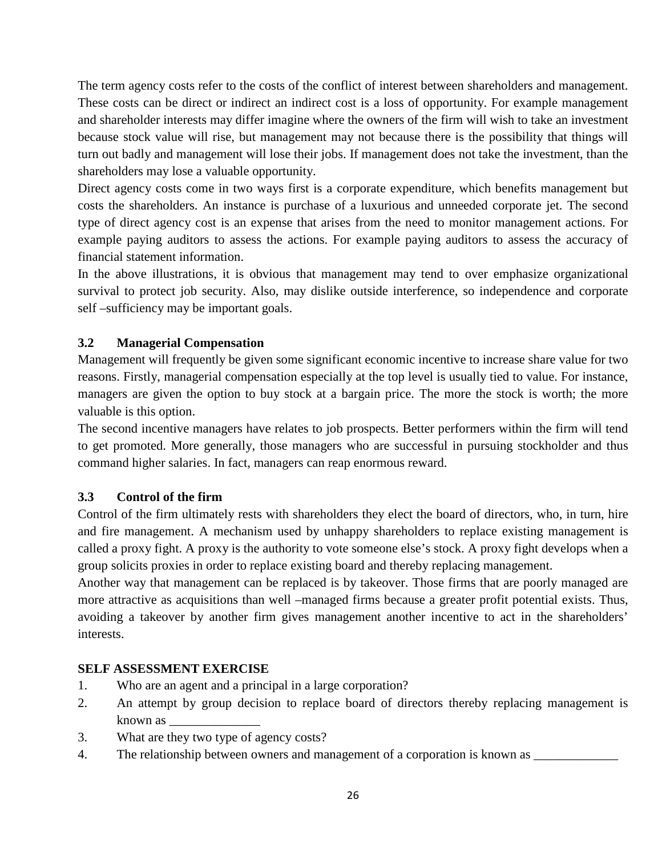The term agency costs refer to the costs of the conflict of interest between shareholders and management. These costs can be direct or indirect an indirect cost is a loss of opportunity. For example management and shareholder interests may differ imagine where the owners of the firm will wish to take an investment because stock value will rise, but management may not because there is the possibility that things will turn out badly and management will lose their jobs. If management does not take the investment, than the shareholders may lose a valuable opportunity.

Direct agency costs come in two ways first is a corporate expenditure, which benefits management but costs the shareholders. An instance is purchase of a luxurious and unneeded corporate jet. The second type of direct agency cost is an expense that arises from the need to monitor management actions. For example paying auditors to assess the actions. For example paying auditors to assess the accuracy of financial statement information.

In the above illustrations, it is obvious that management may tend to over emphasize organizational survival to protect job security. Also, may dislike outside interference, so independence and corporate self –sufficiency may be important goals.

## **3.2 Managerial Compensation**

Management will frequently be given some significant economic incentive to increase share value for two reasons. Firstly, managerial compensation especially at the top level is usually tied to value. For instance, managers are given the option to buy stock at a bargain price. The more the stock is worth; the more valuable is this option.

The second incentive managers have relates to job prospects. Better performers within the firm will tend to get promoted. More generally, those managers who are successful in pursuing stockholder and thus command higher salaries. In fact, managers can reap enormous reward.

## **3.3 Control of the firm**

Control of the firm ultimately rests with shareholders they elect the board of directors, who, in turn, hire and fire management. A mechanism used by unhappy shareholders to replace existing management is called a proxy fight. A proxy is the authority to vote someone else's stock. A proxy fight develops when a group solicits proxies in order to replace existing board and thereby replacing management.

Another way that management can be replaced is by takeover. Those firms that are poorly managed are more attractive as acquisitions than well –managed firms because a greater profit potential exists. Thus, avoiding a takeover by another firm gives management another incentive to act in the shareholders' interests.

## **SELF ASSESSMENT EXERCISE**

- 1. Who are an agent and a principal in a large corporation?
- 2. An attempt by group decision to replace board of directors thereby replacing management is known as \_\_\_\_\_\_\_\_\_\_\_\_\_\_
- 3. What are they two type of agency costs?
- 4. The relationship between owners and management of a corporation is known as \_\_\_\_\_\_\_\_\_\_\_\_\_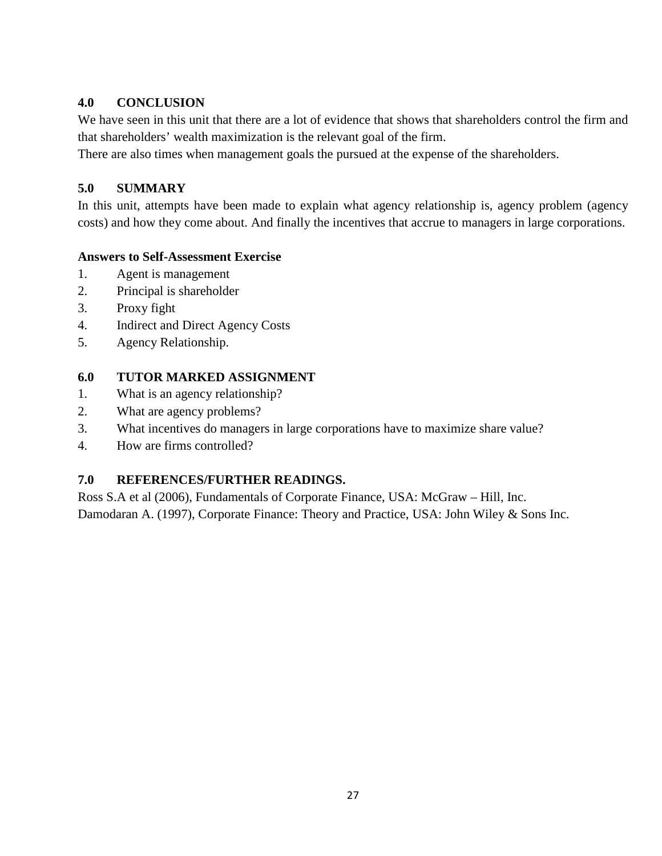## **4.0 CONCLUSION**

We have seen in this unit that there are a lot of evidence that shows that shareholders control the firm and that shareholders' wealth maximization is the relevant goal of the firm.

There are also times when management goals the pursued at the expense of the shareholders.

## **5.0 SUMMARY**

In this unit, attempts have been made to explain what agency relationship is, agency problem (agency costs) and how they come about. And finally the incentives that accrue to managers in large corporations.

## **Answers to Self-Assessment Exercise**

- 1. Agent is management
- 2. Principal is shareholder
- 3. Proxy fight
- 4. Indirect and Direct Agency Costs
- 5. Agency Relationship.

# **6.0 TUTOR MARKED ASSIGNMENT**

- 1. What is an agency relationship?
- 2. What are agency problems?
- 3. What incentives do managers in large corporations have to maximize share value?
- 4. How are firms controlled?

# **7.0 REFERENCES/FURTHER READINGS.**

Ross S.A et al (2006), Fundamentals of Corporate Finance, USA: McGraw – Hill, Inc. Damodaran A. (1997), Corporate Finance: Theory and Practice, USA: John Wiley & Sons Inc.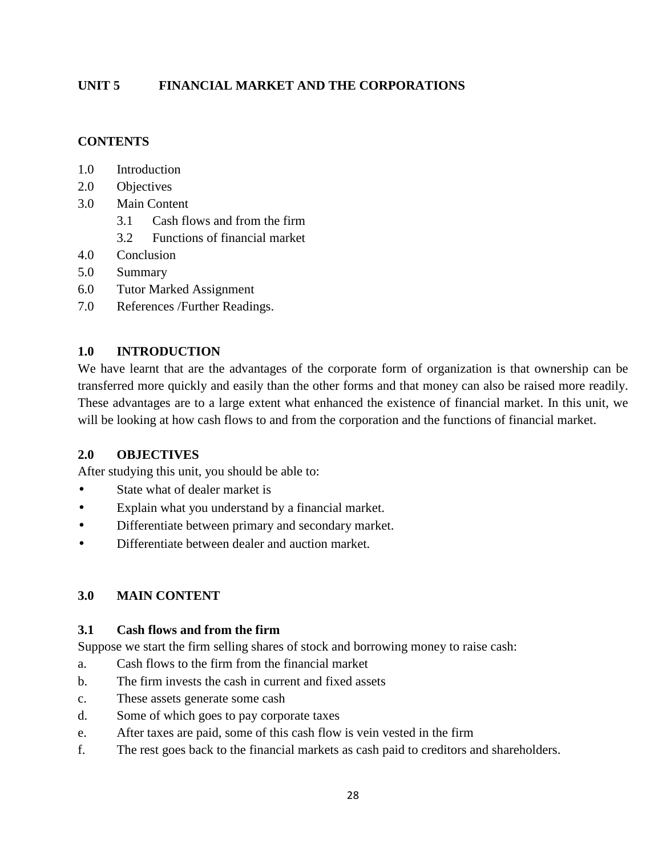## **UNIT 5 FINANCIAL MARKET AND THE CORPORATIONS**

## **CONTENTS**

- 1.0 Introduction
- 2.0 Objectives
- 3.0 Main Content
	- 3.1 Cash flows and from the firm
	- 3.2 Functions of financial market
- 4.0 Conclusion
- 5.0 Summary
- 6.0 Tutor Marked Assignment
- 7.0 References /Further Readings.

## **1.0 INTRODUCTION**

We have learnt that are the advantages of the corporate form of organization is that ownership can be transferred more quickly and easily than the other forms and that money can also be raised more readily. These advantages are to a large extent what enhanced the existence of financial market. In this unit, we will be looking at how cash flows to and from the corporation and the functions of financial market.

## **2.0 OBJECTIVES**

After studying this unit, you should be able to:

- State what of dealer market is
- Explain what you understand by a financial market.
- Differentiate between primary and secondary market.
- Differentiate between dealer and auction market.

## **3.0 MAIN CONTENT**

## **3.1 Cash flows and from the firm**

Suppose we start the firm selling shares of stock and borrowing money to raise cash:

- a. Cash flows to the firm from the financial market
- b. The firm invests the cash in current and fixed assets
- c. These assets generate some cash
- d. Some of which goes to pay corporate taxes
- e. After taxes are paid, some of this cash flow is vein vested in the firm
- f. The rest goes back to the financial markets as cash paid to creditors and shareholders.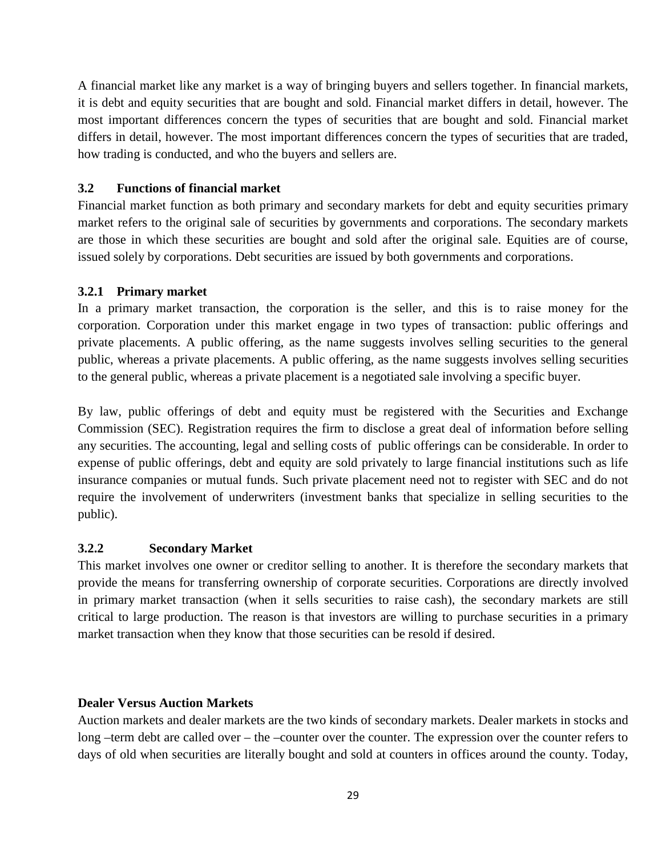A financial market like any market is a way of bringing buyers and sellers together. In financial markets, it is debt and equity securities that are bought and sold. Financial market differs in detail, however. The most important differences concern the types of securities that are bought and sold. Financial market differs in detail, however. The most important differences concern the types of securities that are traded, how trading is conducted, and who the buyers and sellers are.

#### **3.2 Functions of financial market**

Financial market function as both primary and secondary markets for debt and equity securities primary market refers to the original sale of securities by governments and corporations. The secondary markets are those in which these securities are bought and sold after the original sale. Equities are of course, issued solely by corporations. Debt securities are issued by both governments and corporations.

#### **3.2.1 Primary market**

In a primary market transaction, the corporation is the seller, and this is to raise money for the corporation. Corporation under this market engage in two types of transaction: public offerings and private placements. A public offering, as the name suggests involves selling securities to the general public, whereas a private placements. A public offering, as the name suggests involves selling securities to the general public, whereas a private placement is a negotiated sale involving a specific buyer.

By law, public offerings of debt and equity must be registered with the Securities and Exchange Commission (SEC). Registration requires the firm to disclose a great deal of information before selling any securities. The accounting, legal and selling costs of public offerings can be considerable. In order to expense of public offerings, debt and equity are sold privately to large financial institutions such as life insurance companies or mutual funds. Such private placement need not to register with SEC and do not require the involvement of underwriters (investment banks that specialize in selling securities to the public).

#### **3.2.2 Secondary Market**

This market involves one owner or creditor selling to another. It is therefore the secondary markets that provide the means for transferring ownership of corporate securities. Corporations are directly involved in primary market transaction (when it sells securities to raise cash), the secondary markets are still critical to large production. The reason is that investors are willing to purchase securities in a primary market transaction when they know that those securities can be resold if desired.

#### **Dealer Versus Auction Markets**

Auction markets and dealer markets are the two kinds of secondary markets. Dealer markets in stocks and long –term debt are called over – the –counter over the counter. The expression over the counter refers to days of old when securities are literally bought and sold at counters in offices around the county. Today,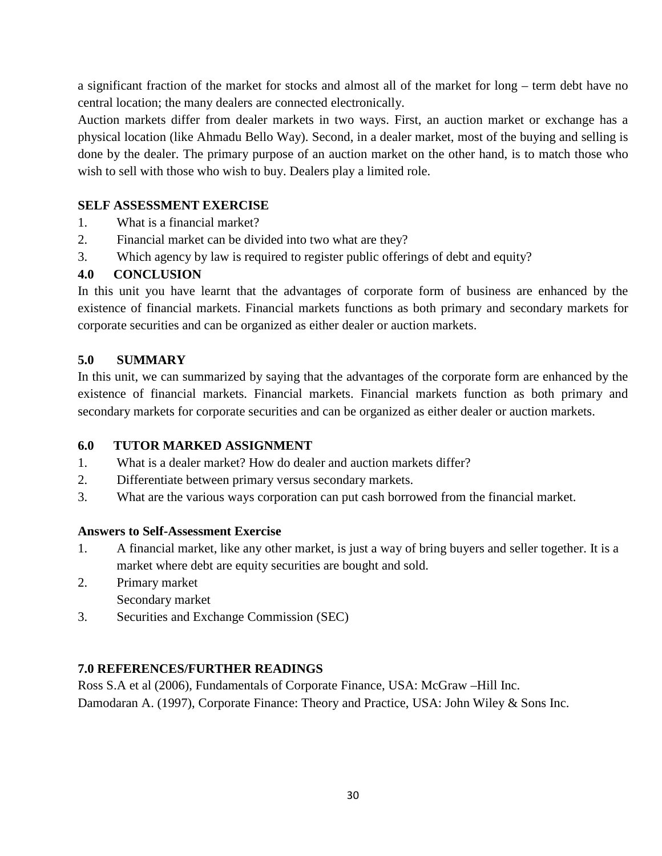a significant fraction of the market for stocks and almost all of the market for long – term debt have no central location; the many dealers are connected electronically.

Auction markets differ from dealer markets in two ways. First, an auction market or exchange has a physical location (like Ahmadu Bello Way). Second, in a dealer market, most of the buying and selling is done by the dealer. The primary purpose of an auction market on the other hand, is to match those who wish to sell with those who wish to buy. Dealers play a limited role.

## **SELF ASSESSMENT EXERCISE**

- 1. What is a financial market?
- 2. Financial market can be divided into two what are they?
- 3. Which agency by law is required to register public offerings of debt and equity?

# **4.0 CONCLUSION**

In this unit you have learnt that the advantages of corporate form of business are enhanced by the existence of financial markets. Financial markets functions as both primary and secondary markets for corporate securities and can be organized as either dealer or auction markets.

# **5.0 SUMMARY**

In this unit, we can summarized by saying that the advantages of the corporate form are enhanced by the existence of financial markets. Financial markets. Financial markets function as both primary and secondary markets for corporate securities and can be organized as either dealer or auction markets.

## **6.0 TUTOR MARKED ASSIGNMENT**

- 1. What is a dealer market? How do dealer and auction markets differ?
- 2. Differentiate between primary versus secondary markets.
- 3. What are the various ways corporation can put cash borrowed from the financial market.

## **Answers to Self-Assessment Exercise**

- 1. A financial market, like any other market, is just a way of bring buyers and seller together. It is a market where debt are equity securities are bought and sold.
- 2. Primary market Secondary market
- 3. Securities and Exchange Commission (SEC)

# **7.0 REFERENCES/FURTHER READINGS**

Ross S.A et al (2006), Fundamentals of Corporate Finance, USA: McGraw –Hill Inc. Damodaran A. (1997), Corporate Finance: Theory and Practice, USA: John Wiley & Sons Inc.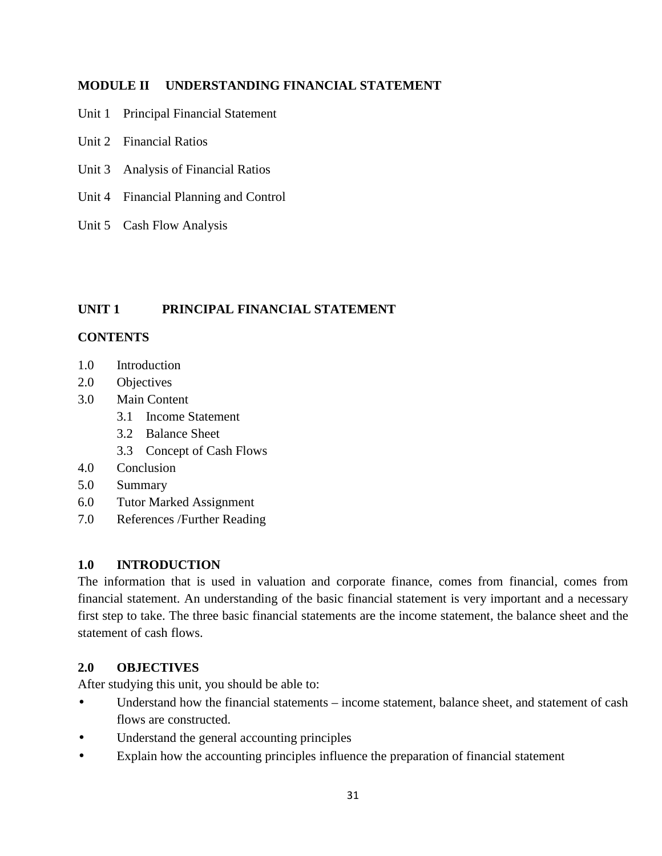# **MODULE II UNDERSTANDING FINANCIAL STATEMENT**

- Unit 1 Principal Financial Statement
- Unit 2 Financial Ratios
- Unit 3 Analysis of Financial Ratios
- Unit 4 Financial Planning and Control
- Unit 5 Cash Flow Analysis

# **UNIT 1 PRINCIPAL FINANCIAL STATEMENT**

## **CONTENTS**

- 1.0 Introduction
- 2.0 Objectives
- 3.0 Main Content
	- 3.1 Income Statement
	- 3.2 Balance Sheet
	- 3.3 Concept of Cash Flows
- 4.0 Conclusion
- 5.0 Summary
- 6.0 Tutor Marked Assignment
- 7.0 References /Further Reading

## **1.0 INTRODUCTION**

The information that is used in valuation and corporate finance, comes from financial, comes from financial statement. An understanding of the basic financial statement is very important and a necessary first step to take. The three basic financial statements are the income statement, the balance sheet and the statement of cash flows.

## **2.0 OBJECTIVES**

After studying this unit, you should be able to:

- Understand how the financial statements income statement, balance sheet, and statement of cash flows are constructed.
- Understand the general accounting principles
- Explain how the accounting principles influence the preparation of financial statement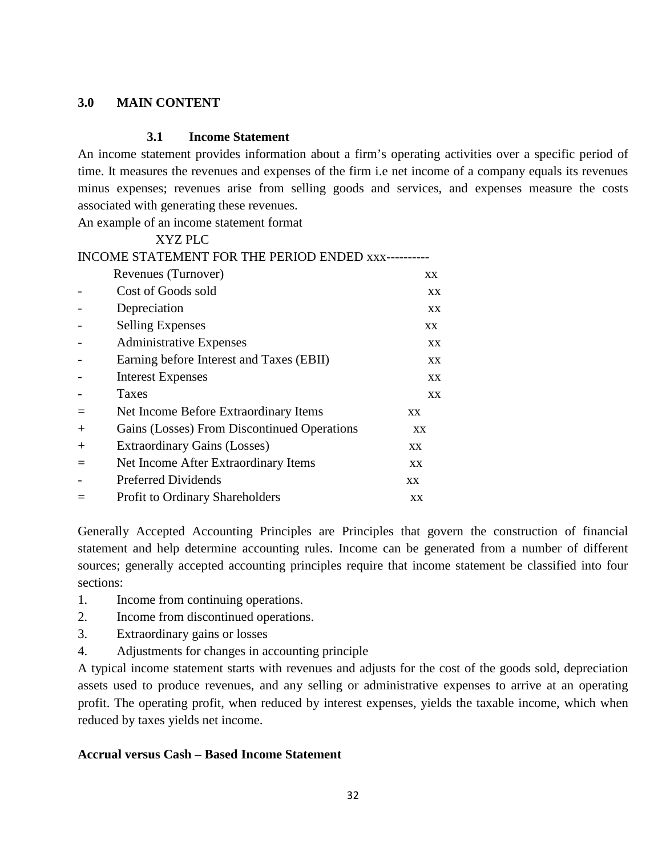## **3.0 MAIN CONTENT**

## **3.1 Income Statement**

An income statement provides information about a firm's operating activities over a specific period of time. It measures the revenues and expenses of the firm i.e net income of a company equals its revenues minus expenses; revenues arise from selling goods and services, and expenses measure the costs associated with generating these revenues.

An example of an income statement format

XYZ PLC

|        | INCOME STATEMENT FOR THE PERIOD ENDED XXX---------- |           |
|--------|-----------------------------------------------------|-----------|
|        | Revenues (Turnover)                                 | XX        |
|        | Cost of Goods sold                                  | XX        |
|        | Depreciation                                        | XX        |
|        | <b>Selling Expenses</b>                             | XX        |
|        | <b>Administrative Expenses</b>                      | <b>XX</b> |
|        | Earning before Interest and Taxes (EBII)            | <b>XX</b> |
|        | <b>Interest Expenses</b>                            | XX        |
|        | Taxes                                               | XX        |
|        | Net Income Before Extraordinary Items               | XX        |
| $+$    | Gains (Losses) From Discontinued Operations         | <b>XX</b> |
| $^{+}$ | <b>Extraordinary Gains (Losses)</b>                 | <b>XX</b> |
|        | Net Income After Extraordinary Items                | <b>XX</b> |
|        | Preferred Dividends                                 | XX        |
|        | <b>Profit to Ordinary Shareholders</b>              | XX        |

Generally Accepted Accounting Principles are Principles that govern the construction of financial statement and help determine accounting rules. Income can be generated from a number of different sources; generally accepted accounting principles require that income statement be classified into four sections:

- 1. Income from continuing operations.
- 2. Income from discontinued operations.
- 3. Extraordinary gains or losses
- 4. Adjustments for changes in accounting principle

A typical income statement starts with revenues and adjusts for the cost of the goods sold, depreciation assets used to produce revenues, and any selling or administrative expenses to arrive at an operating profit. The operating profit, when reduced by interest expenses, yields the taxable income, which when reduced by taxes yields net income.

## **Accrual versus Cash – Based Income Statement**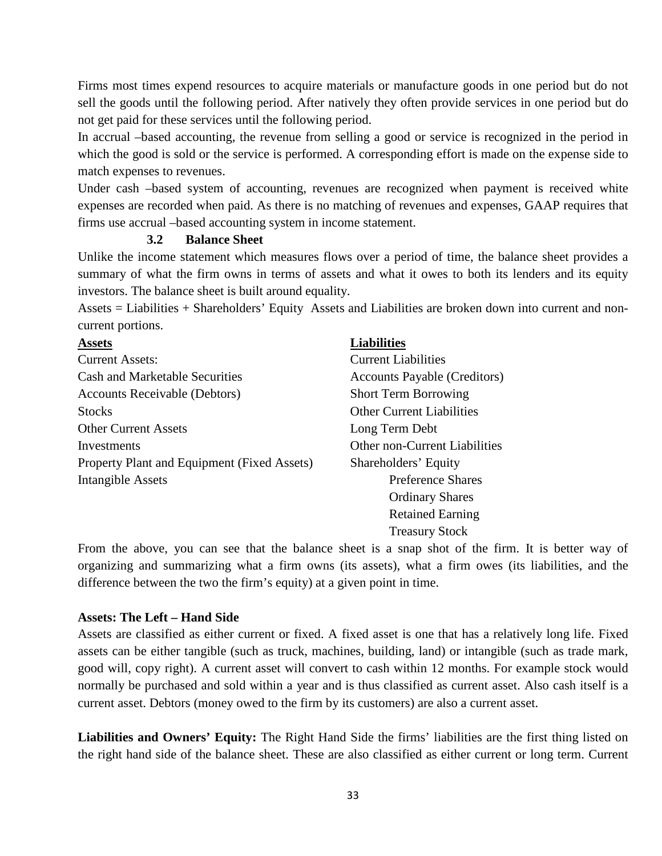Firms most times expend resources to acquire materials or manufacture goods in one period but do not sell the goods until the following period. After natively they often provide services in one period but do not get paid for these services until the following period.

In accrual –based accounting, the revenue from selling a good or service is recognized in the period in which the good is sold or the service is performed. A corresponding effort is made on the expense side to match expenses to revenues.

Under cash –based system of accounting, revenues are recognized when payment is received white expenses are recorded when paid. As there is no matching of revenues and expenses, GAAP requires that firms use accrual –based accounting system in income statement.

### **3.2 Balance Sheet**

Unlike the income statement which measures flows over a period of time, the balance sheet provides a summary of what the firm owns in terms of assets and what it owes to both its lenders and its equity investors. The balance sheet is built around equality.

Assets = Liabilities + Shareholders' Equity Assets and Liabilities are broken down into current and noncurrent portions.

| <b>Assets</b>                               | <b>Liabilities</b>                   |
|---------------------------------------------|--------------------------------------|
| <b>Current Assets:</b>                      | <b>Current Liabilities</b>           |
| <b>Cash and Marketable Securities</b>       | <b>Accounts Payable (Creditors)</b>  |
| <b>Accounts Receivable (Debtors)</b>        | <b>Short Term Borrowing</b>          |
| <b>Stocks</b>                               | <b>Other Current Liabilities</b>     |
| <b>Other Current Assets</b>                 | Long Term Debt                       |
| Investments                                 | <b>Other non-Current Liabilities</b> |
| Property Plant and Equipment (Fixed Assets) | Shareholders' Equity                 |
| Intangible Assets                           | <b>Preference Shares</b>             |
|                                             | <b>Ordinary Shares</b>               |
|                                             | <b>Retained Earning</b>              |
|                                             | <b>Treasury Stock</b>                |

From the above, you can see that the balance sheet is a snap shot of the firm. It is better way of organizing and summarizing what a firm owns (its assets), what a firm owes (its liabilities, and the difference between the two the firm's equity) at a given point in time.

#### **Assets: The Left – Hand Side**

Assets are classified as either current or fixed. A fixed asset is one that has a relatively long life. Fixed assets can be either tangible (such as truck, machines, building, land) or intangible (such as trade mark, good will, copy right). A current asset will convert to cash within 12 months. For example stock would normally be purchased and sold within a year and is thus classified as current asset. Also cash itself is a current asset. Debtors (money owed to the firm by its customers) are also a current asset.

**Liabilities and Owners' Equity:** The Right Hand Side the firms' liabilities are the first thing listed on the right hand side of the balance sheet. These are also classified as either current or long term. Current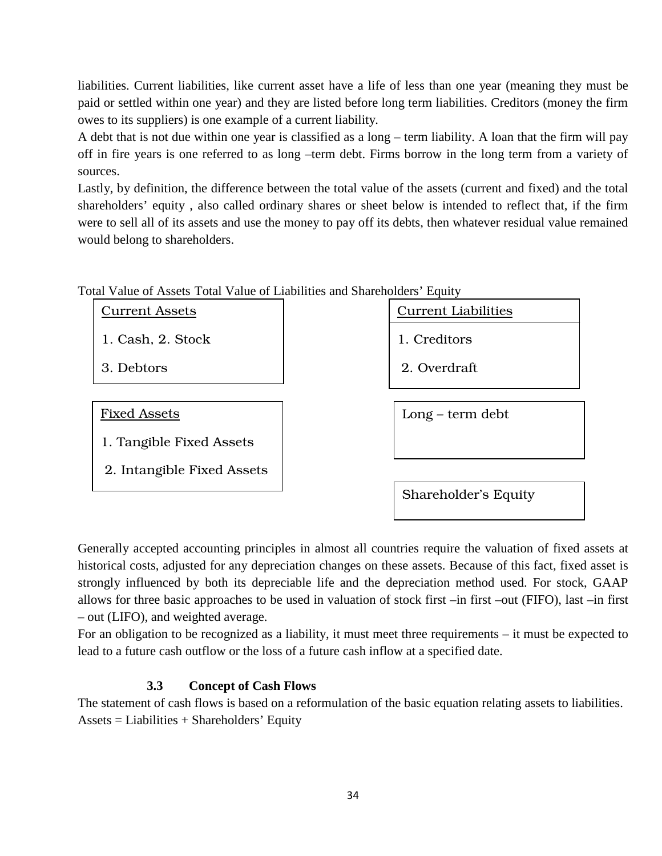liabilities. Current liabilities, like current asset have a life of less than one year (meaning they must be paid or settled within one year) and they are listed before long term liabilities. Creditors (money the firm owes to its suppliers) is one example of a current liability.

A debt that is not due within one year is classified as a long – term liability. A loan that the firm will pay off in fire years is one referred to as long –term debt. Firms borrow in the long term from a variety of sources.

Lastly, by definition, the difference between the total value of the assets (current and fixed) and the total shareholders' equity , also called ordinary shares or sheet below is intended to reflect that, if the firm were to sell all of its assets and use the money to pay off its debts, then whatever residual value remained would belong to shareholders.

Total Value of Assets Total Value of Liabilities and Shareholders' Equity

| <b>Current Assets</b>      | <b>Current Liabilities</b> |
|----------------------------|----------------------------|
| 1. Cash, 2. Stock          | 1. Creditors               |
| 3. Debtors                 | 2. Overdraft               |
|                            |                            |
| <b>Fixed Assets</b>        | $Long - term debt$         |
| 1. Tangible Fixed Assets   |                            |
| 2. Intangible Fixed Assets |                            |
|                            | Shareholder's Equity       |

Generally accepted accounting principles in almost all countries require the valuation of fixed assets at historical costs, adjusted for any depreciation changes on these assets. Because of this fact, fixed asset is strongly influenced by both its depreciable life and the depreciation method used. For stock, GAAP allows for three basic approaches to be used in valuation of stock first –in first –out (FIFO), last –in first – out (LIFO), and weighted average.

For an obligation to be recognized as a liability, it must meet three requirements – it must be expected to lead to a future cash outflow or the loss of a future cash inflow at a specified date.

## **3.3 Concept of Cash Flows**

The statement of cash flows is based on a reformulation of the basic equation relating assets to liabilities.  $Assets = Liabilities + Shareholders' Equity$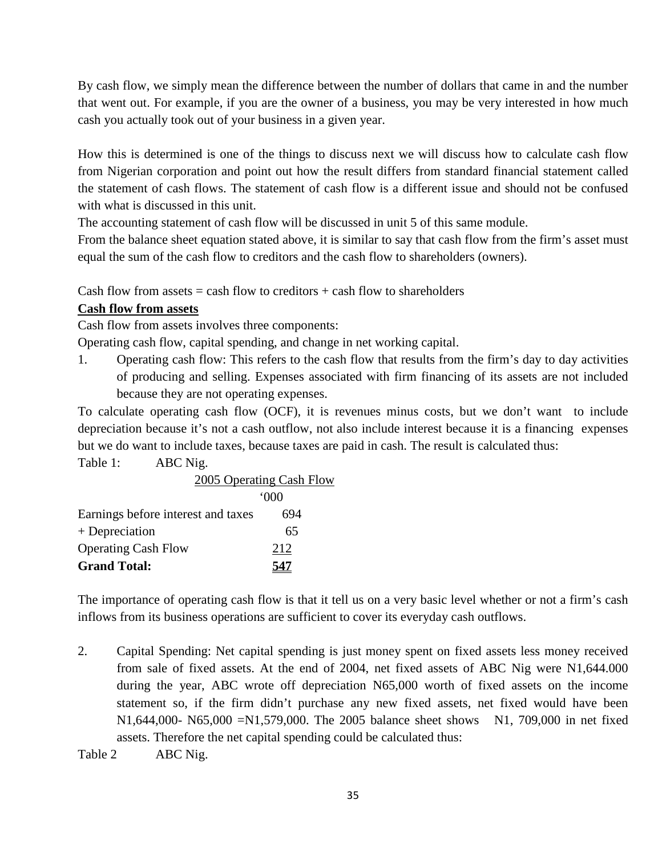By cash flow, we simply mean the difference between the number of dollars that came in and the number that went out. For example, if you are the owner of a business, you may be very interested in how much cash you actually took out of your business in a given year.

How this is determined is one of the things to discuss next we will discuss how to calculate cash flow from Nigerian corporation and point out how the result differs from standard financial statement called the statement of cash flows. The statement of cash flow is a different issue and should not be confused with what is discussed in this unit.

The accounting statement of cash flow will be discussed in unit 5 of this same module.

From the balance sheet equation stated above, it is similar to say that cash flow from the firm's asset must equal the sum of the cash flow to creditors and the cash flow to shareholders (owners).

Cash flow from assets  $=$  cash flow to creditors  $+$  cash flow to shareholders

## **Cash flow from assets**

Cash flow from assets involves three components:

Operating cash flow, capital spending, and change in net working capital.

1. Operating cash flow: This refers to the cash flow that results from the firm's day to day activities of producing and selling. Expenses associated with firm financing of its assets are not included because they are not operating expenses.

To calculate operating cash flow (OCF), it is revenues minus costs, but we don't want to include depreciation because it's not a cash outflow, not also include interest because it is a financing expenses but we do want to include taxes, because taxes are paid in cash. The result is calculated thus:  $Table 1: \qquad \text{APC Ni}$ 

| ravive.                    | AUC INE.                           |                          |
|----------------------------|------------------------------------|--------------------------|
|                            |                                    | 2005 Operating Cash Flow |
|                            |                                    | 000°                     |
|                            | Earnings before interest and taxes | 694                      |
| $+$ Depreciation           |                                    | 65                       |
| <b>Operating Cash Flow</b> |                                    | 212                      |
| <b>Grand Total:</b>        |                                    | 547                      |

The importance of operating cash flow is that it tell us on a very basic level whether or not a firm's cash inflows from its business operations are sufficient to cover its everyday cash outflows.

2. Capital Spending: Net capital spending is just money spent on fixed assets less money received from sale of fixed assets. At the end of 2004, net fixed assets of ABC Nig were N1,644.000 during the year, ABC wrote off depreciation N65,000 worth of fixed assets on the income statement so, if the firm didn't purchase any new fixed assets, net fixed would have been N1,644,000- N65,000 =N1,579,000. The 2005 balance sheet shows N1, 709,000 in net fixed assets. Therefore the net capital spending could be calculated thus:

Table 2 ABC Nig.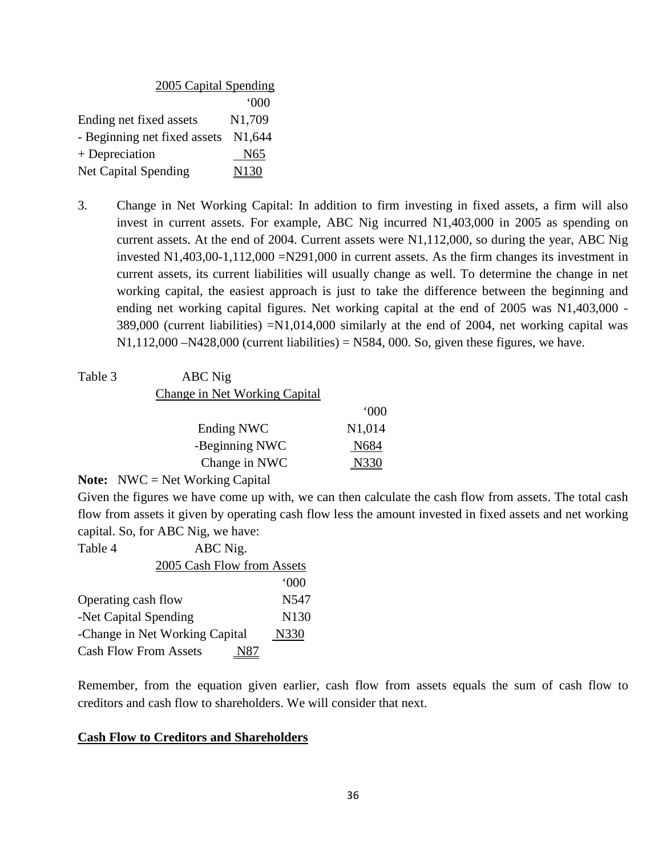| 2005 Capital Spending        |                     |
|------------------------------|---------------------|
|                              | $000^{\circ}$       |
| Ending net fixed assets      | N <sub>1</sub> ,709 |
| - Beginning net fixed assets | N <sub>1</sub> ,644 |
| $+$ Depreciation             | N <sub>65</sub>     |
| <b>Net Capital Spending</b>  | N <sub>1</sub> 30   |

3. Change in Net Working Capital: In addition to firm investing in fixed assets, a firm will also invest in current assets. For example, ABC Nig incurred N1,403,000 in 2005 as spending on current assets. At the end of 2004. Current assets were N1,112,000, so during the year, ABC Nig invested N1,403,00-1,112,000 =N291,000 in current assets. As the firm changes its investment in current assets, its current liabilities will usually change as well. To determine the change in net working capital, the easiest approach is just to take the difference between the beginning and ending net working capital figures. Net working capital at the end of 2005 was N1,403,000 - 389,000 (current liabilities) =N1,014,000 similarly at the end of 2004, net working capital was  $N1,112,000 - N428,000$  (current liabilities) = N584, 000. So, given these figures, we have.

| Table 3 | ABC Nig                       |
|---------|-------------------------------|
|         | Change in Net Working Capital |

|                | $000^{\circ}$       |
|----------------|---------------------|
| Ending NWC     | N <sub>1</sub> ,014 |
| -Beginning NWC | N684                |
| Change in NWC  | N330                |

**Note:** NWC = Net Working Capital

Given the figures we have come up with, we can then calculate the cash flow from assets. The total cash flow from assets it given by operating cash flow less the amount invested in fixed assets and net working capital. So, for ABC Nig, we have:

| Table 4                        |                            | ABC Nig. |                  |
|--------------------------------|----------------------------|----------|------------------|
|                                | 2005 Cash Flow from Assets |          |                  |
|                                |                            |          | $000^{\circ}$    |
| Operating cash flow            |                            |          | N <sub>547</sub> |
| -Net Capital Spending          |                            |          | N130             |
| -Change in Net Working Capital |                            |          | N330             |
| <b>Cash Flow From Assets</b>   |                            |          |                  |

Remember, from the equation given earlier, cash flow from assets equals the sum of cash flow to creditors and cash flow to shareholders. We will consider that next.

## **Cash Flow to Creditors and Shareholders**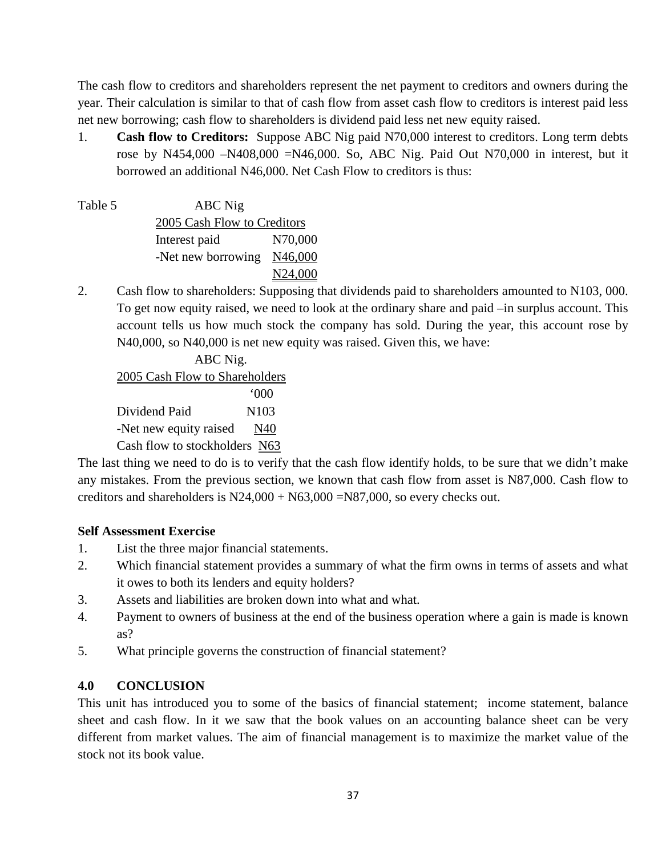The cash flow to creditors and shareholders represent the net payment to creditors and owners during the year. Their calculation is similar to that of cash flow from asset cash flow to creditors is interest paid less net new borrowing; cash flow to shareholders is dividend paid less net new equity raised.

1. **Cash flow to Creditors:** Suppose ABC Nig paid N70,000 interest to creditors. Long term debts rose by N454,000 –N408,000 =N46,000. So, ABC Nig. Paid Out N70,000 in interest, but it borrowed an additional N46,000. Net Cash Flow to creditors is thus:

Table 5 ABC Nig 2005 Cash Flow to Creditors Interest paid N70,000 -Net new borrowing N46,000 N24,000

2. Cash flow to shareholders: Supposing that dividends paid to shareholders amounted to N103, 000. To get now equity raised, we need to look at the ordinary share and paid –in surplus account. This account tells us how much stock the company has sold. During the year, this account rose by N40,000, so N40,000 is net new equity was raised. Given this, we have:

 ABC Nig. 2005 Cash Flow to Shareholders '000 Dividend Paid N103 -Net new equity raised N40 Cash flow to stockholders N63

The last thing we need to do is to verify that the cash flow identify holds, to be sure that we didn't make any mistakes. From the previous section, we known that cash flow from asset is N87,000. Cash flow to creditors and shareholders is  $N24,000 + N63,000 = N87,000$ , so every checks out.

## **Self Assessment Exercise**

- 1. List the three major financial statements.
- 2. Which financial statement provides a summary of what the firm owns in terms of assets and what it owes to both its lenders and equity holders?
- 3. Assets and liabilities are broken down into what and what.
- 4. Payment to owners of business at the end of the business operation where a gain is made is known as?
- 5. What principle governs the construction of financial statement?

### **4.0 CONCLUSION**

This unit has introduced you to some of the basics of financial statement; income statement, balance sheet and cash flow. In it we saw that the book values on an accounting balance sheet can be very different from market values. The aim of financial management is to maximize the market value of the stock not its book value.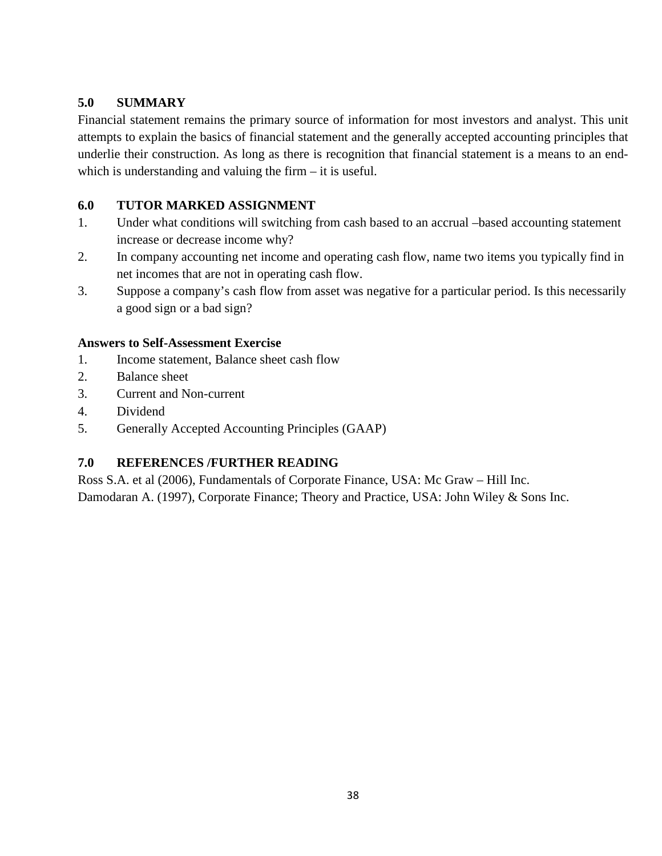## **5.0 SUMMARY**

Financial statement remains the primary source of information for most investors and analyst. This unit attempts to explain the basics of financial statement and the generally accepted accounting principles that underlie their construction. As long as there is recognition that financial statement is a means to an endwhich is understanding and valuing the firm – it is useful.

## **6.0 TUTOR MARKED ASSIGNMENT**

- 1. Under what conditions will switching from cash based to an accrual –based accounting statement increase or decrease income why?
- 2. In company accounting net income and operating cash flow, name two items you typically find in net incomes that are not in operating cash flow.
- 3. Suppose a company's cash flow from asset was negative for a particular period. Is this necessarily a good sign or a bad sign?

### **Answers to Self-Assessment Exercise**

- 1. Income statement, Balance sheet cash flow
- 2. Balance sheet
- 3. Current and Non-current
- 4. Dividend
- 5. Generally Accepted Accounting Principles (GAAP)

### **7.0 REFERENCES /FURTHER READING**

Ross S.A. et al (2006), Fundamentals of Corporate Finance, USA: Mc Graw – Hill Inc. Damodaran A. (1997), Corporate Finance; Theory and Practice, USA: John Wiley & Sons Inc.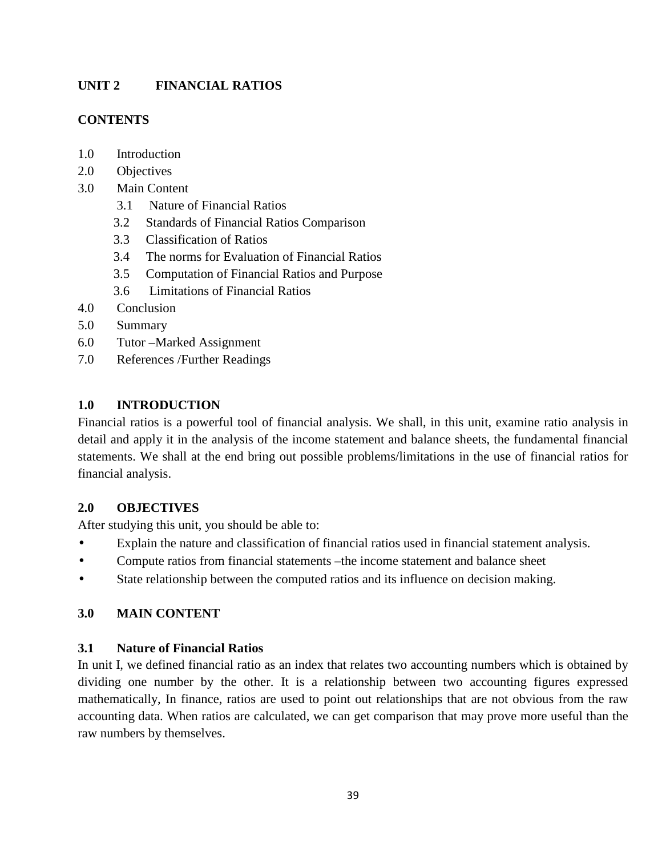# **UNIT 2 FINANCIAL RATIOS**

### **CONTENTS**

- 1.0 Introduction
- 2.0 Objectives
- 3.0 Main Content
	- 3.1 Nature of Financial Ratios
	- 3.2 Standards of Financial Ratios Comparison
	- 3.3 Classification of Ratios
	- 3.4 The norms for Evaluation of Financial Ratios
	- 3.5 Computation of Financial Ratios and Purpose
	- 3.6 Limitations of Financial Ratios
- 4.0 Conclusion
- 5.0 Summary
- 6.0 Tutor –Marked Assignment
- 7.0 References /Further Readings

# **1.0 INTRODUCTION**

Financial ratios is a powerful tool of financial analysis. We shall, in this unit, examine ratio analysis in detail and apply it in the analysis of the income statement and balance sheets, the fundamental financial statements. We shall at the end bring out possible problems/limitations in the use of financial ratios for financial analysis.

## **2.0 OBJECTIVES**

After studying this unit, you should be able to:

- Explain the nature and classification of financial ratios used in financial statement analysis.
- Compute ratios from financial statements –the income statement and balance sheet
- State relationship between the computed ratios and its influence on decision making.

## **3.0 MAIN CONTENT**

## **3.1 Nature of Financial Ratios**

In unit I, we defined financial ratio as an index that relates two accounting numbers which is obtained by dividing one number by the other. It is a relationship between two accounting figures expressed mathematically, In finance, ratios are used to point out relationships that are not obvious from the raw accounting data. When ratios are calculated, we can get comparison that may prove more useful than the raw numbers by themselves.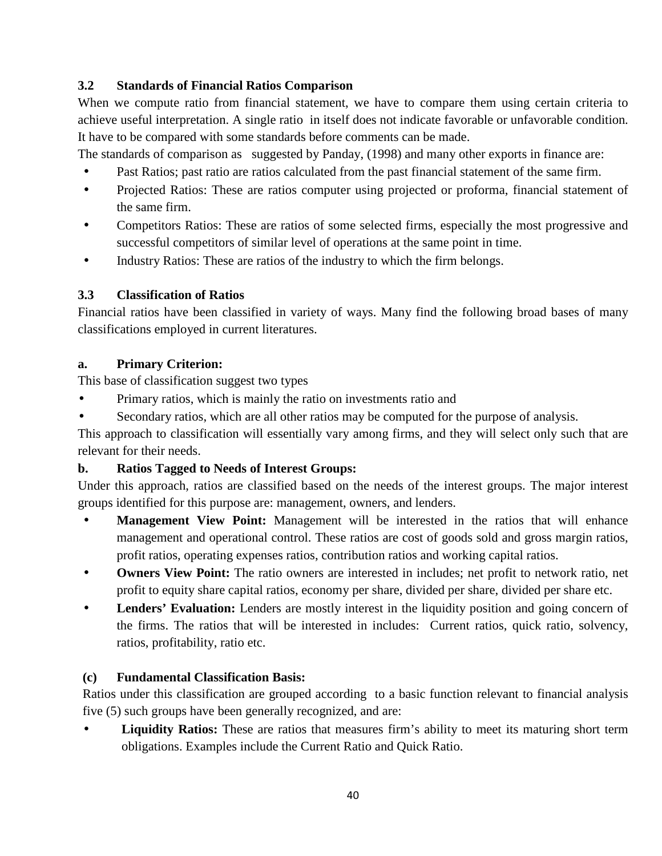# **3.2 Standards of Financial Ratios Comparison**

When we compute ratio from financial statement, we have to compare them using certain criteria to achieve useful interpretation. A single ratio in itself does not indicate favorable or unfavorable condition. It have to be compared with some standards before comments can be made.

The standards of comparison as suggested by Panday, (1998) and many other exports in finance are:

- Past Ratios; past ratio are ratios calculated from the past financial statement of the same firm.
- Projected Ratios: These are ratios computer using projected or proforma, financial statement of the same firm.
- Competitors Ratios: These are ratios of some selected firms, especially the most progressive and successful competitors of similar level of operations at the same point in time.
- Industry Ratios: These are ratios of the industry to which the firm belongs.

# **3.3 Classification of Ratios**

Financial ratios have been classified in variety of ways. Many find the following broad bases of many classifications employed in current literatures.

# **a. Primary Criterion:**

This base of classification suggest two types

- Primary ratios, which is mainly the ratio on investments ratio and
- Secondary ratios, which are all other ratios may be computed for the purpose of analysis.

This approach to classification will essentially vary among firms, and they will select only such that are relevant for their needs.

# **b. Ratios Tagged to Needs of Interest Groups:**

Under this approach, ratios are classified based on the needs of the interest groups. The major interest groups identified for this purpose are: management, owners, and lenders.

- **Management View Point:** Management will be interested in the ratios that will enhance management and operational control. These ratios are cost of goods sold and gross margin ratios, profit ratios, operating expenses ratios, contribution ratios and working capital ratios.
- **Owners View Point:** The ratio owners are interested in includes; net profit to network ratio, net profit to equity share capital ratios, economy per share, divided per share, divided per share etc.
- **Lenders' Evaluation:** Lenders are mostly interest in the liquidity position and going concern of the firms. The ratios that will be interested in includes: Current ratios, quick ratio, solvency, ratios, profitability, ratio etc.

# **(c) Fundamental Classification Basis:**

Ratios under this classification are grouped according to a basic function relevant to financial analysis five (5) such groups have been generally recognized, and are:

• **Liquidity Ratios:** These are ratios that measures firm's ability to meet its maturing short term obligations. Examples include the Current Ratio and Quick Ratio.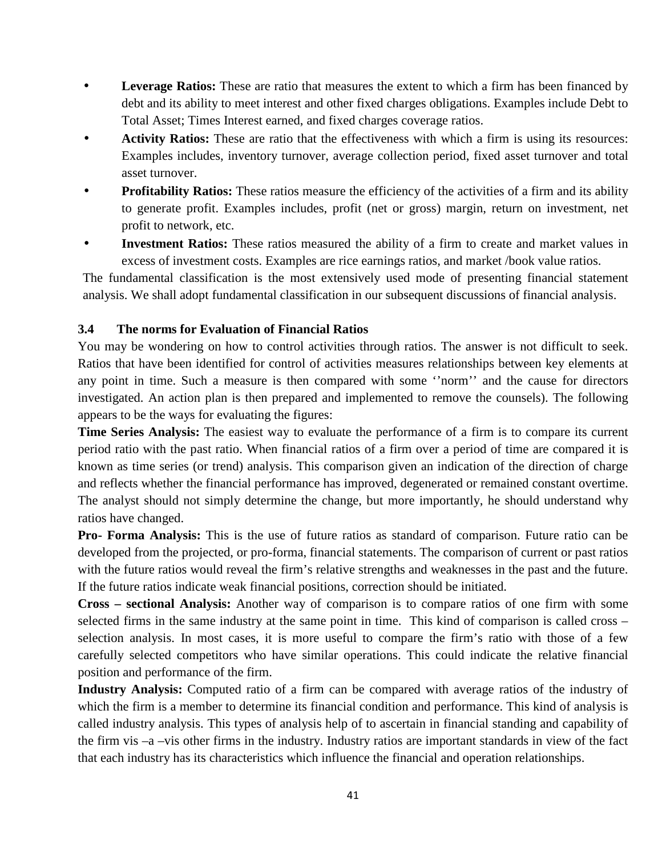- **Leverage Ratios:** These are ratio that measures the extent to which a firm has been financed by debt and its ability to meet interest and other fixed charges obligations. Examples include Debt to Total Asset; Times Interest earned, and fixed charges coverage ratios.
- **Activity Ratios:** These are ratio that the effectiveness with which a firm is using its resources: Examples includes, inventory turnover, average collection period, fixed asset turnover and total asset turnover.
- **Profitability Ratios:** These ratios measure the efficiency of the activities of a firm and its ability to generate profit. Examples includes, profit (net or gross) margin, return on investment, net profit to network, etc.
- **Investment Ratios:** These ratios measured the ability of a firm to create and market values in excess of investment costs. Examples are rice earnings ratios, and market /book value ratios.

The fundamental classification is the most extensively used mode of presenting financial statement analysis. We shall adopt fundamental classification in our subsequent discussions of financial analysis.

## **3.4 The norms for Evaluation of Financial Ratios**

You may be wondering on how to control activities through ratios. The answer is not difficult to seek. Ratios that have been identified for control of activities measures relationships between key elements at any point in time. Such a measure is then compared with some ''norm'' and the cause for directors investigated. An action plan is then prepared and implemented to remove the counsels). The following appears to be the ways for evaluating the figures:

**Time Series Analysis:** The easiest way to evaluate the performance of a firm is to compare its current period ratio with the past ratio. When financial ratios of a firm over a period of time are compared it is known as time series (or trend) analysis. This comparison given an indication of the direction of charge and reflects whether the financial performance has improved, degenerated or remained constant overtime. The analyst should not simply determine the change, but more importantly, he should understand why ratios have changed.

**Pro- Forma Analysis:** This is the use of future ratios as standard of comparison. Future ratio can be developed from the projected, or pro-forma, financial statements. The comparison of current or past ratios with the future ratios would reveal the firm's relative strengths and weaknesses in the past and the future. If the future ratios indicate weak financial positions, correction should be initiated.

**Cross – sectional Analysis:** Another way of comparison is to compare ratios of one firm with some selected firms in the same industry at the same point in time. This kind of comparison is called cross – selection analysis. In most cases, it is more useful to compare the firm's ratio with those of a few carefully selected competitors who have similar operations. This could indicate the relative financial position and performance of the firm.

**Industry Analysis:** Computed ratio of a firm can be compared with average ratios of the industry of which the firm is a member to determine its financial condition and performance. This kind of analysis is called industry analysis. This types of analysis help of to ascertain in financial standing and capability of the firm vis –a –vis other firms in the industry. Industry ratios are important standards in view of the fact that each industry has its characteristics which influence the financial and operation relationships.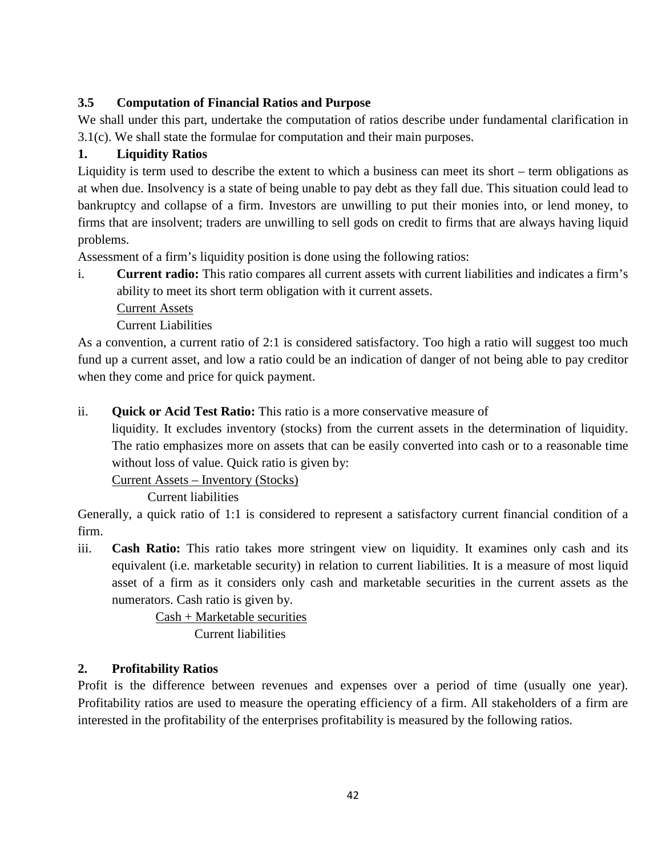# **3.5 Computation of Financial Ratios and Purpose**

We shall under this part, undertake the computation of ratios describe under fundamental clarification in 3.1(c). We shall state the formulae for computation and their main purposes.

# **1. Liquidity Ratios**

Liquidity is term used to describe the extent to which a business can meet its short – term obligations as at when due. Insolvency is a state of being unable to pay debt as they fall due. This situation could lead to bankruptcy and collapse of a firm. Investors are unwilling to put their monies into, or lend money, to firms that are insolvent; traders are unwilling to sell gods on credit to firms that are always having liquid problems.

Assessment of a firm's liquidity position is done using the following ratios:

i. **Current radio:** This ratio compares all current assets with current liabilities and indicates a firm's ability to meet its short term obligation with it current assets.

Current Assets

Current Liabilities

As a convention, a current ratio of 2:1 is considered satisfactory. Too high a ratio will suggest too much fund up a current asset, and low a ratio could be an indication of danger of not being able to pay creditor when they come and price for quick payment.

# ii. **Quick or Acid Test Ratio:** This ratio is a more conservative measure of

liquidity. It excludes inventory (stocks) from the current assets in the determination of liquidity. The ratio emphasizes more on assets that can be easily converted into cash or to a reasonable time without loss of value. Quick ratio is given by:

Current Assets – Inventory (Stocks)

Current liabilities

Generally, a quick ratio of 1:1 is considered to represent a satisfactory current financial condition of a firm.

iii. **Cash Ratio:** This ratio takes more stringent view on liquidity. It examines only cash and its equivalent (i.e. marketable security) in relation to current liabilities. It is a measure of most liquid asset of a firm as it considers only cash and marketable securities in the current assets as the numerators. Cash ratio is given by.

Cash + Marketable securities

Current liabilities

# **2. Profitability Ratios**

Profit is the difference between revenues and expenses over a period of time (usually one year). Profitability ratios are used to measure the operating efficiency of a firm. All stakeholders of a firm are interested in the profitability of the enterprises profitability is measured by the following ratios.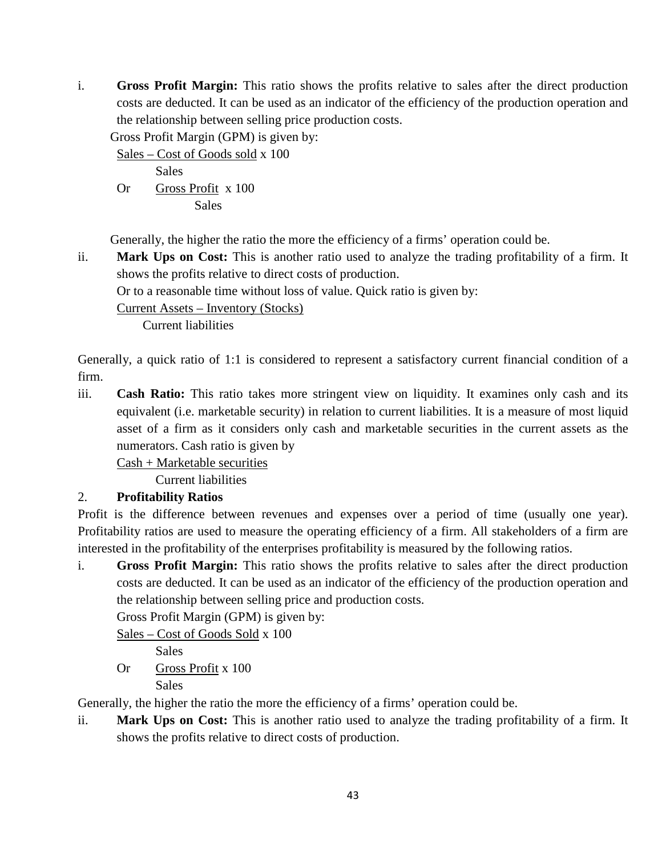i. **Gross Profit Margin:** This ratio shows the profits relative to sales after the direct production costs are deducted. It can be used as an indicator of the efficiency of the production operation and the relationship between selling price production costs.

Gross Profit Margin (GPM) is given by:

Sales – Cost of Goods sold x 100

**Sales**  Or Gross Profit x 100 Sales

Generally, the higher the ratio the more the efficiency of a firms' operation could be.

ii. **Mark Ups on Cost:** This is another ratio used to analyze the trading profitability of a firm. It shows the profits relative to direct costs of production. Or to a reasonable time without loss of value. Quick ratio is given by:

Current Assets – Inventory (Stocks)

Current liabilities

Generally, a quick ratio of 1:1 is considered to represent a satisfactory current financial condition of a firm.

iii. **Cash Ratio:** This ratio takes more stringent view on liquidity. It examines only cash and its equivalent (i.e. marketable security) in relation to current liabilities. It is a measure of most liquid asset of a firm as it considers only cash and marketable securities in the current assets as the numerators. Cash ratio is given by

Cash + Marketable securities

Current liabilities

# 2. **Profitability Ratios**

Profit is the difference between revenues and expenses over a period of time (usually one year). Profitability ratios are used to measure the operating efficiency of a firm. All stakeholders of a firm are interested in the profitability of the enterprises profitability is measured by the following ratios.

i. **Gross Profit Margin:** This ratio shows the profits relative to sales after the direct production costs are deducted. It can be used as an indicator of the efficiency of the production operation and the relationship between selling price and production costs.

Gross Profit Margin (GPM) is given by:

Sales – Cost of Goods Sold x 100

Sales

Or Gross Profit x 100

Sales

Generally, the higher the ratio the more the efficiency of a firms' operation could be.

ii. **Mark Ups on Cost:** This is another ratio used to analyze the trading profitability of a firm. It shows the profits relative to direct costs of production.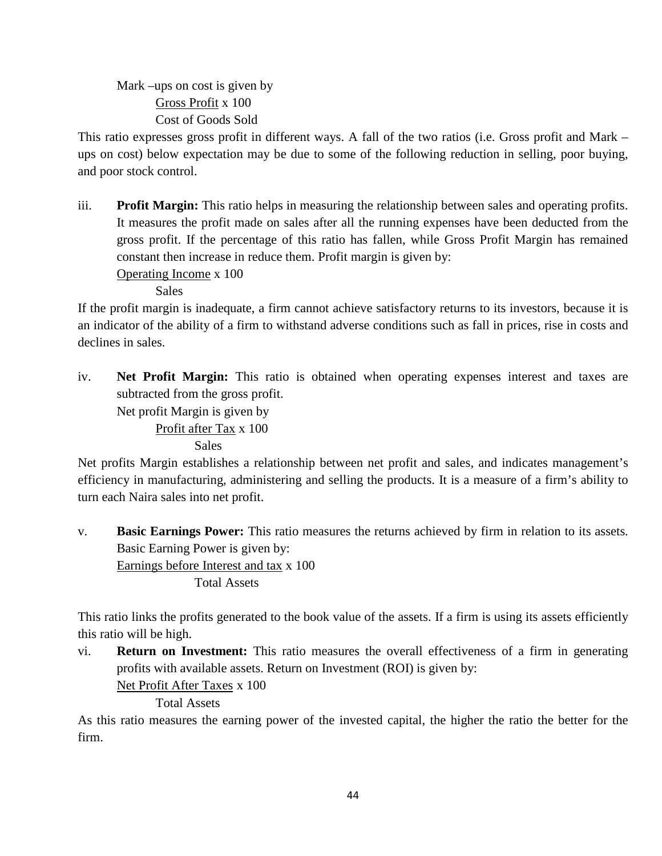Mark –ups on cost is given by Gross Profit x 100 Cost of Goods Sold

This ratio expresses gross profit in different ways. A fall of the two ratios (i.e. Gross profit and Mark – ups on cost) below expectation may be due to some of the following reduction in selling, poor buying, and poor stock control.

iii. **Profit Margin:** This ratio helps in measuring the relationship between sales and operating profits. It measures the profit made on sales after all the running expenses have been deducted from the gross profit. If the percentage of this ratio has fallen, while Gross Profit Margin has remained constant then increase in reduce them. Profit margin is given by:

Operating Income x 100

Sales

If the profit margin is inadequate, a firm cannot achieve satisfactory returns to its investors, because it is an indicator of the ability of a firm to withstand adverse conditions such as fall in prices, rise in costs and declines in sales.

iv. **Net Profit Margin:** This ratio is obtained when operating expenses interest and taxes are subtracted from the gross profit.

Net profit Margin is given by

Profit after Tax x 100

Sales

Net profits Margin establishes a relationship between net profit and sales, and indicates management's efficiency in manufacturing, administering and selling the products. It is a measure of a firm's ability to turn each Naira sales into net profit.

v. **Basic Earnings Power:** This ratio measures the returns achieved by firm in relation to its assets. Basic Earning Power is given by: Earnings before Interest and tax x 100

Total Assets

This ratio links the profits generated to the book value of the assets. If a firm is using its assets efficiently this ratio will be high.

vi. **Return on Investment:** This ratio measures the overall effectiveness of a firm in generating profits with available assets. Return on Investment (ROI) is given by:

Net Profit After Taxes x 100

Total Assets

As this ratio measures the earning power of the invested capital, the higher the ratio the better for the firm.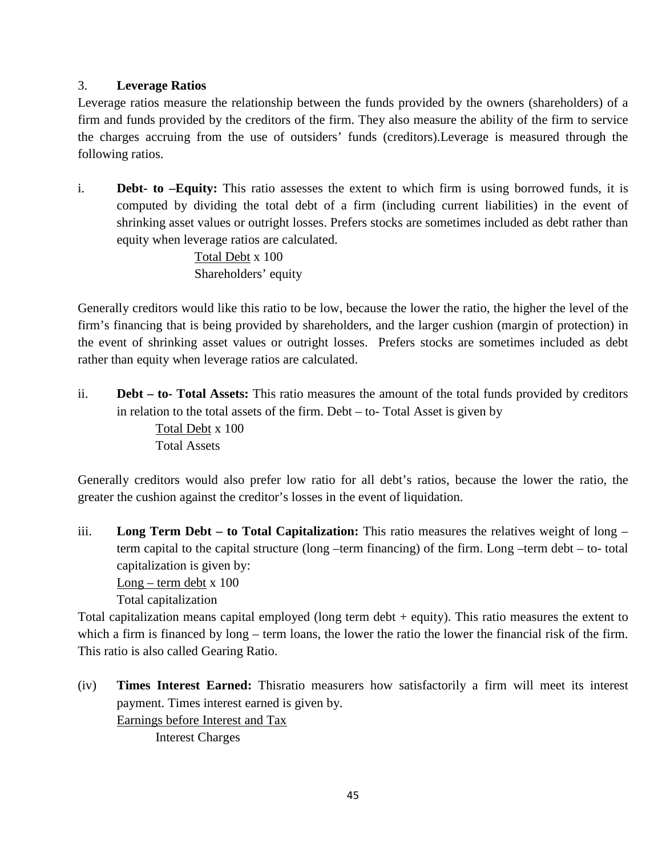### 3. **Leverage Ratios**

Leverage ratios measure the relationship between the funds provided by the owners (shareholders) of a firm and funds provided by the creditors of the firm. They also measure the ability of the firm to service the charges accruing from the use of outsiders' funds (creditors).Leverage is measured through the following ratios.

i. **Debt- to –Equity:** This ratio assesses the extent to which firm is using borrowed funds, it is computed by dividing the total debt of a firm (including current liabilities) in the event of shrinking asset values or outright losses. Prefers stocks are sometimes included as debt rather than equity when leverage ratios are calculated.

> Total Debt x 100 Shareholders' equity

Generally creditors would like this ratio to be low, because the lower the ratio, the higher the level of the firm's financing that is being provided by shareholders, and the larger cushion (margin of protection) in the event of shrinking asset values or outright losses. Prefers stocks are sometimes included as debt rather than equity when leverage ratios are calculated.

ii. **Debt – to- Total Assets:** This ratio measures the amount of the total funds provided by creditors in relation to the total assets of the firm. Debt – to- Total Asset is given by Total Debt x 100 Total Assets

Generally creditors would also prefer low ratio for all debt's ratios, because the lower the ratio, the greater the cushion against the creditor's losses in the event of liquidation.

iii. **Long Term Debt – to Total Capitalization:** This ratio measures the relatives weight of long – term capital to the capital structure (long –term financing) of the firm. Long –term debt – to- total capitalization is given by:

 $Long - term debt x 100$ 

Total capitalization

Total capitalization means capital employed (long term debt + equity). This ratio measures the extent to which a firm is financed by long – term loans, the lower the ratio the lower the financial risk of the firm. This ratio is also called Gearing Ratio.

(iv) **Times Interest Earned:** Thisratio measurers how satisfactorily a firm will meet its interest payment. Times interest earned is given by. Earnings before Interest and Tax

Interest Charges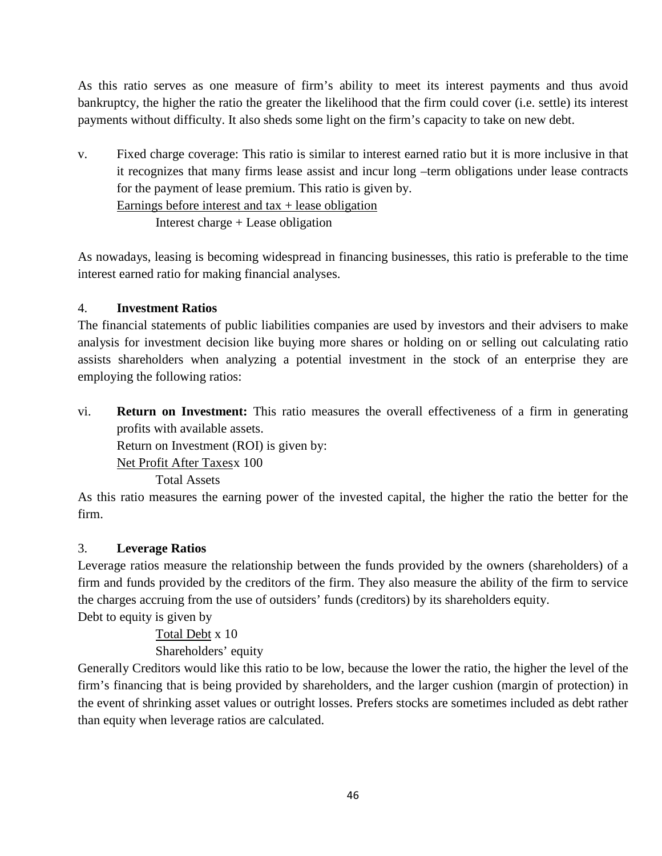As this ratio serves as one measure of firm's ability to meet its interest payments and thus avoid bankruptcy, the higher the ratio the greater the likelihood that the firm could cover (i.e. settle) its interest payments without difficulty. It also sheds some light on the firm's capacity to take on new debt.

v. Fixed charge coverage: This ratio is similar to interest earned ratio but it is more inclusive in that it recognizes that many firms lease assist and incur long –term obligations under lease contracts for the payment of lease premium. This ratio is given by. Earnings before interest and  $tax + lease$  obligation Interest charge + Lease obligation

As nowadays, leasing is becoming widespread in financing businesses, this ratio is preferable to the time interest earned ratio for making financial analyses.

# 4. **Investment Ratios**

The financial statements of public liabilities companies are used by investors and their advisers to make analysis for investment decision like buying more shares or holding on or selling out calculating ratio assists shareholders when analyzing a potential investment in the stock of an enterprise they are employing the following ratios:

vi. **Return on Investment:** This ratio measures the overall effectiveness of a firm in generating profits with available assets.

Return on Investment (ROI) is given by:

Net Profit After Taxesx 100

Total Assets

As this ratio measures the earning power of the invested capital, the higher the ratio the better for the firm.

## 3. **Leverage Ratios**

Leverage ratios measure the relationship between the funds provided by the owners (shareholders) of a firm and funds provided by the creditors of the firm. They also measure the ability of the firm to service the charges accruing from the use of outsiders' funds (creditors) by its shareholders equity. Debt to equity is given by

Total Debt x 10

Shareholders' equity

Generally Creditors would like this ratio to be low, because the lower the ratio, the higher the level of the firm's financing that is being provided by shareholders, and the larger cushion (margin of protection) in the event of shrinking asset values or outright losses. Prefers stocks are sometimes included as debt rather than equity when leverage ratios are calculated.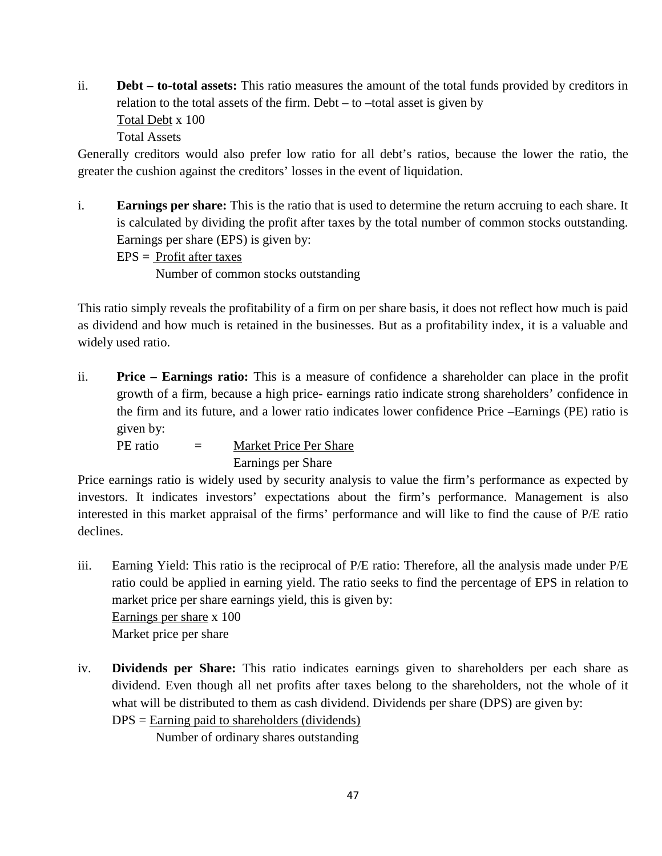ii. **Debt – to-total assets:** This ratio measures the amount of the total funds provided by creditors in relation to the total assets of the firm. Debt – to –total asset is given by Total Debt x 100 Total Assets

Generally creditors would also prefer low ratio for all debt's ratios, because the lower the ratio, the greater the cushion against the creditors' losses in the event of liquidation.

i. **Earnings per share:** This is the ratio that is used to determine the return accruing to each share. It is calculated by dividing the profit after taxes by the total number of common stocks outstanding. Earnings per share (EPS) is given by:

EPS = Profit after taxes

Number of common stocks outstanding

This ratio simply reveals the profitability of a firm on per share basis, it does not reflect how much is paid as dividend and how much is retained in the businesses. But as a profitability index, it is a valuable and widely used ratio.

ii. **Price – Earnings ratio:** This is a measure of confidence a shareholder can place in the profit growth of a firm, because a high price- earnings ratio indicate strong shareholders' confidence in the firm and its future, and a lower ratio indicates lower confidence Price –Earnings (PE) ratio is given by:

PE ratio = Market Price Per Share Earnings per Share

Price earnings ratio is widely used by security analysis to value the firm's performance as expected by investors. It indicates investors' expectations about the firm's performance. Management is also interested in this market appraisal of the firms' performance and will like to find the cause of P/E ratio declines.

- iii. Earning Yield: This ratio is the reciprocal of P/E ratio: Therefore, all the analysis made under P/E ratio could be applied in earning yield. The ratio seeks to find the percentage of EPS in relation to market price per share earnings yield, this is given by: Earnings per share x 100 Market price per share
- iv. **Dividends per Share:** This ratio indicates earnings given to shareholders per each share as dividend. Even though all net profits after taxes belong to the shareholders, not the whole of it what will be distributed to them as cash dividend. Dividends per share (DPS) are given by:

DPS = Earning paid to shareholders (dividends)

Number of ordinary shares outstanding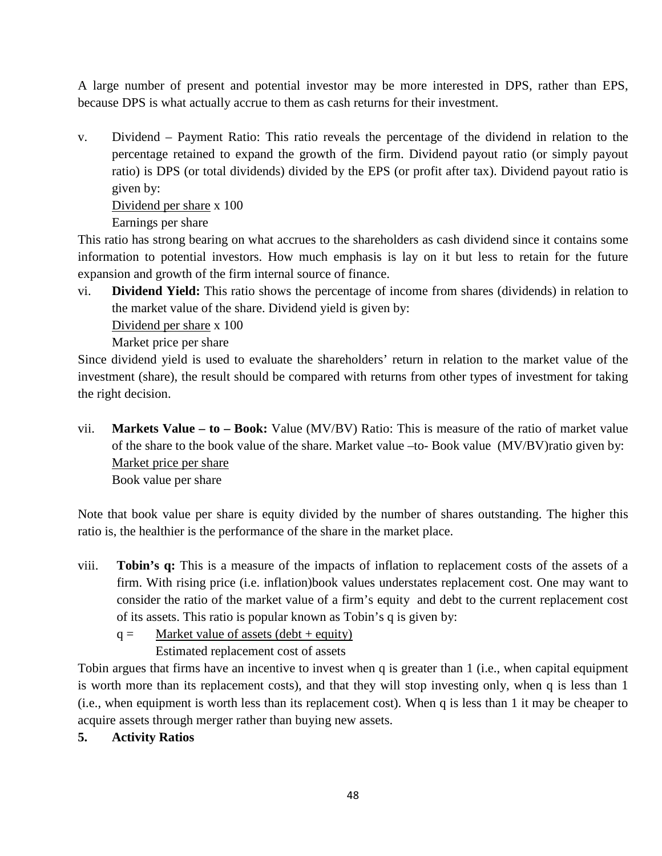A large number of present and potential investor may be more interested in DPS, rather than EPS, because DPS is what actually accrue to them as cash returns for their investment.

v. Dividend – Payment Ratio: This ratio reveals the percentage of the dividend in relation to the percentage retained to expand the growth of the firm. Dividend payout ratio (or simply payout ratio) is DPS (or total dividends) divided by the EPS (or profit after tax). Dividend payout ratio is given by:

Dividend per share x 100

Earnings per share

This ratio has strong bearing on what accrues to the shareholders as cash dividend since it contains some information to potential investors. How much emphasis is lay on it but less to retain for the future expansion and growth of the firm internal source of finance.

vi. **Dividend Yield:** This ratio shows the percentage of income from shares (dividends) in relation to the market value of the share. Dividend yield is given by: Dividend per share x 100

Market price per share

Since dividend yield is used to evaluate the shareholders' return in relation to the market value of the investment (share), the result should be compared with returns from other types of investment for taking the right decision.

vii. **Markets Value – to – Book:** Value (MV/BV) Ratio: This is measure of the ratio of market value of the share to the book value of the share. Market value –to- Book value (MV/BV)ratio given by: Market price per share Book value per share

Note that book value per share is equity divided by the number of shares outstanding. The higher this ratio is, the healthier is the performance of the share in the market place.

- viii. **Tobin's q:** This is a measure of the impacts of inflation to replacement costs of the assets of a firm. With rising price (i.e. inflation)book values understates replacement cost. One may want to consider the ratio of the market value of a firm's equity and debt to the current replacement cost of its assets. This ratio is popular known as Tobin's q is given by:
	- $q =$  Market value of assets (debt + equity)

Estimated replacement cost of assets

Tobin argues that firms have an incentive to invest when q is greater than 1 (i.e., when capital equipment is worth more than its replacement costs), and that they will stop investing only, when q is less than 1 (i.e., when equipment is worth less than its replacement cost). When q is less than 1 it may be cheaper to acquire assets through merger rather than buying new assets.

# **5. Activity Ratios**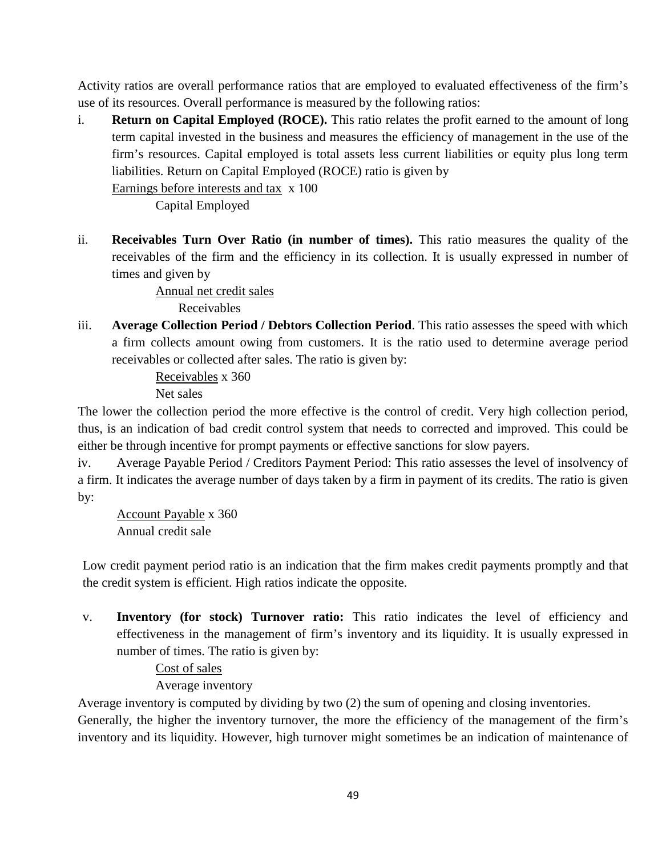Activity ratios are overall performance ratios that are employed to evaluated effectiveness of the firm's use of its resources. Overall performance is measured by the following ratios:

i. **Return on Capital Employed (ROCE).** This ratio relates the profit earned to the amount of long term capital invested in the business and measures the efficiency of management in the use of the firm's resources. Capital employed is total assets less current liabilities or equity plus long term liabilities. Return on Capital Employed (ROCE) ratio is given by

Earnings before interests and tax x 100

Capital Employed

ii. **Receivables Turn Over Ratio (in number of times).** This ratio measures the quality of the receivables of the firm and the efficiency in its collection. It is usually expressed in number of times and given by

Annual net credit sales

Receivables

iii. **Average Collection Period / Debtors Collection Period**. This ratio assesses the speed with which a firm collects amount owing from customers. It is the ratio used to determine average period receivables or collected after sales. The ratio is given by:

Receivables x 360

Net sales

The lower the collection period the more effective is the control of credit. Very high collection period, thus, is an indication of bad credit control system that needs to corrected and improved. This could be either be through incentive for prompt payments or effective sanctions for slow payers.

iv. Average Payable Period / Creditors Payment Period: This ratio assesses the level of insolvency of a firm. It indicates the average number of days taken by a firm in payment of its credits. The ratio is given by:

 Account Payable x 360 Annual credit sale

Low credit payment period ratio is an indication that the firm makes credit payments promptly and that the credit system is efficient. High ratios indicate the opposite.

v. **Inventory (for stock) Turnover ratio:** This ratio indicates the level of efficiency and effectiveness in the management of firm's inventory and its liquidity. It is usually expressed in number of times. The ratio is given by:

## Cost of sales

Average inventory

Average inventory is computed by dividing by two (2) the sum of opening and closing inventories.

Generally, the higher the inventory turnover, the more the efficiency of the management of the firm's inventory and its liquidity. However, high turnover might sometimes be an indication of maintenance of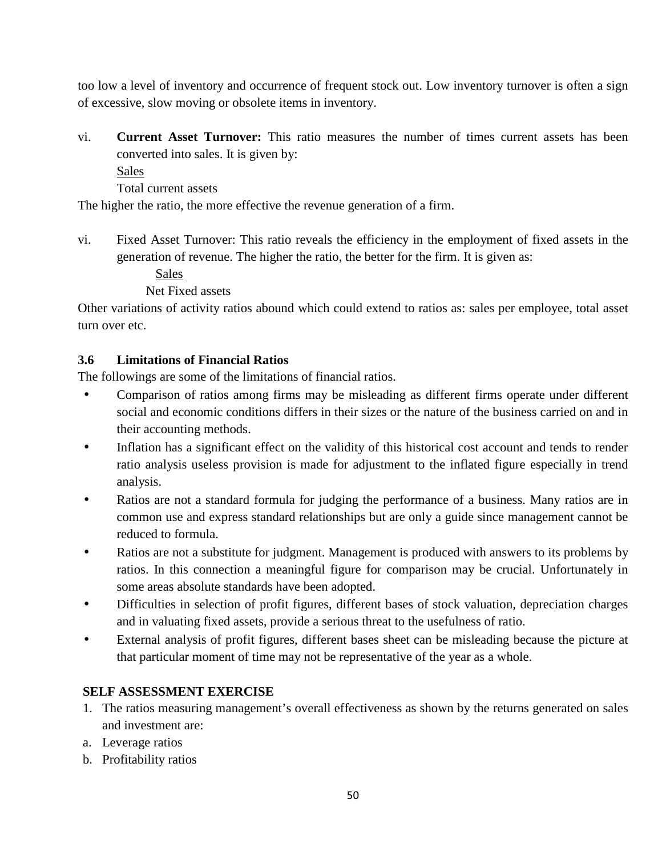too low a level of inventory and occurrence of frequent stock out. Low inventory turnover is often a sign of excessive, slow moving or obsolete items in inventory.

vi. **Current Asset Turnover:** This ratio measures the number of times current assets has been converted into sales. It is given by:

Sales

Total current assets

The higher the ratio, the more effective the revenue generation of a firm.

vi. Fixed Asset Turnover: This ratio reveals the efficiency in the employment of fixed assets in the generation of revenue. The higher the ratio, the better for the firm. It is given as:

Sales

Net Fixed assets

Other variations of activity ratios abound which could extend to ratios as: sales per employee, total asset turn over etc.

# **3.6 Limitations of Financial Ratios**

The followings are some of the limitations of financial ratios.

- Comparison of ratios among firms may be misleading as different firms operate under different social and economic conditions differs in their sizes or the nature of the business carried on and in their accounting methods.
- Inflation has a significant effect on the validity of this historical cost account and tends to render ratio analysis useless provision is made for adjustment to the inflated figure especially in trend analysis.
- Ratios are not a standard formula for judging the performance of a business. Many ratios are in common use and express standard relationships but are only a guide since management cannot be reduced to formula.
- Ratios are not a substitute for judgment. Management is produced with answers to its problems by ratios. In this connection a meaningful figure for comparison may be crucial. Unfortunately in some areas absolute standards have been adopted.
- Difficulties in selection of profit figures, different bases of stock valuation, depreciation charges and in valuating fixed assets, provide a serious threat to the usefulness of ratio.
- External analysis of profit figures, different bases sheet can be misleading because the picture at that particular moment of time may not be representative of the year as a whole.

# **SELF ASSESSMENT EXERCISE**

- 1. The ratios measuring management's overall effectiveness as shown by the returns generated on sales and investment are:
- a. Leverage ratios
- b. Profitability ratios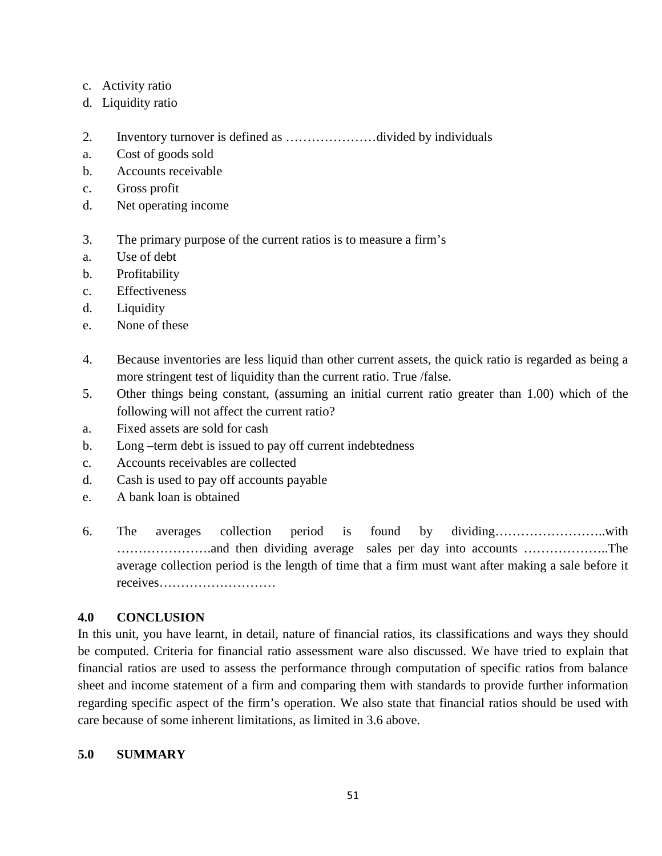- c. Activity ratio
- d. Liquidity ratio
- 2. Inventory turnover is defined as …………………divided by individuals
- a. Cost of goods sold
- b. Accounts receivable
- c. Gross profit
- d. Net operating income
- 3. The primary purpose of the current ratios is to measure a firm's
- a. Use of debt
- b. Profitability
- c. Effectiveness
- d. Liquidity
- e. None of these
- 4. Because inventories are less liquid than other current assets, the quick ratio is regarded as being a more stringent test of liquidity than the current ratio. True /false.
- 5. Other things being constant, (assuming an initial current ratio greater than 1.00) which of the following will not affect the current ratio?
- a. Fixed assets are sold for cash
- b. Long –term debt is issued to pay off current indebtedness
- c. Accounts receivables are collected
- d. Cash is used to pay off accounts payable
- e. A bank loan is obtained
- 6. The averages collection period is found by dividing……………………..with ………………….and then dividing average sales per day into accounts ………………..The average collection period is the length of time that a firm must want after making a sale before it receives………………………

## **4.0 CONCLUSION**

In this unit, you have learnt, in detail, nature of financial ratios, its classifications and ways they should be computed. Criteria for financial ratio assessment ware also discussed. We have tried to explain that financial ratios are used to assess the performance through computation of specific ratios from balance sheet and income statement of a firm and comparing them with standards to provide further information regarding specific aspect of the firm's operation. We also state that financial ratios should be used with care because of some inherent limitations, as limited in 3.6 above.

## **5.0 SUMMARY**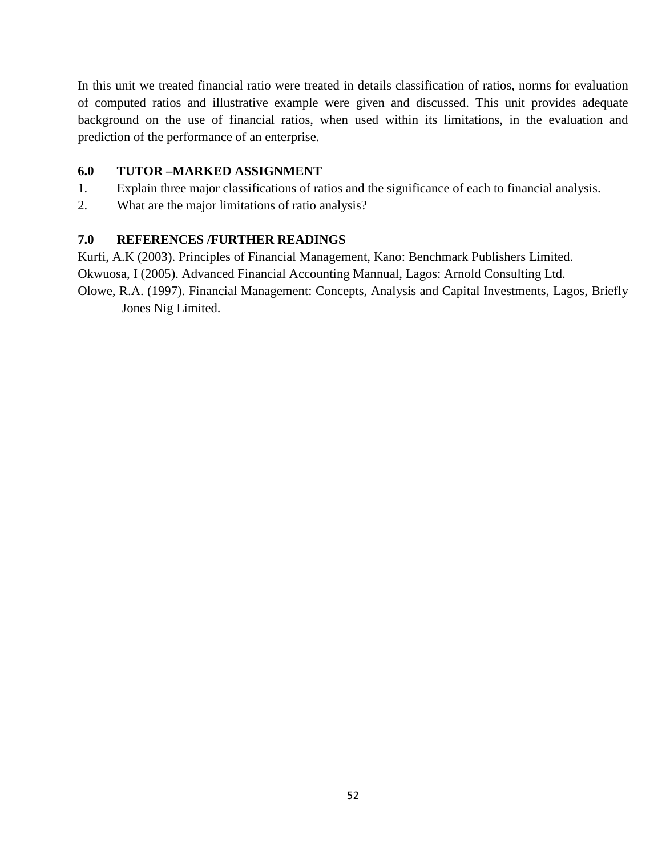In this unit we treated financial ratio were treated in details classification of ratios, norms for evaluation of computed ratios and illustrative example were given and discussed. This unit provides adequate background on the use of financial ratios, when used within its limitations, in the evaluation and prediction of the performance of an enterprise.

### **6.0 TUTOR –MARKED ASSIGNMENT**

- 1. Explain three major classifications of ratios and the significance of each to financial analysis.
- 2. What are the major limitations of ratio analysis?

## **7.0 REFERENCES /FURTHER READINGS**

Kurfi, A.K (2003). Principles of Financial Management, Kano: Benchmark Publishers Limited. Okwuosa, I (2005). Advanced Financial Accounting Mannual, Lagos: Arnold Consulting Ltd. Olowe, R.A. (1997). Financial Management: Concepts, Analysis and Capital Investments, Lagos, Briefly Jones Nig Limited.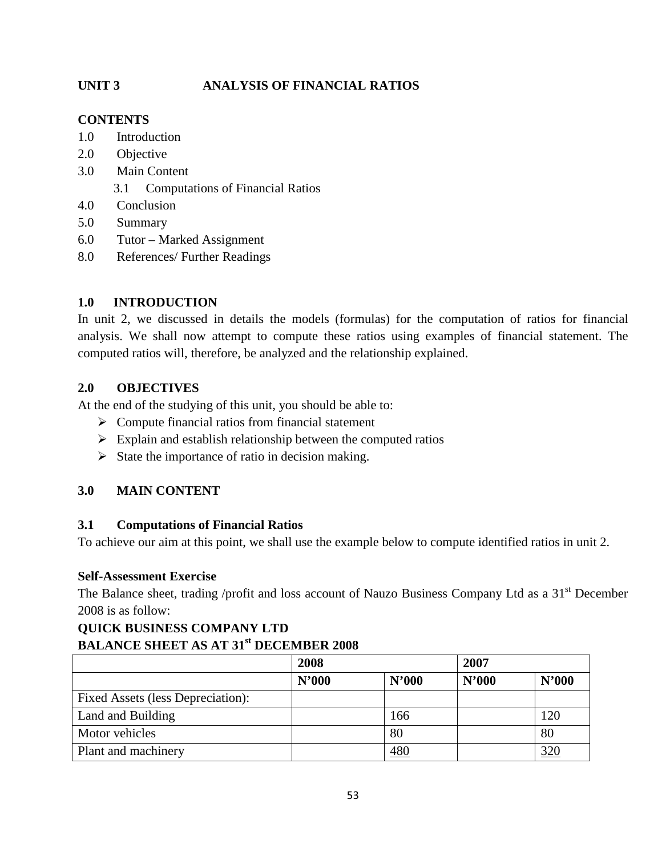# **UNIT 3 ANALYSIS OF FINANCIAL RATIOS**

### **CONTENTS**

- 1.0 Introduction
- 2.0 Objective
- 3.0 Main Content
	- 3.1 Computations of Financial Ratios
- 4.0 Conclusion
- 5.0 Summary
- 6.0 Tutor Marked Assignment
- 8.0 References/ Further Readings

# **1.0 INTRODUCTION**

In unit 2, we discussed in details the models (formulas) for the computation of ratios for financial analysis. We shall now attempt to compute these ratios using examples of financial statement. The computed ratios will, therefore, be analyzed and the relationship explained.

## **2.0 OBJECTIVES**

At the end of the studying of this unit, you should be able to:

- $\triangleright$  Compute financial ratios from financial statement
- $\triangleright$  Explain and establish relationship between the computed ratios
- $\triangleright$  State the importance of ratio in decision making.

# **3.0 MAIN CONTENT**

## **3.1 Computations of Financial Ratios**

To achieve our aim at this point, we shall use the example below to compute identified ratios in unit 2.

## **Self-Assessment Exercise**

The Balance sheet, trading /profit and loss account of Nauzo Business Company Ltd as a 31<sup>st</sup> December 2008 is as follow:

# **QUICK BUSINESS COMPANY LTD BALANCE SHEET AS AT 31st DECEMBER 2008**

|                                   | 2008  |       | 2007  |            |
|-----------------------------------|-------|-------|-------|------------|
|                                   | N'000 | N'000 | N'000 | N'000      |
| Fixed Assets (less Depreciation): |       |       |       |            |
| Land and Building                 |       | 166   |       | 120        |
| Motor vehicles                    |       | 80    |       | 80         |
| Plant and machinery               |       | 480   |       | <u>320</u> |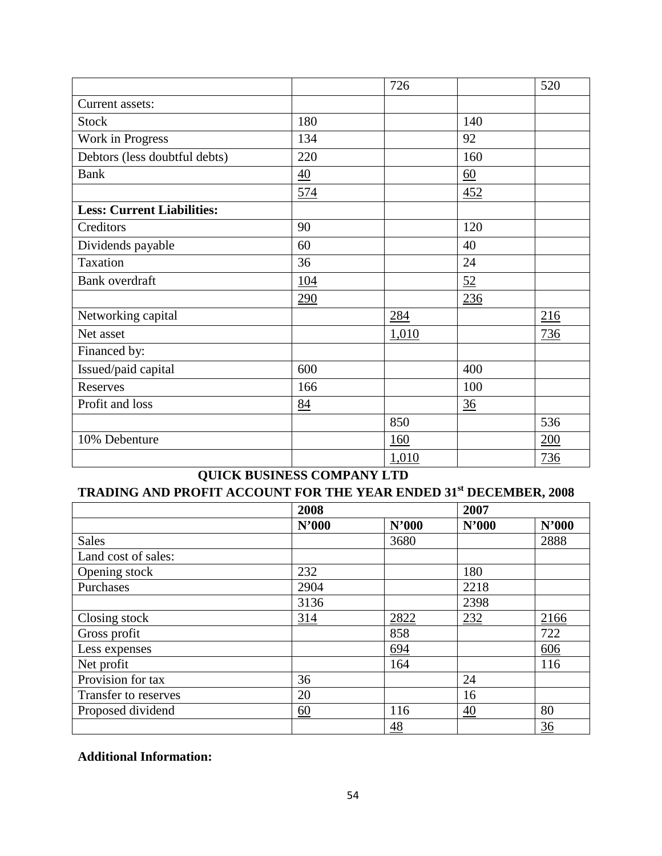|                                   |            | 726   |                  | 520 |
|-----------------------------------|------------|-------|------------------|-----|
| Current assets:                   |            |       |                  |     |
| <b>Stock</b>                      | 180        |       | 140              |     |
| Work in Progress                  | 134        |       | 92               |     |
| Debtors (less doubtful debts)     | 220        |       | 160              |     |
| <b>Bank</b>                       | 40         |       | $\underline{60}$ |     |
|                                   | 574        |       | 452              |     |
| <b>Less: Current Liabilities:</b> |            |       |                  |     |
| Creditors                         | 90         |       | 120              |     |
| Dividends payable                 | 60         |       | 40               |     |
| Taxation                          | 36         |       | 24               |     |
| <b>Bank</b> overdraft             | <u>104</u> |       | 52               |     |
|                                   | 290        |       | 236              |     |
| Networking capital                |            | 284   |                  | 216 |
| Net asset                         |            | 1,010 |                  | 736 |
| Financed by:                      |            |       |                  |     |
| Issued/paid capital               | 600        |       | 400              |     |
| <b>Reserves</b>                   | 166        |       | 100              |     |
| Profit and loss                   | 84         |       | 36               |     |
|                                   |            | 850   |                  | 536 |
| 10% Debenture                     |            | 160   |                  | 200 |
|                                   |            | 1,010 |                  | 736 |

### **QUICK BUSINESS COMPANY LTD**

# **TRADING AND PROFIT ACCOUNT FOR THE YEAR ENDED 31st DECEMBER, 2008**

|                      | 2008             |       |       |                |
|----------------------|------------------|-------|-------|----------------|
|                      | N'000            | N'000 | N'000 | N'000          |
| <b>Sales</b>         |                  | 3680  |       | 2888           |
| Land cost of sales:  |                  |       |       |                |
| Opening stock        | 232              |       | 180   |                |
| Purchases            | 2904             |       | 2218  |                |
|                      | 3136             |       | 2398  |                |
| Closing stock        | 314              | 2822  | 232   | 2166           |
| Gross profit         |                  | 858   |       | 722            |
| Less expenses        |                  | 694   |       | 606            |
| Net profit           |                  | 164   |       | 116            |
| Provision for tax    | 36               |       | 24    |                |
| Transfer to reserves | 20               |       | 16    |                |
| Proposed dividend    | $\underline{60}$ | 116   | 40    | 80             |
|                      |                  | 48    |       | $\frac{36}{5}$ |

# **Additional Information:**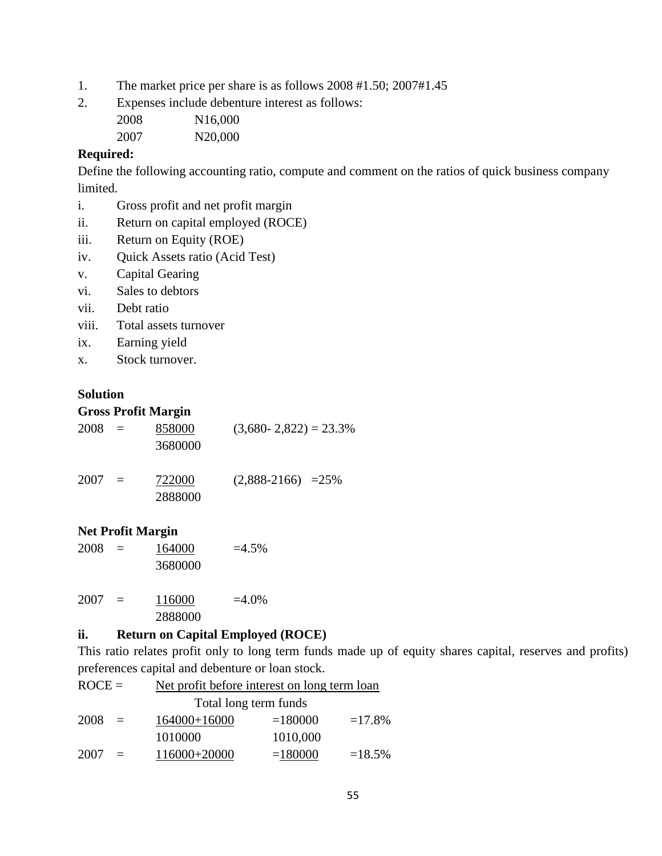- 1. The market price per share is as follows 2008 #1.50; 2007#1.45
- 2. Expenses include debenture interest as follows:
	- 2008 N16,000 2007 N20,000

### **Required:**

Define the following accounting ratio, compute and comment on the ratios of quick business company limited.

- i. Gross profit and net profit margin
- ii. Return on capital employed (ROCE)
- iii. Return on Equity (ROE)
- iv. Quick Assets ratio (Acid Test)
- v. Capital Gearing
- vi. Sales to debtors
- vii. Debt ratio
- viii. Total assets turnover
- ix. Earning yield
- x. Stock turnover.

### **Solution**

## **Gross Profit Margin**

| 2008     | $\equiv$ | 858000<br>3680000 | $(3,680 - 2,822) = 23.3\%$ |
|----------|----------|-------------------|----------------------------|
| $2007 =$ |          | 722000<br>2888000 | $(2,888-2166) = 25\%$      |

## **Net Profit Margin**

 $2008 = 164000 = 4.5\%$ 3680000

 $2007 = 116000 = 4.0\%$ 2888000

## **ii. Return on Capital Employed (ROCE)**

This ratio relates profit only to long term funds made up of equity shares capital, reserves and profits) preferences capital and debenture or loan stock.

| $ROCE =$ |  | Net profit before interest on long term loan |  |  |
|----------|--|----------------------------------------------|--|--|
|          |  |                                              |  |  |

|      |     |              | Total long term funds |           |
|------|-----|--------------|-----------------------|-----------|
| 2008 | $=$ | 164000+16000 | $=180000$             | $=17.8\%$ |
|      |     | 1010000      | 1010,000              |           |
| 2007 | $=$ | 116000+20000 | $=180000$             | $=18.5\%$ |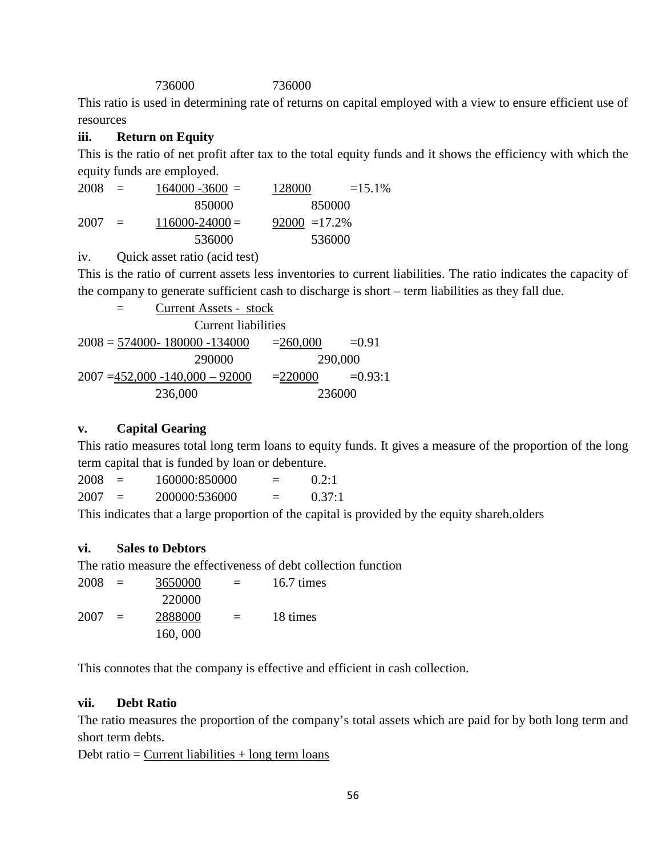736000 736000

This ratio is used in determining rate of returns on capital employed with a view to ensure efficient use of resources

# **iii. Return on Equity**

This is the ratio of net profit after tax to the total equity funds and it shows the efficiency with which the equity funds are employed.

$$
2008 = \frac{164000 - 3600}{850000} = \frac{128000}{850000} = 15.1\%
$$
  
2007 = 
$$
\frac{116000 - 24000}{536000} = \frac{92000}{536000} = 17.2\%
$$

iv. Quick asset ratio (acid test)

This is the ratio of current assets less inventories to current liabilities. The ratio indicates the capacity of the company to generate sufficient cash to discharge is short – term liabilities as they fall due.

 = Current Assets - stock Current liabilities  $2008 = 574000 - 180000 - 134000 = 260,000 = 0.91$ 290000 290,000  $2007 = 452,000 -140,000 - 92000 = 220000 = 0.93:1$ 236,000 236000

## **v. Capital Gearing**

This ratio measures total long term loans to equity funds. It gives a measure of the proportion of the long term capital that is funded by loan or debenture.

| 2008 | $=$ | 160000:850000 |     | 0.2:1  |
|------|-----|---------------|-----|--------|
| 2007 | $=$ | 200000:536000 | $=$ | 0.37:1 |

This indicates that a large proportion of the capital is provided by the equity shareh.olders

## **vi. Sales to Debtors**

The ratio measure the effectiveness of debt collection function

 $2008 = 3650000 = 16.7 \text{ times}$  220000  $2007 = 2888000 = 18 \text{ times}$ 160, 000

This connotes that the company is effective and efficient in cash collection.

### **vii. Debt Ratio**

The ratio measures the proportion of the company's total assets which are paid for by both long term and short term debts.

Debt ratio =  $Current$  liabilities + long term loans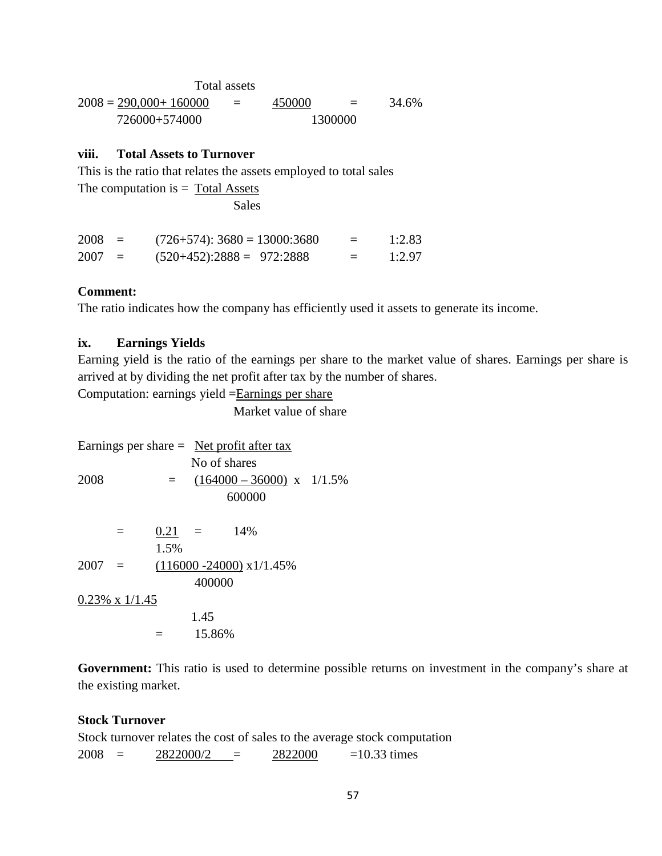Total assets  $2008 = 290,000 + 160000 = 450000 = 34.6\%$ 726000+574000 1300000

### **viii. Total Assets to Turnover**

This is the ratio that relates the assets employed to total sales

The computation is  $=$  Total Assets

**Sales** 

| 2008 | $\equiv$ | $(726+574)$ : 3680 = 13000:3680 | $=$ | 1:2.83 |
|------|----------|---------------------------------|-----|--------|
| 2007 | $\equiv$ | $(520+452):2888 = 972:2888$     | $=$ | 1:2.97 |

#### **Comment:**

The ratio indicates how the company has efficiently used it assets to generate its income.

#### **ix. Earnings Yields**

Earning yield is the ratio of the earnings per share to the market value of shares. Earnings per share is arrived at by dividing the net profit after tax by the number of shares.

Computation: earnings yield =Earnings per share

Market value of share

Earnings per share  $=$  Net profit after tax No of shares 2008 =  $(164000 - 36000)$  x  $1/1.5%$  600000  $=$  0.21 = 14%

400000

 1.5%  $2007 = (116000 - 24000) \times 1/1.45\%$ 

0.23% x 1/1.45

 1.45  $=$  15.86%

**Government:** This ratio is used to determine possible returns on investment in the company's share at the existing market.

#### **Stock Turnover**

Stock turnover relates the cost of sales to the average stock computation  $2008 = 2822000/2 = 2822000 = 10.33 \text{ times}$ 

57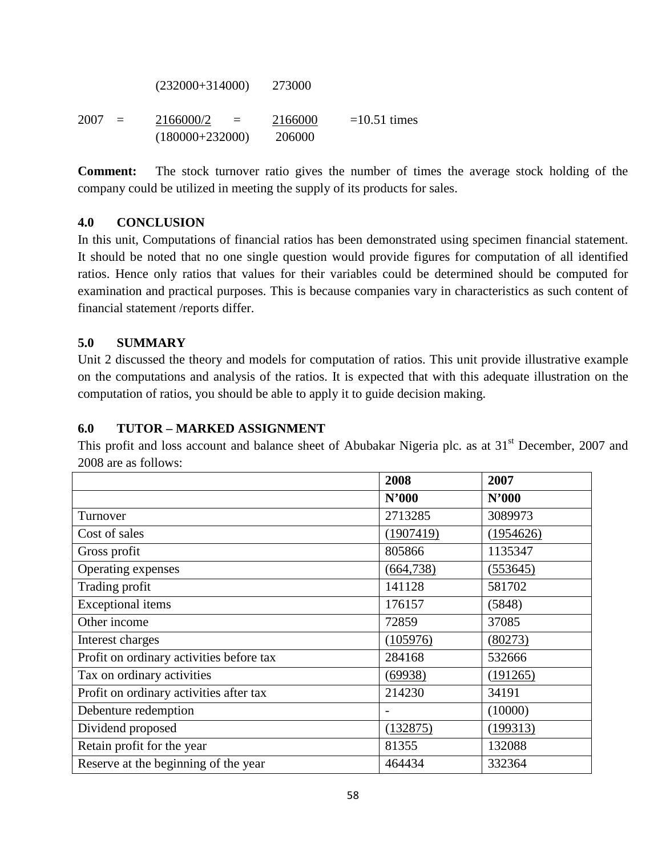|                  | $(232000+314000)$                      | 273000  |                |
|------------------|----------------------------------------|---------|----------------|
| 2007<br>$\equiv$ | 2166000/2<br>$\mathbf{r} = \mathbf{r}$ | 2166000 | $=10.51$ times |
|                  | $(180000+232000)$                      | 206000  |                |

**Comment:** The stock turnover ratio gives the number of times the average stock holding of the company could be utilized in meeting the supply of its products for sales.

### **4.0 CONCLUSION**

In this unit, Computations of financial ratios has been demonstrated using specimen financial statement. It should be noted that no one single question would provide figures for computation of all identified ratios. Hence only ratios that values for their variables could be determined should be computed for examination and practical purposes. This is because companies vary in characteristics as such content of financial statement /reports differ.

### **5.0 SUMMARY**

Unit 2 discussed the theory and models for computation of ratios. This unit provide illustrative example on the computations and analysis of the ratios. It is expected that with this adequate illustration on the computation of ratios, you should be able to apply it to guide decision making.

### **6.0 TUTOR – MARKED ASSIGNMENT**

This profit and loss account and balance sheet of Abubakar Nigeria plc. as at 31<sup>st</sup> December, 2007 and 2008 are as follows:

|                                          | 2008       | 2007      |
|------------------------------------------|------------|-----------|
|                                          | N'000      | N'000     |
| Turnover                                 | 2713285    | 3089973   |
| Cost of sales                            | (1907419)  | (1954626) |
| Gross profit                             | 805866     | 1135347   |
| Operating expenses                       | (664, 738) | (553645)  |
| Trading profit                           | 141128     | 581702    |
| <b>Exceptional</b> items                 | 176157     | (5848)    |
| Other income                             | 72859      | 37085     |
| Interest charges                         | (105976)   | (80273)   |
| Profit on ordinary activities before tax | 284168     | 532666    |
| Tax on ordinary activities               | (69938)    | (191265)  |
| Profit on ordinary activities after tax  | 214230     | 34191     |
| Debenture redemption                     |            | (10000)   |
| Dividend proposed                        | (132875)   | (199313)  |
| Retain profit for the year               | 81355      | 132088    |
| Reserve at the beginning of the year     | 464434     | 332364    |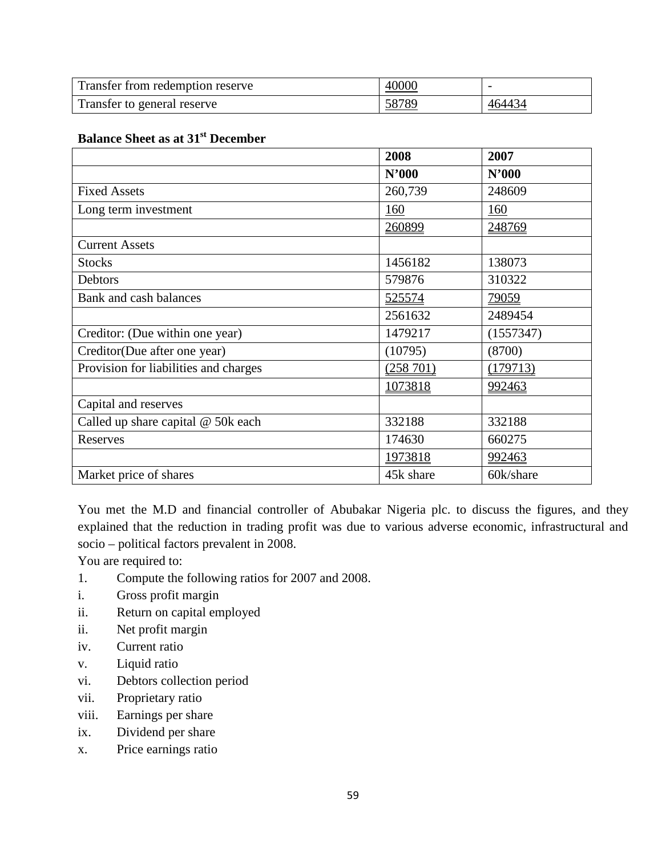| Transfer from redemption reserve | 40000 | -      |
|----------------------------------|-------|--------|
| Transfer to general reserve      | 58789 | 464434 |

# **Balance Sheet as at 31st December**

|                                       | 2008      | 2007      |
|---------------------------------------|-----------|-----------|
|                                       | N'000     | N'000     |
| <b>Fixed Assets</b>                   | 260,739   | 248609    |
| Long term investment                  | 160       | 160       |
|                                       | 260899    | 248769    |
| <b>Current Assets</b>                 |           |           |
| <b>Stocks</b>                         | 1456182   | 138073    |
| Debtors                               | 579876    | 310322    |
| Bank and cash balances                | 525574    | 79059     |
|                                       | 2561632   | 2489454   |
| Creditor: (Due within one year)       | 1479217   | (1557347) |
| Creditor(Due after one year)          | (10795)   | (8700)    |
| Provision for liabilities and charges | (258701)  | (179713)  |
|                                       | 1073818   | 992463    |
| Capital and reserves                  |           |           |
| Called up share capital @ 50k each    | 332188    | 332188    |
| Reserves                              | 174630    | 660275    |
|                                       | 1973818   | 992463    |
| Market price of shares                | 45k share | 60k/share |

You met the M.D and financial controller of Abubakar Nigeria plc. to discuss the figures, and they explained that the reduction in trading profit was due to various adverse economic, infrastructural and socio – political factors prevalent in 2008.

You are required to:

- 1. Compute the following ratios for 2007 and 2008.
- i. Gross profit margin
- ii. Return on capital employed
- ii. Net profit margin
- iv. Current ratio
- v. Liquid ratio
- vi. Debtors collection period
- vii. Proprietary ratio
- viii. Earnings per share
- ix. Dividend per share
- x. Price earnings ratio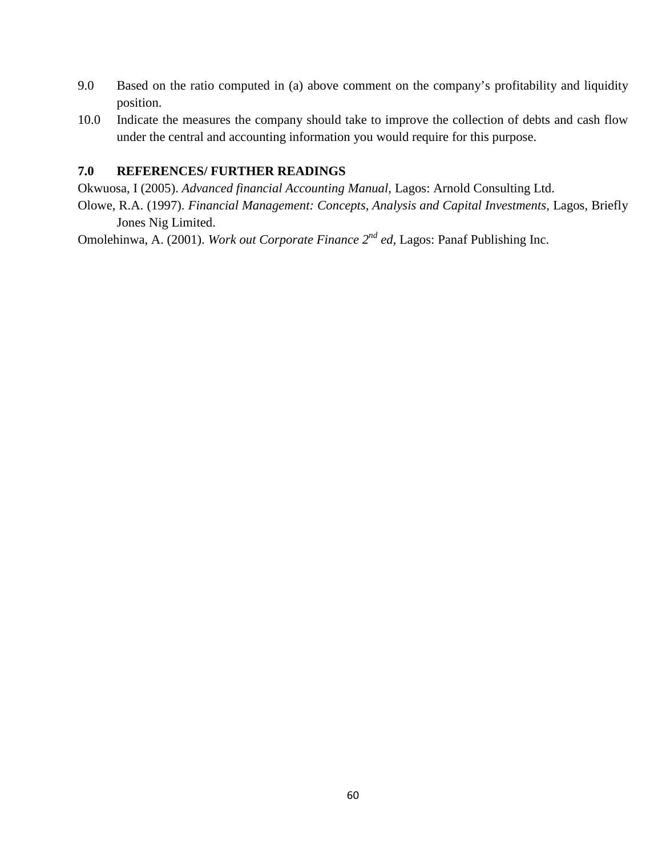- 9.0 Based on the ratio computed in (a) above comment on the company's profitability and liquidity position.
- 10.0 Indicate the measures the company should take to improve the collection of debts and cash flow under the central and accounting information you would require for this purpose.

### **7.0 REFERENCES/ FURTHER READINGS**

Okwuosa, I (2005). *Advanced financial Accounting Manual,* Lagos: Arnold Consulting Ltd.

Olowe, R.A. (1997). *Financial Management: Concepts, Analysis and Capital Investments,* Lagos, Briefly Jones Nig Limited.

Omolehinwa, A. (2001). *Work out Corporate Finance 2nd ed,* Lagos: Panaf Publishing Inc.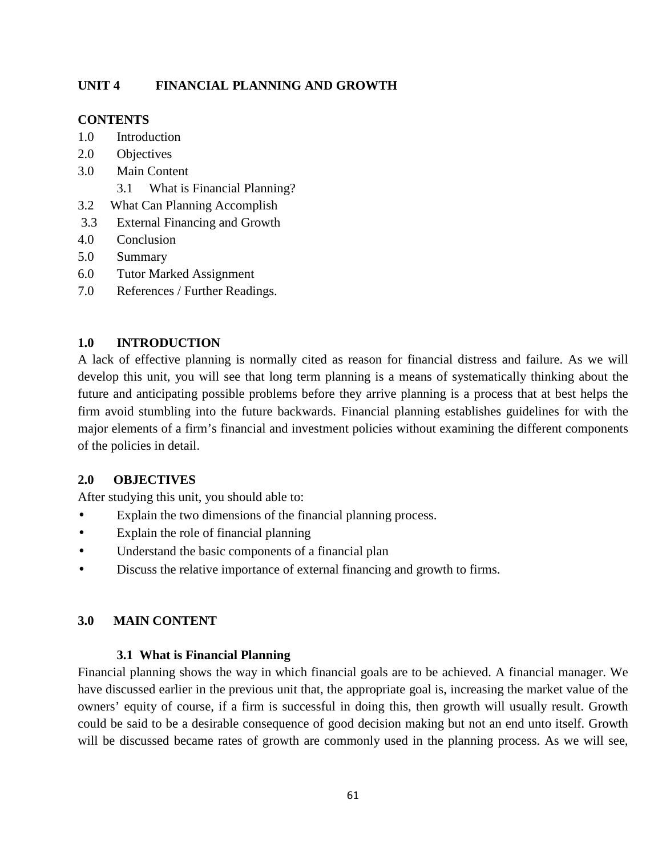## **UNIT 4 FINANCIAL PLANNING AND GROWTH**

### **CONTENTS**

- 1.0 Introduction
- 2.0 Objectives
- 3.0 Main Content
	- 3.1 What is Financial Planning?
- 3.2 What Can Planning Accomplish
- 3.3 External Financing and Growth
- 4.0 Conclusion
- 5.0 Summary
- 6.0 Tutor Marked Assignment
- 7.0 References / Further Readings.

# **1.0 INTRODUCTION**

A lack of effective planning is normally cited as reason for financial distress and failure. As we will develop this unit, you will see that long term planning is a means of systematically thinking about the future and anticipating possible problems before they arrive planning is a process that at best helps the firm avoid stumbling into the future backwards. Financial planning establishes guidelines for with the major elements of a firm's financial and investment policies without examining the different components of the policies in detail.

## **2.0 OBJECTIVES**

After studying this unit, you should able to:

- Explain the two dimensions of the financial planning process.
- Explain the role of financial planning
- Understand the basic components of a financial plan
- Discuss the relative importance of external financing and growth to firms.

## **3.0 MAIN CONTENT**

## **3.1 What is Financial Planning**

Financial planning shows the way in which financial goals are to be achieved. A financial manager. We have discussed earlier in the previous unit that, the appropriate goal is, increasing the market value of the owners' equity of course, if a firm is successful in doing this, then growth will usually result. Growth could be said to be a desirable consequence of good decision making but not an end unto itself. Growth will be discussed became rates of growth are commonly used in the planning process. As we will see,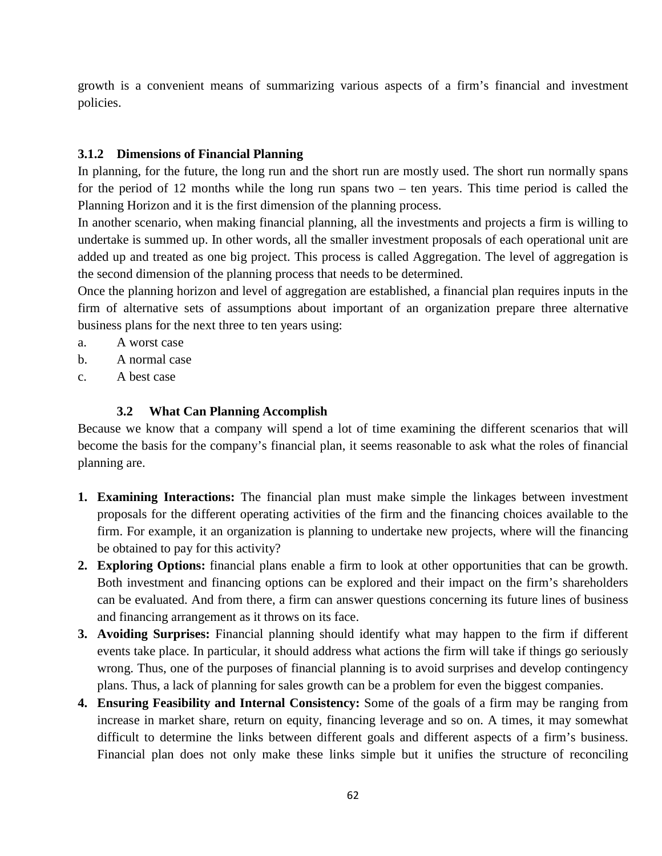growth is a convenient means of summarizing various aspects of a firm's financial and investment policies.

### **3.1.2 Dimensions of Financial Planning**

In planning, for the future, the long run and the short run are mostly used. The short run normally spans for the period of 12 months while the long run spans two – ten years. This time period is called the Planning Horizon and it is the first dimension of the planning process.

In another scenario, when making financial planning, all the investments and projects a firm is willing to undertake is summed up. In other words, all the smaller investment proposals of each operational unit are added up and treated as one big project. This process is called Aggregation. The level of aggregation is the second dimension of the planning process that needs to be determined.

Once the planning horizon and level of aggregation are established, a financial plan requires inputs in the firm of alternative sets of assumptions about important of an organization prepare three alternative business plans for the next three to ten years using:

- a. A worst case
- b. A normal case
- c. A best case

### **3.2 What Can Planning Accomplish**

Because we know that a company will spend a lot of time examining the different scenarios that will become the basis for the company's financial plan, it seems reasonable to ask what the roles of financial planning are.

- **1. Examining Interactions:** The financial plan must make simple the linkages between investment proposals for the different operating activities of the firm and the financing choices available to the firm. For example, it an organization is planning to undertake new projects, where will the financing be obtained to pay for this activity?
- **2. Exploring Options:** financial plans enable a firm to look at other opportunities that can be growth. Both investment and financing options can be explored and their impact on the firm's shareholders can be evaluated. And from there, a firm can answer questions concerning its future lines of business and financing arrangement as it throws on its face.
- **3. Avoiding Surprises:** Financial planning should identify what may happen to the firm if different events take place. In particular, it should address what actions the firm will take if things go seriously wrong. Thus, one of the purposes of financial planning is to avoid surprises and develop contingency plans. Thus, a lack of planning for sales growth can be a problem for even the biggest companies.
- **4. Ensuring Feasibility and Internal Consistency:** Some of the goals of a firm may be ranging from increase in market share, return on equity, financing leverage and so on. A times, it may somewhat difficult to determine the links between different goals and different aspects of a firm's business. Financial plan does not only make these links simple but it unifies the structure of reconciling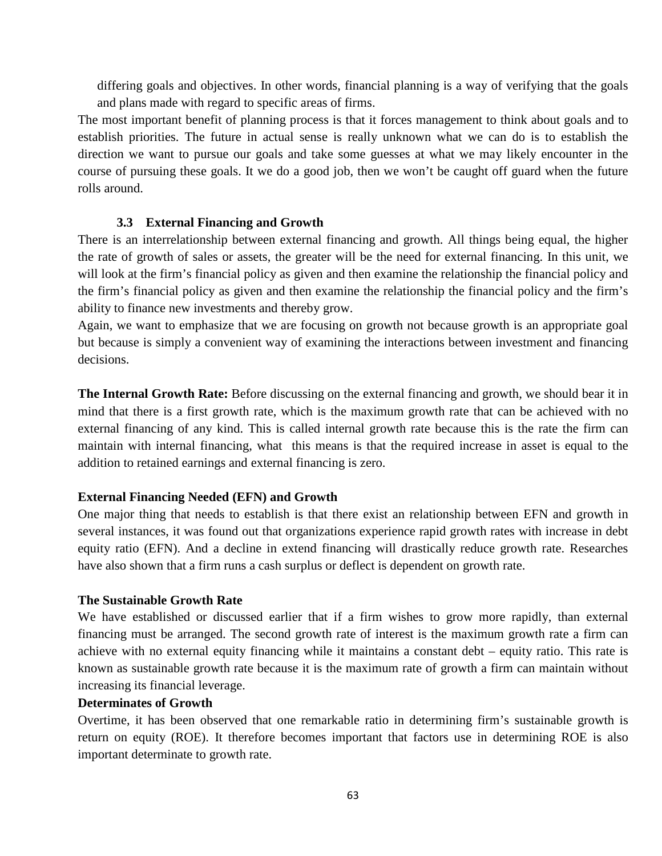differing goals and objectives. In other words, financial planning is a way of verifying that the goals and plans made with regard to specific areas of firms.

The most important benefit of planning process is that it forces management to think about goals and to establish priorities. The future in actual sense is really unknown what we can do is to establish the direction we want to pursue our goals and take some guesses at what we may likely encounter in the course of pursuing these goals. It we do a good job, then we won't be caught off guard when the future rolls around.

#### **3.3 External Financing and Growth**

There is an interrelationship between external financing and growth. All things being equal, the higher the rate of growth of sales or assets, the greater will be the need for external financing. In this unit, we will look at the firm's financial policy as given and then examine the relationship the financial policy and the firm's financial policy as given and then examine the relationship the financial policy and the firm's ability to finance new investments and thereby grow.

Again, we want to emphasize that we are focusing on growth not because growth is an appropriate goal but because is simply a convenient way of examining the interactions between investment and financing decisions.

**The Internal Growth Rate:** Before discussing on the external financing and growth, we should bear it in mind that there is a first growth rate, which is the maximum growth rate that can be achieved with no external financing of any kind. This is called internal growth rate because this is the rate the firm can maintain with internal financing, what this means is that the required increase in asset is equal to the addition to retained earnings and external financing is zero.

#### **External Financing Needed (EFN) and Growth**

One major thing that needs to establish is that there exist an relationship between EFN and growth in several instances, it was found out that organizations experience rapid growth rates with increase in debt equity ratio (EFN). And a decline in extend financing will drastically reduce growth rate. Researches have also shown that a firm runs a cash surplus or deflect is dependent on growth rate.

#### **The Sustainable Growth Rate**

We have established or discussed earlier that if a firm wishes to grow more rapidly, than external financing must be arranged. The second growth rate of interest is the maximum growth rate a firm can achieve with no external equity financing while it maintains a constant debt – equity ratio. This rate is known as sustainable growth rate because it is the maximum rate of growth a firm can maintain without increasing its financial leverage.

#### **Determinates of Growth**

Overtime, it has been observed that one remarkable ratio in determining firm's sustainable growth is return on equity (ROE). It therefore becomes important that factors use in determining ROE is also important determinate to growth rate.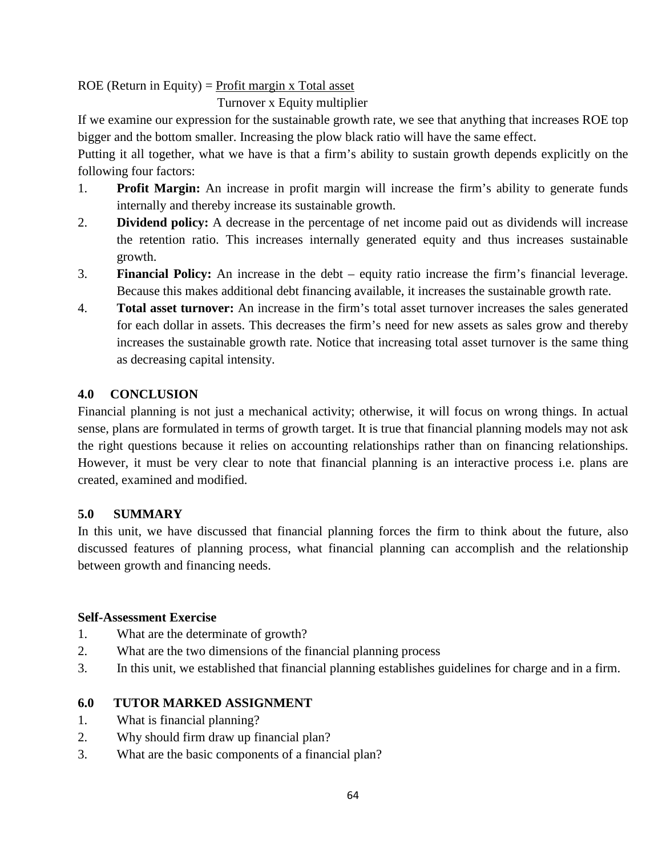ROE (Return in Equity) =  $Profit$  margin x Total asset

Turnover x Equity multiplier

If we examine our expression for the sustainable growth rate, we see that anything that increases ROE top bigger and the bottom smaller. Increasing the plow black ratio will have the same effect.

Putting it all together, what we have is that a firm's ability to sustain growth depends explicitly on the following four factors:

- 1. **Profit Margin:** An increase in profit margin will increase the firm's ability to generate funds internally and thereby increase its sustainable growth.
- 2. **Dividend policy:** A decrease in the percentage of net income paid out as dividends will increase the retention ratio. This increases internally generated equity and thus increases sustainable growth.
- 3. **Financial Policy:** An increase in the debt equity ratio increase the firm's financial leverage. Because this makes additional debt financing available, it increases the sustainable growth rate.
- 4. **Total asset turnover:** An increase in the firm's total asset turnover increases the sales generated for each dollar in assets. This decreases the firm's need for new assets as sales grow and thereby increases the sustainable growth rate. Notice that increasing total asset turnover is the same thing as decreasing capital intensity.

# **4.0 CONCLUSION**

Financial planning is not just a mechanical activity; otherwise, it will focus on wrong things. In actual sense, plans are formulated in terms of growth target. It is true that financial planning models may not ask the right questions because it relies on accounting relationships rather than on financing relationships. However, it must be very clear to note that financial planning is an interactive process i.e. plans are created, examined and modified.

# **5.0 SUMMARY**

In this unit, we have discussed that financial planning forces the firm to think about the future, also discussed features of planning process, what financial planning can accomplish and the relationship between growth and financing needs.

## **Self-Assessment Exercise**

- 1. What are the determinate of growth?
- 2. What are the two dimensions of the financial planning process
- 3. In this unit, we established that financial planning establishes guidelines for charge and in a firm.

## **6.0 TUTOR MARKED ASSIGNMENT**

- 1. What is financial planning?
- 2. Why should firm draw up financial plan?
- 3. What are the basic components of a financial plan?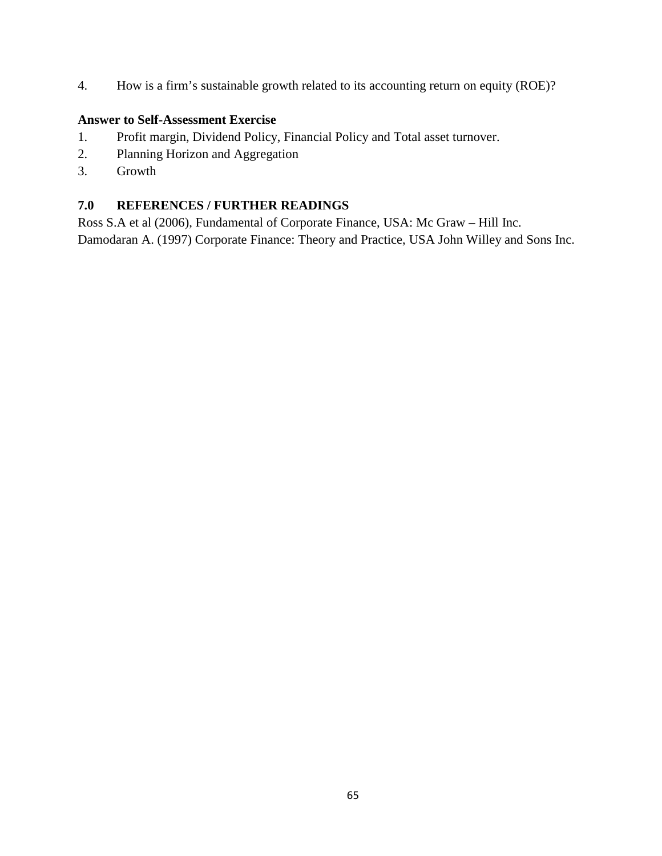4. How is a firm's sustainable growth related to its accounting return on equity (ROE)?

### **Answer to Self-Assessment Exercise**

- 1. Profit margin, Dividend Policy, Financial Policy and Total asset turnover.
- 2. Planning Horizon and Aggregation
- 3. Growth

# **7.0 REFERENCES / FURTHER READINGS**

Ross S.A et al (2006), Fundamental of Corporate Finance, USA: Mc Graw – Hill Inc. Damodaran A. (1997) Corporate Finance: Theory and Practice, USA John Willey and Sons Inc.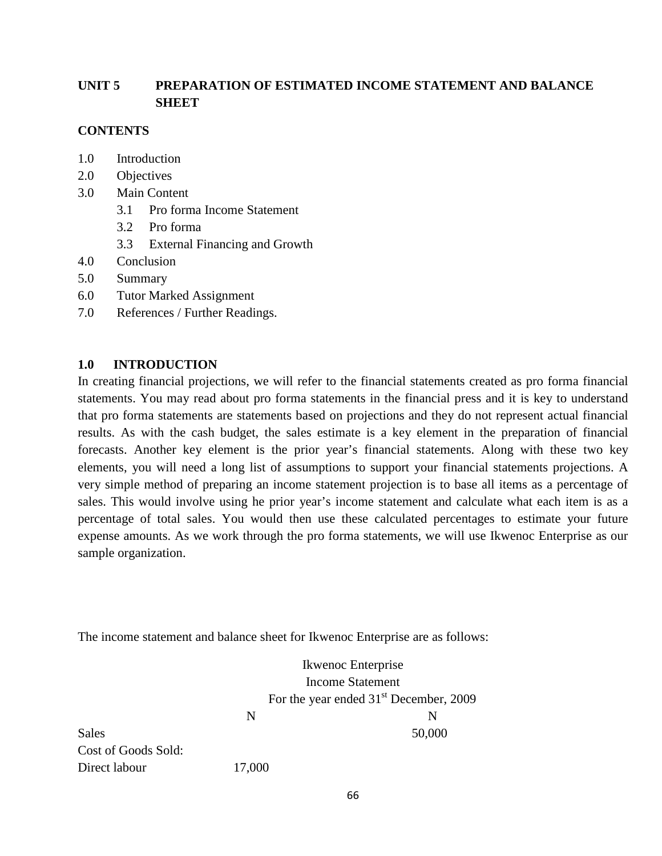# **UNIT 5 PREPARATION OF ESTIMATED INCOME STATEMENT AND BALANCE SHEET**

## **CONTENTS**

- 1.0 Introduction
- 2.0 Objectives
- 3.0 Main Content
	- 3.1 Pro forma Income Statement
	- 3.2 Pro forma
	- 3.3 External Financing and Growth
- 4.0 Conclusion
- 5.0 Summary
- 6.0 Tutor Marked Assignment
- 7.0 References / Further Readings.

### **1.0 INTRODUCTION**

In creating financial projections, we will refer to the financial statements created as pro forma financial statements. You may read about pro forma statements in the financial press and it is key to understand that pro forma statements are statements based on projections and they do not represent actual financial results. As with the cash budget, the sales estimate is a key element in the preparation of financial forecasts. Another key element is the prior year's financial statements. Along with these two key elements, you will need a long list of assumptions to support your financial statements projections. A very simple method of preparing an income statement projection is to base all items as a percentage of sales. This would involve using he prior year's income statement and calculate what each item is as a percentage of total sales. You would then use these calculated percentages to estimate your future expense amounts. As we work through the pro forma statements, we will use Ikwenoc Enterprise as our sample organization.

The income statement and balance sheet for Ikwenoc Enterprise are as follows:

Ikwenoc Enterprise Income Statement For the year ended  $31<sup>st</sup>$  December, 2009 N N Sales 50,000 Cost of Goods Sold: Direct labour 17,000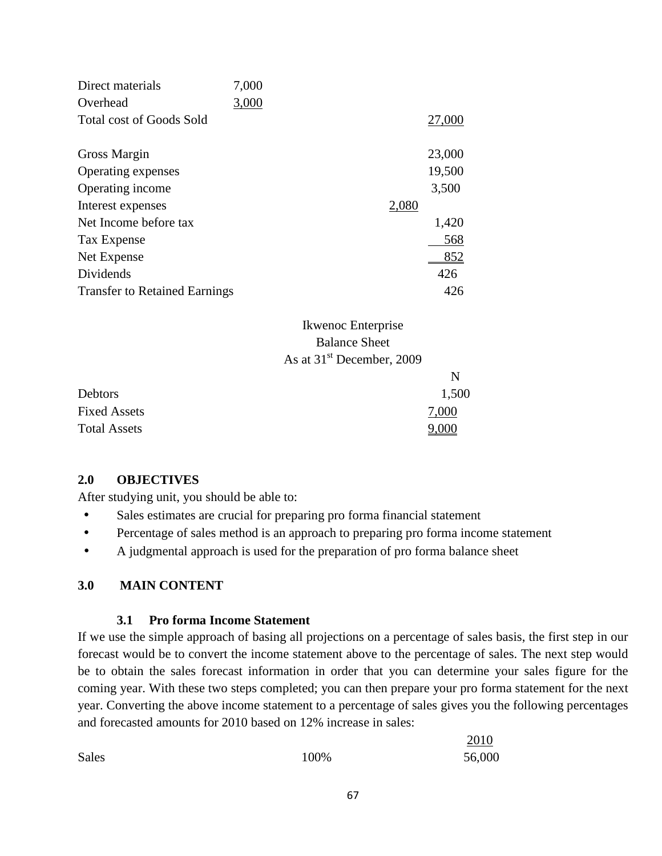| Direct materials                     | 7,000 |       |        |
|--------------------------------------|-------|-------|--------|
| Overhead                             | 3,000 |       |        |
| <b>Total cost of Goods Sold</b>      |       |       | 27,000 |
| <b>Gross Margin</b>                  |       |       | 23,000 |
| Operating expenses                   |       |       | 19,500 |
| Operating income                     |       |       | 3,500  |
| Interest expenses                    |       | 2,080 |        |
| Net Income before tax                |       |       | 1,420  |
| Tax Expense                          |       |       | 568    |
| Net Expense                          |       |       | 852    |
| Dividends                            |       |       | 426    |
| <b>Transfer to Retained Earnings</b> |       |       | 426    |

|                     | Ikwenoc Enterprise          |
|---------------------|-----------------------------|
|                     | <b>Balance Sheet</b>        |
|                     | As at $31st$ December, 2009 |
|                     | N                           |
| Debtors             | 1,500                       |
| <b>Fixed Assets</b> | 7,000                       |
| <b>Total Assets</b> |                             |

### **2.0 OBJECTIVES**

After studying unit, you should be able to:

- Sales estimates are crucial for preparing pro forma financial statement
- Percentage of sales method is an approach to preparing pro forma income statement
- A judgmental approach is used for the preparation of pro forma balance sheet

### **3.0 MAIN CONTENT**

#### **3.1 Pro forma Income Statement**

If we use the simple approach of basing all projections on a percentage of sales basis, the first step in our forecast would be to convert the income statement above to the percentage of sales. The next step would be to obtain the sales forecast information in order that you can determine your sales figure for the coming year. With these two steps completed; you can then prepare your pro forma statement for the next year. Converting the above income statement to a percentage of sales gives you the following percentages and forecasted amounts for 2010 based on 12% increase in sales:

|       |      | 2010   |
|-------|------|--------|
| Sales | 100% | 56,000 |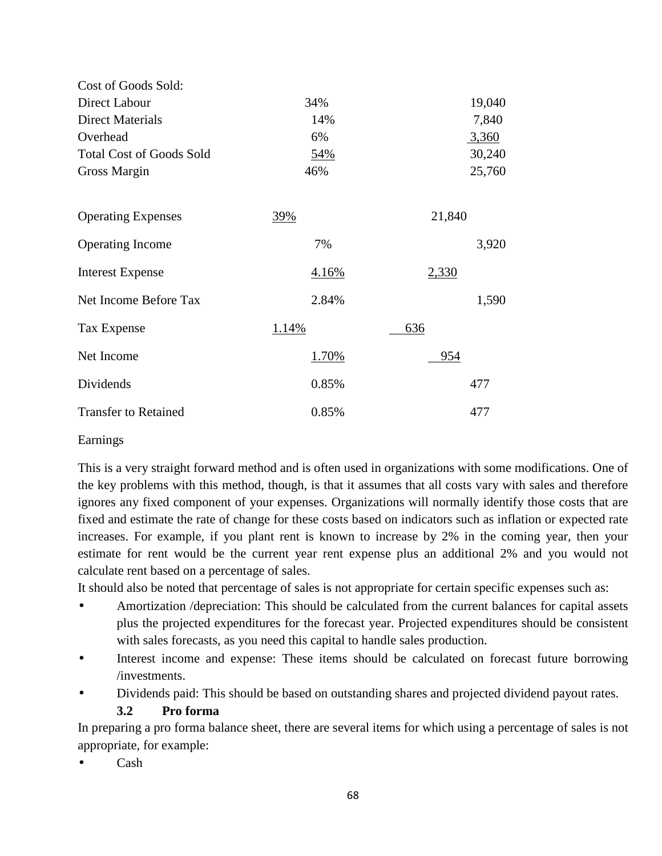| Cost of Goods Sold:             |            |        |
|---------------------------------|------------|--------|
| Direct Labour                   | 34%        | 19,040 |
| <b>Direct Materials</b>         | 14%        | 7,840  |
| Overhead                        | 6%         | 3,360  |
| <b>Total Cost of Goods Sold</b> | 54%        | 30,240 |
| Gross Margin                    | 46%        | 25,760 |
|                                 |            |        |
| <b>Operating Expenses</b>       | <u>39%</u> | 21,840 |
| <b>Operating Income</b>         | 7%         | 3,920  |
| <b>Interest Expense</b>         | 4.16%      | 2,330  |
| Net Income Before Tax           | 2.84%      | 1,590  |
| Tax Expense                     | 1.14%      | 636    |
| Net Income                      | 1.70%      | 954    |
| Dividends                       | 0.85%      | 477    |
| <b>Transfer to Retained</b>     | 0.85%      | 477    |

## Earnings

This is a very straight forward method and is often used in organizations with some modifications. One of the key problems with this method, though, is that it assumes that all costs vary with sales and therefore ignores any fixed component of your expenses. Organizations will normally identify those costs that are fixed and estimate the rate of change for these costs based on indicators such as inflation or expected rate increases. For example, if you plant rent is known to increase by 2% in the coming year, then your estimate for rent would be the current year rent expense plus an additional 2% and you would not calculate rent based on a percentage of sales.

It should also be noted that percentage of sales is not appropriate for certain specific expenses such as:

- Amortization /depreciation: This should be calculated from the current balances for capital assets plus the projected expenditures for the forecast year. Projected expenditures should be consistent with sales forecasts, as you need this capital to handle sales production.
- Interest income and expense: These items should be calculated on forecast future borrowing /investments.
- Dividends paid: This should be based on outstanding shares and projected dividend payout rates.

**3.2 Pro forma** 

In preparing a pro forma balance sheet, there are several items for which using a percentage of sales is not appropriate, for example:

• Cash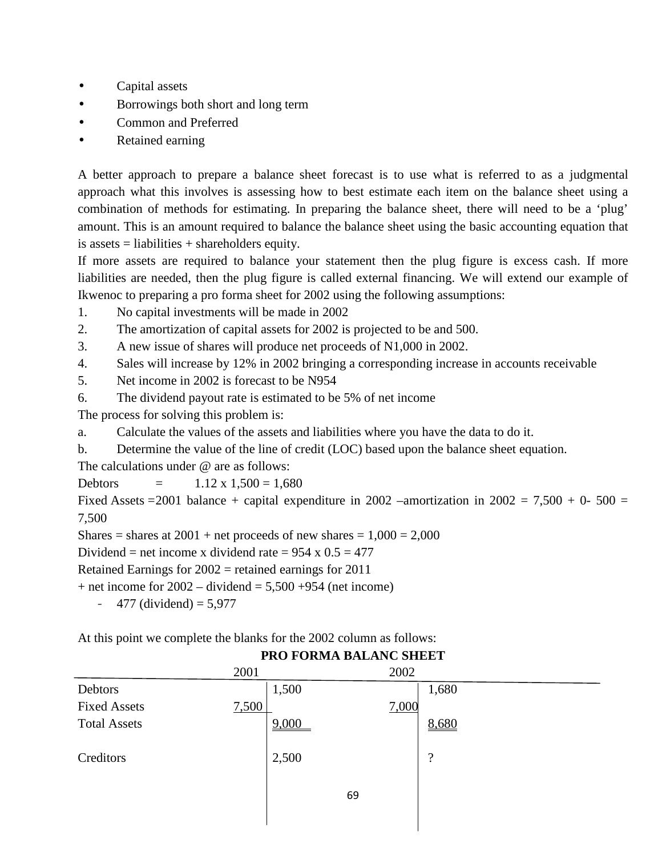- Capital assets
- Borrowings both short and long term
- Common and Preferred
- Retained earning

A better approach to prepare a balance sheet forecast is to use what is referred to as a judgmental approach what this involves is assessing how to best estimate each item on the balance sheet using a combination of methods for estimating. In preparing the balance sheet, there will need to be a 'plug' amount. This is an amount required to balance the balance sheet using the basic accounting equation that is assets  $=$  liabilities  $+$  shareholders equity.

If more assets are required to balance your statement then the plug figure is excess cash. If more liabilities are needed, then the plug figure is called external financing. We will extend our example of Ikwenoc to preparing a pro forma sheet for 2002 using the following assumptions:

- 1. No capital investments will be made in 2002
- 2. The amortization of capital assets for 2002 is projected to be and 500.
- 3. A new issue of shares will produce net proceeds of N1,000 in 2002.
- 4. Sales will increase by 12% in 2002 bringing a corresponding increase in accounts receivable
- 5. Net income in 2002 is forecast to be N954
- 6. The dividend payout rate is estimated to be 5% of net income

The process for solving this problem is:

- a. Calculate the values of the assets and liabilities where you have the data to do it.
- b. Determine the value of the line of credit (LOC) based upon the balance sheet equation.

The calculations under @ are as follows:

Debtors  $=$  1.12 x 1.500 = 1.680

Fixed Assets = 2001 balance + capital expenditure in 2002 – amortization in 2002 = 7,500 + 0- 500 = 7,500

Shares = shares at  $2001$  + net proceeds of new shares =  $1,000$  =  $2,000$ 

Dividend = net income x dividend rate =  $954 \times 0.5 = 477$ 

Retained Earnings for 2002 = retained earnings for 2011

+ net income for  $2002 - \text{dividend} = 5,500 + 954$  (net income)

 $-477$  (dividend)  $= 5,977$ 

At this point we complete the blanks for the 2002 column as follows:

|                     | 2001  | 2002  |          |
|---------------------|-------|-------|----------|
| Debtors             | 1,500 |       | 1,680    |
| <b>Fixed Assets</b> | 7,500 | 7,000 |          |
| <b>Total Assets</b> | 9,000 |       | 8,680    |
| Creditors           | 2,500 |       | $\gamma$ |
|                     |       | 69    |          |

# **PRO FORMA BALANC SHEET**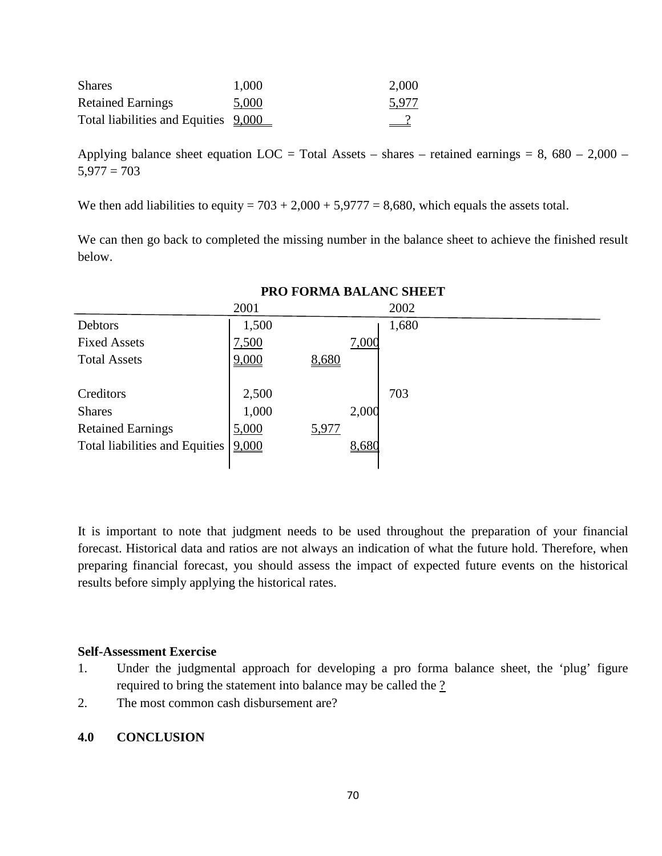| <b>Shares</b>                        | 1,000 | 2,000         |
|--------------------------------------|-------|---------------|
| <b>Retained Earnings</b>             | 5,000 | 5,977         |
| Total liabilities and Equities 9,000 |       | $\frac{1}{2}$ |

Applying balance sheet equation  $LOC = Total Assets - shares - retained earnings = 8, 680 - 2,000 5,977 = 703$ 

We then add liabilities to equity =  $703 + 2{,}000 + 5{,}9777 = 8{,}680$ , which equals the assets total.

We can then go back to completed the missing number in the balance sheet to achieve the finished result below.

|                                | 2001  |       |       | 2002  |
|--------------------------------|-------|-------|-------|-------|
| Debtors                        | 1,500 |       |       | 1,680 |
| <b>Fixed Assets</b>            | 7,500 |       | 7,000 |       |
| <b>Total Assets</b>            | 9,000 | 8,680 |       |       |
|                                |       |       |       |       |
| Creditors                      | 2,500 |       |       | 703   |
| <b>Shares</b>                  | 1,000 |       | 2,000 |       |
| <b>Retained Earnings</b>       | 5,000 | 5,977 |       |       |
| Total liabilities and Equities | 9,000 |       | 8,680 |       |
|                                |       |       |       |       |

# **PRO FORMA BALANC SHEET**

It is important to note that judgment needs to be used throughout the preparation of your financial forecast. Historical data and ratios are not always an indication of what the future hold. Therefore, when preparing financial forecast, you should assess the impact of expected future events on the historical results before simply applying the historical rates.

### **Self-Assessment Exercise**

- 1. Under the judgmental approach for developing a pro forma balance sheet, the 'plug' figure required to bring the statement into balance may be called the ?
- 2. The most common cash disbursement are?

### **4.0 CONCLUSION**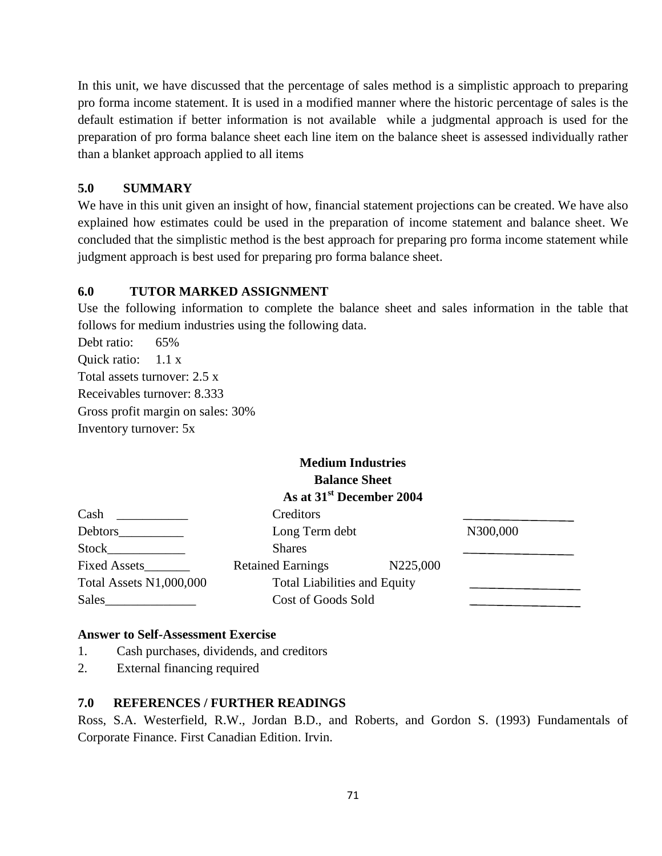In this unit, we have discussed that the percentage of sales method is a simplistic approach to preparing pro forma income statement. It is used in a modified manner where the historic percentage of sales is the default estimation if better information is not available while a judgmental approach is used for the preparation of pro forma balance sheet each line item on the balance sheet is assessed individually rather than a blanket approach applied to all items

### **5.0 SUMMARY**

We have in this unit given an insight of how, financial statement projections can be created. We have also explained how estimates could be used in the preparation of income statement and balance sheet. We concluded that the simplistic method is the best approach for preparing pro forma income statement while judgment approach is best used for preparing pro forma balance sheet.

### **6.0 TUTOR MARKED ASSIGNMENT**

Use the following information to complete the balance sheet and sales information in the table that follows for medium industries using the following data.

Debt ratio: 65% Quick ratio: 1.1 x Total assets turnover: 2.5 x Receivables turnover: 8.333 Gross profit margin on sales: 30% Inventory turnover: 5x

|                                | <b>Medium Industries</b><br><b>Balance Sheet</b><br>As at 31 <sup>st</sup> December 2004 |          |  |
|--------------------------------|------------------------------------------------------------------------------------------|----------|--|
| Cash                           | Creditors                                                                                |          |  |
| Debtors                        | Long Term debt                                                                           | N300,000 |  |
| Stock                          | <b>Shares</b>                                                                            |          |  |
| Fixed Assets                   | <b>Retained Earnings</b>                                                                 | N225,000 |  |
| <b>Total Assets N1,000,000</b> | <b>Total Liabilities and Equity</b>                                                      |          |  |
| <b>Sales</b>                   | Cost of Goods Sold                                                                       |          |  |

### **Answer to Self-Assessment Exercise**

- 1. Cash purchases, dividends, and creditors
- 2. External financing required

### **7.0 REFERENCES / FURTHER READINGS**

Ross, S.A. Westerfield, R.W., Jordan B.D., and Roberts, and Gordon S. (1993) Fundamentals of Corporate Finance. First Canadian Edition. Irvin.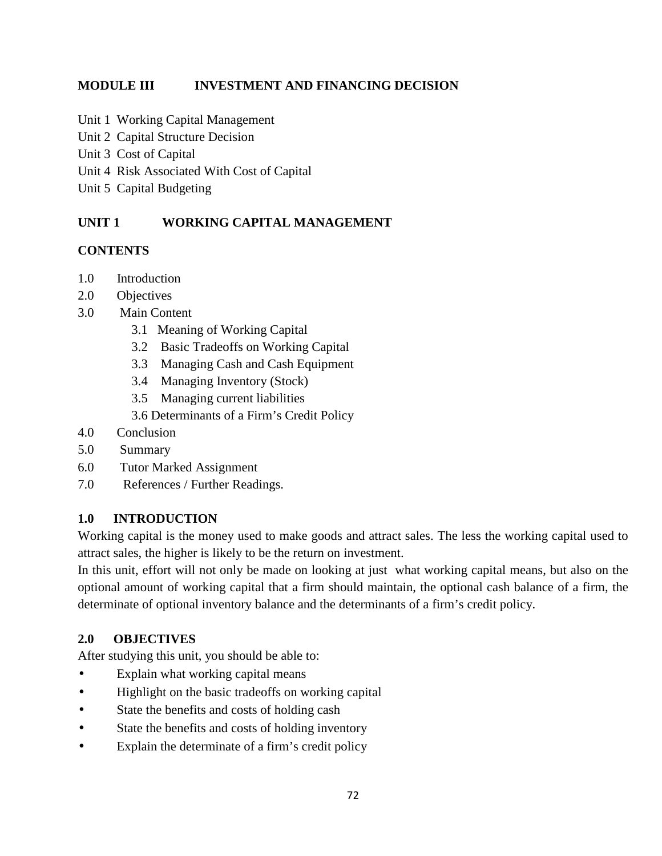## **MODULE III INVESTMENT AND FINANCING DECISION**

- Unit 1 Working Capital Management
- Unit 2 Capital Structure Decision
- Unit 3 Cost of Capital
- Unit 4 Risk Associated With Cost of Capital
- Unit 5 Capital Budgeting

# **UNIT 1 WORKING CAPITAL MANAGEMENT**

# **CONTENTS**

- 1.0 Introduction
- 2.0 Objectives
- 3.0 Main Content
	- 3.1 Meaning of Working Capital
	- 3.2 Basic Tradeoffs on Working Capital
	- 3.3 Managing Cash and Cash Equipment
	- 3.4 Managing Inventory (Stock)
	- 3.5 Managing current liabilities
	- 3.6 Determinants of a Firm's Credit Policy
- 4.0 Conclusion
- 5.0 Summary
- 6.0 Tutor Marked Assignment
- 7.0 References / Further Readings.

## **1.0 INTRODUCTION**

Working capital is the money used to make goods and attract sales. The less the working capital used to attract sales, the higher is likely to be the return on investment.

In this unit, effort will not only be made on looking at just what working capital means, but also on the optional amount of working capital that a firm should maintain, the optional cash balance of a firm, the determinate of optional inventory balance and the determinants of a firm's credit policy.

# **2.0 OBJECTIVES**

After studying this unit, you should be able to:

- Explain what working capital means
- Highlight on the basic tradeoffs on working capital
- State the benefits and costs of holding cash
- State the benefits and costs of holding inventory
- Explain the determinate of a firm's credit policy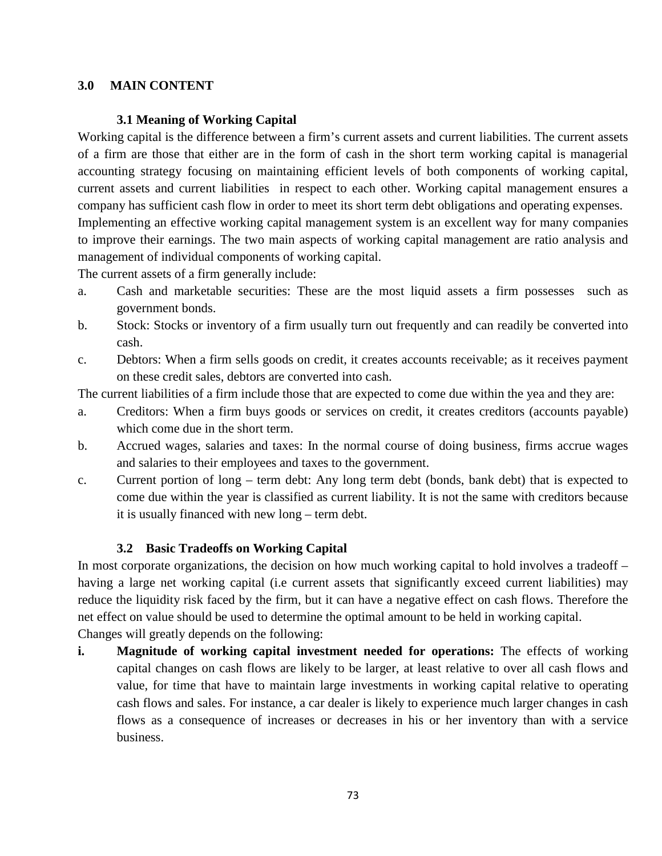#### **3.0 MAIN CONTENT**

#### **3.1 Meaning of Working Capital**

Working capital is the difference between a firm's current assets and current liabilities. The current assets of a firm are those that either are in the form of cash in the short term working capital is managerial accounting strategy focusing on maintaining efficient levels of both components of working capital, current assets and current liabilities in respect to each other. Working capital management ensures a company has sufficient cash flow in order to meet its short term debt obligations and operating expenses. Implementing an effective working capital management system is an excellent way for many companies to improve their earnings. The two main aspects of working capital management are ratio analysis and management of individual components of working capital.

The current assets of a firm generally include:

- a. Cash and marketable securities: These are the most liquid assets a firm possesses such as government bonds.
- b. Stock: Stocks or inventory of a firm usually turn out frequently and can readily be converted into cash.
- c. Debtors: When a firm sells goods on credit, it creates accounts receivable; as it receives payment on these credit sales, debtors are converted into cash.

The current liabilities of a firm include those that are expected to come due within the yea and they are:

- a. Creditors: When a firm buys goods or services on credit, it creates creditors (accounts payable) which come due in the short term.
- b. Accrued wages, salaries and taxes: In the normal course of doing business, firms accrue wages and salaries to their employees and taxes to the government.
- c. Current portion of long term debt: Any long term debt (bonds, bank debt) that is expected to come due within the year is classified as current liability. It is not the same with creditors because it is usually financed with new long – term debt.

### **3.2 Basic Tradeoffs on Working Capital**

In most corporate organizations, the decision on how much working capital to hold involves a tradeoff – having a large net working capital (i.e current assets that significantly exceed current liabilities) may reduce the liquidity risk faced by the firm, but it can have a negative effect on cash flows. Therefore the net effect on value should be used to determine the optimal amount to be held in working capital. Changes will greatly depends on the following:

**i.** Magnitude of working capital investment needed for operations: The effects of working capital changes on cash flows are likely to be larger, at least relative to over all cash flows and value, for time that have to maintain large investments in working capital relative to operating cash flows and sales. For instance, a car dealer is likely to experience much larger changes in cash flows as a consequence of increases or decreases in his or her inventory than with a service business.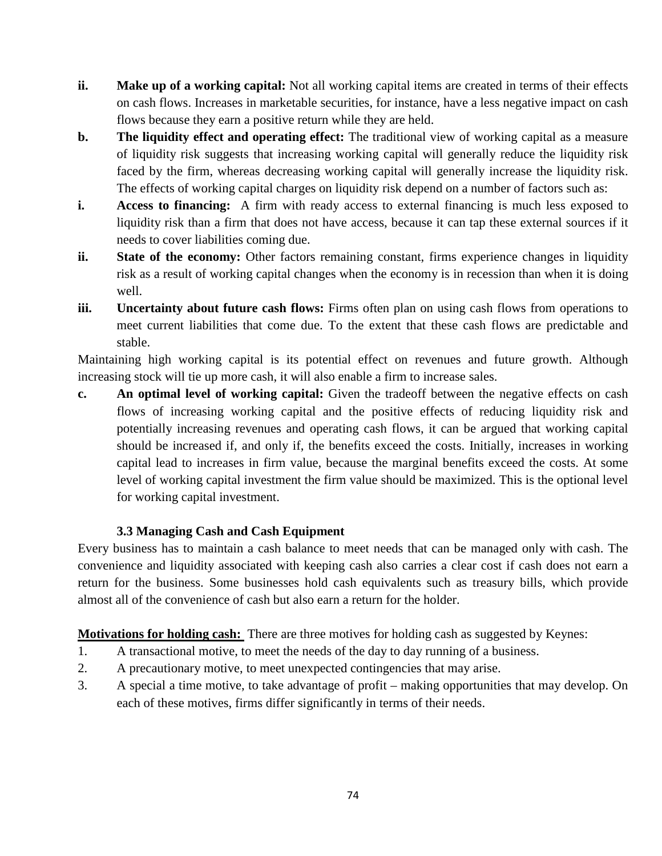- **ii. Make up of a working capital:** Not all working capital items are created in terms of their effects on cash flows. Increases in marketable securities, for instance, have a less negative impact on cash flows because they earn a positive return while they are held.
- **b. The liquidity effect and operating effect:** The traditional view of working capital as a measure of liquidity risk suggests that increasing working capital will generally reduce the liquidity risk faced by the firm, whereas decreasing working capital will generally increase the liquidity risk. The effects of working capital charges on liquidity risk depend on a number of factors such as:
- **i.** Access to financing: A firm with ready access to external financing is much less exposed to liquidity risk than a firm that does not have access, because it can tap these external sources if it needs to cover liabilities coming due.
- **ii. State of the economy:** Other factors remaining constant, firms experience changes in liquidity risk as a result of working capital changes when the economy is in recession than when it is doing well.
- **iii. Uncertainty about future cash flows:** Firms often plan on using cash flows from operations to meet current liabilities that come due. To the extent that these cash flows are predictable and stable.

Maintaining high working capital is its potential effect on revenues and future growth. Although increasing stock will tie up more cash, it will also enable a firm to increase sales.

**c. An optimal level of working capital:** Given the tradeoff between the negative effects on cash flows of increasing working capital and the positive effects of reducing liquidity risk and potentially increasing revenues and operating cash flows, it can be argued that working capital should be increased if, and only if, the benefits exceed the costs. Initially, increases in working capital lead to increases in firm value, because the marginal benefits exceed the costs. At some level of working capital investment the firm value should be maximized. This is the optional level for working capital investment.

### **3.3 Managing Cash and Cash Equipment**

Every business has to maintain a cash balance to meet needs that can be managed only with cash. The convenience and liquidity associated with keeping cash also carries a clear cost if cash does not earn a return for the business. Some businesses hold cash equivalents such as treasury bills, which provide almost all of the convenience of cash but also earn a return for the holder.

**Motivations for holding cash:** There are three motives for holding cash as suggested by Keynes:

- 1. A transactional motive, to meet the needs of the day to day running of a business.
- 2. A precautionary motive, to meet unexpected contingencies that may arise.
- 3. A special a time motive, to take advantage of profit making opportunities that may develop. On each of these motives, firms differ significantly in terms of their needs.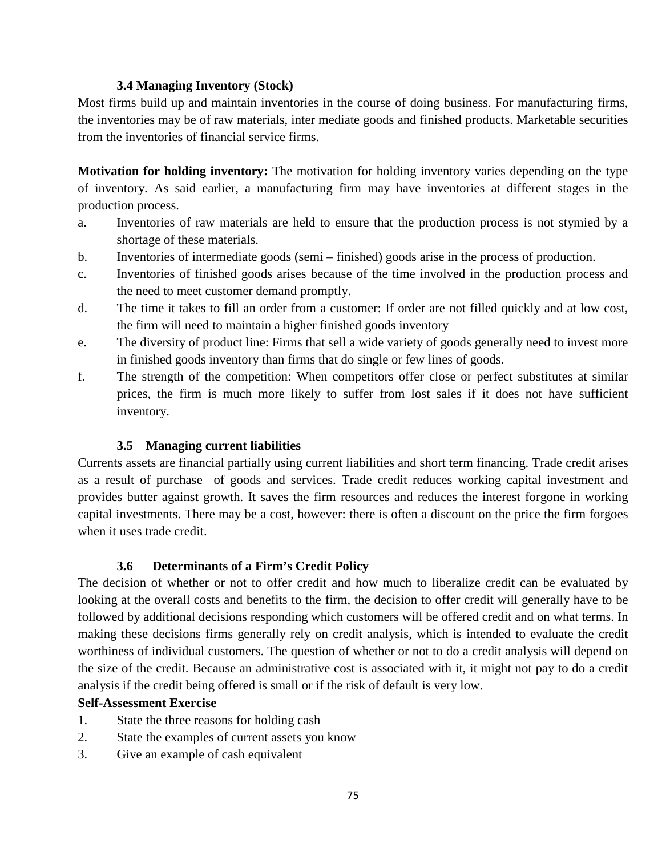### **3.4 Managing Inventory (Stock)**

Most firms build up and maintain inventories in the course of doing business. For manufacturing firms, the inventories may be of raw materials, inter mediate goods and finished products. Marketable securities from the inventories of financial service firms.

**Motivation for holding inventory:** The motivation for holding inventory varies depending on the type of inventory. As said earlier, a manufacturing firm may have inventories at different stages in the production process.

- a. Inventories of raw materials are held to ensure that the production process is not stymied by a shortage of these materials.
- b. Inventories of intermediate goods (semi finished) goods arise in the process of production.
- c. Inventories of finished goods arises because of the time involved in the production process and the need to meet customer demand promptly.
- d. The time it takes to fill an order from a customer: If order are not filled quickly and at low cost, the firm will need to maintain a higher finished goods inventory
- e. The diversity of product line: Firms that sell a wide variety of goods generally need to invest more in finished goods inventory than firms that do single or few lines of goods.
- f. The strength of the competition: When competitors offer close or perfect substitutes at similar prices, the firm is much more likely to suffer from lost sales if it does not have sufficient inventory.

### **3.5 Managing current liabilities**

Currents assets are financial partially using current liabilities and short term financing. Trade credit arises as a result of purchase of goods and services. Trade credit reduces working capital investment and provides butter against growth. It saves the firm resources and reduces the interest forgone in working capital investments. There may be a cost, however: there is often a discount on the price the firm forgoes when it uses trade credit.

# **3.6 Determinants of a Firm's Credit Policy**

The decision of whether or not to offer credit and how much to liberalize credit can be evaluated by looking at the overall costs and benefits to the firm, the decision to offer credit will generally have to be followed by additional decisions responding which customers will be offered credit and on what terms. In making these decisions firms generally rely on credit analysis, which is intended to evaluate the credit worthiness of individual customers. The question of whether or not to do a credit analysis will depend on the size of the credit. Because an administrative cost is associated with it, it might not pay to do a credit analysis if the credit being offered is small or if the risk of default is very low.

### **Self-Assessment Exercise**

- 1. State the three reasons for holding cash
- 2. State the examples of current assets you know
- 3. Give an example of cash equivalent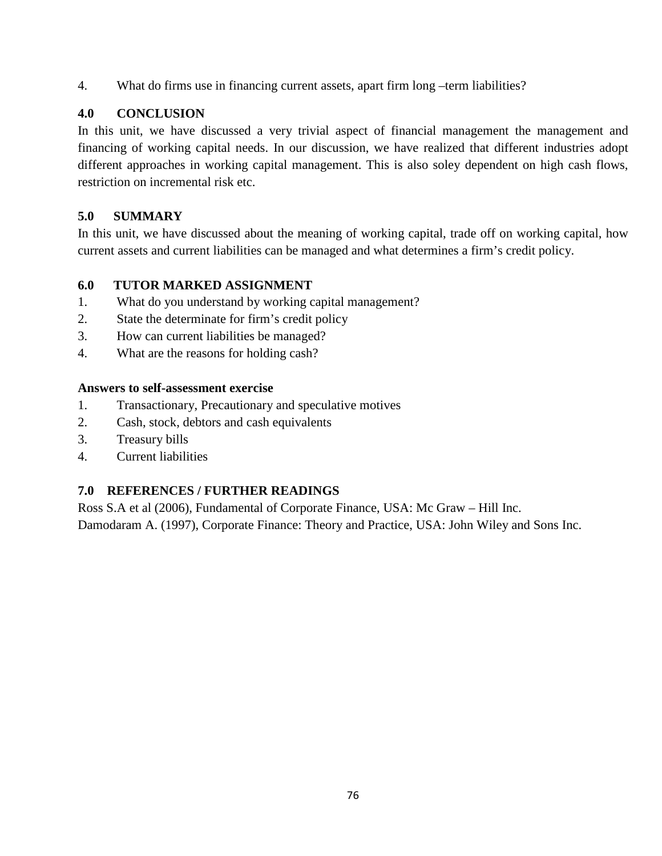4. What do firms use in financing current assets, apart firm long –term liabilities?

# **4.0 CONCLUSION**

In this unit, we have discussed a very trivial aspect of financial management the management and financing of working capital needs. In our discussion, we have realized that different industries adopt different approaches in working capital management. This is also soley dependent on high cash flows, restriction on incremental risk etc.

## **5.0 SUMMARY**

In this unit, we have discussed about the meaning of working capital, trade off on working capital, how current assets and current liabilities can be managed and what determines a firm's credit policy.

## **6.0 TUTOR MARKED ASSIGNMENT**

- 1. What do you understand by working capital management?
- 2. State the determinate for firm's credit policy
- 3. How can current liabilities be managed?
- 4. What are the reasons for holding cash?

## **Answers to self-assessment exercise**

- 1. Transactionary, Precautionary and speculative motives
- 2. Cash, stock, debtors and cash equivalents
- 3. Treasury bills
- 4. Current liabilities

# **7.0 REFERENCES / FURTHER READINGS**

Ross S.A et al (2006), Fundamental of Corporate Finance, USA: Mc Graw – Hill Inc. Damodaram A. (1997), Corporate Finance: Theory and Practice, USA: John Wiley and Sons Inc.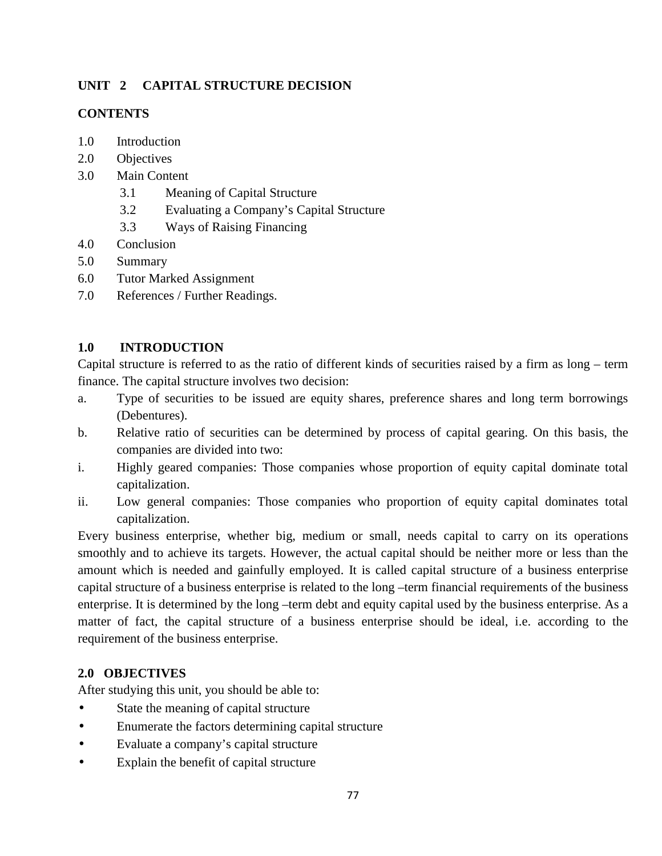# **UNIT 2 CAPITAL STRUCTURE DECISION**

#### **CONTENTS**

- 1.0 Introduction
- 2.0 Objectives
- 3.0 Main Content
	- 3.1 Meaning of Capital Structure
	- 3.2 Evaluating a Company's Capital Structure
	- 3.3 Ways of Raising Financing
- 4.0 Conclusion
- 5.0 Summary
- 6.0 Tutor Marked Assignment
- 7.0 References / Further Readings.

### **1.0 INTRODUCTION**

Capital structure is referred to as the ratio of different kinds of securities raised by a firm as long – term finance. The capital structure involves two decision:

- a. Type of securities to be issued are equity shares, preference shares and long term borrowings (Debentures).
- b. Relative ratio of securities can be determined by process of capital gearing. On this basis, the companies are divided into two:
- i. Highly geared companies: Those companies whose proportion of equity capital dominate total capitalization.
- ii. Low general companies: Those companies who proportion of equity capital dominates total capitalization.

Every business enterprise, whether big, medium or small, needs capital to carry on its operations smoothly and to achieve its targets. However, the actual capital should be neither more or less than the amount which is needed and gainfully employed. It is called capital structure of a business enterprise capital structure of a business enterprise is related to the long –term financial requirements of the business enterprise. It is determined by the long –term debt and equity capital used by the business enterprise. As a matter of fact, the capital structure of a business enterprise should be ideal, i.e. according to the requirement of the business enterprise.

### **2.0 OBJECTIVES**

After studying this unit, you should be able to:

- State the meaning of capital structure
- Enumerate the factors determining capital structure
- Evaluate a company's capital structure
- Explain the benefit of capital structure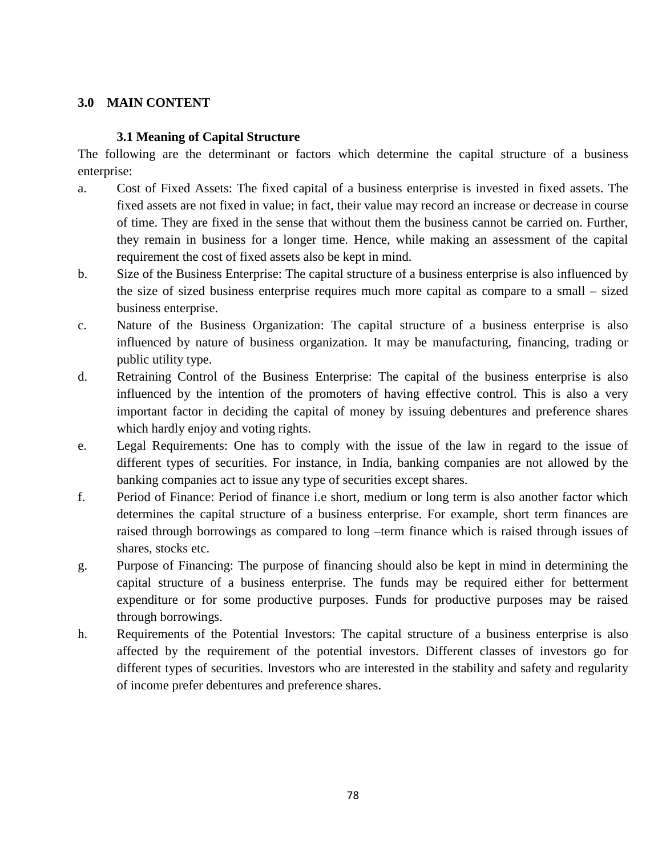#### **3.0 MAIN CONTENT**

#### **3.1 Meaning of Capital Structure**

The following are the determinant or factors which determine the capital structure of a business enterprise:

- a. Cost of Fixed Assets: The fixed capital of a business enterprise is invested in fixed assets. The fixed assets are not fixed in value; in fact, their value may record an increase or decrease in course of time. They are fixed in the sense that without them the business cannot be carried on. Further, they remain in business for a longer time. Hence, while making an assessment of the capital requirement the cost of fixed assets also be kept in mind.
- b. Size of the Business Enterprise: The capital structure of a business enterprise is also influenced by the size of sized business enterprise requires much more capital as compare to a small – sized business enterprise.
- c. Nature of the Business Organization: The capital structure of a business enterprise is also influenced by nature of business organization. It may be manufacturing, financing, trading or public utility type.
- d. Retraining Control of the Business Enterprise: The capital of the business enterprise is also influenced by the intention of the promoters of having effective control. This is also a very important factor in deciding the capital of money by issuing debentures and preference shares which hardly enjoy and voting rights.
- e. Legal Requirements: One has to comply with the issue of the law in regard to the issue of different types of securities. For instance, in India, banking companies are not allowed by the banking companies act to issue any type of securities except shares.
- f. Period of Finance: Period of finance i.e short, medium or long term is also another factor which determines the capital structure of a business enterprise. For example, short term finances are raised through borrowings as compared to long –term finance which is raised through issues of shares, stocks etc.
- g. Purpose of Financing: The purpose of financing should also be kept in mind in determining the capital structure of a business enterprise. The funds may be required either for betterment expenditure or for some productive purposes. Funds for productive purposes may be raised through borrowings.
- h. Requirements of the Potential Investors: The capital structure of a business enterprise is also affected by the requirement of the potential investors. Different classes of investors go for different types of securities. Investors who are interested in the stability and safety and regularity of income prefer debentures and preference shares.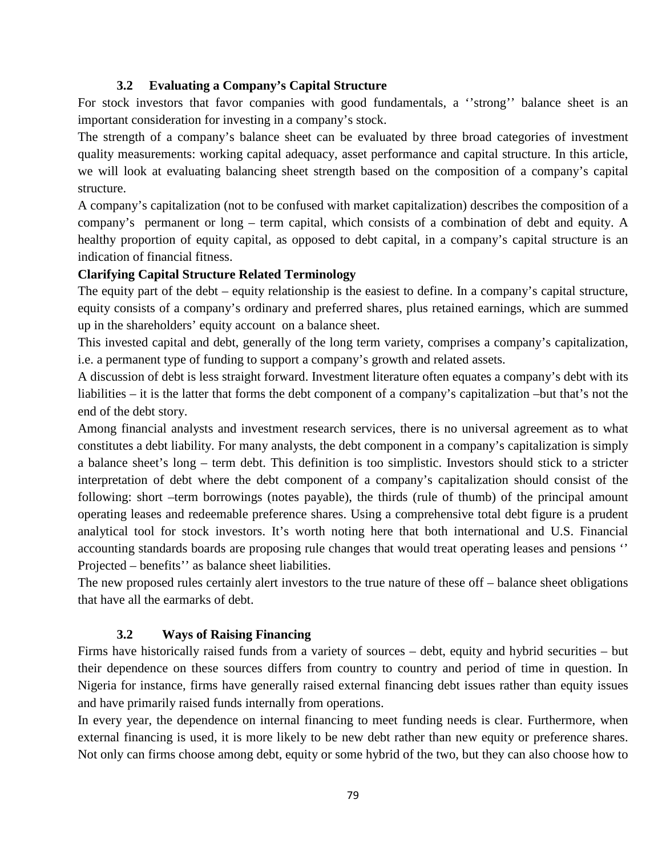#### **3.2 Evaluating a Company's Capital Structure**

For stock investors that favor companies with good fundamentals, a ''strong'' balance sheet is an important consideration for investing in a company's stock.

The strength of a company's balance sheet can be evaluated by three broad categories of investment quality measurements: working capital adequacy, asset performance and capital structure. In this article, we will look at evaluating balancing sheet strength based on the composition of a company's capital structure.

A company's capitalization (not to be confused with market capitalization) describes the composition of a company's permanent or long – term capital, which consists of a combination of debt and equity. A healthy proportion of equity capital, as opposed to debt capital, in a company's capital structure is an indication of financial fitness.

#### **Clarifying Capital Structure Related Terminology**

The equity part of the debt – equity relationship is the easiest to define. In a company's capital structure, equity consists of a company's ordinary and preferred shares, plus retained earnings, which are summed up in the shareholders' equity account on a balance sheet.

This invested capital and debt, generally of the long term variety, comprises a company's capitalization, i.e. a permanent type of funding to support a company's growth and related assets.

A discussion of debt is less straight forward. Investment literature often equates a company's debt with its liabilities – it is the latter that forms the debt component of a company's capitalization –but that's not the end of the debt story.

Among financial analysts and investment research services, there is no universal agreement as to what constitutes a debt liability. For many analysts, the debt component in a company's capitalization is simply a balance sheet's long – term debt. This definition is too simplistic. Investors should stick to a stricter interpretation of debt where the debt component of a company's capitalization should consist of the following: short –term borrowings (notes payable), the thirds (rule of thumb) of the principal amount operating leases and redeemable preference shares. Using a comprehensive total debt figure is a prudent analytical tool for stock investors. It's worth noting here that both international and U.S. Financial accounting standards boards are proposing rule changes that would treat operating leases and pensions '' Projected – benefits'' as balance sheet liabilities.

The new proposed rules certainly alert investors to the true nature of these off – balance sheet obligations that have all the earmarks of debt.

### **3.2 Ways of Raising Financing**

Firms have historically raised funds from a variety of sources – debt, equity and hybrid securities – but their dependence on these sources differs from country to country and period of time in question. In Nigeria for instance, firms have generally raised external financing debt issues rather than equity issues and have primarily raised funds internally from operations.

In every year, the dependence on internal financing to meet funding needs is clear. Furthermore, when external financing is used, it is more likely to be new debt rather than new equity or preference shares. Not only can firms choose among debt, equity or some hybrid of the two, but they can also choose how to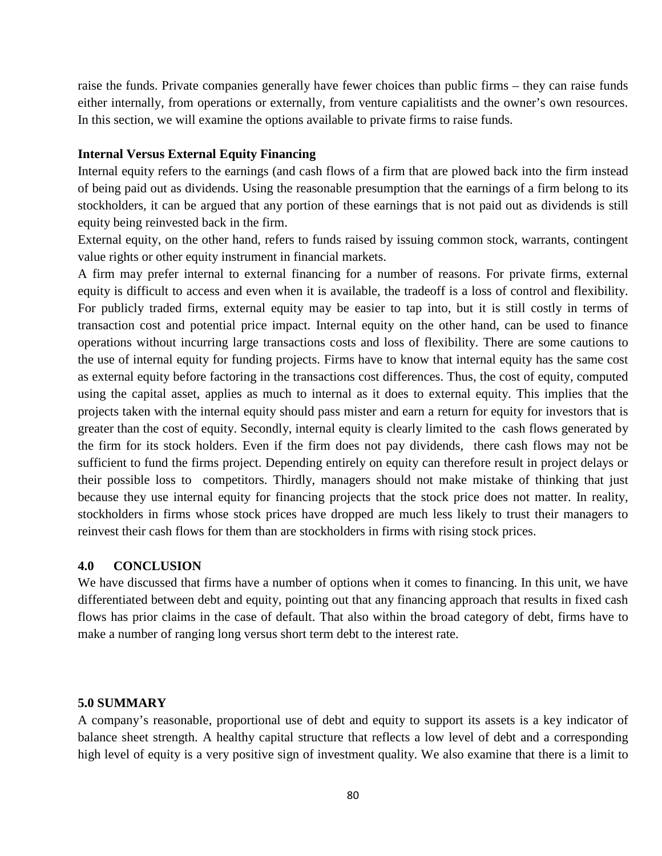raise the funds. Private companies generally have fewer choices than public firms – they can raise funds either internally, from operations or externally, from venture capialitists and the owner's own resources. In this section, we will examine the options available to private firms to raise funds.

#### **Internal Versus External Equity Financing**

Internal equity refers to the earnings (and cash flows of a firm that are plowed back into the firm instead of being paid out as dividends. Using the reasonable presumption that the earnings of a firm belong to its stockholders, it can be argued that any portion of these earnings that is not paid out as dividends is still equity being reinvested back in the firm.

External equity, on the other hand, refers to funds raised by issuing common stock, warrants, contingent value rights or other equity instrument in financial markets.

A firm may prefer internal to external financing for a number of reasons. For private firms, external equity is difficult to access and even when it is available, the tradeoff is a loss of control and flexibility. For publicly traded firms, external equity may be easier to tap into, but it is still costly in terms of transaction cost and potential price impact. Internal equity on the other hand, can be used to finance operations without incurring large transactions costs and loss of flexibility. There are some cautions to the use of internal equity for funding projects. Firms have to know that internal equity has the same cost as external equity before factoring in the transactions cost differences. Thus, the cost of equity, computed using the capital asset, applies as much to internal as it does to external equity. This implies that the projects taken with the internal equity should pass mister and earn a return for equity for investors that is greater than the cost of equity. Secondly, internal equity is clearly limited to the cash flows generated by the firm for its stock holders. Even if the firm does not pay dividends, there cash flows may not be sufficient to fund the firms project. Depending entirely on equity can therefore result in project delays or their possible loss to competitors. Thirdly, managers should not make mistake of thinking that just because they use internal equity for financing projects that the stock price does not matter. In reality, stockholders in firms whose stock prices have dropped are much less likely to trust their managers to reinvest their cash flows for them than are stockholders in firms with rising stock prices.

#### **4.0 CONCLUSION**

We have discussed that firms have a number of options when it comes to financing. In this unit, we have differentiated between debt and equity, pointing out that any financing approach that results in fixed cash flows has prior claims in the case of default. That also within the broad category of debt, firms have to make a number of ranging long versus short term debt to the interest rate.

#### **5.0 SUMMARY**

A company's reasonable, proportional use of debt and equity to support its assets is a key indicator of balance sheet strength. A healthy capital structure that reflects a low level of debt and a corresponding high level of equity is a very positive sign of investment quality. We also examine that there is a limit to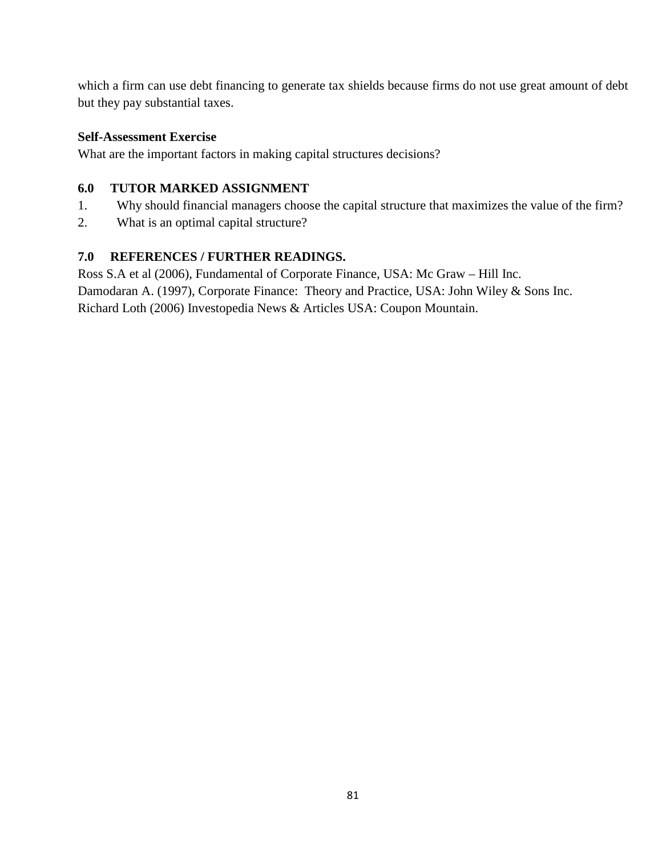which a firm can use debt financing to generate tax shields because firms do not use great amount of debt but they pay substantial taxes.

### **Self-Assessment Exercise**

What are the important factors in making capital structures decisions?

#### **6.0 TUTOR MARKED ASSIGNMENT**

- 1. Why should financial managers choose the capital structure that maximizes the value of the firm?
- 2. What is an optimal capital structure?

### **7.0 REFERENCES / FURTHER READINGS.**

Ross S.A et al (2006), Fundamental of Corporate Finance, USA: Mc Graw – Hill Inc. Damodaran A. (1997), Corporate Finance: Theory and Practice, USA: John Wiley & Sons Inc. Richard Loth (2006) Investopedia News & Articles USA: Coupon Mountain.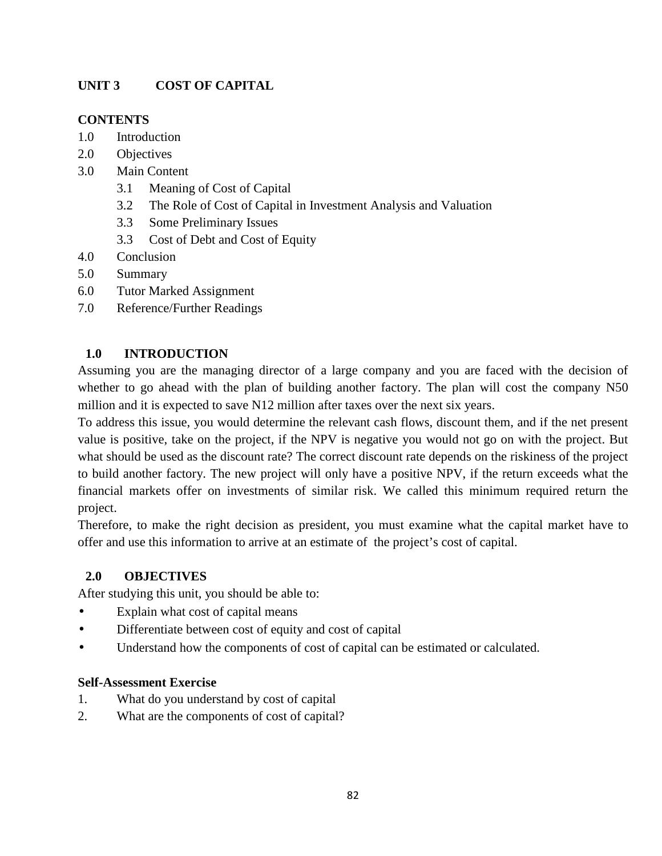# **UNIT 3 COST OF CAPITAL**

### **CONTENTS**

- 1.0 Introduction
- 2.0 Objectives
- 3.0 Main Content
	- 3.1 Meaning of Cost of Capital
	- 3.2 The Role of Cost of Capital in Investment Analysis and Valuation
	- 3.3 Some Preliminary Issues
	- 3.3 Cost of Debt and Cost of Equity
- 4.0 Conclusion
- 5.0 Summary
- 6.0 Tutor Marked Assignment
- 7.0 Reference/Further Readings

## **1.0 INTRODUCTION**

Assuming you are the managing director of a large company and you are faced with the decision of whether to go ahead with the plan of building another factory. The plan will cost the company N50 million and it is expected to save N12 million after taxes over the next six years.

To address this issue, you would determine the relevant cash flows, discount them, and if the net present value is positive, take on the project, if the NPV is negative you would not go on with the project. But what should be used as the discount rate? The correct discount rate depends on the riskiness of the project to build another factory. The new project will only have a positive NPV, if the return exceeds what the financial markets offer on investments of similar risk. We called this minimum required return the project.

Therefore, to make the right decision as president, you must examine what the capital market have to offer and use this information to arrive at an estimate of the project's cost of capital.

### **2.0 OBJECTIVES**

After studying this unit, you should be able to:

- Explain what cost of capital means
- Differentiate between cost of equity and cost of capital
- Understand how the components of cost of capital can be estimated or calculated.

### **Self-Assessment Exercise**

- 1. What do you understand by cost of capital
- 2. What are the components of cost of capital?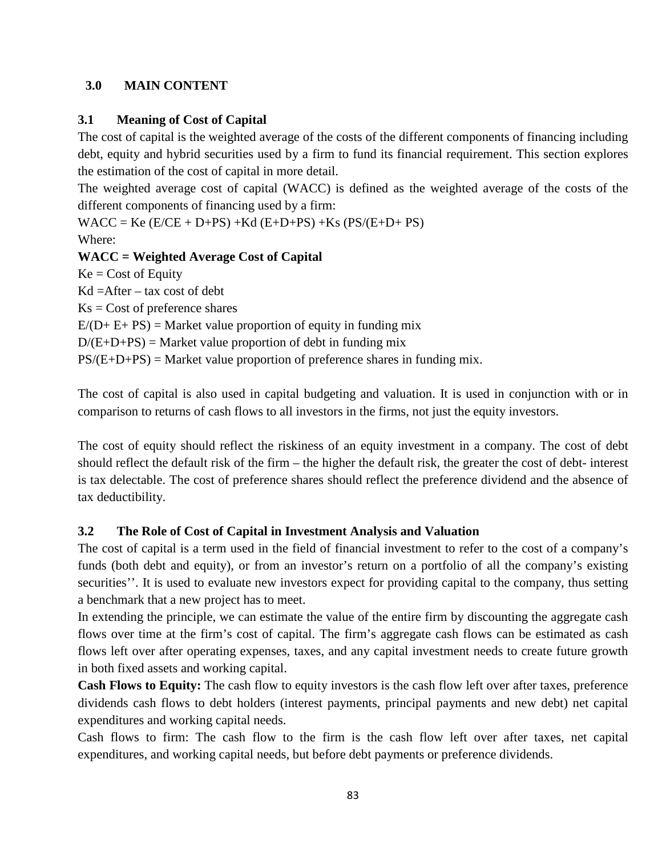## **3.0 MAIN CONTENT**

## **3.1 Meaning of Cost of Capital**

The cost of capital is the weighted average of the costs of the different components of financing including debt, equity and hybrid securities used by a firm to fund its financial requirement. This section explores the estimation of the cost of capital in more detail.

The weighted average cost of capital (WACC) is defined as the weighted average of the costs of the different components of financing used by a firm:

 $WACC = Ke (E/CE + D+PS) + Kd (E+D+PS) +Ks (PS/(E+D+PS))$ 

Where:

# **WACC = Weighted Average Cost of Capital**

 $Ke = Cost of Equity$ 

 $Kd =$ After – tax cost of debt

 $Ks = Cost of preference shares$ 

 $E/(D+E+PS) =$  Market value proportion of equity in funding mix

 $D/(E+D+PS) =$  Market value proportion of debt in funding mix

 $PS/(E+D+PS) =$  Market value proportion of preference shares in funding mix.

The cost of capital is also used in capital budgeting and valuation. It is used in conjunction with or in comparison to returns of cash flows to all investors in the firms, not just the equity investors.

The cost of equity should reflect the riskiness of an equity investment in a company. The cost of debt should reflect the default risk of the firm – the higher the default risk, the greater the cost of debt- interest is tax delectable. The cost of preference shares should reflect the preference dividend and the absence of tax deductibility.

# **3.2 The Role of Cost of Capital in Investment Analysis and Valuation**

The cost of capital is a term used in the field of financial investment to refer to the cost of a company's funds (both debt and equity), or from an investor's return on a portfolio of all the company's existing securities". It is used to evaluate new investors expect for providing capital to the company, thus setting a benchmark that a new project has to meet.

In extending the principle, we can estimate the value of the entire firm by discounting the aggregate cash flows over time at the firm's cost of capital. The firm's aggregate cash flows can be estimated as cash flows left over after operating expenses, taxes, and any capital investment needs to create future growth in both fixed assets and working capital.

**Cash Flows to Equity:** The cash flow to equity investors is the cash flow left over after taxes, preference dividends cash flows to debt holders (interest payments, principal payments and new debt) net capital expenditures and working capital needs.

Cash flows to firm: The cash flow to the firm is the cash flow left over after taxes, net capital expenditures, and working capital needs, but before debt payments or preference dividends.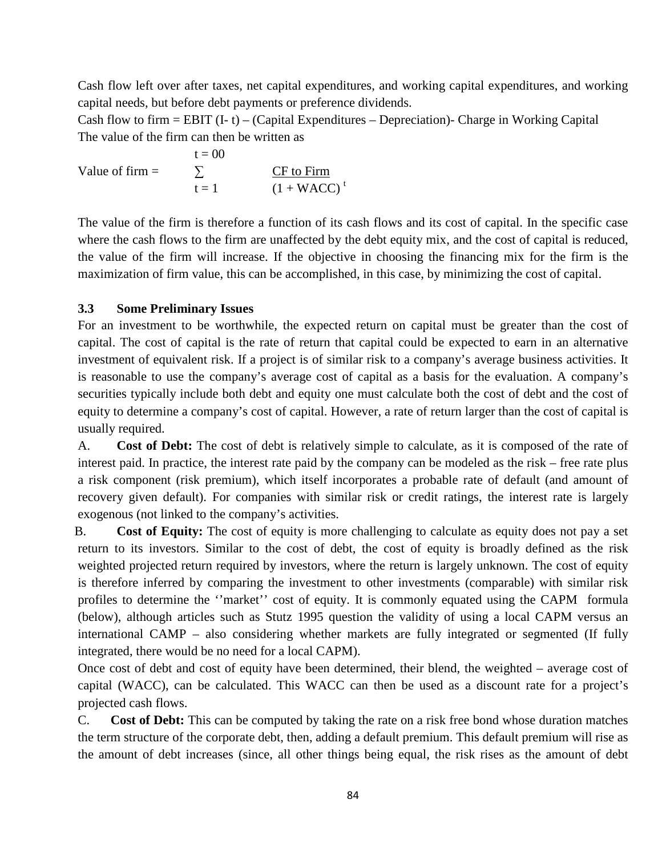Cash flow left over after taxes, net capital expenditures, and working capital expenditures, and working capital needs, but before debt payments or preference dividends.

Cash flow to firm  $=$  EBIT (I- t)  $-$  (Capital Expenditures  $-$  Depreciation)- Charge in Working Capital The value of the firm can then be written as

 $t = 00$ Value of firm =  $\sum$  CF to Firm  $t = 1$   $(1 + WACC)^{t}$ 

The value of the firm is therefore a function of its cash flows and its cost of capital. In the specific case where the cash flows to the firm are unaffected by the debt equity mix, and the cost of capital is reduced, the value of the firm will increase. If the objective in choosing the financing mix for the firm is the maximization of firm value, this can be accomplished, in this case, by minimizing the cost of capital.

## **3.3 Some Preliminary Issues**

For an investment to be worthwhile, the expected return on capital must be greater than the cost of capital. The cost of capital is the rate of return that capital could be expected to earn in an alternative investment of equivalent risk. If a project is of similar risk to a company's average business activities. It is reasonable to use the company's average cost of capital as a basis for the evaluation. A company's securities typically include both debt and equity one must calculate both the cost of debt and the cost of equity to determine a company's cost of capital. However, a rate of return larger than the cost of capital is usually required.

A. **Cost of Debt:** The cost of debt is relatively simple to calculate, as it is composed of the rate of interest paid. In practice, the interest rate paid by the company can be modeled as the risk – free rate plus a risk component (risk premium), which itself incorporates a probable rate of default (and amount of recovery given default). For companies with similar risk or credit ratings, the interest rate is largely exogenous (not linked to the company's activities.

 B. **Cost of Equity:** The cost of equity is more challenging to calculate as equity does not pay a set return to its investors. Similar to the cost of debt, the cost of equity is broadly defined as the risk weighted projected return required by investors, where the return is largely unknown. The cost of equity is therefore inferred by comparing the investment to other investments (comparable) with similar risk profiles to determine the ''market'' cost of equity. It is commonly equated using the CAPM formula (below), although articles such as Stutz 1995 question the validity of using a local CAPM versus an international CAMP – also considering whether markets are fully integrated or segmented (If fully integrated, there would be no need for a local CAPM).

Once cost of debt and cost of equity have been determined, their blend, the weighted – average cost of capital (WACC), can be calculated. This WACC can then be used as a discount rate for a project's projected cash flows.

C. **Cost of Debt:** This can be computed by taking the rate on a risk free bond whose duration matches the term structure of the corporate debt, then, adding a default premium. This default premium will rise as the amount of debt increases (since, all other things being equal, the risk rises as the amount of debt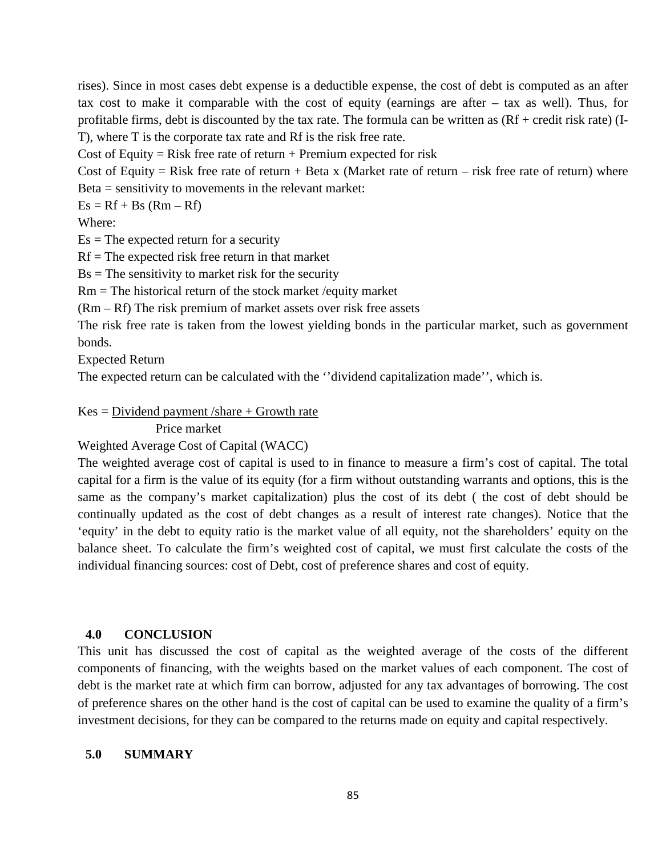rises). Since in most cases debt expense is a deductible expense, the cost of debt is computed as an after tax cost to make it comparable with the cost of equity (earnings are after – tax as well). Thus, for profitable firms, debt is discounted by the tax rate. The formula can be written as (Rf + credit risk rate) (I-T), where T is the corporate tax rate and Rf is the risk free rate.

Cost of Equity = Risk free rate of return + Premium expected for risk

Cost of Equity = Risk free rate of return + Beta x (Market rate of return – risk free rate of return) where Beta = sensitivity to movements in the relevant market:

 $Es = Rf + Bs (Rm - Rf)$ 

Where:

 $Es = The expected return for a security$ 

 $Rf$  = The expected risk free return in that market

 $Bs = The$  sensitivity to market risk for the security

Rm = The historical return of the stock market /equity market

(Rm – Rf) The risk premium of market assets over risk free assets

The risk free rate is taken from the lowest yielding bonds in the particular market, such as government bonds.

Expected Return

The expected return can be calculated with the ''dividend capitalization made'', which is.

 $Kes = Dividend payment / share + Growth rate$ 

Price market

Weighted Average Cost of Capital (WACC)

The weighted average cost of capital is used to in finance to measure a firm's cost of capital. The total capital for a firm is the value of its equity (for a firm without outstanding warrants and options, this is the same as the company's market capitalization) plus the cost of its debt ( the cost of debt should be continually updated as the cost of debt changes as a result of interest rate changes). Notice that the 'equity' in the debt to equity ratio is the market value of all equity, not the shareholders' equity on the balance sheet. To calculate the firm's weighted cost of capital, we must first calculate the costs of the individual financing sources: cost of Debt, cost of preference shares and cost of equity.

#### **4.0 CONCLUSION**

This unit has discussed the cost of capital as the weighted average of the costs of the different components of financing, with the weights based on the market values of each component. The cost of debt is the market rate at which firm can borrow, adjusted for any tax advantages of borrowing. The cost of preference shares on the other hand is the cost of capital can be used to examine the quality of a firm's investment decisions, for they can be compared to the returns made on equity and capital respectively.

#### **5.0 SUMMARY**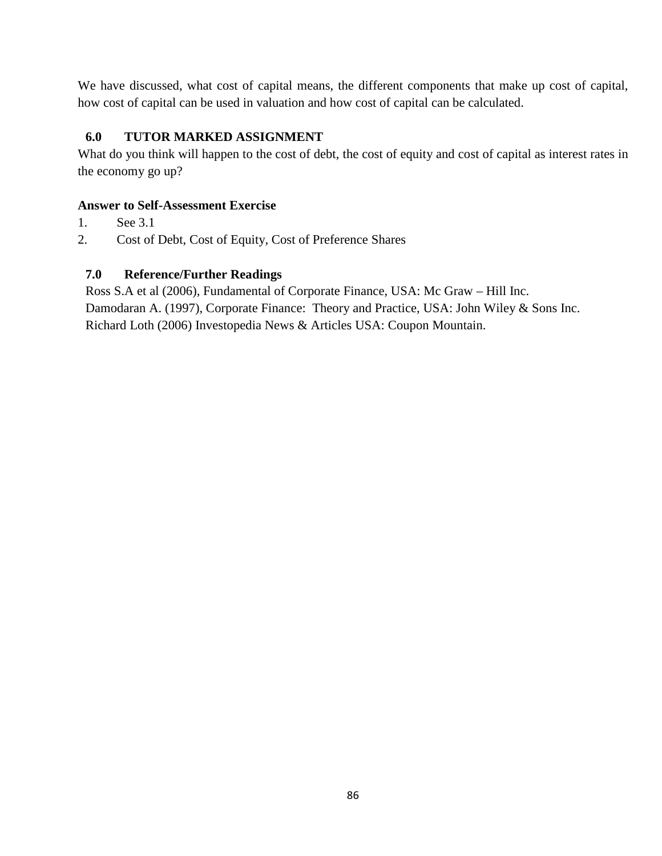We have discussed, what cost of capital means, the different components that make up cost of capital, how cost of capital can be used in valuation and how cost of capital can be calculated.

# **6.0 TUTOR MARKED ASSIGNMENT**

What do you think will happen to the cost of debt, the cost of equity and cost of capital as interest rates in the economy go up?

## **Answer to Self-Assessment Exercise**

- 1. See 3.1
- 2. Cost of Debt, Cost of Equity, Cost of Preference Shares

## **7.0 Reference/Further Readings**

Ross S.A et al (2006), Fundamental of Corporate Finance, USA: Mc Graw – Hill Inc. Damodaran A. (1997), Corporate Finance: Theory and Practice, USA: John Wiley & Sons Inc. Richard Loth (2006) Investopedia News & Articles USA: Coupon Mountain.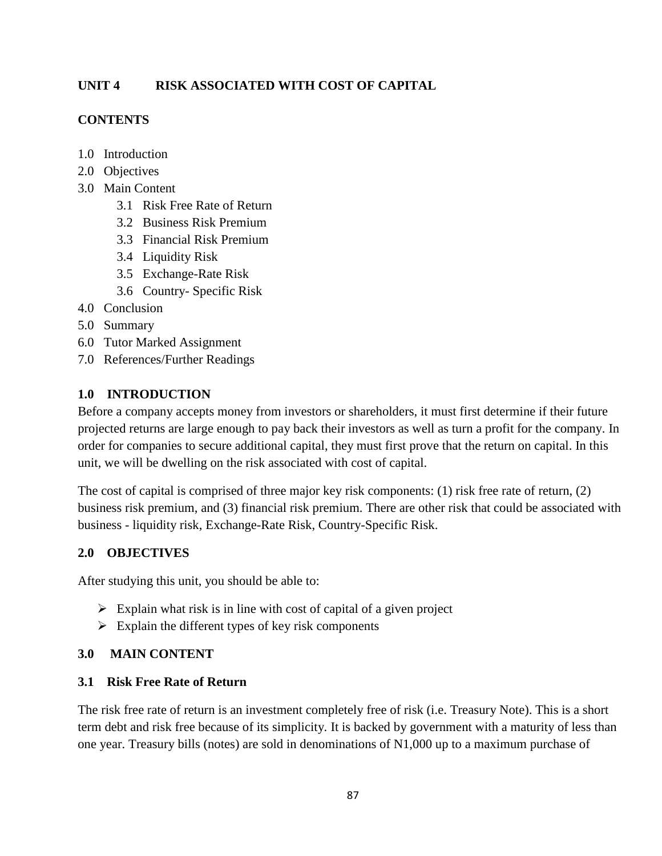# **UNIT 4 RISK ASSOCIATED WITH COST OF CAPITAL**

### **CONTENTS**

- 1.0 Introduction
- 2.0 Objectives
- 3.0 Main Content
	- 3.1 Risk Free Rate of Return
	- 3.2 Business Risk Premium
	- 3.3 Financial Risk Premium
	- 3.4 Liquidity Risk
	- 3.5 Exchange-Rate Risk
	- 3.6 Country- Specific Risk
- 4.0 Conclusion
- 5.0 Summary
- 6.0 Tutor Marked Assignment
- 7.0 References/Further Readings

## **1.0 INTRODUCTION**

Before a company accepts money from investors or shareholders, it must first determine if their future projected returns are large enough to pay back their investors as well as turn a profit for the company. In order for companies to secure additional capital, they must first prove that the return on capital. In this unit, we will be dwelling on the risk associated with cost of capital.

The cost of capital is comprised of three major key risk components: (1) risk free rate of return, (2) business risk premium, and (3) financial risk premium. There are other risk that could be associated with business - liquidity risk, Exchange-Rate Risk, Country-Specific Risk.

### **2.0 OBJECTIVES**

After studying this unit, you should be able to:

- $\triangleright$  Explain what risk is in line with cost of capital of a given project
- $\triangleright$  Explain the different types of key risk components

# **3.0 MAIN CONTENT**

### **3.1 Risk Free Rate of Return**

The risk free rate of return is an investment completely free of risk (i.e. Treasury Note). This is a short term debt and risk free because of its simplicity. It is backed by government with a maturity of less than one year. Treasury bills (notes) are sold in denominations of N1,000 up to a maximum purchase of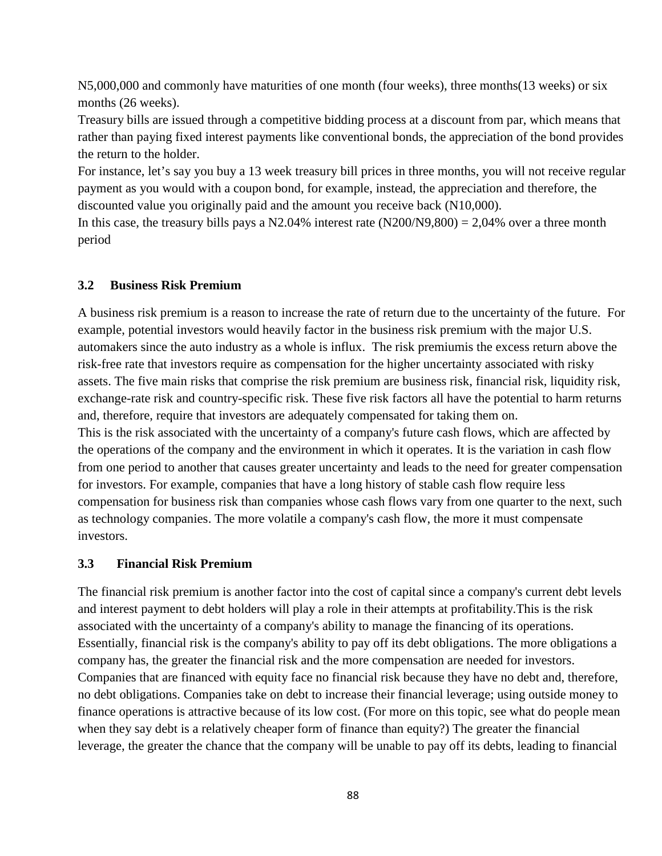N5,000,000 and commonly have maturities of one month (four weeks), three months(13 weeks) or six months (26 weeks).

Treasury bills are issued through a competitive bidding process at a discount from par, which means that rather than paying fixed interest payments like conventional bonds, the appreciation of the bond provides the return to the holder.

For instance, let's say you buy a 13 week treasury bill prices in three months, you will not receive regular payment as you would with a coupon bond, for example, instead, the appreciation and therefore, the discounted value you originally paid and the amount you receive back (N10,000).

In this case, the treasury bills pays a N2.04% interest rate  $(N200/N9,800) = 2,04%$  over a three month period

#### **3.2 Business Risk Premium**

A business risk premium is a reason to increase the rate of return due to the uncertainty of the future. For example, potential investors would heavily factor in the business risk premium with the major U.S. automakers since the auto industry as a whole is influx. The risk premiumis the excess return above the risk-free rate that investors require as compensation for the higher uncertainty associated with risky assets. The five main risks that comprise the risk premium are business risk, financial risk, liquidity risk, exchange-rate risk and country-specific risk. These five risk factors all have the potential to harm returns and, therefore, require that investors are adequately compensated for taking them on. This is the risk associated with the uncertainty of a company's future cash flows, which are affected by the operations of the company and the environment in which it operates. It is the variation in cash flow from one period to another that causes greater uncertainty and leads to the need for greater compensation for investors. For example, companies that have a long history of stable cash flow require less compensation for business risk than companies whose cash flows vary from one quarter to the next, such as technology companies. The more volatile a company's cash flow, the more it must compensate investors.

#### **3.3 Financial Risk Premium**

The financial risk premium is another factor into the cost of capital since a company's current debt levels and interest payment to debt holders will play a role in their attempts at profitability.This is the risk associated with the uncertainty of a company's ability to manage the financing of its operations. Essentially, financial risk is the company's ability to pay off its debt obligations. The more obligations a company has, the greater the financial risk and the more compensation are needed for investors. Companies that are financed with equity face no financial risk because they have no debt and, therefore, no debt obligations. Companies take on debt to increase their financial leverage; using outside money to finance operations is attractive because of its low cost. (For more on this topic, see what do people mean when they say debt is a relatively cheaper form of finance than equity?) The greater the financial leverage, the greater the chance that the company will be unable to pay off its debts, leading to financial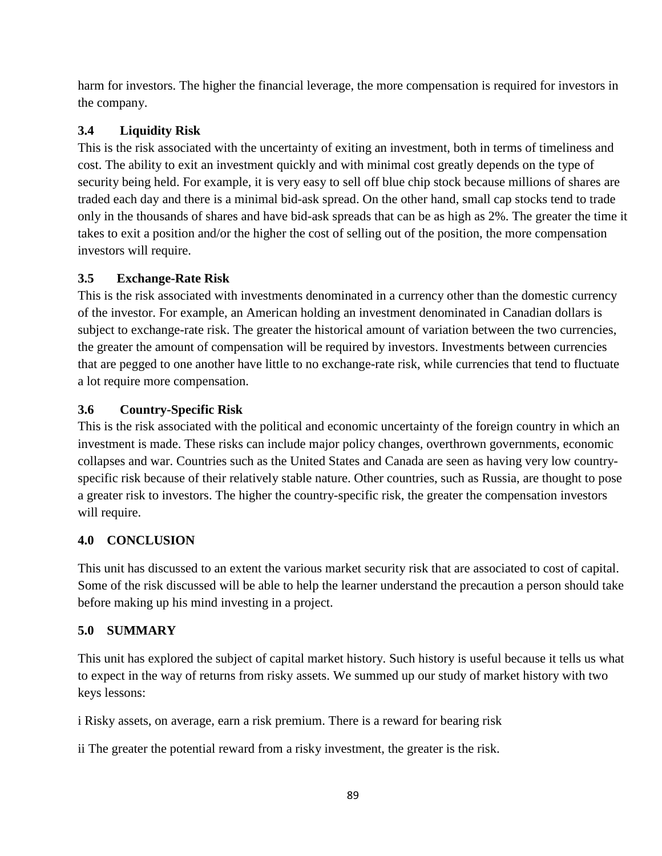harm for investors. The higher the financial leverage, the more compensation is required for investors in the company.

# **3.4 Liquidity Risk**

This is the risk associated with the uncertainty of exiting an investment, both in terms of timeliness and cost. The ability to exit an investment quickly and with minimal cost greatly depends on the type of security being held. For example, it is very easy to sell off blue chip stock because millions of shares are traded each day and there is a minimal bid-ask spread. On the other hand, small cap stocks tend to trade only in the thousands of shares and have bid-ask spreads that can be as high as 2%. The greater the time it takes to exit a position and/or the higher the cost of selling out of the position, the more compensation investors will require.

## **3.5 Exchange-Rate Risk**

This is the risk associated with investments denominated in a currency other than the domestic currency of the investor. For example, an American holding an investment denominated in Canadian dollars is subject to exchange-rate risk. The greater the historical amount of variation between the two currencies, the greater the amount of compensation will be required by investors. Investments between currencies that are pegged to one another have little to no exchange-rate risk, while currencies that tend to fluctuate a lot require more compensation.

## **3.6 Country-Specific Risk**

This is the risk associated with the political and economic uncertainty of the foreign country in which an investment is made. These risks can include major policy changes, overthrown governments, economic collapses and war. Countries such as the United States and Canada are seen as having very low countryspecific risk because of their relatively stable nature. Other countries, such as Russia, are thought to pose a greater risk to investors. The higher the country-specific risk, the greater the compensation investors will require.

# **4.0 CONCLUSION**

This unit has discussed to an extent the various market security risk that are associated to cost of capital. Some of the risk discussed will be able to help the learner understand the precaution a person should take before making up his mind investing in a project.

### **5.0 SUMMARY**

This unit has explored the subject of capital market history. Such history is useful because it tells us what to expect in the way of returns from risky assets. We summed up our study of market history with two keys lessons:

i Risky assets, on average, earn a risk premium. There is a reward for bearing risk

ii The greater the potential reward from a risky investment, the greater is the risk.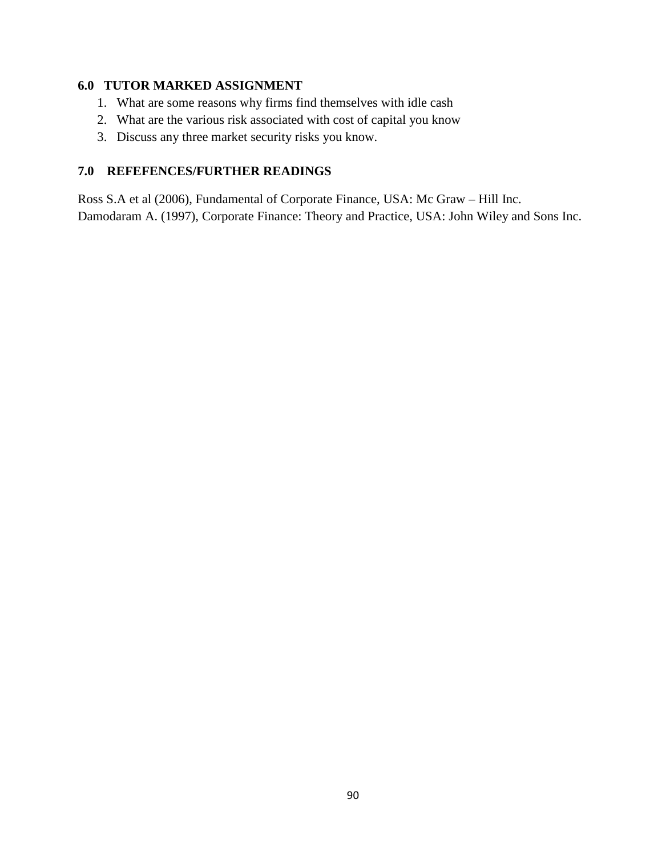### **6.0 TUTOR MARKED ASSIGNMENT**

- 1. What are some reasons why firms find themselves with idle cash
- 2. What are the various risk associated with cost of capital you know
- 3. Discuss any three market security risks you know.

#### **7.0 REFEFENCES/FURTHER READINGS**

Ross S.A et al (2006), Fundamental of Corporate Finance, USA: Mc Graw – Hill Inc. Damodaram A. (1997), Corporate Finance: Theory and Practice, USA: John Wiley and Sons Inc.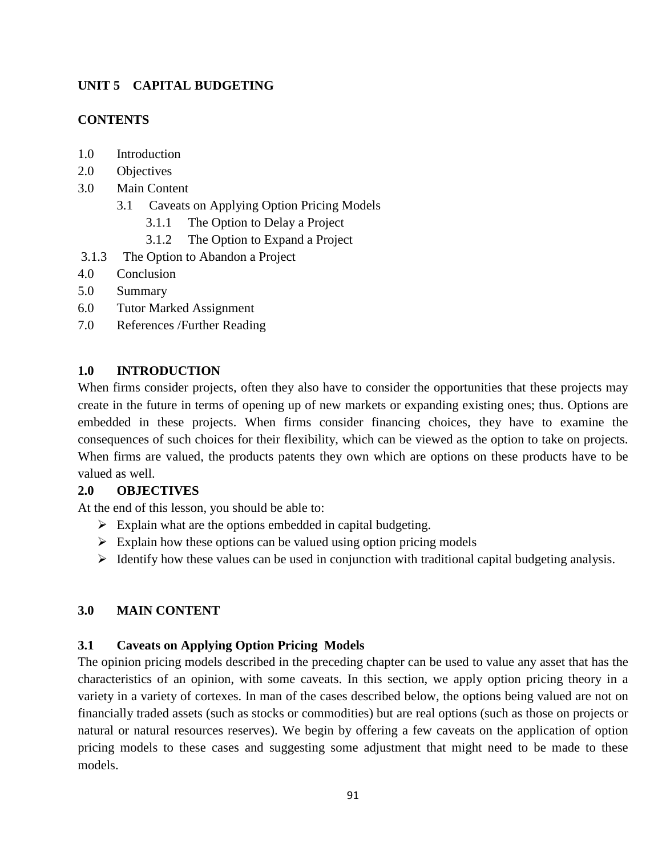# **UNIT 5 CAPITAL BUDGETING**

#### **CONTENTS**

- 1.0 Introduction
- 2.0 Objectives
- 3.0 Main Content
	- 3.1 Caveats on Applying Option Pricing Models
		- 3.1.1 The Option to Delay a Project
		- 3.1.2 The Option to Expand a Project
- 3.1.3 The Option to Abandon a Project
- 4.0 Conclusion
- 5.0 Summary
- 6.0 Tutor Marked Assignment
- 7.0 References /Further Reading

### **1.0 INTRODUCTION**

When firms consider projects, often they also have to consider the opportunities that these projects may create in the future in terms of opening up of new markets or expanding existing ones; thus. Options are embedded in these projects. When firms consider financing choices, they have to examine the consequences of such choices for their flexibility, which can be viewed as the option to take on projects. When firms are valued, the products patents they own which are options on these products have to be valued as well.

### **2.0 OBJECTIVES**

At the end of this lesson, you should be able to:

- $\triangleright$  Explain what are the options embedded in capital budgeting.
- $\triangleright$  Explain how these options can be valued using option pricing models
- $\triangleright$  Identify how these values can be used in conjunction with traditional capital budgeting analysis.

### **3.0 MAIN CONTENT**

### **3.1 Caveats on Applying Option Pricing Models**

The opinion pricing models described in the preceding chapter can be used to value any asset that has the characteristics of an opinion, with some caveats. In this section, we apply option pricing theory in a variety in a variety of cortexes. In man of the cases described below, the options being valued are not on financially traded assets (such as stocks or commodities) but are real options (such as those on projects or natural or natural resources reserves). We begin by offering a few caveats on the application of option pricing models to these cases and suggesting some adjustment that might need to be made to these models.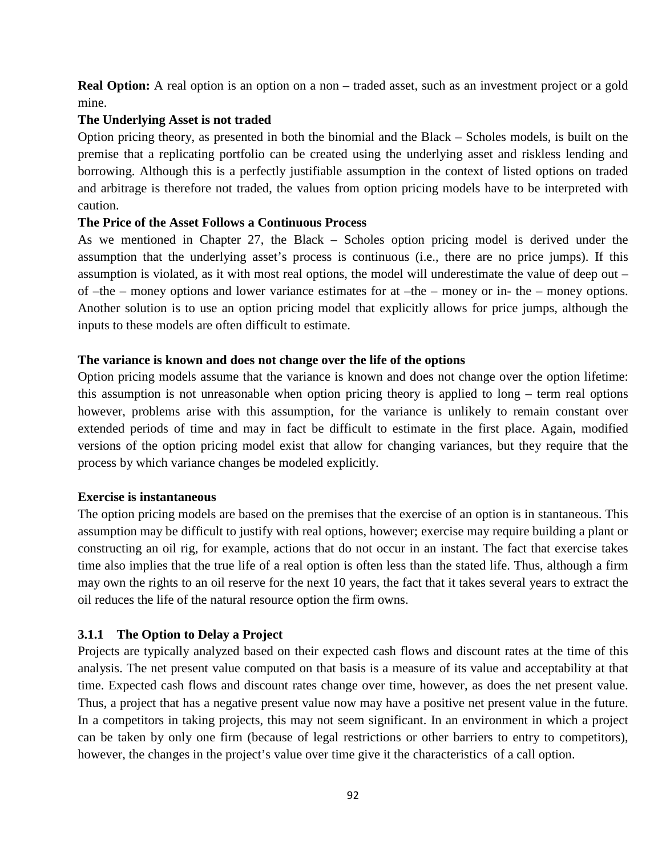**Real Option:** A real option is an option on a non – traded asset, such as an investment project or a gold mine.

#### **The Underlying Asset is not traded**

Option pricing theory, as presented in both the binomial and the Black – Scholes models, is built on the premise that a replicating portfolio can be created using the underlying asset and riskless lending and borrowing. Although this is a perfectly justifiable assumption in the context of listed options on traded and arbitrage is therefore not traded, the values from option pricing models have to be interpreted with caution.

#### **The Price of the Asset Follows a Continuous Process**

As we mentioned in Chapter 27, the Black – Scholes option pricing model is derived under the assumption that the underlying asset's process is continuous (i.e., there are no price jumps). If this assumption is violated, as it with most real options, the model will underestimate the value of deep out – of –the – money options and lower variance estimates for at –the – money or in- the – money options. Another solution is to use an option pricing model that explicitly allows for price jumps, although the inputs to these models are often difficult to estimate.

#### **The variance is known and does not change over the life of the options**

Option pricing models assume that the variance is known and does not change over the option lifetime: this assumption is not unreasonable when option pricing theory is applied to long – term real options however, problems arise with this assumption, for the variance is unlikely to remain constant over extended periods of time and may in fact be difficult to estimate in the first place. Again, modified versions of the option pricing model exist that allow for changing variances, but they require that the process by which variance changes be modeled explicitly.

#### **Exercise is instantaneous**

The option pricing models are based on the premises that the exercise of an option is in stantaneous. This assumption may be difficult to justify with real options, however; exercise may require building a plant or constructing an oil rig, for example, actions that do not occur in an instant. The fact that exercise takes time also implies that the true life of a real option is often less than the stated life. Thus, although a firm may own the rights to an oil reserve for the next 10 years, the fact that it takes several years to extract the oil reduces the life of the natural resource option the firm owns.

#### **3.1.1 The Option to Delay a Project**

Projects are typically analyzed based on their expected cash flows and discount rates at the time of this analysis. The net present value computed on that basis is a measure of its value and acceptability at that time. Expected cash flows and discount rates change over time, however, as does the net present value. Thus, a project that has a negative present value now may have a positive net present value in the future. In a competitors in taking projects, this may not seem significant. In an environment in which a project can be taken by only one firm (because of legal restrictions or other barriers to entry to competitors), however, the changes in the project's value over time give it the characteristics of a call option.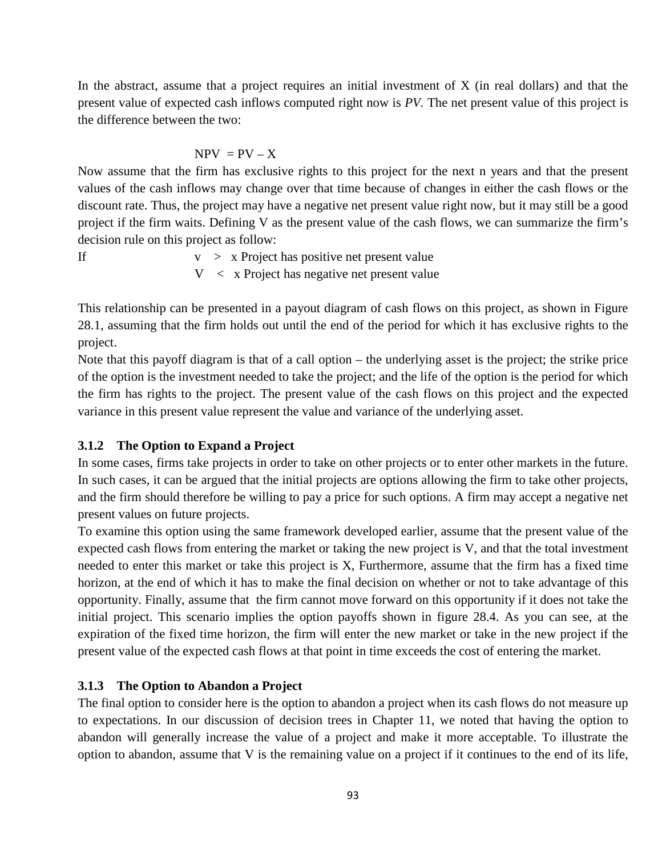In the abstract, assume that a project requires an initial investment of  $X$  (in real dollars) and that the present value of expected cash inflows computed right now is *PV.* The net present value of this project is the difference between the two:

#### $NPV = PV - X$

Now assume that the firm has exclusive rights to this project for the next n years and that the present values of the cash inflows may change over that time because of changes in either the cash flows or the discount rate. Thus, the project may have a negative net present value right now, but it may still be a good project if the firm waits. Defining V as the present value of the cash flows, we can summarize the firm's decision rule on this project as follow:

If  $v > x$  Project has positive net present value V < x Project has negative net present value

This relationship can be presented in a payout diagram of cash flows on this project, as shown in Figure 28.1, assuming that the firm holds out until the end of the period for which it has exclusive rights to the project.

Note that this payoff diagram is that of a call option – the underlying asset is the project; the strike price of the option is the investment needed to take the project; and the life of the option is the period for which the firm has rights to the project. The present value of the cash flows on this project and the expected variance in this present value represent the value and variance of the underlying asset.

#### **3.1.2 The Option to Expand a Project**

In some cases, firms take projects in order to take on other projects or to enter other markets in the future. In such cases, it can be argued that the initial projects are options allowing the firm to take other projects, and the firm should therefore be willing to pay a price for such options. A firm may accept a negative net present values on future projects.

To examine this option using the same framework developed earlier, assume that the present value of the expected cash flows from entering the market or taking the new project is V, and that the total investment needed to enter this market or take this project is X, Furthermore, assume that the firm has a fixed time horizon, at the end of which it has to make the final decision on whether or not to take advantage of this opportunity. Finally, assume that the firm cannot move forward on this opportunity if it does not take the initial project. This scenario implies the option payoffs shown in figure 28.4. As you can see, at the expiration of the fixed time horizon, the firm will enter the new market or take in the new project if the present value of the expected cash flows at that point in time exceeds the cost of entering the market.

#### **3.1.3 The Option to Abandon a Project**

The final option to consider here is the option to abandon a project when its cash flows do not measure up to expectations. In our discussion of decision trees in Chapter 11, we noted that having the option to abandon will generally increase the value of a project and make it more acceptable. To illustrate the option to abandon, assume that V is the remaining value on a project if it continues to the end of its life,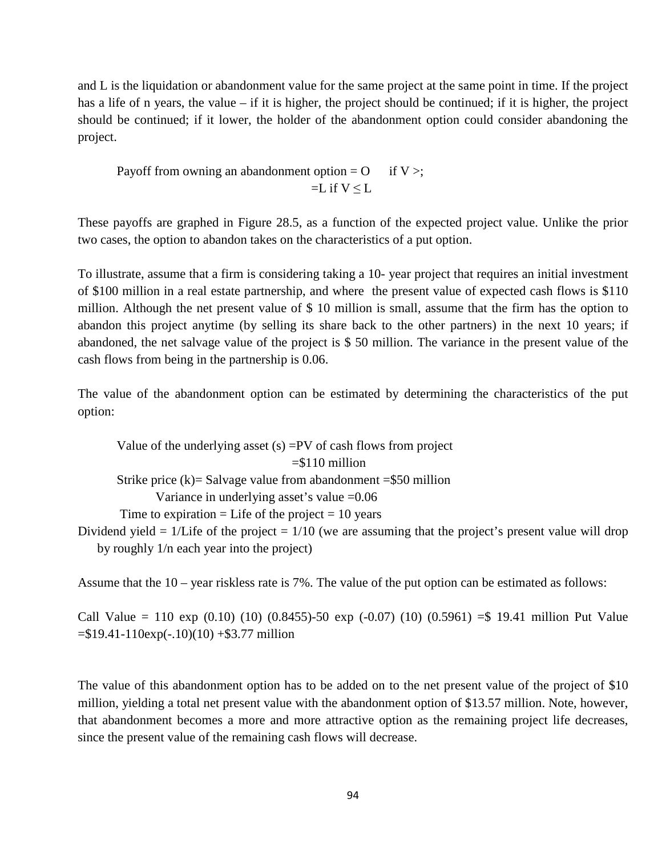and L is the liquidation or abandonment value for the same project at the same point in time. If the project has a life of n years, the value – if it is higher, the project should be continued; if it is higher, the project should be continued; if it lower, the holder of the abandonment option could consider abandoning the project.

Payoff from owning an abandonment option =  $O$  if V >;  $=$ L if  $V \leq L$ 

These payoffs are graphed in Figure 28.5, as a function of the expected project value. Unlike the prior two cases, the option to abandon takes on the characteristics of a put option.

To illustrate, assume that a firm is considering taking a 10- year project that requires an initial investment of \$100 million in a real estate partnership, and where the present value of expected cash flows is \$110 million. Although the net present value of \$ 10 million is small, assume that the firm has the option to abandon this project anytime (by selling its share back to the other partners) in the next 10 years; if abandoned, the net salvage value of the project is \$ 50 million. The variance in the present value of the cash flows from being in the partnership is 0.06.

The value of the abandonment option can be estimated by determining the characteristics of the put option:

Value of the underlying asset  $(s)$  =PV of cash flows from project  $=$ \$110 million Strike price  $(k)$  = Salvage value from abandonment = \$50 million Variance in underlying asset's value =0.06 Time to expiration  $=$  Life of the project  $= 10$  years Dividend yield =  $1/L$ ife of the project =  $1/10$  (we are assuming that the project's present value will drop by roughly 1/n each year into the project)

Assume that the 10 – year riskless rate is 7%. The value of the put option can be estimated as follows:

Call Value = 110 exp (0.10) (10) (0.8455)-50 exp (-0.07) (10) (0.5961) = \$ 19.41 million Put Value  $= $19.41 - 110 \exp(-.10)(10) + $3.77 \text{ million}$ 

The value of this abandonment option has to be added on to the net present value of the project of \$10 million, yielding a total net present value with the abandonment option of \$13.57 million. Note, however, that abandonment becomes a more and more attractive option as the remaining project life decreases, since the present value of the remaining cash flows will decrease.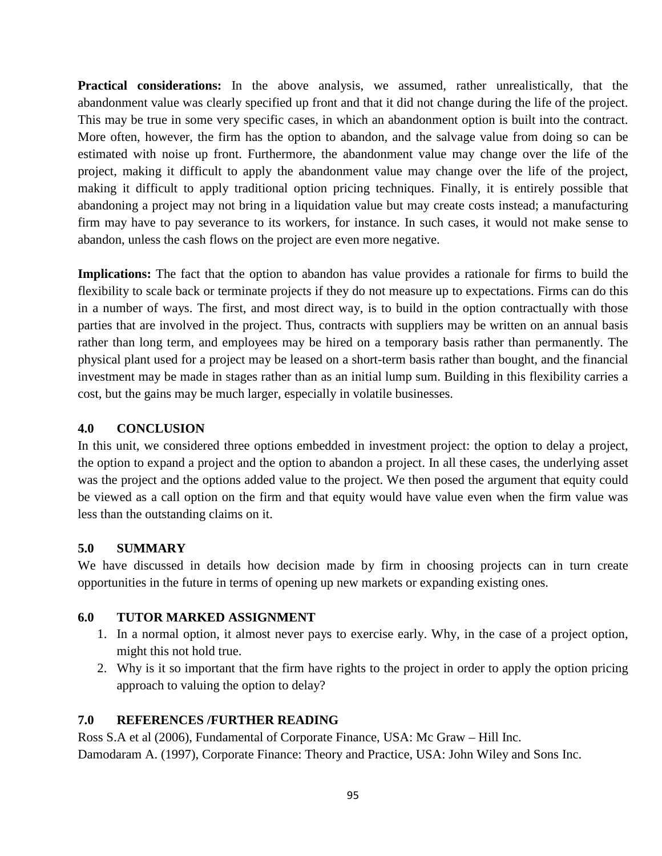**Practical considerations:** In the above analysis, we assumed, rather unrealistically, that the abandonment value was clearly specified up front and that it did not change during the life of the project. This may be true in some very specific cases, in which an abandonment option is built into the contract. More often, however, the firm has the option to abandon, and the salvage value from doing so can be estimated with noise up front. Furthermore, the abandonment value may change over the life of the project, making it difficult to apply the abandonment value may change over the life of the project, making it difficult to apply traditional option pricing techniques. Finally, it is entirely possible that abandoning a project may not bring in a liquidation value but may create costs instead; a manufacturing firm may have to pay severance to its workers, for instance. In such cases, it would not make sense to abandon, unless the cash flows on the project are even more negative.

**Implications:** The fact that the option to abandon has value provides a rationale for firms to build the flexibility to scale back or terminate projects if they do not measure up to expectations. Firms can do this in a number of ways. The first, and most direct way, is to build in the option contractually with those parties that are involved in the project. Thus, contracts with suppliers may be written on an annual basis rather than long term, and employees may be hired on a temporary basis rather than permanently. The physical plant used for a project may be leased on a short-term basis rather than bought, and the financial investment may be made in stages rather than as an initial lump sum. Building in this flexibility carries a cost, but the gains may be much larger, especially in volatile businesses.

#### **4.0 CONCLUSION**

In this unit, we considered three options embedded in investment project: the option to delay a project, the option to expand a project and the option to abandon a project. In all these cases, the underlying asset was the project and the options added value to the project. We then posed the argument that equity could be viewed as a call option on the firm and that equity would have value even when the firm value was less than the outstanding claims on it.

#### **5.0 SUMMARY**

We have discussed in details how decision made by firm in choosing projects can in turn create opportunities in the future in terms of opening up new markets or expanding existing ones.

#### **6.0 TUTOR MARKED ASSIGNMENT**

- 1. In a normal option, it almost never pays to exercise early. Why, in the case of a project option, might this not hold true.
- 2. Why is it so important that the firm have rights to the project in order to apply the option pricing approach to valuing the option to delay?

#### **7.0 REFERENCES /FURTHER READING**

Ross S.A et al (2006), Fundamental of Corporate Finance, USA: Mc Graw – Hill Inc. Damodaram A. (1997), Corporate Finance: Theory and Practice, USA: John Wiley and Sons Inc.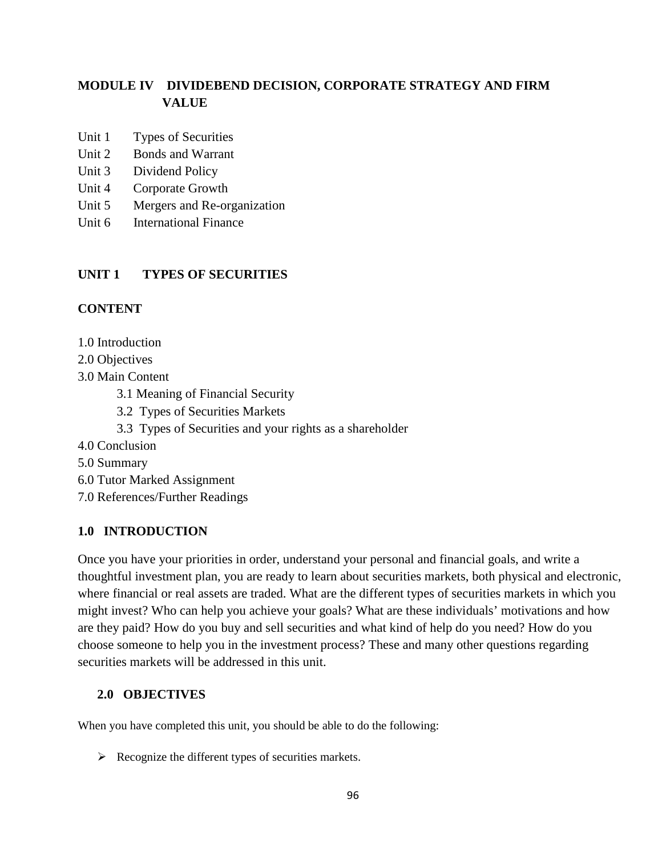# **MODULE IV DIVIDEBEND DECISION, CORPORATE STRATEGY AND FIRM VALUE**

- Unit 1 Types of Securities
- Unit 2 Bonds and Warrant
- Unit 3 Dividend Policy
- Unit 4 Corporate Growth
- Unit 5 Mergers and Re-organization
- Unit 6 International Finance

### **UNIT 1 TYPES OF SECURITIES**

#### **CONTENT**

- 1.0 Introduction
- 2.0 Objectives
- 3.0 Main Content
	- 3.1 Meaning of Financial Security
	- 3.2 Types of Securities Markets
	- 3.3 Types of Securities and your rights as a shareholder
- 4.0 Conclusion
- 5.0 Summary
- 6.0 Tutor Marked Assignment
- 7.0 References/Further Readings

### **1.0 INTRODUCTION**

Once you have your priorities in order, understand your personal and financial goals, and write a thoughtful investment plan, you are ready to learn about securities markets, both physical and electronic, where financial or real assets are traded. What are the different types of securities markets in which you might invest? Who can help you achieve your goals? What are these individuals' motivations and how are they paid? How do you buy and sell securities and what kind of help do you need? How do you choose someone to help you in the investment process? These and many other questions regarding securities markets will be addressed in this unit.

#### **2.0 OBJECTIVES**

When you have completed this unit, you should be able to do the following:

 $\triangleright$  Recognize the different types of securities markets.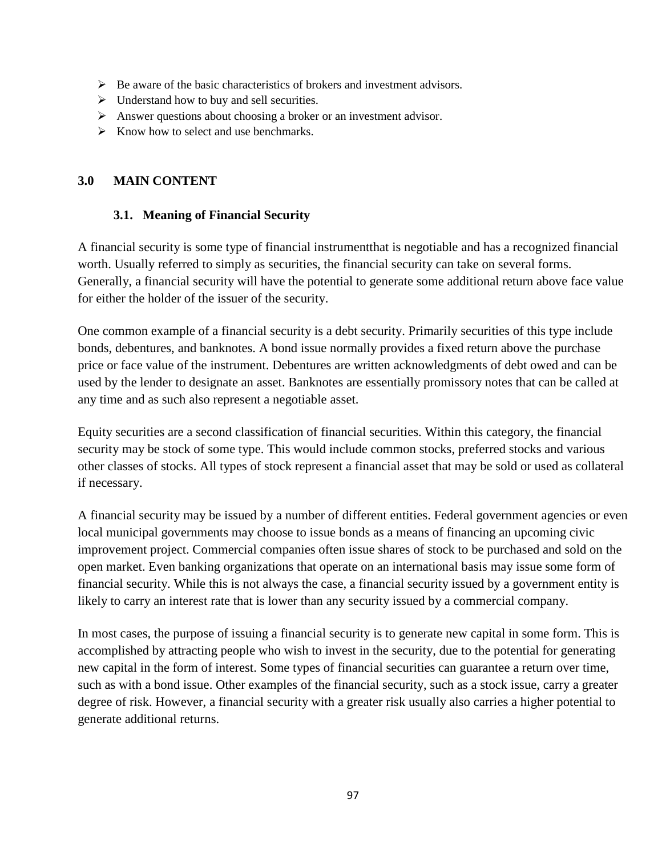- $\triangleright$  Be aware of the basic characteristics of brokers and investment advisors.
- $\triangleright$  Understand how to buy and sell securities.
- Answer questions about choosing a broker or an investment advisor.
- $\triangleright$  Know how to select and use benchmarks.

#### **3.0 MAIN CONTENT**

#### **3.1. Meaning of Financial Security**

A financial security is some type of financial instrumentthat is negotiable and has a recognized financial worth. Usually referred to simply as securities, the financial security can take on several forms. Generally, a financial security will have the potential to generate some additional return above face value for either the holder of the issuer of the security.

One common example of a financial security is a debt security. Primarily securities of this type include bonds, debentures, and banknotes. A bond issue normally provides a fixed return above the purchase price or face value of the instrument. Debentures are written acknowledgments of debt owed and can be used by the lender to designate an asset. Banknotes are essentially promissory notes that can be called at any time and as such also represent a negotiable asset.

Equity securities are a second classification of financial securities. Within this category, the financial security may be stock of some type. This would include common stocks, preferred stocks and various other classes of stocks. All types of stock represent a financial asset that may be sold or used as collateral if necessary.

A financial security may be issued by a number of different entities. Federal government agencies or even local municipal governments may choose to issue bonds as a means of financing an upcoming civic improvement project. Commercial companies often issue shares of stock to be purchased and sold on the open market. Even banking organizations that operate on an international basis may issue some form of financial security. While this is not always the case, a financial security issued by a government entity is likely to carry an interest rate that is lower than any security issued by a commercial company.

In most cases, the purpose of issuing a financial security is to generate new capital in some form. This is accomplished by attracting people who wish to invest in the security, due to the potential for generating new capital in the form of interest. Some types of financial securities can guarantee a return over time, such as with a bond issue. Other examples of the financial security, such as a stock issue, carry a greater degree of risk. However, a financial security with a greater risk usually also carries a higher potential to generate additional returns.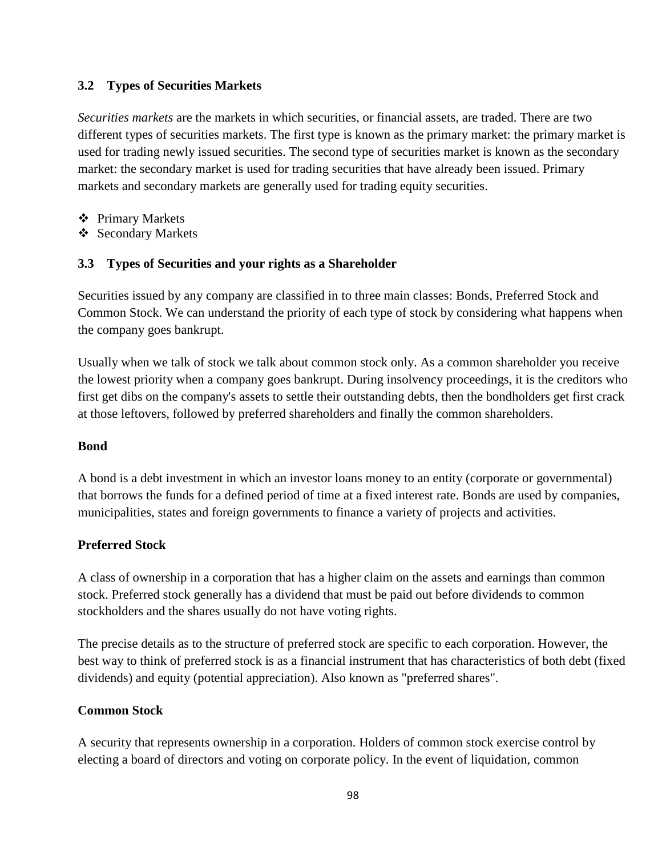### **3.2 Types of Securities Markets**

*Securities markets* are the markets in which securities, or financial assets, are traded. There are two different types of securities markets. The first type is known as the primary market: the primary market is used for trading newly issued securities. The second type of securities market is known as the secondary market: the secondary market is used for trading securities that have already been issued. Primary markets and secondary markets are generally used for trading equity securities.

- Primary Markets
- Secondary Markets

### **3.3 Types of Securities and your rights as a Shareholder**

Securities issued by any company are classified in to three main classes: Bonds, Preferred Stock and Common Stock. We can understand the priority of each type of stock by considering what happens when the company goes bankrupt.

Usually when we talk of stock we talk about common stock only. As a common shareholder you receive the lowest priority when a company goes bankrupt. During insolvency proceedings, it is the creditors who first get dibs on the company's assets to settle their outstanding debts, then the bondholders get first crack at those leftovers, followed by preferred shareholders and finally the common shareholders.

### **Bond**

A bond is a debt investment in which an investor loans money to an entity (corporate or governmental) that borrows the funds for a defined period of time at a fixed interest rate. Bonds are used by companies, municipalities, states and foreign governments to finance a variety of projects and activities.

### **Preferred Stock**

A class of ownership in a corporation that has a higher claim on the assets and earnings than common stock. Preferred stock generally has a dividend that must be paid out before dividends to common stockholders and the shares usually do not have voting rights.

The precise details as to the structure of preferred stock are specific to each corporation. However, the best way to think of preferred stock is as a financial instrument that has characteristics of both debt (fixed dividends) and equity (potential appreciation). Also known as "preferred shares".

### **Common Stock**

A security that represents ownership in a corporation. Holders of common stock exercise control by electing a board of directors and voting on corporate policy. In the event of liquidation, common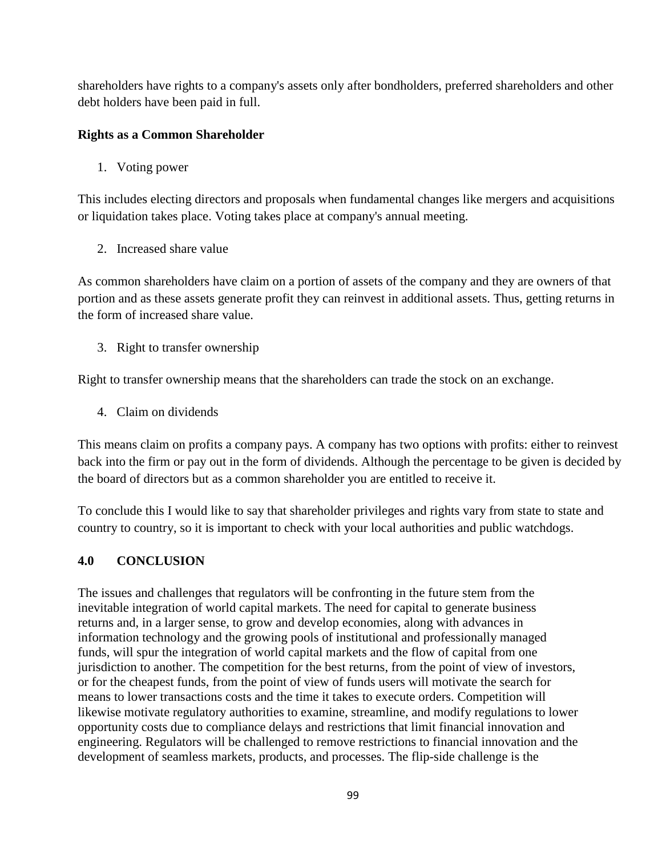shareholders have rights to a company's assets only after bondholders, preferred shareholders and other debt holders have been paid in full.

## **Rights as a Common Shareholder**

1. Voting power

This includes electing directors and proposals when fundamental changes like mergers and acquisitions or liquidation takes place. Voting takes place at company's annual meeting.

2. Increased share value

As common shareholders have claim on a portion of assets of the company and they are owners of that portion and as these assets generate profit they can reinvest in additional assets. Thus, getting returns in the form of increased share value.

3. Right to transfer ownership

Right to transfer ownership means that the shareholders can trade the stock on an exchange.

4. Claim on dividends

This means claim on profits a company pays. A company has two options with profits: either to reinvest back into the firm or pay out in the form of dividends. Although the percentage to be given is decided by the board of directors but as a common shareholder you are entitled to receive it.

To conclude this I would like to say that shareholder privileges and rights vary from state to state and country to country, so it is important to check with your local authorities and public watchdogs.

# **4.0 CONCLUSION**

The issues and challenges that regulators will be confronting in the future stem from the inevitable integration of world capital markets. The need for capital to generate business returns and, in a larger sense, to grow and develop economies, along with advances in information technology and the growing pools of institutional and professionally managed funds, will spur the integration of world capital markets and the flow of capital from one jurisdiction to another. The competition for the best returns, from the point of view of investors, or for the cheapest funds, from the point of view of funds users will motivate the search for means to lower transactions costs and the time it takes to execute orders. Competition will likewise motivate regulatory authorities to examine, streamline, and modify regulations to lower opportunity costs due to compliance delays and restrictions that limit financial innovation and engineering. Regulators will be challenged to remove restrictions to financial innovation and the development of seamless markets, products, and processes. The flip-side challenge is the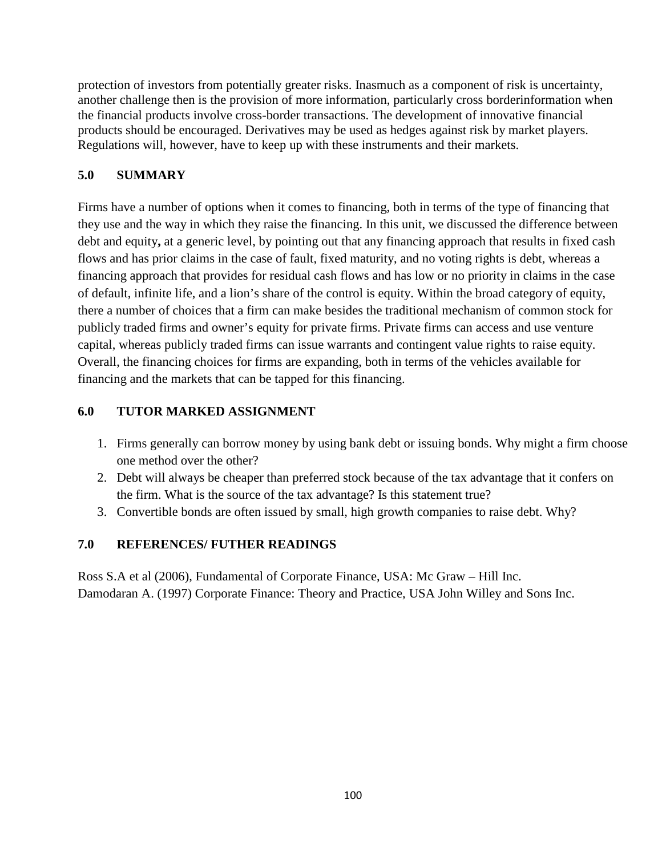protection of investors from potentially greater risks. Inasmuch as a component of risk is uncertainty, another challenge then is the provision of more information, particularly cross borderinformation when the financial products involve cross-border transactions. The development of innovative financial products should be encouraged. Derivatives may be used as hedges against risk by market players. Regulations will, however, have to keep up with these instruments and their markets.

## **5.0 SUMMARY**

Firms have a number of options when it comes to financing, both in terms of the type of financing that they use and the way in which they raise the financing. In this unit, we discussed the difference between debt and equity**,** at a generic level, by pointing out that any financing approach that results in fixed cash flows and has prior claims in the case of fault, fixed maturity, and no voting rights is debt, whereas a financing approach that provides for residual cash flows and has low or no priority in claims in the case of default, infinite life, and a lion's share of the control is equity. Within the broad category of equity, there a number of choices that a firm can make besides the traditional mechanism of common stock for publicly traded firms and owner's equity for private firms. Private firms can access and use venture capital, whereas publicly traded firms can issue warrants and contingent value rights to raise equity. Overall, the financing choices for firms are expanding, both in terms of the vehicles available for financing and the markets that can be tapped for this financing.

### **6.0 TUTOR MARKED ASSIGNMENT**

- 1. Firms generally can borrow money by using bank debt or issuing bonds. Why might a firm choose one method over the other?
- 2. Debt will always be cheaper than preferred stock because of the tax advantage that it confers on the firm. What is the source of the tax advantage? Is this statement true?
- 3. Convertible bonds are often issued by small, high growth companies to raise debt. Why?

# **7.0 REFERENCES/ FUTHER READINGS**

Ross S.A et al (2006), Fundamental of Corporate Finance, USA: Mc Graw – Hill Inc. Damodaran A. (1997) Corporate Finance: Theory and Practice, USA John Willey and Sons Inc.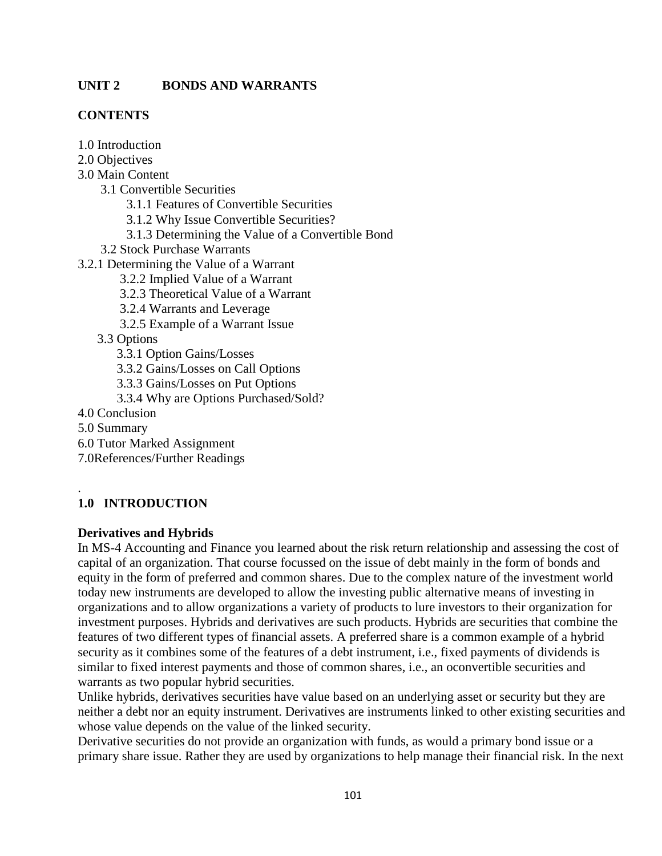### **UNIT 2 BONDS AND WARRANTS**

#### **CONTENTS**

- 1.0 Introduction
- 2.0 Objectives
- 3.0 Main Content
	- 3.1 Convertible Securities
		- 3.1.1 Features of Convertible Securities
		- 3.1.2 Why Issue Convertible Securities?
		- 3.1.3 Determining the Value of a Convertible Bond
	- 3.2 Stock Purchase Warrants
- 3.2.1 Determining the Value of a Warrant
	- 3.2.2 Implied Value of a Warrant
		- 3.2.3 Theoretical Value of a Warrant
		- 3.2.4 Warrants and Leverage
		- 3.2.5 Example of a Warrant Issue
	- 3.3 Options
		- 3.3.1 Option Gains/Losses
		- 3.3.2 Gains/Losses on Call Options
		- 3.3.3 Gains/Losses on Put Options
		- 3.3.4 Why are Options Purchased/Sold?
- 4.0 Conclusion
- 5.0 Summary
- 6.0 Tutor Marked Assignment
- 7.0References/Further Readings

#### . **1.0 INTRODUCTION**

#### **Derivatives and Hybrids**

In MS-4 Accounting and Finance you learned about the risk return relationship and assessing the cost of capital of an organization. That course focussed on the issue of debt mainly in the form of bonds and equity in the form of preferred and common shares. Due to the complex nature of the investment world today new instruments are developed to allow the investing public alternative means of investing in organizations and to allow organizations a variety of products to lure investors to their organization for investment purposes. Hybrids and derivatives are such products. Hybrids are securities that combine the features of two different types of financial assets. A preferred share is a common example of a hybrid security as it combines some of the features of a debt instrument, i.e., fixed payments of dividends is similar to fixed interest payments and those of common shares, i.e., an oconvertible securities and warrants as two popular hybrid securities.

Unlike hybrids, derivatives securities have value based on an underlying asset or security but they are neither a debt nor an equity instrument. Derivatives are instruments linked to other existing securities and whose value depends on the value of the linked security.

Derivative securities do not provide an organization with funds, as would a primary bond issue or a primary share issue. Rather they are used by organizations to help manage their financial risk. In the next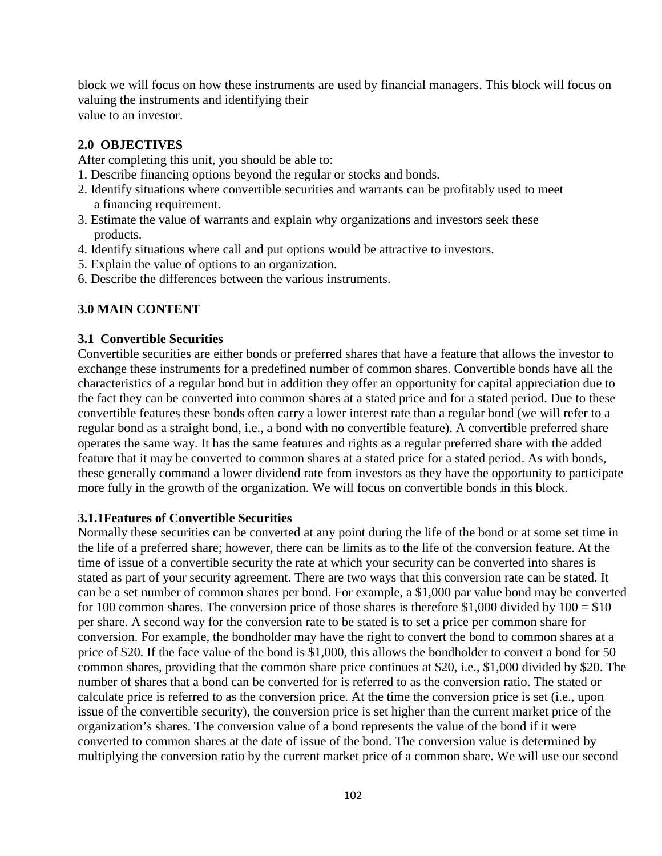block we will focus on how these instruments are used by financial managers. This block will focus on valuing the instruments and identifying their value to an investor.

#### **2.0 OBJECTIVES**

After completing this unit, you should be able to:

- 1. Describe financing options beyond the regular or stocks and bonds.
- 2. Identify situations where convertible securities and warrants can be profitably used to meet a financing requirement.
- 3. Estimate the value of warrants and explain why organizations and investors seek these products.
- 4. Identify situations where call and put options would be attractive to investors.
- 5. Explain the value of options to an organization.
- 6. Describe the differences between the various instruments.

### **3.0 MAIN CONTENT**

#### **3.1 Convertible Securities**

Convertible securities are either bonds or preferred shares that have a feature that allows the investor to exchange these instruments for a predefined number of common shares. Convertible bonds have all the characteristics of a regular bond but in addition they offer an opportunity for capital appreciation due to the fact they can be converted into common shares at a stated price and for a stated period. Due to these convertible features these bonds often carry a lower interest rate than a regular bond (we will refer to a regular bond as a straight bond, i.e., a bond with no convertible feature). A convertible preferred share operates the same way. It has the same features and rights as a regular preferred share with the added feature that it may be converted to common shares at a stated price for a stated period. As with bonds, these generally command a lower dividend rate from investors as they have the opportunity to participate more fully in the growth of the organization. We will focus on convertible bonds in this block.

#### **3.1.1Features of Convertible Securities**

Normally these securities can be converted at any point during the life of the bond or at some set time in the life of a preferred share; however, there can be limits as to the life of the conversion feature. At the time of issue of a convertible security the rate at which your security can be converted into shares is stated as part of your security agreement. There are two ways that this conversion rate can be stated. It can be a set number of common shares per bond. For example, a \$1,000 par value bond may be converted for 100 common shares. The conversion price of those shares is therefore \$1,000 divided by  $100 = $10$ per share. A second way for the conversion rate to be stated is to set a price per common share for conversion. For example, the bondholder may have the right to convert the bond to common shares at a price of \$20. If the face value of the bond is \$1,000, this allows the bondholder to convert a bond for 50 common shares, providing that the common share price continues at \$20, i.e., \$1,000 divided by \$20. The number of shares that a bond can be converted for is referred to as the conversion ratio. The stated or calculate price is referred to as the conversion price. At the time the conversion price is set (i.e., upon issue of the convertible security), the conversion price is set higher than the current market price of the organization's shares. The conversion value of a bond represents the value of the bond if it were converted to common shares at the date of issue of the bond. The conversion value is determined by multiplying the conversion ratio by the current market price of a common share. We will use our second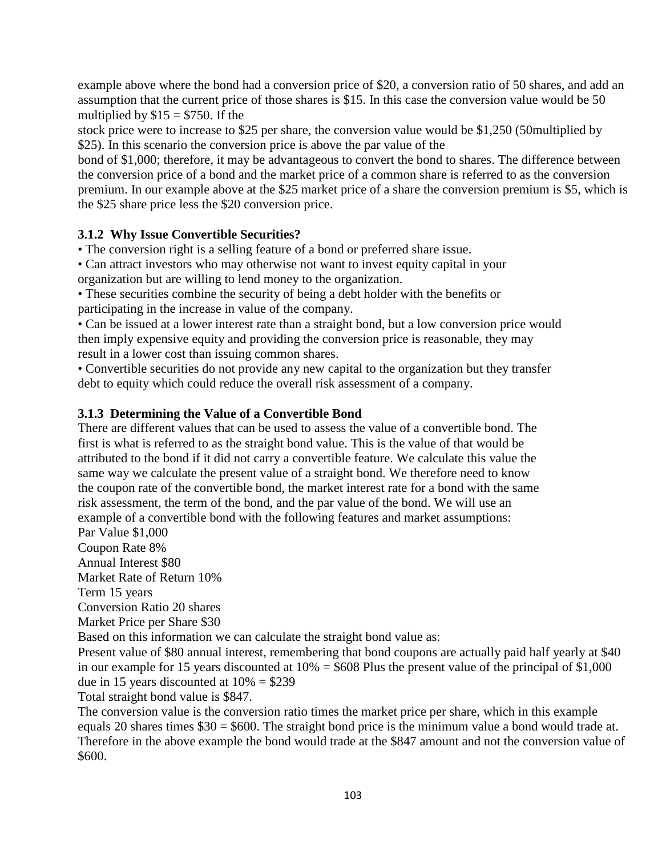example above where the bond had a conversion price of \$20, a conversion ratio of 50 shares, and add an assumption that the current price of those shares is \$15. In this case the conversion value would be 50 multiplied by  $$15 = $750$ . If the

stock price were to increase to \$25 per share, the conversion value would be \$1,250 (50multiplied by \$25). In this scenario the conversion price is above the par value of the

bond of \$1,000; therefore, it may be advantageous to convert the bond to shares. The difference between the conversion price of a bond and the market price of a common share is referred to as the conversion premium. In our example above at the \$25 market price of a share the conversion premium is \$5, which is the \$25 share price less the \$20 conversion price.

### **3.1.2 Why Issue Convertible Securities?**

• The conversion right is a selling feature of a bond or preferred share issue.

• Can attract investors who may otherwise not want to invest equity capital in your organization but are willing to lend money to the organization.

• These securities combine the security of being a debt holder with the benefits or participating in the increase in value of the company.

• Can be issued at a lower interest rate than a straight bond, but a low conversion price would then imply expensive equity and providing the conversion price is reasonable, they may result in a lower cost than issuing common shares.

• Convertible securities do not provide any new capital to the organization but they transfer debt to equity which could reduce the overall risk assessment of a company.

## **3.1.3 Determining the Value of a Convertible Bond**

There are different values that can be used to assess the value of a convertible bond. The first is what is referred to as the straight bond value. This is the value of that would be attributed to the bond if it did not carry a convertible feature. We calculate this value the same way we calculate the present value of a straight bond. We therefore need to know the coupon rate of the convertible bond, the market interest rate for a bond with the same risk assessment, the term of the bond, and the par value of the bond. We will use an example of a convertible bond with the following features and market assumptions: Par Value \$1,000

Coupon Rate 8%

Annual Interest \$80

Market Rate of Return 10%

Term 15 years

Conversion Ratio 20 shares

Market Price per Share \$30

Based on this information we can calculate the straight bond value as:

Present value of \$80 annual interest, remembering that bond coupons are actually paid half yearly at \$40 in our example for 15 years discounted at  $10\% = $608$  Plus the present value of the principal of \$1,000 due in 15 years discounted at  $10\% = $239$ 

Total straight bond value is \$847.

The conversion value is the conversion ratio times the market price per share, which in this example equals 20 shares times \$30 = \$600. The straight bond price is the minimum value a bond would trade at. Therefore in the above example the bond would trade at the \$847 amount and not the conversion value of \$600.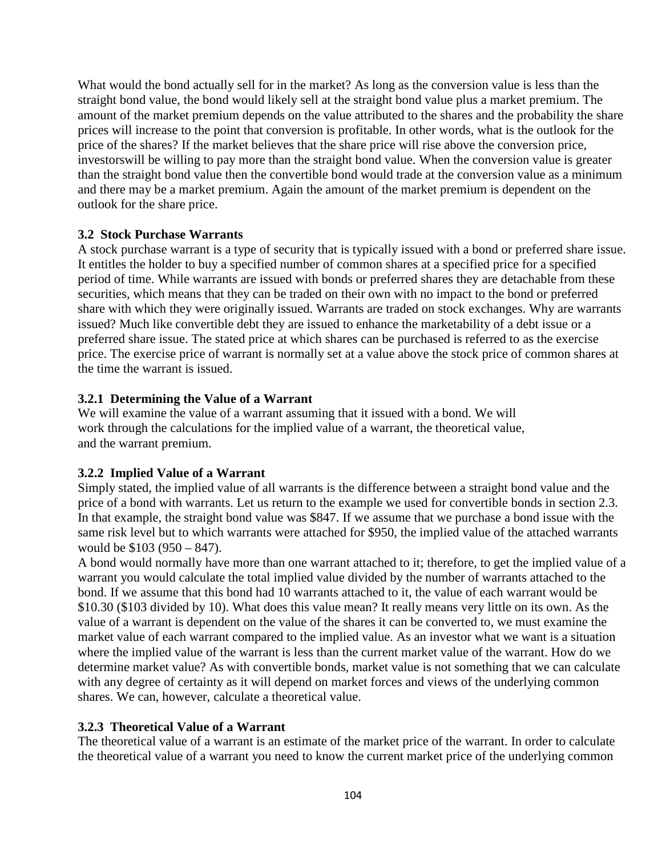What would the bond actually sell for in the market? As long as the conversion value is less than the straight bond value, the bond would likely sell at the straight bond value plus a market premium. The amount of the market premium depends on the value attributed to the shares and the probability the share prices will increase to the point that conversion is profitable. In other words, what is the outlook for the price of the shares? If the market believes that the share price will rise above the conversion price, investorswill be willing to pay more than the straight bond value. When the conversion value is greater than the straight bond value then the convertible bond would trade at the conversion value as a minimum and there may be a market premium. Again the amount of the market premium is dependent on the outlook for the share price.

#### **3.2 Stock Purchase Warrants**

A stock purchase warrant is a type of security that is typically issued with a bond or preferred share issue. It entitles the holder to buy a specified number of common shares at a specified price for a specified period of time. While warrants are issued with bonds or preferred shares they are detachable from these securities, which means that they can be traded on their own with no impact to the bond or preferred share with which they were originally issued. Warrants are traded on stock exchanges. Why are warrants issued? Much like convertible debt they are issued to enhance the marketability of a debt issue or a preferred share issue. The stated price at which shares can be purchased is referred to as the exercise price. The exercise price of warrant is normally set at a value above the stock price of common shares at the time the warrant is issued.

### **3.2.1 Determining the Value of a Warrant**

We will examine the value of a warrant assuming that it issued with a bond. We will work through the calculations for the implied value of a warrant, the theoretical value, and the warrant premium.

### **3.2.2 Implied Value of a Warrant**

Simply stated, the implied value of all warrants is the difference between a straight bond value and the price of a bond with warrants. Let us return to the example we used for convertible bonds in section 2.3. In that example, the straight bond value was \$847. If we assume that we purchase a bond issue with the same risk level but to which warrants were attached for \$950, the implied value of the attached warrants would be \$103 (950 – 847).

A bond would normally have more than one warrant attached to it; therefore, to get the implied value of a warrant you would calculate the total implied value divided by the number of warrants attached to the bond. If we assume that this bond had 10 warrants attached to it, the value of each warrant would be \$10.30 (\$103 divided by 10). What does this value mean? It really means very little on its own. As the value of a warrant is dependent on the value of the shares it can be converted to, we must examine the market value of each warrant compared to the implied value. As an investor what we want is a situation where the implied value of the warrant is less than the current market value of the warrant. How do we determine market value? As with convertible bonds, market value is not something that we can calculate with any degree of certainty as it will depend on market forces and views of the underlying common shares. We can, however, calculate a theoretical value.

#### **3.2.3 Theoretical Value of a Warrant**

The theoretical value of a warrant is an estimate of the market price of the warrant. In order to calculate the theoretical value of a warrant you need to know the current market price of the underlying common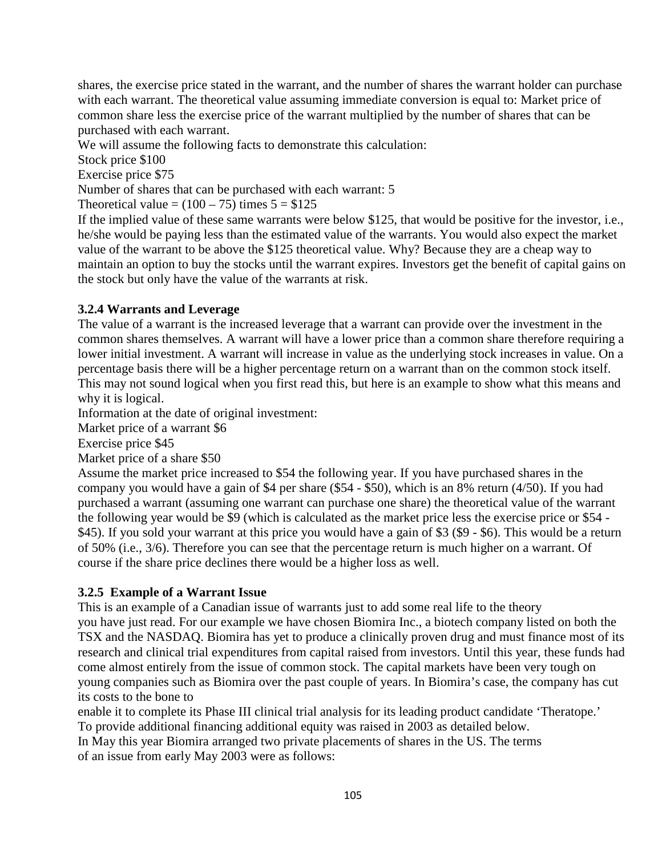shares, the exercise price stated in the warrant, and the number of shares the warrant holder can purchase with each warrant. The theoretical value assuming immediate conversion is equal to: Market price of common share less the exercise price of the warrant multiplied by the number of shares that can be purchased with each warrant.

We will assume the following facts to demonstrate this calculation:

Stock price \$100

Exercise price \$75

Number of shares that can be purchased with each warrant: 5

Theoretical value =  $(100 – 75)$  times  $5 = $125$ 

If the implied value of these same warrants were below \$125, that would be positive for the investor, i.e., he/she would be paying less than the estimated value of the warrants. You would also expect the market value of the warrant to be above the \$125 theoretical value. Why? Because they are a cheap way to maintain an option to buy the stocks until the warrant expires. Investors get the benefit of capital gains on the stock but only have the value of the warrants at risk.

#### **3.2.4 Warrants and Leverage**

The value of a warrant is the increased leverage that a warrant can provide over the investment in the common shares themselves. A warrant will have a lower price than a common share therefore requiring a lower initial investment. A warrant will increase in value as the underlying stock increases in value. On a percentage basis there will be a higher percentage return on a warrant than on the common stock itself. This may not sound logical when you first read this, but here is an example to show what this means and why it is logical.

Information at the date of original investment:

Market price of a warrant \$6

Exercise price \$45

Market price of a share \$50

Assume the market price increased to \$54 the following year. If you have purchased shares in the company you would have a gain of \$4 per share (\$54 - \$50), which is an 8% return (4/50). If you had purchased a warrant (assuming one warrant can purchase one share) the theoretical value of the warrant the following year would be \$9 (which is calculated as the market price less the exercise price or \$54 - \$45). If you sold your warrant at this price you would have a gain of \$3 (\$9 - \$6). This would be a return of 50% (i.e., 3/6). Therefore you can see that the percentage return is much higher on a warrant. Of course if the share price declines there would be a higher loss as well.

#### **3.2.5 Example of a Warrant Issue**

This is an example of a Canadian issue of warrants just to add some real life to the theory you have just read. For our example we have chosen Biomira Inc., a biotech company listed on both the TSX and the NASDAQ. Biomira has yet to produce a clinically proven drug and must finance most of its research and clinical trial expenditures from capital raised from investors. Until this year, these funds had come almost entirely from the issue of common stock. The capital markets have been very tough on young companies such as Biomira over the past couple of years. In Biomira's case, the company has cut its costs to the bone to

enable it to complete its Phase III clinical trial analysis for its leading product candidate 'Theratope.' To provide additional financing additional equity was raised in 2003 as detailed below.

In May this year Biomira arranged two private placements of shares in the US. The terms of an issue from early May 2003 were as follows: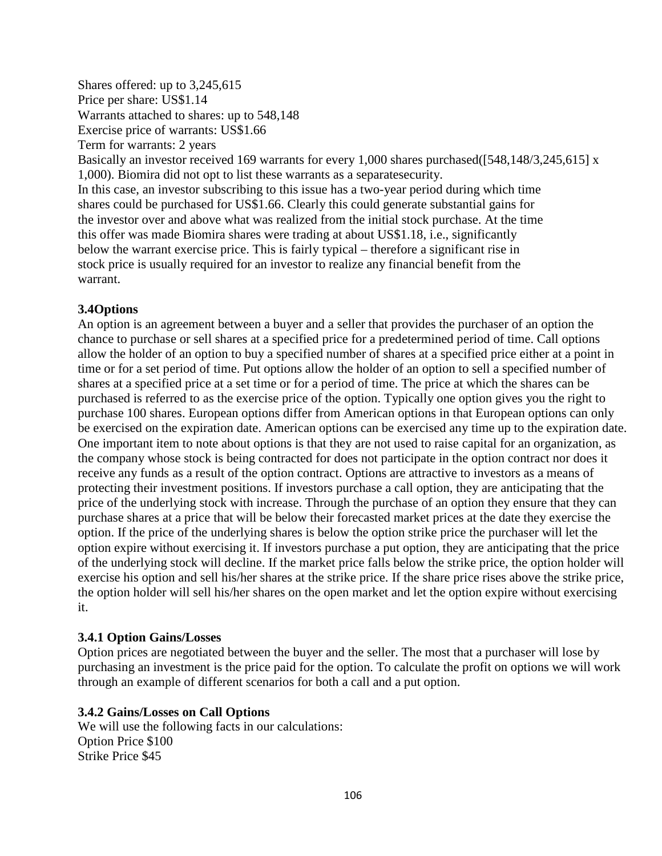Shares offered: up to 3,245,615 Price per share: US\$1.14 Warrants attached to shares: up to 548,148 Exercise price of warrants: US\$1.66 Term for warrants: 2 years Basically an investor received 169 warrants for every 1,000 shares purchased([548,148/3,245,615] x 1,000). Biomira did not opt to list these warrants as a separatesecurity. In this case, an investor subscribing to this issue has a two-year period during which time shares could be purchased for US\$1.66. Clearly this could generate substantial gains for the investor over and above what was realized from the initial stock purchase. At the time this offer was made Biomira shares were trading at about US\$1.18, i.e., significantly below the warrant exercise price. This is fairly typical – therefore a significant rise in stock price is usually required for an investor to realize any financial benefit from the warrant.

#### **3.4Options**

An option is an agreement between a buyer and a seller that provides the purchaser of an option the chance to purchase or sell shares at a specified price for a predetermined period of time. Call options allow the holder of an option to buy a specified number of shares at a specified price either at a point in time or for a set period of time. Put options allow the holder of an option to sell a specified number of shares at a specified price at a set time or for a period of time. The price at which the shares can be purchased is referred to as the exercise price of the option. Typically one option gives you the right to purchase 100 shares. European options differ from American options in that European options can only be exercised on the expiration date. American options can be exercised any time up to the expiration date. One important item to note about options is that they are not used to raise capital for an organization, as the company whose stock is being contracted for does not participate in the option contract nor does it receive any funds as a result of the option contract. Options are attractive to investors as a means of protecting their investment positions. If investors purchase a call option, they are anticipating that the price of the underlying stock with increase. Through the purchase of an option they ensure that they can purchase shares at a price that will be below their forecasted market prices at the date they exercise the option. If the price of the underlying shares is below the option strike price the purchaser will let the option expire without exercising it. If investors purchase a put option, they are anticipating that the price of the underlying stock will decline. If the market price falls below the strike price, the option holder will exercise his option and sell his/her shares at the strike price. If the share price rises above the strike price, the option holder will sell his/her shares on the open market and let the option expire without exercising it.

#### **3.4.1 Option Gains/Losses**

Option prices are negotiated between the buyer and the seller. The most that a purchaser will lose by purchasing an investment is the price paid for the option. To calculate the profit on options we will work through an example of different scenarios for both a call and a put option.

#### **3.4.2 Gains/Losses on Call Options**

We will use the following facts in our calculations: Option Price \$100 Strike Price \$45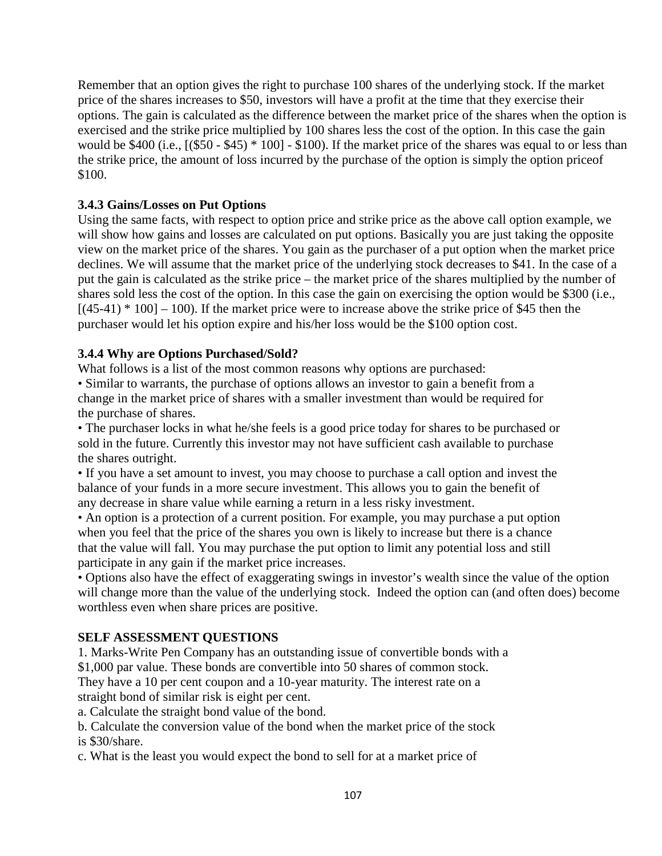Remember that an option gives the right to purchase 100 shares of the underlying stock. If the market price of the shares increases to \$50, investors will have a profit at the time that they exercise their options. The gain is calculated as the difference between the market price of the shares when the option is exercised and the strike price multiplied by 100 shares less the cost of the option. In this case the gain would be \$400 (i.e., [(\$50 - \$45) \* 100] - \$100). If the market price of the shares was equal to or less than the strike price, the amount of loss incurred by the purchase of the option is simply the option priceof \$100.

### **3.4.3 Gains/Losses on Put Options**

Using the same facts, with respect to option price and strike price as the above call option example, we will show how gains and losses are calculated on put options. Basically you are just taking the opposite view on the market price of the shares. You gain as the purchaser of a put option when the market price declines. We will assume that the market price of the underlying stock decreases to \$41. In the case of a put the gain is calculated as the strike price – the market price of the shares multiplied by the number of shares sold less the cost of the option. In this case the gain on exercising the option would be \$300 (i.e.,  $[(45-41) * 100] - 100$ ). If the market price were to increase above the strike price of \$45 then the purchaser would let his option expire and his/her loss would be the \$100 option cost.

#### **3.4.4 Why are Options Purchased/Sold?**

What follows is a list of the most common reasons why options are purchased:

• Similar to warrants, the purchase of options allows an investor to gain a benefit from a change in the market price of shares with a smaller investment than would be required for the purchase of shares.

• The purchaser locks in what he/she feels is a good price today for shares to be purchased or sold in the future. Currently this investor may not have sufficient cash available to purchase the shares outright.

• If you have a set amount to invest, you may choose to purchase a call option and invest the balance of your funds in a more secure investment. This allows you to gain the benefit of any decrease in share value while earning a return in a less risky investment.

• An option is a protection of a current position. For example, you may purchase a put option when you feel that the price of the shares you own is likely to increase but there is a chance that the value will fall. You may purchase the put option to limit any potential loss and still participate in any gain if the market price increases.

• Options also have the effect of exaggerating swings in investor's wealth since the value of the option will change more than the value of the underlying stock. Indeed the option can (and often does) become worthless even when share prices are positive.

#### **SELF ASSESSMENT QUESTIONS**

1. Marks-Write Pen Company has an outstanding issue of convertible bonds with a

\$1,000 par value. These bonds are convertible into 50 shares of common stock. They have a 10 per cent coupon and a 10-year maturity. The interest rate on a

straight bond of similar risk is eight per cent.

a. Calculate the straight bond value of the bond.

b. Calculate the conversion value of the bond when the market price of the stock is \$30/share.

c. What is the least you would expect the bond to sell for at a market price of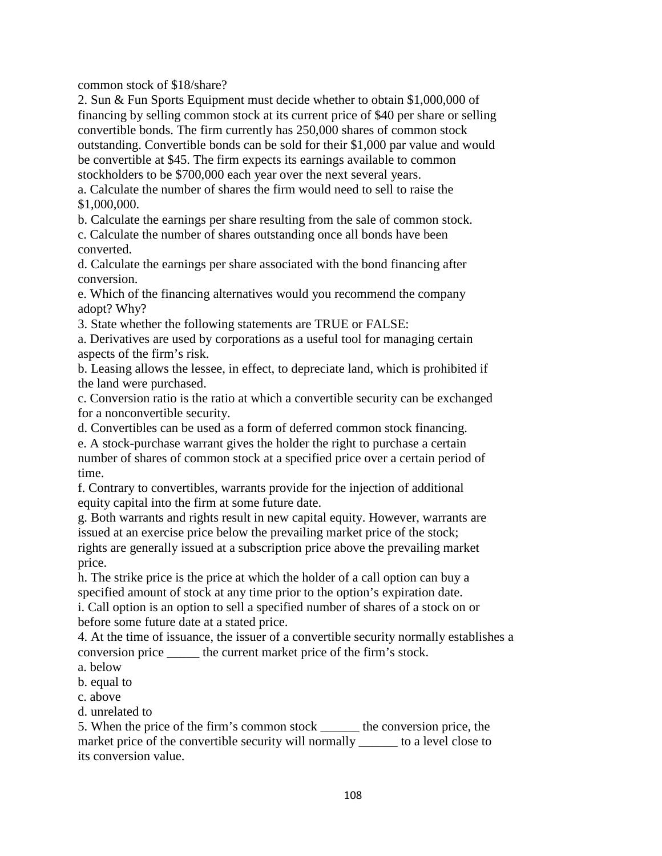common stock of \$18/share?

2. Sun & Fun Sports Equipment must decide whether to obtain \$1,000,000 of financing by selling common stock at its current price of \$40 per share or selling convertible bonds. The firm currently has 250,000 shares of common stock outstanding. Convertible bonds can be sold for their \$1,000 par value and would be convertible at \$45. The firm expects its earnings available to common stockholders to be \$700,000 each year over the next several years.

a. Calculate the number of shares the firm would need to sell to raise the \$1,000,000.

b. Calculate the earnings per share resulting from the sale of common stock.

c. Calculate the number of shares outstanding once all bonds have been converted.

d. Calculate the earnings per share associated with the bond financing after conversion.

e. Which of the financing alternatives would you recommend the company adopt? Why?

3. State whether the following statements are TRUE or FALSE:

a. Derivatives are used by corporations as a useful tool for managing certain aspects of the firm's risk.

b. Leasing allows the lessee, in effect, to depreciate land, which is prohibited if the land were purchased.

c. Conversion ratio is the ratio at which a convertible security can be exchanged for a nonconvertible security.

d. Convertibles can be used as a form of deferred common stock financing. e. A stock-purchase warrant gives the holder the right to purchase a certain number of shares of common stock at a specified price over a certain period of time.

f. Contrary to convertibles, warrants provide for the injection of additional equity capital into the firm at some future date.

g. Both warrants and rights result in new capital equity. However, warrants are issued at an exercise price below the prevailing market price of the stock; rights are generally issued at a subscription price above the prevailing market price.

h. The strike price is the price at which the holder of a call option can buy a specified amount of stock at any time prior to the option's expiration date.

i. Call option is an option to sell a specified number of shares of a stock on or before some future date at a stated price.

4. At the time of issuance, the issuer of a convertible security normally establishes a conversion price \_\_\_\_\_ the current market price of the firm's stock.

a. below

b. equal to

c. above

d. unrelated to

5. When the price of the firm's common stock \_\_\_\_\_\_ the conversion price, the market price of the convertible security will normally \_\_\_\_\_\_ to a level close to its conversion value.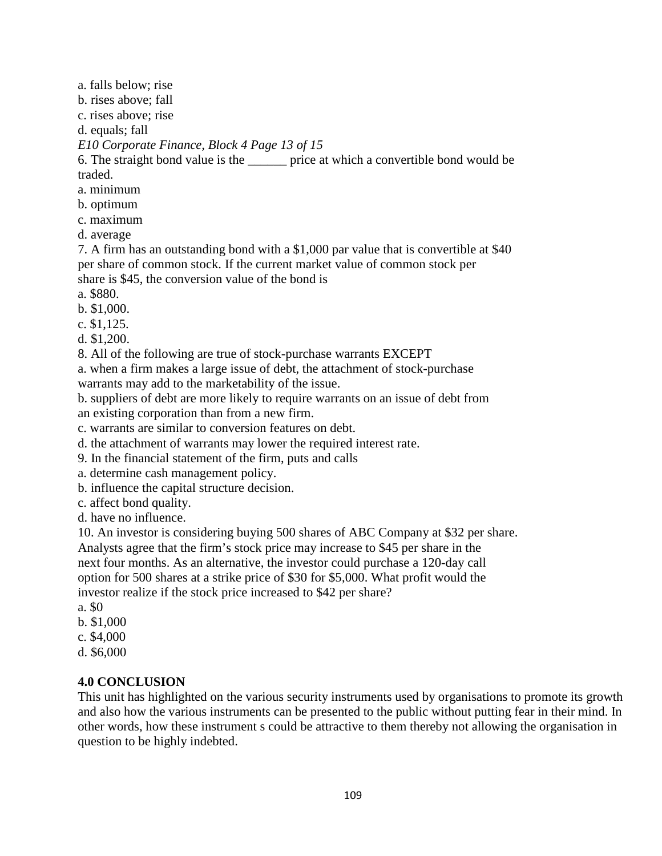a. falls below; rise

b. rises above; fall

c. rises above; rise

d. equals; fall

*E10 Corporate Finance, Block 4 Page 13 of 15* 

6. The straight bond value is the \_\_\_\_\_\_ price at which a convertible bond would be traded.

- a. minimum
- b. optimum
- c. maximum
- d. average

7. A firm has an outstanding bond with a \$1,000 par value that is convertible at \$40 per share of common stock. If the current market value of common stock per share is \$45, the conversion value of the bond is

- a. \$880.
- b. \$1,000.
- c. \$1,125.
- d. \$1,200.
- 8. All of the following are true of stock-purchase warrants EXCEPT

a. when a firm makes a large issue of debt, the attachment of stock-purchase warrants may add to the marketability of the issue.

- b. suppliers of debt are more likely to require warrants on an issue of debt from an existing corporation than from a new firm.
- c. warrants are similar to conversion features on debt.
- d. the attachment of warrants may lower the required interest rate.
- 9. In the financial statement of the firm, puts and calls
- a. determine cash management policy.
- b. influence the capital structure decision.
- c. affect bond quality.
- d. have no influence.

10. An investor is considering buying 500 shares of ABC Company at \$32 per share. Analysts agree that the firm's stock price may increase to \$45 per share in the next four months. As an alternative, the investor could purchase a 120-day call option for 500 shares at a strike price of \$30 for \$5,000. What profit would the investor realize if the stock price increased to \$42 per share?

- a. \$0
- b. \$1,000
- c. \$4,000
- d. \$6,000

#### **4.0 CONCLUSION**

This unit has highlighted on the various security instruments used by organisations to promote its growth and also how the various instruments can be presented to the public without putting fear in their mind. In other words, how these instrument s could be attractive to them thereby not allowing the organisation in question to be highly indebted.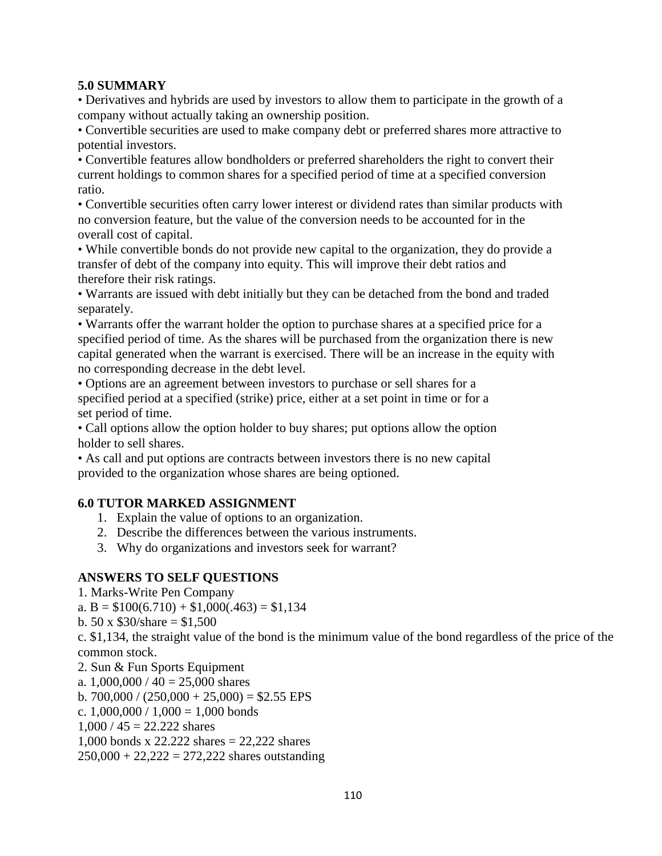### **5.0 SUMMARY**

• Derivatives and hybrids are used by investors to allow them to participate in the growth of a company without actually taking an ownership position.

• Convertible securities are used to make company debt or preferred shares more attractive to potential investors.

• Convertible features allow bondholders or preferred shareholders the right to convert their current holdings to common shares for a specified period of time at a specified conversion ratio.

• Convertible securities often carry lower interest or dividend rates than similar products with no conversion feature, but the value of the conversion needs to be accounted for in the overall cost of capital.

• While convertible bonds do not provide new capital to the organization, they do provide a transfer of debt of the company into equity. This will improve their debt ratios and therefore their risk ratings.

• Warrants are issued with debt initially but they can be detached from the bond and traded separately.

• Warrants offer the warrant holder the option to purchase shares at a specified price for a specified period of time. As the shares will be purchased from the organization there is new capital generated when the warrant is exercised. There will be an increase in the equity with no corresponding decrease in the debt level.

• Options are an agreement between investors to purchase or sell shares for a specified period at a specified (strike) price, either at a set point in time or for a set period of time.

• Call options allow the option holder to buy shares; put options allow the option holder to sell shares.

• As call and put options are contracts between investors there is no new capital provided to the organization whose shares are being optioned.

# **6.0 TUTOR MARKED ASSIGNMENT**

- 1. Explain the value of options to an organization.
- 2. Describe the differences between the various instruments.
- 3. Why do organizations and investors seek for warrant?

#### **ANSWERS TO SELF QUESTIONS**

- 1. Marks-Write Pen Company
- a. B =  $$100(6.710) + $1,000(.463) = $1,134$
- b. 50 x  $$30/s$ hare =  $$1,500$

c. \$1,134, the straight value of the bond is the minimum value of the bond regardless of the price of the common stock.

- 2. Sun & Fun Sports Equipment
- a.  $1,000,000 / 40 = 25,000$  shares

b.  $700,000 / (250,000 + 25,000) = $2.55$  EPS

c.  $1,000,000 / 1,000 = 1,000$  bonds

 $1,000 / 45 = 22.222$  shares

1,000 bonds x 22.222 shares = 22,222 shares

 $250,000 + 22,222 = 272,222$  shares outstanding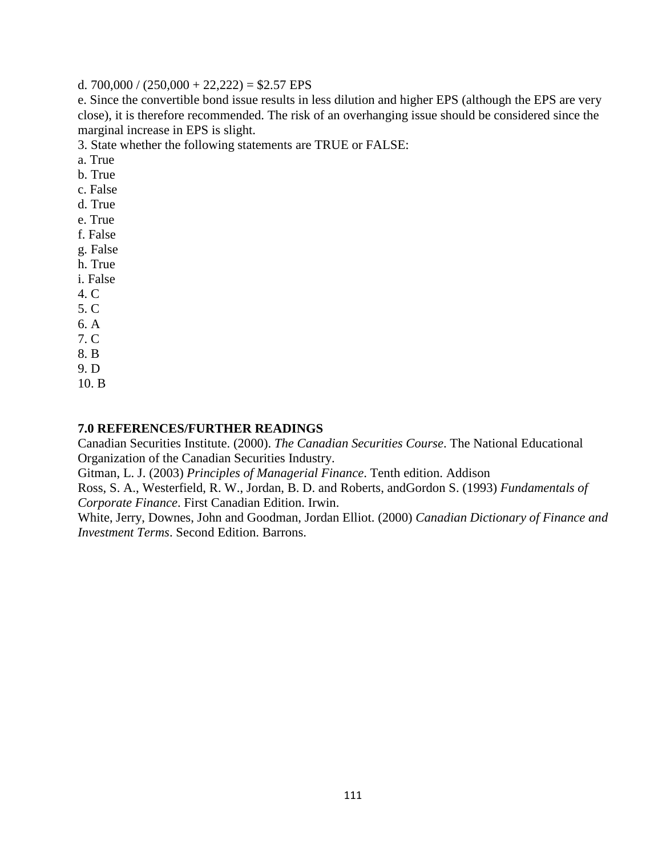d. 700,000 /  $(250,000 + 22,222) = $2.57 EPS$ 

e. Since the convertible bond issue results in less dilution and higher EPS (although the EPS are very close), it is therefore recommended. The risk of an overhanging issue should be considered since the marginal increase in EPS is slight.

3. State whether the following statements are TRUE or FALSE:

a. True

- b. True
- c. False
- d. True
- e. True
- f. False
- g. False
- h. True
- i. False
- 4. C
- 5. C
- 6. A
- 7. C
- 8. B
- 9. D
- 10. B

#### **7.0 REFERENCES/FURTHER READINGS**

Canadian Securities Institute. (2000). *The Canadian Securities Course*. The National Educational Organization of the Canadian Securities Industry.

Gitman, L. J. (2003) *Principles of Managerial Finance*. Tenth edition. Addison

Ross, S. A., Westerfield, R. W., Jordan, B. D. and Roberts, andGordon S. (1993) *Fundamentals of Corporate Finance*. First Canadian Edition. Irwin.

White, Jerry, Downes, John and Goodman, Jordan Elliot. (2000) *Canadian Dictionary of Finance and Investment Terms*. Second Edition. Barrons.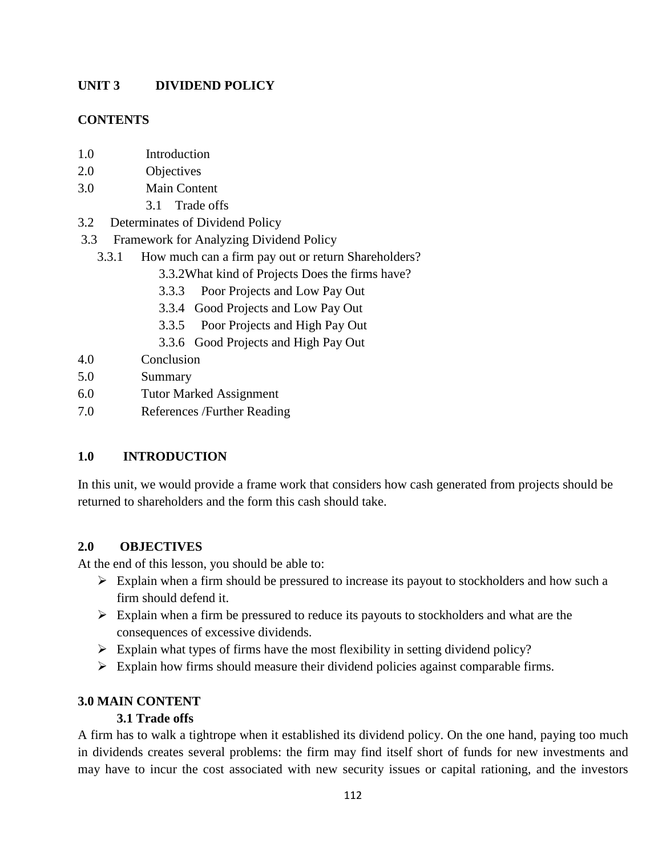# **UNIT 3 DIVIDEND POLICY**

# **CONTENTS**

- 1.0 Introduction
- 2.0 Objectives
- 3.0 Main Content
	- 3.1 Trade offs
- 3.2 Determinates of Dividend Policy
- 3.3 Framework for Analyzing Dividend Policy
	- 3.3.1 How much can a firm pay out or return Shareholders?
		- 3.3.2What kind of Projects Does the firms have?
		- 3.3.3 Poor Projects and Low Pay Out
		- 3.3.4 Good Projects and Low Pay Out
		- 3.3.5 Poor Projects and High Pay Out
		- 3.3.6 Good Projects and High Pay Out
- 4.0 Conclusion
- 5.0 Summary
- 6.0 Tutor Marked Assignment
- 7.0 References /Further Reading

# **1.0 INTRODUCTION**

In this unit, we would provide a frame work that considers how cash generated from projects should be returned to shareholders and the form this cash should take.

# **2.0 OBJECTIVES**

At the end of this lesson, you should be able to:

- $\triangleright$  Explain when a firm should be pressured to increase its payout to stockholders and how such a firm should defend it.
- $\triangleright$  Explain when a firm be pressured to reduce its payouts to stockholders and what are the consequences of excessive dividends.
- $\triangleright$  Explain what types of firms have the most flexibility in setting dividend policy?
- $\triangleright$  Explain how firms should measure their dividend policies against comparable firms.

# **3.0 MAIN CONTENT**

# **3.1 Trade offs**

A firm has to walk a tightrope when it established its dividend policy. On the one hand, paying too much in dividends creates several problems: the firm may find itself short of funds for new investments and may have to incur the cost associated with new security issues or capital rationing, and the investors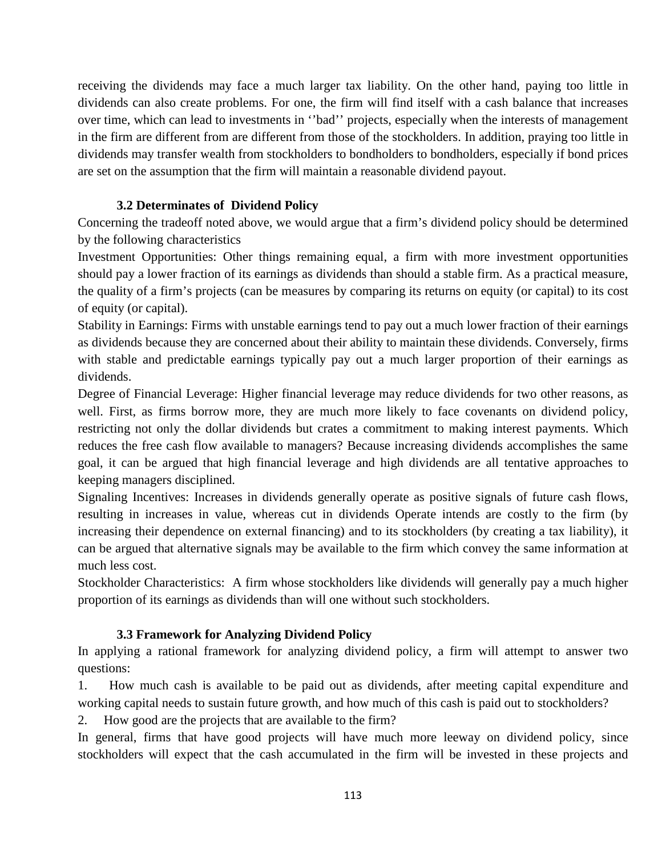receiving the dividends may face a much larger tax liability. On the other hand, paying too little in dividends can also create problems. For one, the firm will find itself with a cash balance that increases over time, which can lead to investments in ''bad'' projects, especially when the interests of management in the firm are different from are different from those of the stockholders. In addition, praying too little in dividends may transfer wealth from stockholders to bondholders to bondholders, especially if bond prices are set on the assumption that the firm will maintain a reasonable dividend payout.

# **3.2 Determinates of Dividend Policy**

Concerning the tradeoff noted above, we would argue that a firm's dividend policy should be determined by the following characteristics

Investment Opportunities: Other things remaining equal, a firm with more investment opportunities should pay a lower fraction of its earnings as dividends than should a stable firm. As a practical measure, the quality of a firm's projects (can be measures by comparing its returns on equity (or capital) to its cost of equity (or capital).

Stability in Earnings: Firms with unstable earnings tend to pay out a much lower fraction of their earnings as dividends because they are concerned about their ability to maintain these dividends. Conversely, firms with stable and predictable earnings typically pay out a much larger proportion of their earnings as dividends.

Degree of Financial Leverage: Higher financial leverage may reduce dividends for two other reasons, as well. First, as firms borrow more, they are much more likely to face covenants on dividend policy, restricting not only the dollar dividends but crates a commitment to making interest payments. Which reduces the free cash flow available to managers? Because increasing dividends accomplishes the same goal, it can be argued that high financial leverage and high dividends are all tentative approaches to keeping managers disciplined.

Signaling Incentives: Increases in dividends generally operate as positive signals of future cash flows, resulting in increases in value, whereas cut in dividends Operate intends are costly to the firm (by increasing their dependence on external financing) and to its stockholders (by creating a tax liability), it can be argued that alternative signals may be available to the firm which convey the same information at much less cost.

Stockholder Characteristics: A firm whose stockholders like dividends will generally pay a much higher proportion of its earnings as dividends than will one without such stockholders.

# **3.3 Framework for Analyzing Dividend Policy**

In applying a rational framework for analyzing dividend policy, a firm will attempt to answer two questions:

1. How much cash is available to be paid out as dividends, after meeting capital expenditure and working capital needs to sustain future growth, and how much of this cash is paid out to stockholders?

2. How good are the projects that are available to the firm?

In general, firms that have good projects will have much more leeway on dividend policy, since stockholders will expect that the cash accumulated in the firm will be invested in these projects and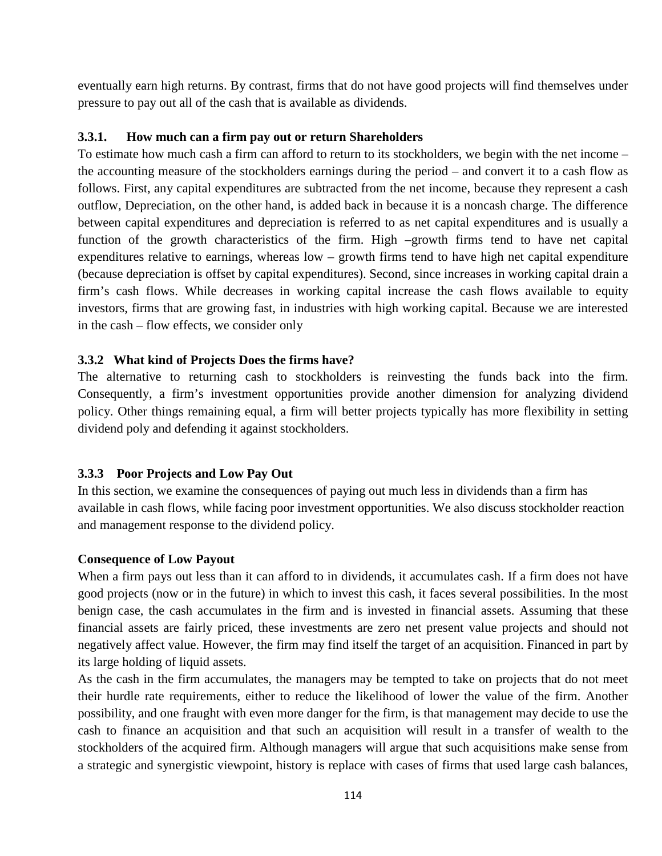eventually earn high returns. By contrast, firms that do not have good projects will find themselves under pressure to pay out all of the cash that is available as dividends.

### **3.3.1. How much can a firm pay out or return Shareholders**

To estimate how much cash a firm can afford to return to its stockholders, we begin with the net income – the accounting measure of the stockholders earnings during the period – and convert it to a cash flow as follows. First, any capital expenditures are subtracted from the net income, because they represent a cash outflow, Depreciation, on the other hand, is added back in because it is a noncash charge. The difference between capital expenditures and depreciation is referred to as net capital expenditures and is usually a function of the growth characteristics of the firm. High –growth firms tend to have net capital expenditures relative to earnings, whereas low – growth firms tend to have high net capital expenditure (because depreciation is offset by capital expenditures). Second, since increases in working capital drain a firm's cash flows. While decreases in working capital increase the cash flows available to equity investors, firms that are growing fast, in industries with high working capital. Because we are interested in the cash – flow effects, we consider only

# **3.3.2 What kind of Projects Does the firms have?**

The alternative to returning cash to stockholders is reinvesting the funds back into the firm. Consequently, a firm's investment opportunities provide another dimension for analyzing dividend policy. Other things remaining equal, a firm will better projects typically has more flexibility in setting dividend poly and defending it against stockholders.

# **3.3.3 Poor Projects and Low Pay Out**

In this section, we examine the consequences of paying out much less in dividends than a firm has available in cash flows, while facing poor investment opportunities. We also discuss stockholder reaction and management response to the dividend policy.

#### **Consequence of Low Payout**

When a firm pays out less than it can afford to in dividends, it accumulates cash. If a firm does not have good projects (now or in the future) in which to invest this cash, it faces several possibilities. In the most benign case, the cash accumulates in the firm and is invested in financial assets. Assuming that these financial assets are fairly priced, these investments are zero net present value projects and should not negatively affect value. However, the firm may find itself the target of an acquisition. Financed in part by its large holding of liquid assets.

As the cash in the firm accumulates, the managers may be tempted to take on projects that do not meet their hurdle rate requirements, either to reduce the likelihood of lower the value of the firm. Another possibility, and one fraught with even more danger for the firm, is that management may decide to use the cash to finance an acquisition and that such an acquisition will result in a transfer of wealth to the stockholders of the acquired firm. Although managers will argue that such acquisitions make sense from a strategic and synergistic viewpoint, history is replace with cases of firms that used large cash balances,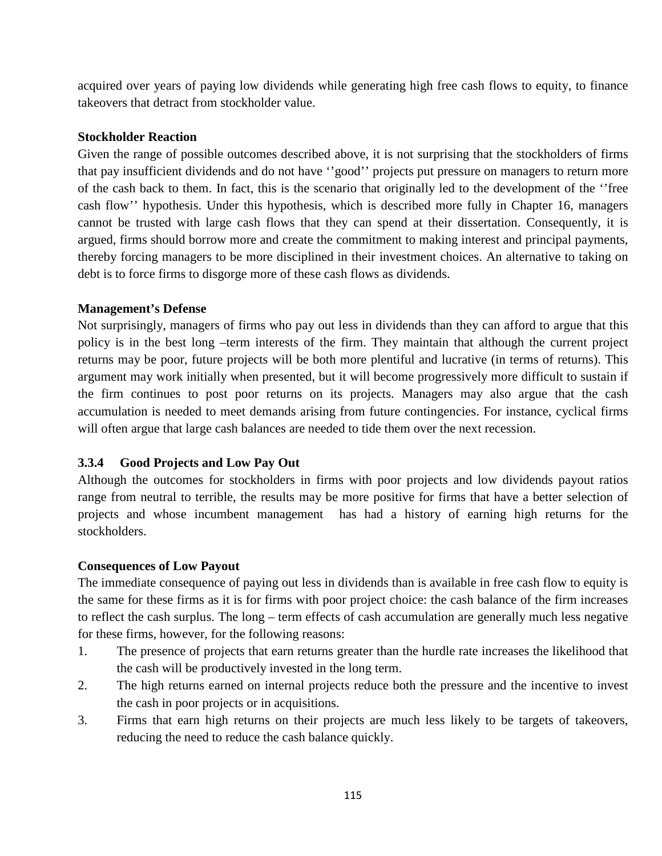acquired over years of paying low dividends while generating high free cash flows to equity, to finance takeovers that detract from stockholder value.

#### **Stockholder Reaction**

Given the range of possible outcomes described above, it is not surprising that the stockholders of firms that pay insufficient dividends and do not have ''good'' projects put pressure on managers to return more of the cash back to them. In fact, this is the scenario that originally led to the development of the ''free cash flow'' hypothesis. Under this hypothesis, which is described more fully in Chapter 16, managers cannot be trusted with large cash flows that they can spend at their dissertation. Consequently, it is argued, firms should borrow more and create the commitment to making interest and principal payments, thereby forcing managers to be more disciplined in their investment choices. An alternative to taking on debt is to force firms to disgorge more of these cash flows as dividends.

#### **Management's Defense**

Not surprisingly, managers of firms who pay out less in dividends than they can afford to argue that this policy is in the best long –term interests of the firm. They maintain that although the current project returns may be poor, future projects will be both more plentiful and lucrative (in terms of returns). This argument may work initially when presented, but it will become progressively more difficult to sustain if the firm continues to post poor returns on its projects. Managers may also argue that the cash accumulation is needed to meet demands arising from future contingencies. For instance, cyclical firms will often argue that large cash balances are needed to tide them over the next recession.

# **3.3.4 Good Projects and Low Pay Out**

Although the outcomes for stockholders in firms with poor projects and low dividends payout ratios range from neutral to terrible, the results may be more positive for firms that have a better selection of projects and whose incumbent management has had a history of earning high returns for the stockholders.

#### **Consequences of Low Payout**

The immediate consequence of paying out less in dividends than is available in free cash flow to equity is the same for these firms as it is for firms with poor project choice: the cash balance of the firm increases to reflect the cash surplus. The long – term effects of cash accumulation are generally much less negative for these firms, however, for the following reasons:

- 1. The presence of projects that earn returns greater than the hurdle rate increases the likelihood that the cash will be productively invested in the long term.
- 2. The high returns earned on internal projects reduce both the pressure and the incentive to invest the cash in poor projects or in acquisitions.
- 3. Firms that earn high returns on their projects are much less likely to be targets of takeovers, reducing the need to reduce the cash balance quickly.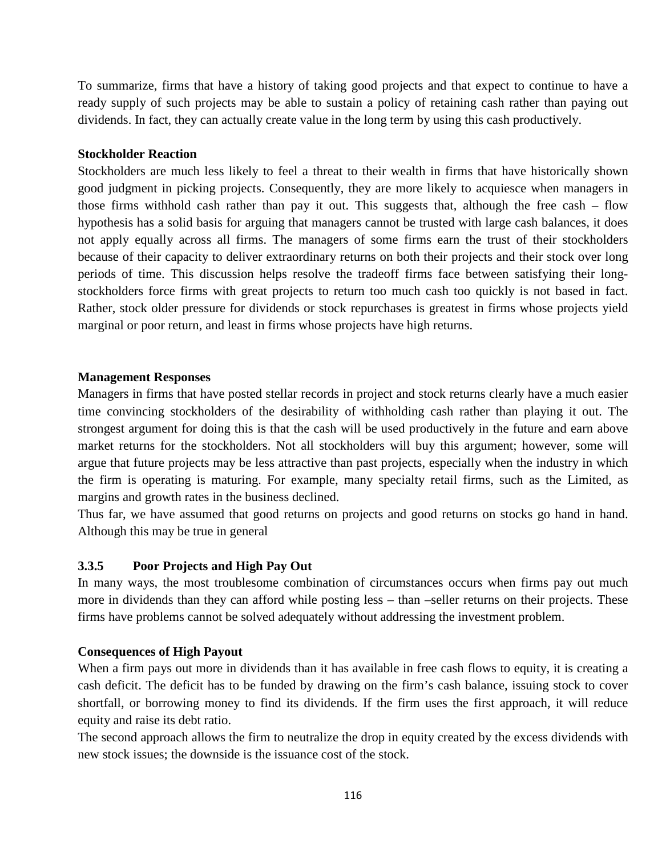To summarize, firms that have a history of taking good projects and that expect to continue to have a ready supply of such projects may be able to sustain a policy of retaining cash rather than paying out dividends. In fact, they can actually create value in the long term by using this cash productively.

#### **Stockholder Reaction**

Stockholders are much less likely to feel a threat to their wealth in firms that have historically shown good judgment in picking projects. Consequently, they are more likely to acquiesce when managers in those firms withhold cash rather than pay it out. This suggests that, although the free cash – flow hypothesis has a solid basis for arguing that managers cannot be trusted with large cash balances, it does not apply equally across all firms. The managers of some firms earn the trust of their stockholders because of their capacity to deliver extraordinary returns on both their projects and their stock over long periods of time. This discussion helps resolve the tradeoff firms face between satisfying their longstockholders force firms with great projects to return too much cash too quickly is not based in fact. Rather, stock older pressure for dividends or stock repurchases is greatest in firms whose projects yield marginal or poor return, and least in firms whose projects have high returns.

#### **Management Responses**

Managers in firms that have posted stellar records in project and stock returns clearly have a much easier time convincing stockholders of the desirability of withholding cash rather than playing it out. The strongest argument for doing this is that the cash will be used productively in the future and earn above market returns for the stockholders. Not all stockholders will buy this argument; however, some will argue that future projects may be less attractive than past projects, especially when the industry in which the firm is operating is maturing. For example, many specialty retail firms, such as the Limited, as margins and growth rates in the business declined.

Thus far, we have assumed that good returns on projects and good returns on stocks go hand in hand. Although this may be true in general

#### **3.3.5 Poor Projects and High Pay Out**

In many ways, the most troublesome combination of circumstances occurs when firms pay out much more in dividends than they can afford while posting less – than –seller returns on their projects. These firms have problems cannot be solved adequately without addressing the investment problem.

#### **Consequences of High Payout**

When a firm pays out more in dividends than it has available in free cash flows to equity, it is creating a cash deficit. The deficit has to be funded by drawing on the firm's cash balance, issuing stock to cover shortfall, or borrowing money to find its dividends. If the firm uses the first approach, it will reduce equity and raise its debt ratio.

The second approach allows the firm to neutralize the drop in equity created by the excess dividends with new stock issues; the downside is the issuance cost of the stock.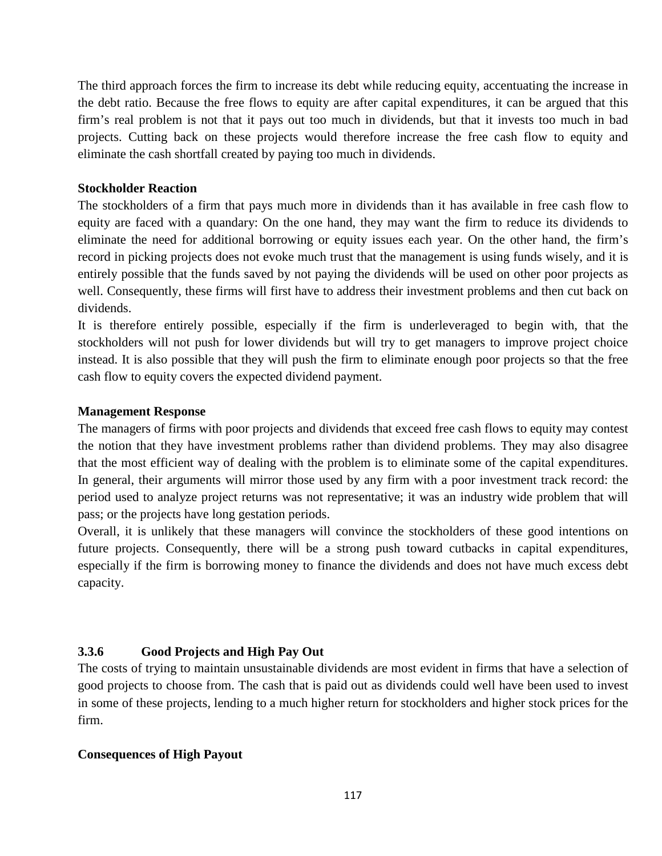The third approach forces the firm to increase its debt while reducing equity, accentuating the increase in the debt ratio. Because the free flows to equity are after capital expenditures, it can be argued that this firm's real problem is not that it pays out too much in dividends, but that it invests too much in bad projects. Cutting back on these projects would therefore increase the free cash flow to equity and eliminate the cash shortfall created by paying too much in dividends.

#### **Stockholder Reaction**

The stockholders of a firm that pays much more in dividends than it has available in free cash flow to equity are faced with a quandary: On the one hand, they may want the firm to reduce its dividends to eliminate the need for additional borrowing or equity issues each year. On the other hand, the firm's record in picking projects does not evoke much trust that the management is using funds wisely, and it is entirely possible that the funds saved by not paying the dividends will be used on other poor projects as well. Consequently, these firms will first have to address their investment problems and then cut back on dividends.

It is therefore entirely possible, especially if the firm is underleveraged to begin with, that the stockholders will not push for lower dividends but will try to get managers to improve project choice instead. It is also possible that they will push the firm to eliminate enough poor projects so that the free cash flow to equity covers the expected dividend payment.

#### **Management Response**

The managers of firms with poor projects and dividends that exceed free cash flows to equity may contest the notion that they have investment problems rather than dividend problems. They may also disagree that the most efficient way of dealing with the problem is to eliminate some of the capital expenditures. In general, their arguments will mirror those used by any firm with a poor investment track record: the period used to analyze project returns was not representative; it was an industry wide problem that will pass; or the projects have long gestation periods.

Overall, it is unlikely that these managers will convince the stockholders of these good intentions on future projects. Consequently, there will be a strong push toward cutbacks in capital expenditures, especially if the firm is borrowing money to finance the dividends and does not have much excess debt capacity.

#### **3.3.6 Good Projects and High Pay Out**

The costs of trying to maintain unsustainable dividends are most evident in firms that have a selection of good projects to choose from. The cash that is paid out as dividends could well have been used to invest in some of these projects, lending to a much higher return for stockholders and higher stock prices for the firm.

#### **Consequences of High Payout**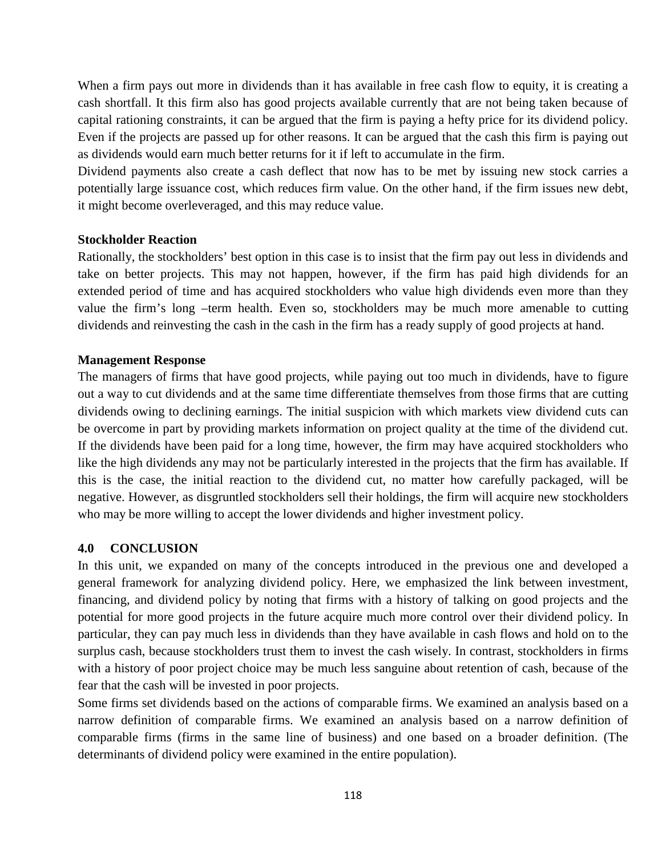When a firm pays out more in dividends than it has available in free cash flow to equity, it is creating a cash shortfall. It this firm also has good projects available currently that are not being taken because of capital rationing constraints, it can be argued that the firm is paying a hefty price for its dividend policy. Even if the projects are passed up for other reasons. It can be argued that the cash this firm is paying out as dividends would earn much better returns for it if left to accumulate in the firm.

Dividend payments also create a cash deflect that now has to be met by issuing new stock carries a potentially large issuance cost, which reduces firm value. On the other hand, if the firm issues new debt, it might become overleveraged, and this may reduce value.

#### **Stockholder Reaction**

Rationally, the stockholders' best option in this case is to insist that the firm pay out less in dividends and take on better projects. This may not happen, however, if the firm has paid high dividends for an extended period of time and has acquired stockholders who value high dividends even more than they value the firm's long –term health. Even so, stockholders may be much more amenable to cutting dividends and reinvesting the cash in the cash in the firm has a ready supply of good projects at hand.

#### **Management Response**

The managers of firms that have good projects, while paying out too much in dividends, have to figure out a way to cut dividends and at the same time differentiate themselves from those firms that are cutting dividends owing to declining earnings. The initial suspicion with which markets view dividend cuts can be overcome in part by providing markets information on project quality at the time of the dividend cut. If the dividends have been paid for a long time, however, the firm may have acquired stockholders who like the high dividends any may not be particularly interested in the projects that the firm has available. If this is the case, the initial reaction to the dividend cut, no matter how carefully packaged, will be negative. However, as disgruntled stockholders sell their holdings, the firm will acquire new stockholders who may be more willing to accept the lower dividends and higher investment policy.

#### **4.0 CONCLUSION**

In this unit, we expanded on many of the concepts introduced in the previous one and developed a general framework for analyzing dividend policy. Here, we emphasized the link between investment, financing, and dividend policy by noting that firms with a history of talking on good projects and the potential for more good projects in the future acquire much more control over their dividend policy. In particular, they can pay much less in dividends than they have available in cash flows and hold on to the surplus cash, because stockholders trust them to invest the cash wisely. In contrast, stockholders in firms with a history of poor project choice may be much less sanguine about retention of cash, because of the fear that the cash will be invested in poor projects.

Some firms set dividends based on the actions of comparable firms. We examined an analysis based on a narrow definition of comparable firms. We examined an analysis based on a narrow definition of comparable firms (firms in the same line of business) and one based on a broader definition. (The determinants of dividend policy were examined in the entire population).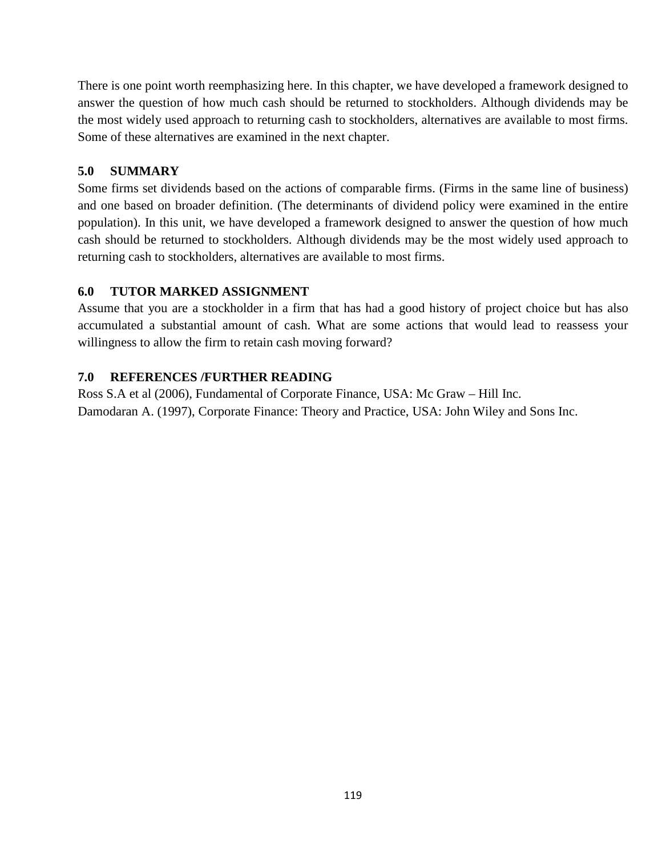There is one point worth reemphasizing here. In this chapter, we have developed a framework designed to answer the question of how much cash should be returned to stockholders. Although dividends may be the most widely used approach to returning cash to stockholders, alternatives are available to most firms. Some of these alternatives are examined in the next chapter.

# **5.0 SUMMARY**

Some firms set dividends based on the actions of comparable firms. (Firms in the same line of business) and one based on broader definition. (The determinants of dividend policy were examined in the entire population). In this unit, we have developed a framework designed to answer the question of how much cash should be returned to stockholders. Although dividends may be the most widely used approach to returning cash to stockholders, alternatives are available to most firms.

# **6.0 TUTOR MARKED ASSIGNMENT**

Assume that you are a stockholder in a firm that has had a good history of project choice but has also accumulated a substantial amount of cash. What are some actions that would lead to reassess your willingness to allow the firm to retain cash moving forward?

# **7.0 REFERENCES /FURTHER READING**

Ross S.A et al (2006), Fundamental of Corporate Finance, USA: Mc Graw – Hill Inc. Damodaran A. (1997), Corporate Finance: Theory and Practice, USA: John Wiley and Sons Inc.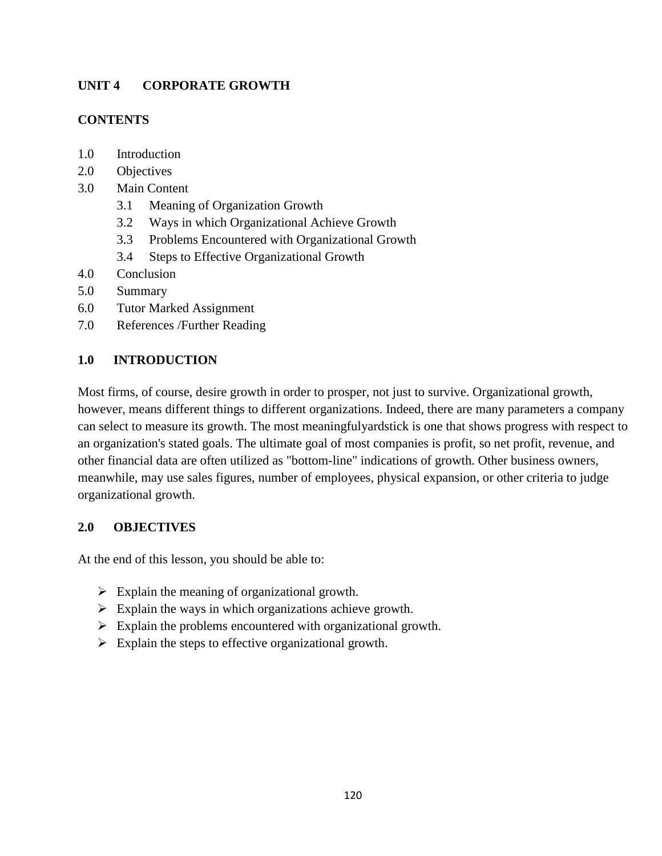# **UNIT 4 CORPORATE GROWTH**

# **CONTENTS**

- 1.0 Introduction
- 2.0 Objectives
- 3.0 Main Content
	- 3.1 Meaning of Organization Growth
	- 3.2 Ways in which Organizational Achieve Growth
	- 3.3 Problems Encountered with Organizational Growth
	- 3.4 Steps to Effective Organizational Growth
- 4.0 Conclusion
- 5.0 Summary
- 6.0 Tutor Marked Assignment
- 7.0 References /Further Reading

# **1.0 INTRODUCTION**

Most firms, of course, desire growth in order to prosper, not just to survive. Organizational growth, however, means different things to different organizations. Indeed, there are many parameters a company can select to measure its growth. The most meaningfulyardstick is one that shows progress with respect to an organization's stated goals. The ultimate goal of most companies is profit, so net profit, revenue, and other financial data are often utilized as "bottom-line" indications of growth. Other business owners, meanwhile, may use sales figures, number of employees, physical expansion, or other criteria to judge organizational growth.

# **2.0 OBJECTIVES**

At the end of this lesson, you should be able to:

- $\triangleright$  Explain the meaning of organizational growth.
- $\triangleright$  Explain the ways in which organizations achieve growth.
- $\triangleright$  Explain the problems encountered with organizational growth.
- $\triangleright$  Explain the steps to effective organizational growth.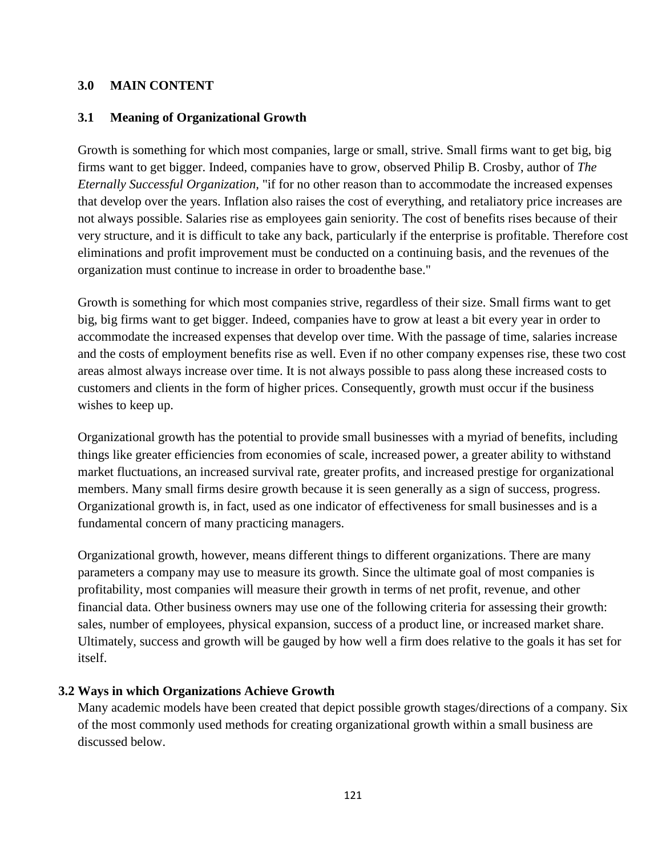## **3.0 MAIN CONTENT**

### **3.1 Meaning of Organizational Growth**

Growth is something for which most companies, large or small, strive. Small firms want to get big, big firms want to get bigger. Indeed, companies have to grow, observed Philip B. Crosby, author of *The Eternally Successful Organization,* "if for no other reason than to accommodate the increased expenses that develop over the years. Inflation also raises the cost of everything, and retaliatory price increases are not always possible. Salaries rise as employees gain seniority. The cost of benefits rises because of their very structure, and it is difficult to take any back, particularly if the enterprise is profitable. Therefore cost eliminations and profit improvement must be conducted on a continuing basis, and the revenues of the organization must continue to increase in order to broadenthe base."

Growth is something for which most companies strive, regardless of their size. Small firms want to get big, big firms want to get bigger. Indeed, companies have to grow at least a bit every year in order to accommodate the increased expenses that develop over time. With the passage of time, salaries increase and the costs of employment benefits rise as well. Even if no other company expenses rise, these two cost areas almost always increase over time. It is not always possible to pass along these increased costs to customers and clients in the form of higher prices. Consequently, growth must occur if the business wishes to keep up.

Organizational growth has the potential to provide small businesses with a myriad of benefits, including things like greater efficiencies from economies of scale, increased power, a greater ability to withstand market fluctuations, an increased survival rate, greater profits, and increased prestige for organizational members. Many small firms desire growth because it is seen generally as a sign of success, progress. Organizational growth is, in fact, used as one indicator of effectiveness for small businesses and is a fundamental concern of many practicing managers.

Organizational growth, however, means different things to different organizations. There are many parameters a company may use to measure its growth. Since the ultimate goal of most companies is profitability, most companies will measure their growth in terms of net profit, revenue, and other financial data. Other business owners may use one of the following criteria for assessing their growth: sales, number of employees, physical expansion, success of a product line, or increased market share. Ultimately, success and growth will be gauged by how well a firm does relative to the goals it has set for itself.

#### **3.2 Ways in which Organizations Achieve Growth**

Many academic models have been created that depict possible growth stages/directions of a company. Six of the most commonly used methods for creating organizational growth within a small business are discussed below.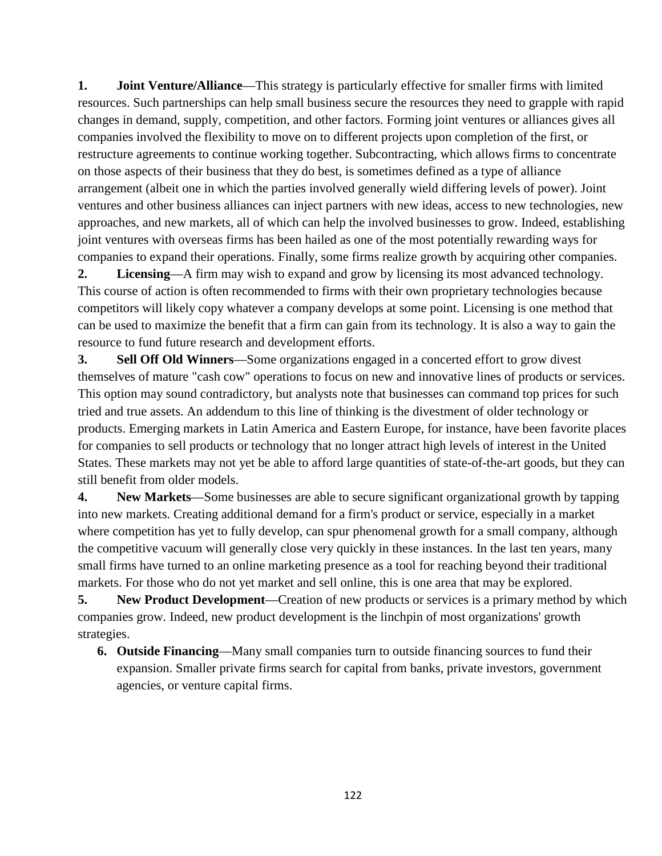**1. Joint Venture/Alliance**—This strategy is particularly effective for smaller firms with limited resources. Such partnerships can help small business secure the resources they need to grapple with rapid changes in demand, supply, competition, and other factors. Forming joint ventures or alliances gives all companies involved the flexibility to move on to different projects upon completion of the first, or restructure agreements to continue working together. Subcontracting, which allows firms to concentrate on those aspects of their business that they do best, is sometimes defined as a type of alliance arrangement (albeit one in which the parties involved generally wield differing levels of power). Joint ventures and other business alliances can inject partners with new ideas, access to new technologies, new approaches, and new markets, all of which can help the involved businesses to grow. Indeed, establishing joint ventures with overseas firms has been hailed as one of the most potentially rewarding ways for companies to expand their operations. Finally, some firms realize growth by acquiring other companies.

**2. Licensing**—A firm may wish to expand and grow by licensing its most advanced technology. This course of action is often recommended to firms with their own proprietary technologies because competitors will likely copy whatever a company develops at some point. Licensing is one method that can be used to maximize the benefit that a firm can gain from its technology. It is also a way to gain the resource to fund future research and development efforts.

**3. Sell Off Old Winners**—Some organizations engaged in a concerted effort to grow divest themselves of mature "cash cow" operations to focus on new and innovative lines of products or services. This option may sound contradictory, but analysts note that businesses can command top prices for such tried and true assets. An addendum to this line of thinking is the divestment of older technology or products. Emerging markets in Latin America and Eastern Europe, for instance, have been favorite places for companies to sell products or technology that no longer attract high levels of interest in the United States. These markets may not yet be able to afford large quantities of state-of-the-art goods, but they can still benefit from older models.

**4. New Markets**—Some businesses are able to secure significant organizational growth by tapping into new markets. Creating additional demand for a firm's product or service, especially in a market where competition has yet to fully develop, can spur phenomenal growth for a small company, although the competitive vacuum will generally close very quickly in these instances. In the last ten years, many small firms have turned to an online marketing presence as a tool for reaching beyond their traditional markets. For those who do not yet market and sell online, this is one area that may be explored.

**5. New Product Development**—Creation of new products or services is a primary method by which companies grow. Indeed, new product development is the linchpin of most organizations' growth strategies.

**6. Outside Financing**—Many small companies turn to outside financing sources to fund their expansion. Smaller private firms search for capital from banks, private investors, government agencies, or venture capital firms.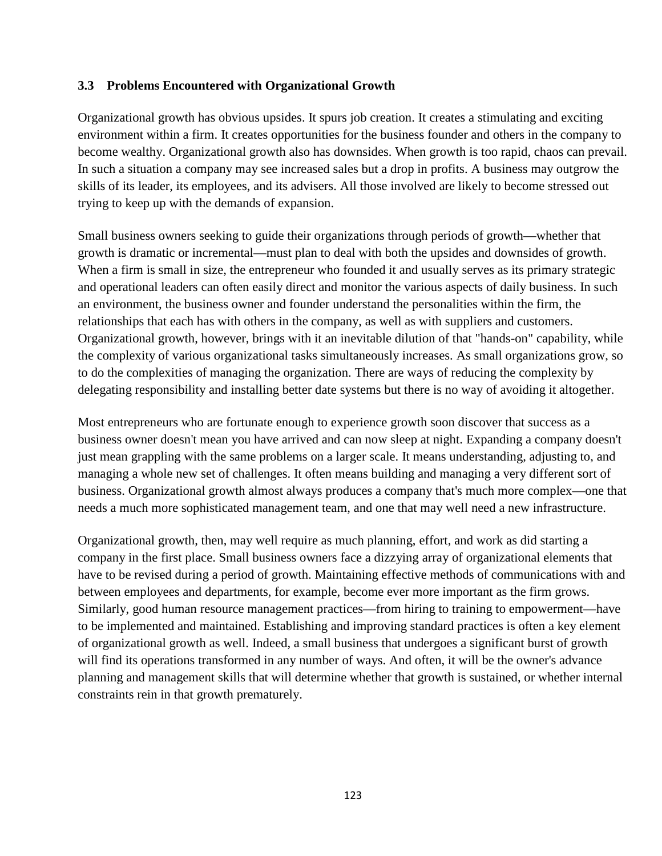## **3.3 Problems Encountered with Organizational Growth**

Organizational growth has obvious upsides. It spurs job creation. It creates a stimulating and exciting environment within a firm. It creates opportunities for the business founder and others in the company to become wealthy. Organizational growth also has downsides. When growth is too rapid, chaos can prevail. In such a situation a company may see increased sales but a drop in profits. A business may outgrow the skills of its leader, its employees, and its advisers. All those involved are likely to become stressed out trying to keep up with the demands of expansion.

Small business owners seeking to guide their organizations through periods of growth—whether that growth is dramatic or incremental—must plan to deal with both the upsides and downsides of growth. When a firm is small in size, the entrepreneur who founded it and usually serves as its primary strategic and operational leaders can often easily direct and monitor the various aspects of daily business. In such an environment, the business owner and founder understand the personalities within the firm, the relationships that each has with others in the company, as well as with suppliers and customers. Organizational growth, however, brings with it an inevitable dilution of that "hands-on" capability, while the complexity of various organizational tasks simultaneously increases. As small organizations grow, so to do the complexities of managing the organization. There are ways of reducing the complexity by delegating responsibility and installing better date systems but there is no way of avoiding it altogether.

Most entrepreneurs who are fortunate enough to experience growth soon discover that success as a business owner doesn't mean you have arrived and can now sleep at night. Expanding a company doesn't just mean grappling with the same problems on a larger scale. It means understanding, adjusting to, and managing a whole new set of challenges. It often means building and managing a very different sort of business. Organizational growth almost always produces a company that's much more complex—one that needs a much more sophisticated management team, and one that may well need a new infrastructure.

Organizational growth, then, may well require as much planning, effort, and work as did starting a company in the first place. Small business owners face a dizzying array of organizational elements that have to be revised during a period of growth. Maintaining effective methods of communications with and between employees and departments, for example, become ever more important as the firm grows. Similarly, good human resource management practices—from hiring to training to empowerment—have to be implemented and maintained. Establishing and improving standard practices is often a key element of organizational growth as well. Indeed, a small business that undergoes a significant burst of growth will find its operations transformed in any number of ways. And often, it will be the owner's advance planning and management skills that will determine whether that growth is sustained, or whether internal constraints rein in that growth prematurely.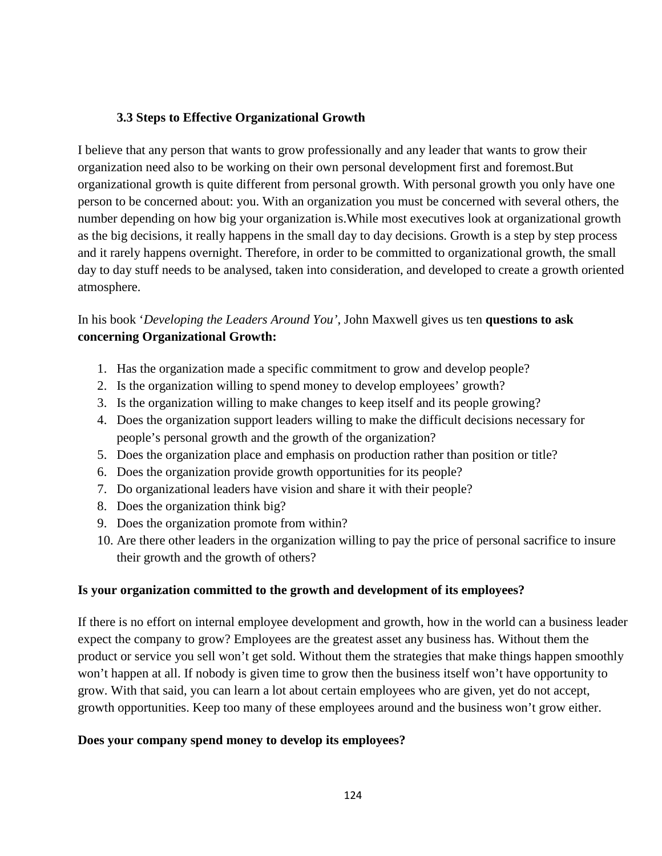# **3.3 Steps to Effective Organizational Growth**

I believe that any person that wants to grow professionally and any leader that wants to grow their organization need also to be working on their own personal development first and foremost.But organizational growth is quite different from personal growth. With personal growth you only have one person to be concerned about: you. With an organization you must be concerned with several others, the number depending on how big your organization is.While most executives look at organizational growth as the big decisions, it really happens in the small day to day decisions. Growth is a step by step process and it rarely happens overnight. Therefore, in order to be committed to organizational growth, the small day to day stuff needs to be analysed, taken into consideration, and developed to create a growth oriented atmosphere.

In his book '*Developing the Leaders Around You'*, John Maxwell gives us ten **questions to ask concerning Organizational Growth:**

- 1. Has the organization made a specific commitment to grow and develop people?
- 2. Is the organization willing to spend money to develop employees' growth?
- 3. Is the organization willing to make changes to keep itself and its people growing?
- 4. Does the organization support leaders willing to make the difficult decisions necessary for people's personal growth and the growth of the organization?
- 5. Does the organization place and emphasis on production rather than position or title?
- 6. Does the organization provide growth opportunities for its people?
- 7. Do organizational leaders have vision and share it with their people?
- 8. Does the organization think big?
- 9. Does the organization promote from within?
- 10. Are there other leaders in the organization willing to pay the price of personal sacrifice to insure their growth and the growth of others?

# **Is your organization committed to the growth and development of its employees?**

If there is no effort on internal employee development and growth, how in the world can a business leader expect the company to grow? Employees are the greatest asset any business has. Without them the product or service you sell won't get sold. Without them the strategies that make things happen smoothly won't happen at all. If nobody is given time to grow then the business itself won't have opportunity to grow. With that said, you can learn a lot about certain employees who are given, yet do not accept, growth opportunities. Keep too many of these employees around and the business won't grow either.

# **Does your company spend money to develop its employees?**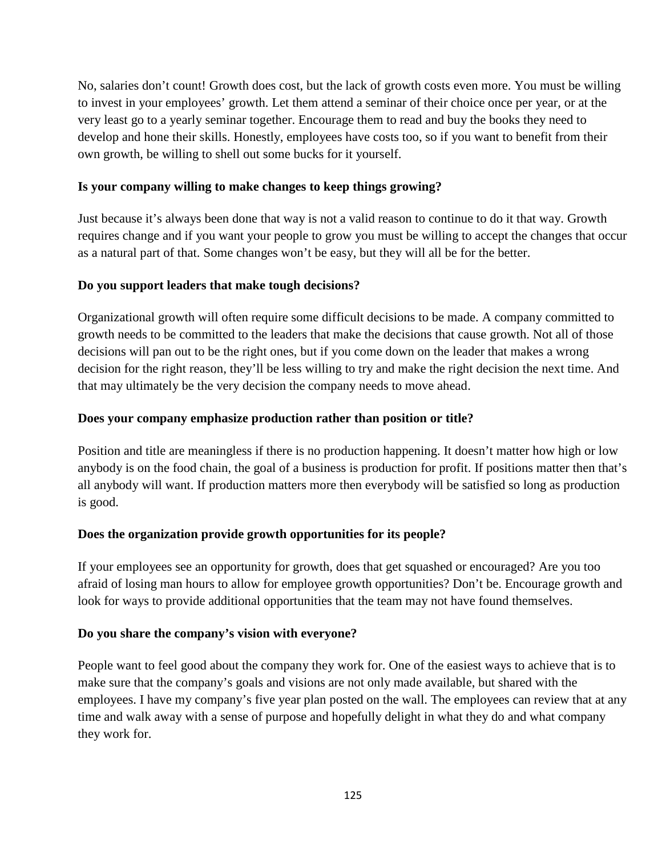No, salaries don't count! Growth does cost, but the lack of growth costs even more. You must be willing to invest in your employees' growth. Let them attend a seminar of their choice once per year, or at the very least go to a yearly seminar together. Encourage them to read and buy the books they need to develop and hone their skills. Honestly, employees have costs too, so if you want to benefit from their own growth, be willing to shell out some bucks for it yourself.

#### **Is your company willing to make changes to keep things growing?**

Just because it's always been done that way is not a valid reason to continue to do it that way. Growth requires change and if you want your people to grow you must be willing to accept the changes that occur as a natural part of that. Some changes won't be easy, but they will all be for the better.

# **Do you support leaders that make tough decisions?**

Organizational growth will often require some difficult decisions to be made. A company committed to growth needs to be committed to the leaders that make the decisions that cause growth. Not all of those decisions will pan out to be the right ones, but if you come down on the leader that makes a wrong decision for the right reason, they'll be less willing to try and make the right decision the next time. And that may ultimately be the very decision the company needs to move ahead.

### **Does your company emphasize production rather than position or title?**

Position and title are meaningless if there is no production happening. It doesn't matter how high or low anybody is on the food chain, the goal of a business is production for profit. If positions matter then that's all anybody will want. If production matters more then everybody will be satisfied so long as production is good.

# **Does the organization provide growth opportunities for its people?**

If your employees see an opportunity for growth, does that get squashed or encouraged? Are you too afraid of losing man hours to allow for employee growth opportunities? Don't be. Encourage growth and look for ways to provide additional opportunities that the team may not have found themselves.

#### **Do you share the company's vision with everyone?**

People want to feel good about the company they work for. One of the easiest ways to achieve that is to make sure that the company's goals and visions are not only made available, but shared with the employees. I have my company's five year plan posted on the wall. The employees can review that at any time and walk away with a sense of purpose and hopefully delight in what they do and what company they work for.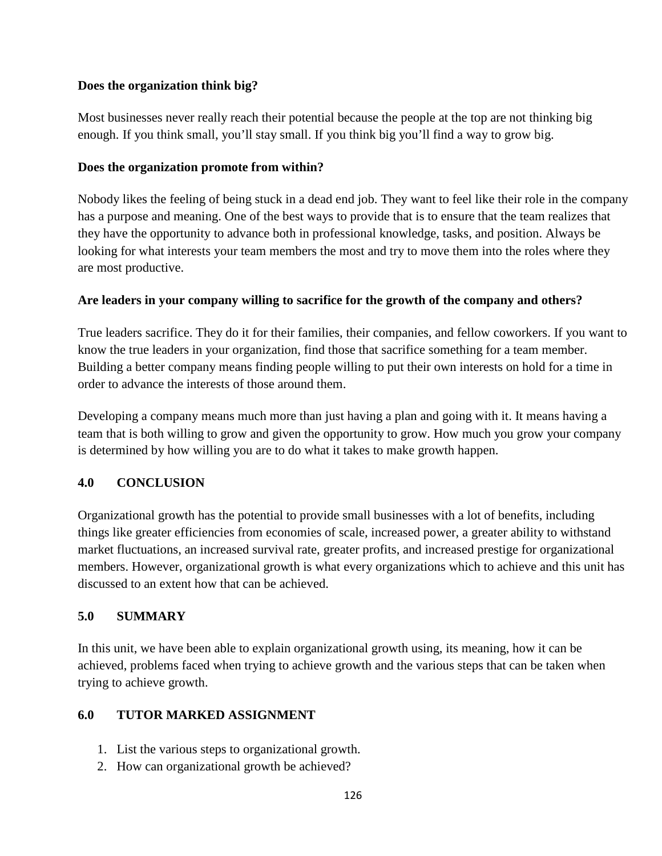## **Does the organization think big?**

Most businesses never really reach their potential because the people at the top are not thinking big enough. If you think small, you'll stay small. If you think big you'll find a way to grow big.

### **Does the organization promote from within?**

Nobody likes the feeling of being stuck in a dead end job. They want to feel like their role in the company has a purpose and meaning. One of the best ways to provide that is to ensure that the team realizes that they have the opportunity to advance both in professional knowledge, tasks, and position. Always be looking for what interests your team members the most and try to move them into the roles where they are most productive.

### **Are leaders in your company willing to sacrifice for the growth of the company and others?**

True leaders sacrifice. They do it for their families, their companies, and fellow coworkers. If you want to know the true leaders in your organization, find those that sacrifice something for a team member. Building a better company means finding people willing to put their own interests on hold for a time in order to advance the interests of those around them.

Developing a company means much more than just having a plan and going with it. It means having a team that is both willing to grow and given the opportunity to grow. How much you grow your company is determined by how willing you are to do what it takes to make growth happen.

# **4.0 CONCLUSION**

Organizational growth has the potential to provide small businesses with a lot of benefits, including things like greater efficiencies from economies of scale, increased power, a greater ability to withstand market fluctuations, an increased survival rate, greater profits, and increased prestige for organizational members. However, organizational growth is what every organizations which to achieve and this unit has discussed to an extent how that can be achieved.

# **5.0 SUMMARY**

In this unit, we have been able to explain organizational growth using, its meaning, how it can be achieved, problems faced when trying to achieve growth and the various steps that can be taken when trying to achieve growth.

#### **6.0 TUTOR MARKED ASSIGNMENT**

- 1. List the various steps to organizational growth.
- 2. How can organizational growth be achieved?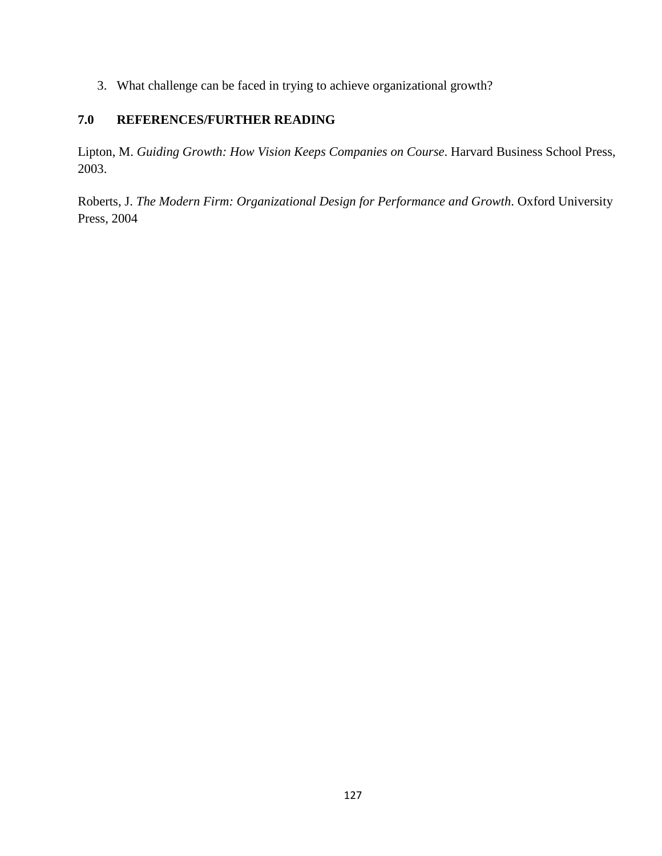3. What challenge can be faced in trying to achieve organizational growth?

# **7.0 REFERENCES/FURTHER READING**

Lipton, M. *Guiding Growth: How Vision Keeps Companies on Course*. Harvard Business School Press, 2003.

Roberts, J. *The Modern Firm: Organizational Design for Performance and Growth*. Oxford University Press, 2004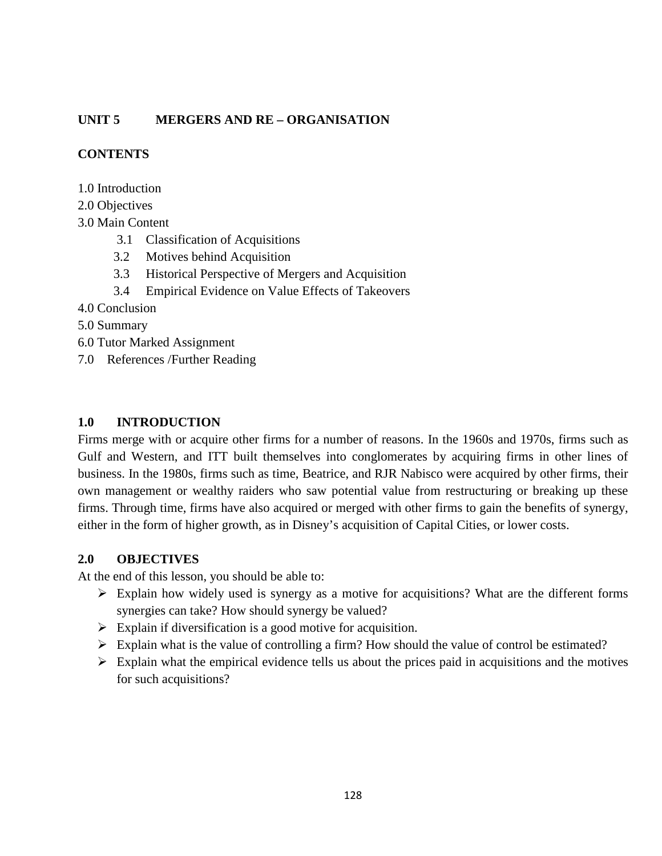# **UNIT 5 MERGERS AND RE – ORGANISATION**

## **CONTENTS**

1.0 Introduction

- 2.0 Objectives
- 3.0 Main Content
	- 3.1 Classification of Acquisitions
	- 3.2 Motives behind Acquisition
	- 3.3 Historical Perspective of Mergers and Acquisition
	- 3.4 Empirical Evidence on Value Effects of Takeovers

4.0 Conclusion

5.0 Summary

- 6.0 Tutor Marked Assignment
- 7.0 References /Further Reading

# **1.0 INTRODUCTION**

Firms merge with or acquire other firms for a number of reasons. In the 1960s and 1970s, firms such as Gulf and Western, and ITT built themselves into conglomerates by acquiring firms in other lines of business. In the 1980s, firms such as time, Beatrice, and RJR Nabisco were acquired by other firms, their own management or wealthy raiders who saw potential value from restructuring or breaking up these firms. Through time, firms have also acquired or merged with other firms to gain the benefits of synergy, either in the form of higher growth, as in Disney's acquisition of Capital Cities, or lower costs.

# **2.0 OBJECTIVES**

At the end of this lesson, you should be able to:

- $\triangleright$  Explain how widely used is synergy as a motive for acquisitions? What are the different forms synergies can take? How should synergy be valued?
- $\triangleright$  Explain if diversification is a good motive for acquisition.
- $\triangleright$  Explain what is the value of controlling a firm? How should the value of control be estimated?
- $\triangleright$  Explain what the empirical evidence tells us about the prices paid in acquisitions and the motives for such acquisitions?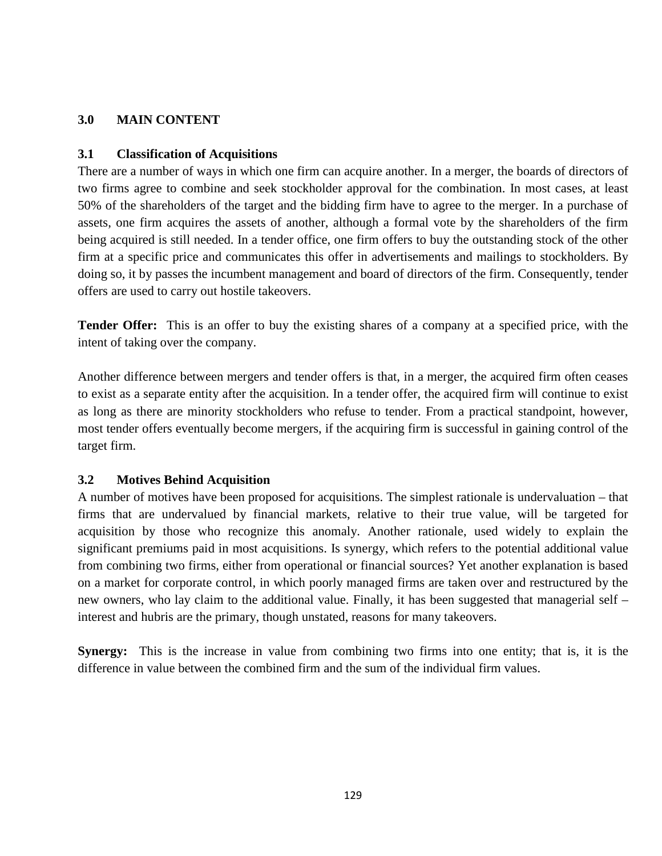## **3.0 MAIN CONTENT**

#### **3.1 Classification of Acquisitions**

There are a number of ways in which one firm can acquire another. In a merger, the boards of directors of two firms agree to combine and seek stockholder approval for the combination. In most cases, at least 50% of the shareholders of the target and the bidding firm have to agree to the merger. In a purchase of assets, one firm acquires the assets of another, although a formal vote by the shareholders of the firm being acquired is still needed. In a tender office, one firm offers to buy the outstanding stock of the other firm at a specific price and communicates this offer in advertisements and mailings to stockholders. By doing so, it by passes the incumbent management and board of directors of the firm. Consequently, tender offers are used to carry out hostile takeovers.

**Tender Offer:** This is an offer to buy the existing shares of a company at a specified price, with the intent of taking over the company.

Another difference between mergers and tender offers is that, in a merger, the acquired firm often ceases to exist as a separate entity after the acquisition. In a tender offer, the acquired firm will continue to exist as long as there are minority stockholders who refuse to tender. From a practical standpoint, however, most tender offers eventually become mergers, if the acquiring firm is successful in gaining control of the target firm.

# **3.2 Motives Behind Acquisition**

A number of motives have been proposed for acquisitions. The simplest rationale is undervaluation – that firms that are undervalued by financial markets, relative to their true value, will be targeted for acquisition by those who recognize this anomaly. Another rationale, used widely to explain the significant premiums paid in most acquisitions. Is synergy, which refers to the potential additional value from combining two firms, either from operational or financial sources? Yet another explanation is based on a market for corporate control, in which poorly managed firms are taken over and restructured by the new owners, who lay claim to the additional value. Finally, it has been suggested that managerial self – interest and hubris are the primary, though unstated, reasons for many takeovers.

**Synergy:** This is the increase in value from combining two firms into one entity; that is, it is the difference in value between the combined firm and the sum of the individual firm values.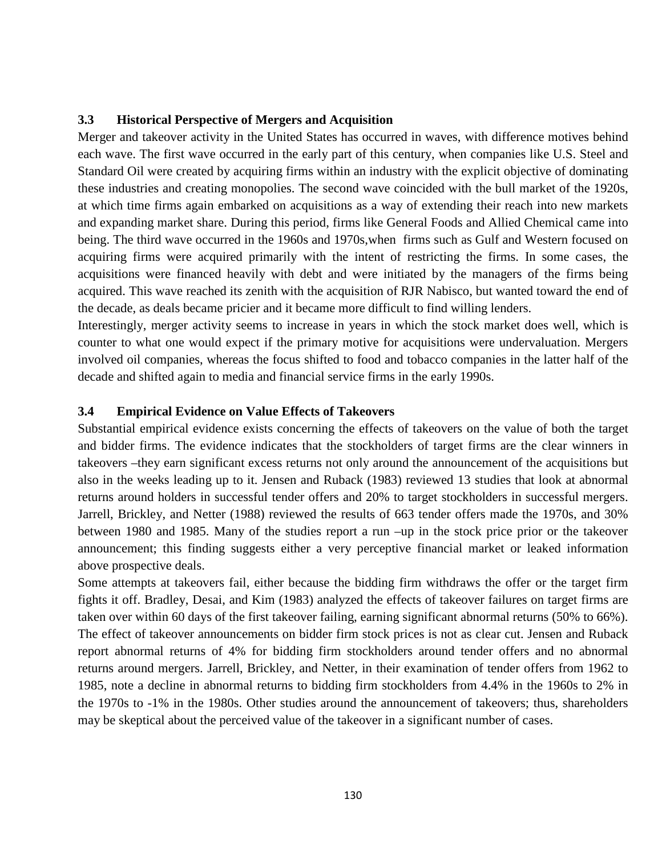### **3.3 Historical Perspective of Mergers and Acquisition**

Merger and takeover activity in the United States has occurred in waves, with difference motives behind each wave. The first wave occurred in the early part of this century, when companies like U.S. Steel and Standard Oil were created by acquiring firms within an industry with the explicit objective of dominating these industries and creating monopolies. The second wave coincided with the bull market of the 1920s, at which time firms again embarked on acquisitions as a way of extending their reach into new markets and expanding market share. During this period, firms like General Foods and Allied Chemical came into being. The third wave occurred in the 1960s and 1970s,when firms such as Gulf and Western focused on acquiring firms were acquired primarily with the intent of restricting the firms. In some cases, the acquisitions were financed heavily with debt and were initiated by the managers of the firms being acquired. This wave reached its zenith with the acquisition of RJR Nabisco, but wanted toward the end of the decade, as deals became pricier and it became more difficult to find willing lenders.

Interestingly, merger activity seems to increase in years in which the stock market does well, which is counter to what one would expect if the primary motive for acquisitions were undervaluation. Mergers involved oil companies, whereas the focus shifted to food and tobacco companies in the latter half of the decade and shifted again to media and financial service firms in the early 1990s.

### **3.4 Empirical Evidence on Value Effects of Takeovers**

Substantial empirical evidence exists concerning the effects of takeovers on the value of both the target and bidder firms. The evidence indicates that the stockholders of target firms are the clear winners in takeovers –they earn significant excess returns not only around the announcement of the acquisitions but also in the weeks leading up to it. Jensen and Ruback (1983) reviewed 13 studies that look at abnormal returns around holders in successful tender offers and 20% to target stockholders in successful mergers. Jarrell, Brickley, and Netter (1988) reviewed the results of 663 tender offers made the 1970s, and 30% between 1980 and 1985. Many of the studies report a run –up in the stock price prior or the takeover announcement; this finding suggests either a very perceptive financial market or leaked information above prospective deals.

Some attempts at takeovers fail, either because the bidding firm withdraws the offer or the target firm fights it off. Bradley, Desai, and Kim (1983) analyzed the effects of takeover failures on target firms are taken over within 60 days of the first takeover failing, earning significant abnormal returns (50% to 66%). The effect of takeover announcements on bidder firm stock prices is not as clear cut. Jensen and Ruback report abnormal returns of 4% for bidding firm stockholders around tender offers and no abnormal returns around mergers. Jarrell, Brickley, and Netter, in their examination of tender offers from 1962 to 1985, note a decline in abnormal returns to bidding firm stockholders from 4.4% in the 1960s to 2% in the 1970s to -1% in the 1980s. Other studies around the announcement of takeovers; thus, shareholders may be skeptical about the perceived value of the takeover in a significant number of cases.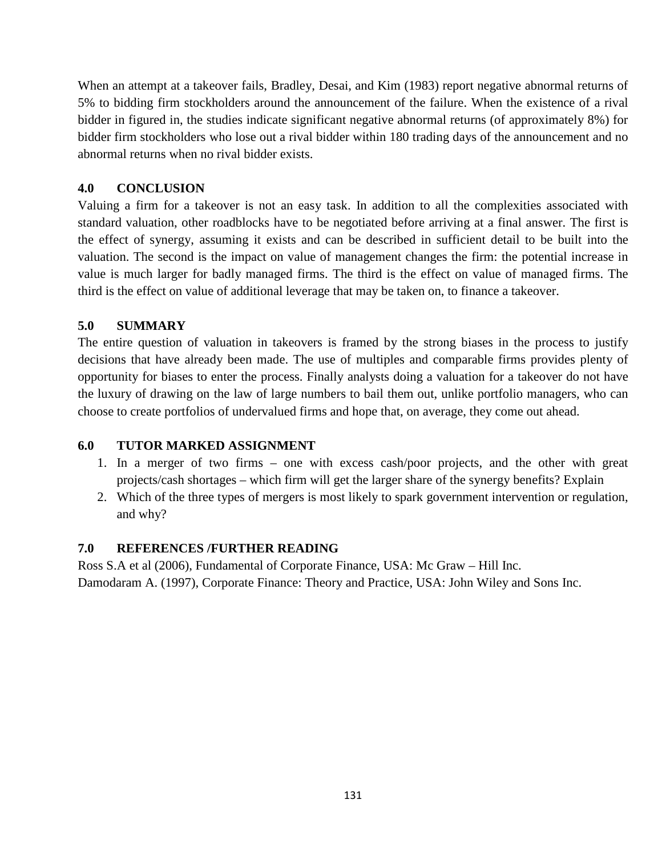When an attempt at a takeover fails, Bradley, Desai, and Kim (1983) report negative abnormal returns of 5% to bidding firm stockholders around the announcement of the failure. When the existence of a rival bidder in figured in, the studies indicate significant negative abnormal returns (of approximately 8%) for bidder firm stockholders who lose out a rival bidder within 180 trading days of the announcement and no abnormal returns when no rival bidder exists.

## **4.0 CONCLUSION**

Valuing a firm for a takeover is not an easy task. In addition to all the complexities associated with standard valuation, other roadblocks have to be negotiated before arriving at a final answer. The first is the effect of synergy, assuming it exists and can be described in sufficient detail to be built into the valuation. The second is the impact on value of management changes the firm: the potential increase in value is much larger for badly managed firms. The third is the effect on value of managed firms. The third is the effect on value of additional leverage that may be taken on, to finance a takeover.

### **5.0 SUMMARY**

The entire question of valuation in takeovers is framed by the strong biases in the process to justify decisions that have already been made. The use of multiples and comparable firms provides plenty of opportunity for biases to enter the process. Finally analysts doing a valuation for a takeover do not have the luxury of drawing on the law of large numbers to bail them out, unlike portfolio managers, who can choose to create portfolios of undervalued firms and hope that, on average, they come out ahead.

# **6.0 TUTOR MARKED ASSIGNMENT**

- 1. In a merger of two firms one with excess cash/poor projects, and the other with great projects/cash shortages – which firm will get the larger share of the synergy benefits? Explain
- 2. Which of the three types of mergers is most likely to spark government intervention or regulation, and why?

#### **7.0 REFERENCES /FURTHER READING**

Ross S.A et al (2006), Fundamental of Corporate Finance, USA: Mc Graw – Hill Inc. Damodaram A. (1997), Corporate Finance: Theory and Practice, USA: John Wiley and Sons Inc.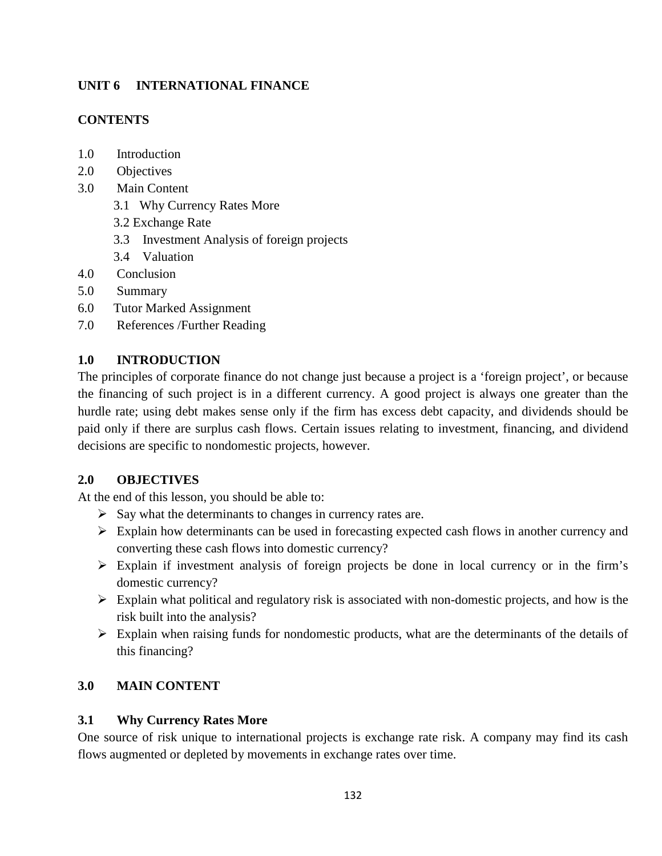# **UNIT 6 INTERNATIONAL FINANCE**

# **CONTENTS**

- 1.0 Introduction
- 2.0 Objectives
- 3.0 Main Content
	- 3.1 Why Currency Rates More
	- 3.2 Exchange Rate
	- 3.3 Investment Analysis of foreign projects
	- 3.4 Valuation
- 4.0 Conclusion
- 5.0 Summary
- 6.0 Tutor Marked Assignment
- 7.0 References /Further Reading

# **1.0 INTRODUCTION**

The principles of corporate finance do not change just because a project is a 'foreign project', or because the financing of such project is in a different currency. A good project is always one greater than the hurdle rate; using debt makes sense only if the firm has excess debt capacity, and dividends should be paid only if there are surplus cash flows. Certain issues relating to investment, financing, and dividend decisions are specific to nondomestic projects, however.

# **2.0 OBJECTIVES**

At the end of this lesson, you should be able to:

- $\triangleright$  Say what the determinants to changes in currency rates are.
- $\triangleright$  Explain how determinants can be used in forecasting expected cash flows in another currency and converting these cash flows into domestic currency?
- $\triangleright$  Explain if investment analysis of foreign projects be done in local currency or in the firm's domestic currency?
- $\triangleright$  Explain what political and regulatory risk is associated with non-domestic projects, and how is the risk built into the analysis?
- $\triangleright$  Explain when raising funds for nondomestic products, what are the determinants of the details of this financing?

# **3.0 MAIN CONTENT**

# **3.1 Why Currency Rates More**

One source of risk unique to international projects is exchange rate risk. A company may find its cash flows augmented or depleted by movements in exchange rates over time.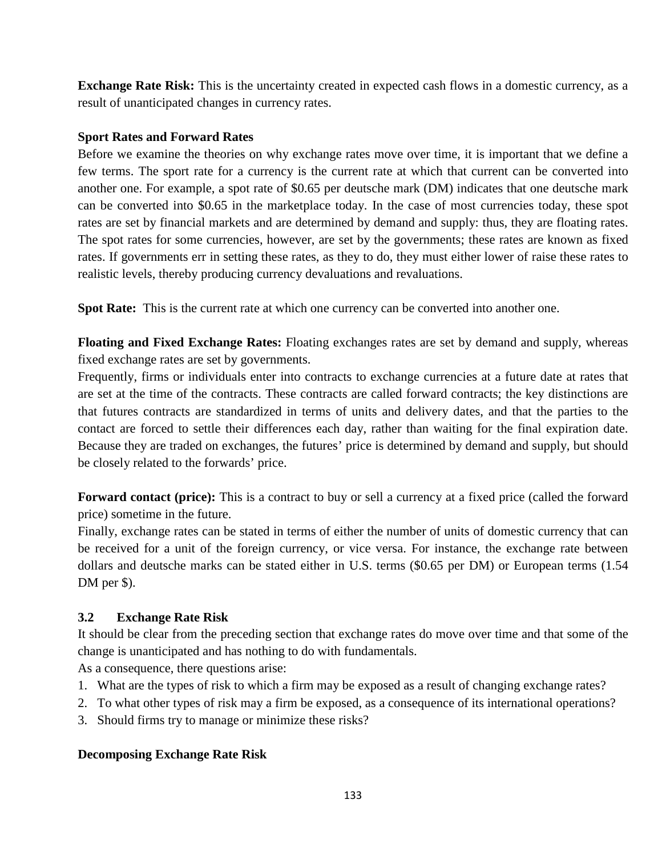**Exchange Rate Risk:** This is the uncertainty created in expected cash flows in a domestic currency, as a result of unanticipated changes in currency rates.

## **Sport Rates and Forward Rates**

Before we examine the theories on why exchange rates move over time, it is important that we define a few terms. The sport rate for a currency is the current rate at which that current can be converted into another one. For example, a spot rate of \$0.65 per deutsche mark (DM) indicates that one deutsche mark can be converted into \$0.65 in the marketplace today. In the case of most currencies today, these spot rates are set by financial markets and are determined by demand and supply: thus, they are floating rates. The spot rates for some currencies, however, are set by the governments; these rates are known as fixed rates. If governments err in setting these rates, as they to do, they must either lower of raise these rates to realistic levels, thereby producing currency devaluations and revaluations.

**Spot Rate:** This is the current rate at which one currency can be converted into another one.

**Floating and Fixed Exchange Rates:** Floating exchanges rates are set by demand and supply, whereas fixed exchange rates are set by governments.

Frequently, firms or individuals enter into contracts to exchange currencies at a future date at rates that are set at the time of the contracts. These contracts are called forward contracts; the key distinctions are that futures contracts are standardized in terms of units and delivery dates, and that the parties to the contact are forced to settle their differences each day, rather than waiting for the final expiration date. Because they are traded on exchanges, the futures' price is determined by demand and supply, but should be closely related to the forwards' price.

**Forward contact (price):** This is a contract to buy or sell a currency at a fixed price (called the forward price) sometime in the future.

Finally, exchange rates can be stated in terms of either the number of units of domestic currency that can be received for a unit of the foreign currency, or vice versa. For instance, the exchange rate between dollars and deutsche marks can be stated either in U.S. terms (\$0.65 per DM) or European terms (1.54 DM per \$).

# **3.2 Exchange Rate Risk**

It should be clear from the preceding section that exchange rates do move over time and that some of the change is unanticipated and has nothing to do with fundamentals.

As a consequence, there questions arise:

- 1. What are the types of risk to which a firm may be exposed as a result of changing exchange rates?
- 2. To what other types of risk may a firm be exposed, as a consequence of its international operations?
- 3. Should firms try to manage or minimize these risks?

#### **Decomposing Exchange Rate Risk**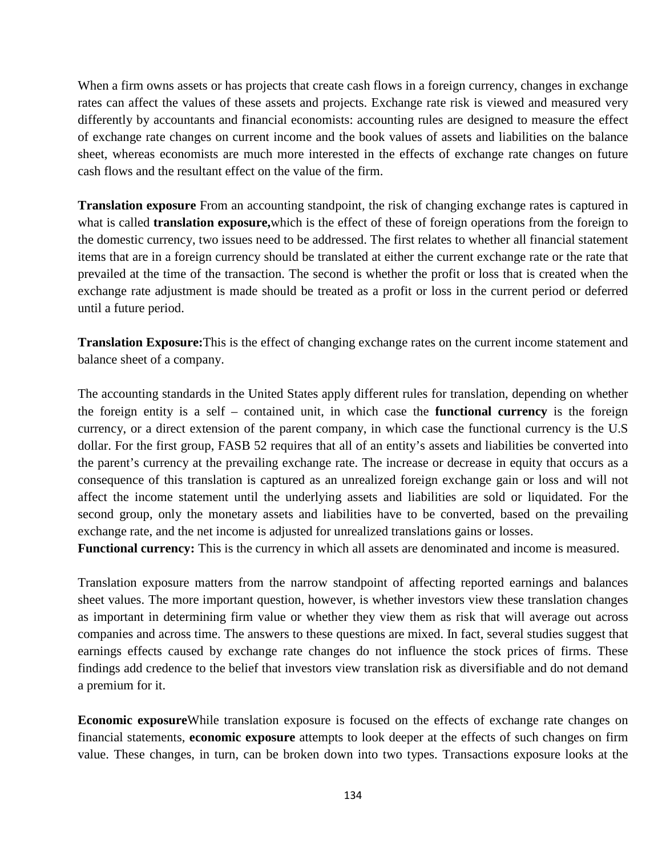When a firm owns assets or has projects that create cash flows in a foreign currency, changes in exchange rates can affect the values of these assets and projects. Exchange rate risk is viewed and measured very differently by accountants and financial economists: accounting rules are designed to measure the effect of exchange rate changes on current income and the book values of assets and liabilities on the balance sheet, whereas economists are much more interested in the effects of exchange rate changes on future cash flows and the resultant effect on the value of the firm.

**Translation exposure** From an accounting standpoint, the risk of changing exchange rates is captured in what is called **translation exposure,**which is the effect of these of foreign operations from the foreign to the domestic currency, two issues need to be addressed. The first relates to whether all financial statement items that are in a foreign currency should be translated at either the current exchange rate or the rate that prevailed at the time of the transaction. The second is whether the profit or loss that is created when the exchange rate adjustment is made should be treated as a profit or loss in the current period or deferred until a future period.

**Translation Exposure:**This is the effect of changing exchange rates on the current income statement and balance sheet of a company.

The accounting standards in the United States apply different rules for translation, depending on whether the foreign entity is a self – contained unit, in which case the **functional currency** is the foreign currency, or a direct extension of the parent company, in which case the functional currency is the U.S dollar. For the first group, FASB 52 requires that all of an entity's assets and liabilities be converted into the parent's currency at the prevailing exchange rate. The increase or decrease in equity that occurs as a consequence of this translation is captured as an unrealized foreign exchange gain or loss and will not affect the income statement until the underlying assets and liabilities are sold or liquidated. For the second group, only the monetary assets and liabilities have to be converted, based on the prevailing exchange rate, and the net income is adjusted for unrealized translations gains or losses.

**Functional currency:** This is the currency in which all assets are denominated and income is measured.

Translation exposure matters from the narrow standpoint of affecting reported earnings and balances sheet values. The more important question, however, is whether investors view these translation changes as important in determining firm value or whether they view them as risk that will average out across companies and across time. The answers to these questions are mixed. In fact, several studies suggest that earnings effects caused by exchange rate changes do not influence the stock prices of firms. These findings add credence to the belief that investors view translation risk as diversifiable and do not demand a premium for it.

**Economic exposure**While translation exposure is focused on the effects of exchange rate changes on financial statements, **economic exposure** attempts to look deeper at the effects of such changes on firm value. These changes, in turn, can be broken down into two types. Transactions exposure looks at the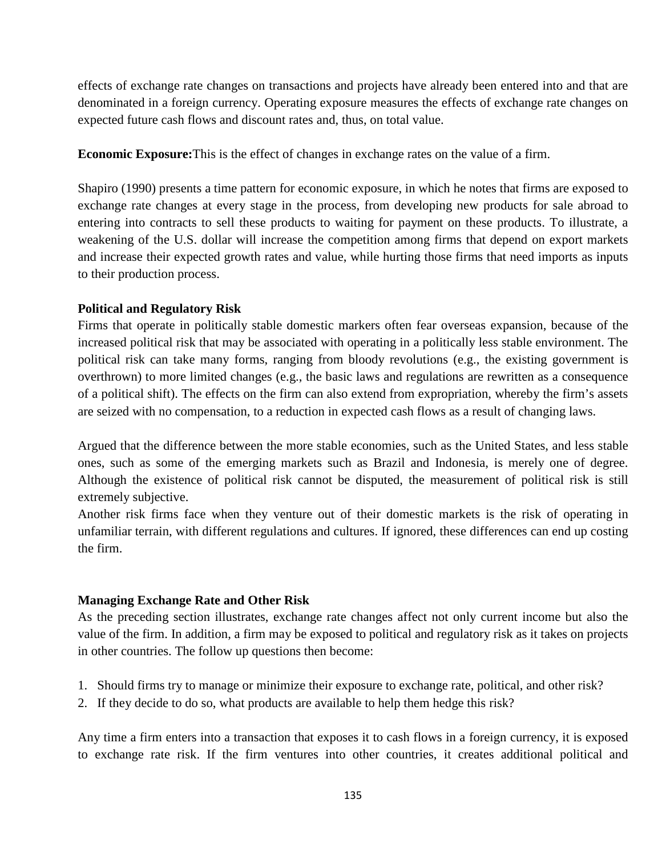effects of exchange rate changes on transactions and projects have already been entered into and that are denominated in a foreign currency. Operating exposure measures the effects of exchange rate changes on expected future cash flows and discount rates and, thus, on total value.

**Economic Exposure:**This is the effect of changes in exchange rates on the value of a firm.

Shapiro (1990) presents a time pattern for economic exposure, in which he notes that firms are exposed to exchange rate changes at every stage in the process, from developing new products for sale abroad to entering into contracts to sell these products to waiting for payment on these products. To illustrate, a weakening of the U.S. dollar will increase the competition among firms that depend on export markets and increase their expected growth rates and value, while hurting those firms that need imports as inputs to their production process.

### **Political and Regulatory Risk**

Firms that operate in politically stable domestic markers often fear overseas expansion, because of the increased political risk that may be associated with operating in a politically less stable environment. The political risk can take many forms, ranging from bloody revolutions (e.g., the existing government is overthrown) to more limited changes (e.g., the basic laws and regulations are rewritten as a consequence of a political shift). The effects on the firm can also extend from expropriation, whereby the firm's assets are seized with no compensation, to a reduction in expected cash flows as a result of changing laws.

Argued that the difference between the more stable economies, such as the United States, and less stable ones, such as some of the emerging markets such as Brazil and Indonesia, is merely one of degree. Although the existence of political risk cannot be disputed, the measurement of political risk is still extremely subjective.

Another risk firms face when they venture out of their domestic markets is the risk of operating in unfamiliar terrain, with different regulations and cultures. If ignored, these differences can end up costing the firm.

#### **Managing Exchange Rate and Other Risk**

As the preceding section illustrates, exchange rate changes affect not only current income but also the value of the firm. In addition, a firm may be exposed to political and regulatory risk as it takes on projects in other countries. The follow up questions then become:

- 1. Should firms try to manage or minimize their exposure to exchange rate, political, and other risk?
- 2. If they decide to do so, what products are available to help them hedge this risk?

Any time a firm enters into a transaction that exposes it to cash flows in a foreign currency, it is exposed to exchange rate risk. If the firm ventures into other countries, it creates additional political and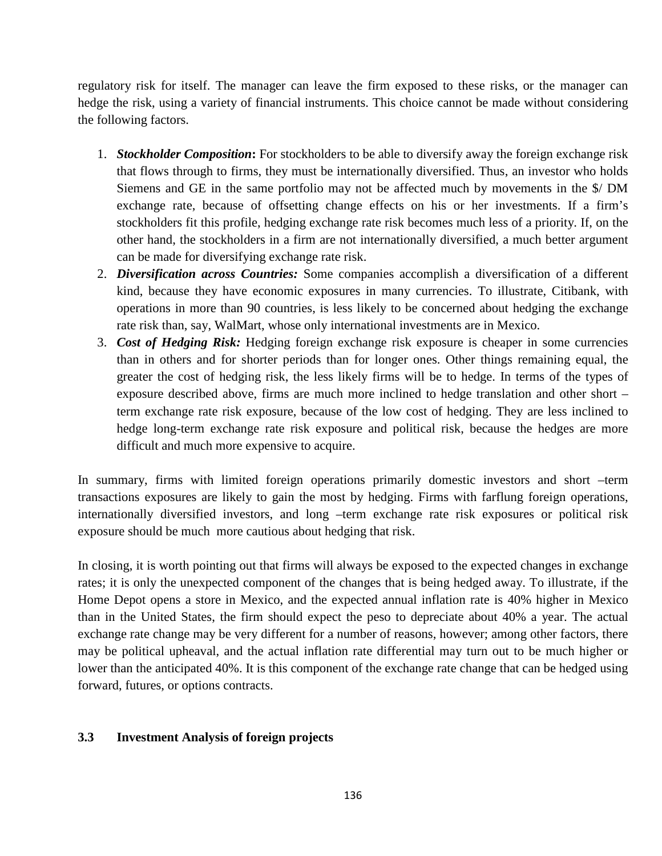regulatory risk for itself. The manager can leave the firm exposed to these risks, or the manager can hedge the risk, using a variety of financial instruments. This choice cannot be made without considering the following factors.

- 1. *Stockholder Composition***:** For stockholders to be able to diversify away the foreign exchange risk that flows through to firms, they must be internationally diversified. Thus, an investor who holds Siemens and GE in the same portfolio may not be affected much by movements in the \$/ DM exchange rate, because of offsetting change effects on his or her investments. If a firm's stockholders fit this profile, hedging exchange rate risk becomes much less of a priority. If, on the other hand, the stockholders in a firm are not internationally diversified, a much better argument can be made for diversifying exchange rate risk.
- 2. *Diversification across Countries:* Some companies accomplish a diversification of a different kind, because they have economic exposures in many currencies. To illustrate, Citibank, with operations in more than 90 countries, is less likely to be concerned about hedging the exchange rate risk than, say, WalMart, whose only international investments are in Mexico.
- 3. *Cost of Hedging Risk:* Hedging foreign exchange risk exposure is cheaper in some currencies than in others and for shorter periods than for longer ones. Other things remaining equal, the greater the cost of hedging risk, the less likely firms will be to hedge. In terms of the types of exposure described above, firms are much more inclined to hedge translation and other short – term exchange rate risk exposure, because of the low cost of hedging. They are less inclined to hedge long-term exchange rate risk exposure and political risk, because the hedges are more difficult and much more expensive to acquire.

In summary, firms with limited foreign operations primarily domestic investors and short –term transactions exposures are likely to gain the most by hedging. Firms with farflung foreign operations, internationally diversified investors, and long –term exchange rate risk exposures or political risk exposure should be much more cautious about hedging that risk.

In closing, it is worth pointing out that firms will always be exposed to the expected changes in exchange rates; it is only the unexpected component of the changes that is being hedged away. To illustrate, if the Home Depot opens a store in Mexico, and the expected annual inflation rate is 40% higher in Mexico than in the United States, the firm should expect the peso to depreciate about 40% a year. The actual exchange rate change may be very different for a number of reasons, however; among other factors, there may be political upheaval, and the actual inflation rate differential may turn out to be much higher or lower than the anticipated 40%. It is this component of the exchange rate change that can be hedged using forward, futures, or options contracts.

# **3.3 Investment Analysis of foreign projects**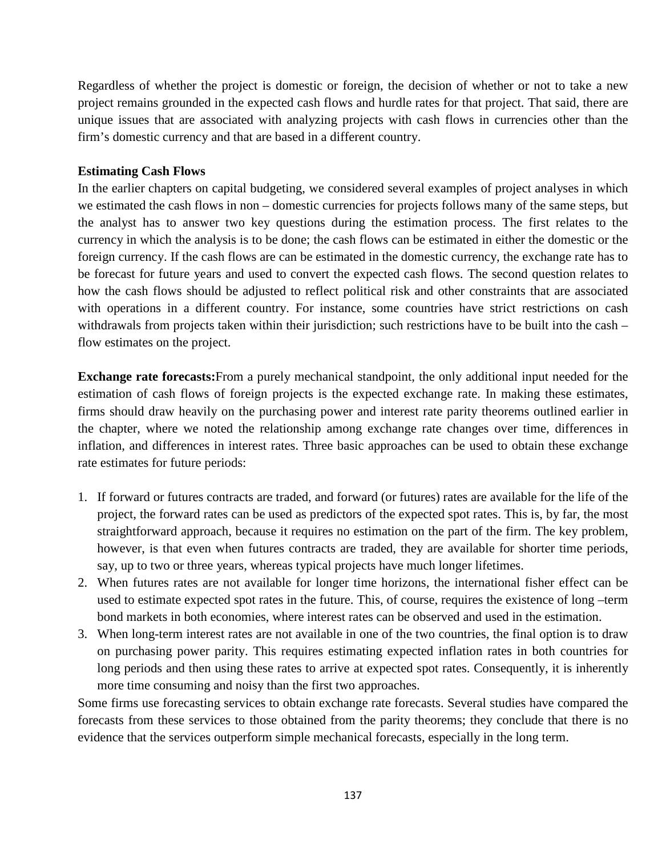Regardless of whether the project is domestic or foreign, the decision of whether or not to take a new project remains grounded in the expected cash flows and hurdle rates for that project. That said, there are unique issues that are associated with analyzing projects with cash flows in currencies other than the firm's domestic currency and that are based in a different country.

#### **Estimating Cash Flows**

In the earlier chapters on capital budgeting, we considered several examples of project analyses in which we estimated the cash flows in non – domestic currencies for projects follows many of the same steps, but the analyst has to answer two key questions during the estimation process. The first relates to the currency in which the analysis is to be done; the cash flows can be estimated in either the domestic or the foreign currency. If the cash flows are can be estimated in the domestic currency, the exchange rate has to be forecast for future years and used to convert the expected cash flows. The second question relates to how the cash flows should be adjusted to reflect political risk and other constraints that are associated with operations in a different country. For instance, some countries have strict restrictions on cash withdrawals from projects taken within their jurisdiction; such restrictions have to be built into the cash – flow estimates on the project.

**Exchange rate forecasts:**From a purely mechanical standpoint, the only additional input needed for the estimation of cash flows of foreign projects is the expected exchange rate. In making these estimates, firms should draw heavily on the purchasing power and interest rate parity theorems outlined earlier in the chapter, where we noted the relationship among exchange rate changes over time, differences in inflation, and differences in interest rates. Three basic approaches can be used to obtain these exchange rate estimates for future periods:

- 1. If forward or futures contracts are traded, and forward (or futures) rates are available for the life of the project, the forward rates can be used as predictors of the expected spot rates. This is, by far, the most straightforward approach, because it requires no estimation on the part of the firm. The key problem, however, is that even when futures contracts are traded, they are available for shorter time periods, say, up to two or three years, whereas typical projects have much longer lifetimes.
- 2. When futures rates are not available for longer time horizons, the international fisher effect can be used to estimate expected spot rates in the future. This, of course, requires the existence of long –term bond markets in both economies, where interest rates can be observed and used in the estimation.
- 3. When long-term interest rates are not available in one of the two countries, the final option is to draw on purchasing power parity. This requires estimating expected inflation rates in both countries for long periods and then using these rates to arrive at expected spot rates. Consequently, it is inherently more time consuming and noisy than the first two approaches.

Some firms use forecasting services to obtain exchange rate forecasts. Several studies have compared the forecasts from these services to those obtained from the parity theorems; they conclude that there is no evidence that the services outperform simple mechanical forecasts, especially in the long term.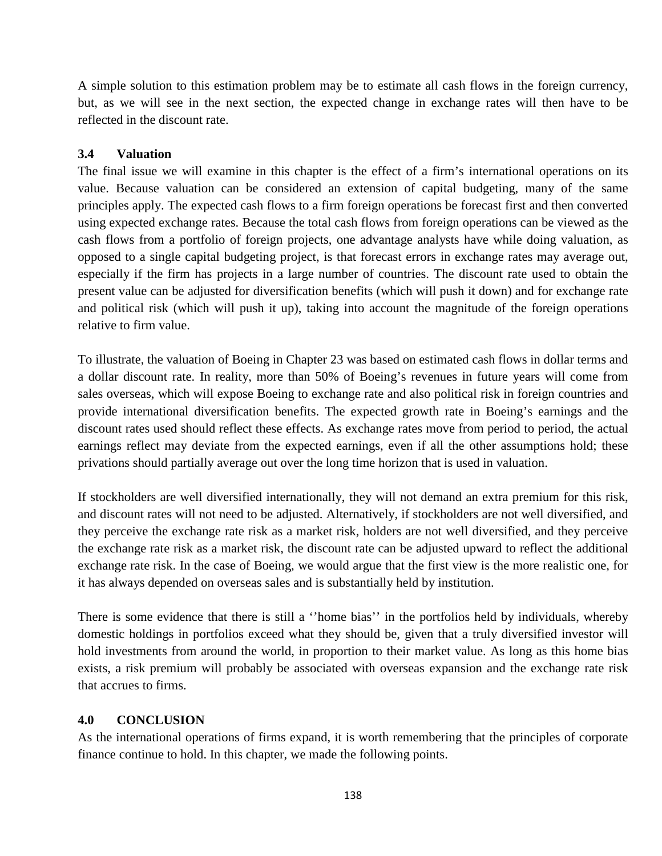A simple solution to this estimation problem may be to estimate all cash flows in the foreign currency, but, as we will see in the next section, the expected change in exchange rates will then have to be reflected in the discount rate.

## **3.4 Valuation**

The final issue we will examine in this chapter is the effect of a firm's international operations on its value. Because valuation can be considered an extension of capital budgeting, many of the same principles apply. The expected cash flows to a firm foreign operations be forecast first and then converted using expected exchange rates. Because the total cash flows from foreign operations can be viewed as the cash flows from a portfolio of foreign projects, one advantage analysts have while doing valuation, as opposed to a single capital budgeting project, is that forecast errors in exchange rates may average out, especially if the firm has projects in a large number of countries. The discount rate used to obtain the present value can be adjusted for diversification benefits (which will push it down) and for exchange rate and political risk (which will push it up), taking into account the magnitude of the foreign operations relative to firm value.

To illustrate, the valuation of Boeing in Chapter 23 was based on estimated cash flows in dollar terms and a dollar discount rate. In reality, more than 50% of Boeing's revenues in future years will come from sales overseas, which will expose Boeing to exchange rate and also political risk in foreign countries and provide international diversification benefits. The expected growth rate in Boeing's earnings and the discount rates used should reflect these effects. As exchange rates move from period to period, the actual earnings reflect may deviate from the expected earnings, even if all the other assumptions hold; these privations should partially average out over the long time horizon that is used in valuation.

If stockholders are well diversified internationally, they will not demand an extra premium for this risk, and discount rates will not need to be adjusted. Alternatively, if stockholders are not well diversified, and they perceive the exchange rate risk as a market risk, holders are not well diversified, and they perceive the exchange rate risk as a market risk, the discount rate can be adjusted upward to reflect the additional exchange rate risk. In the case of Boeing, we would argue that the first view is the more realistic one, for it has always depended on overseas sales and is substantially held by institution.

There is some evidence that there is still a ''home bias'' in the portfolios held by individuals, whereby domestic holdings in portfolios exceed what they should be, given that a truly diversified investor will hold investments from around the world, in proportion to their market value. As long as this home bias exists, a risk premium will probably be associated with overseas expansion and the exchange rate risk that accrues to firms.

# **4.0 CONCLUSION**

As the international operations of firms expand, it is worth remembering that the principles of corporate finance continue to hold. In this chapter, we made the following points.